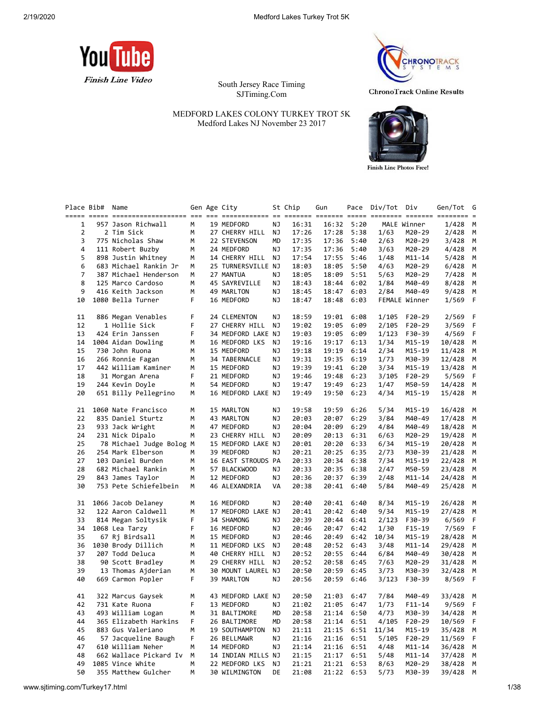

South Jersey Race Timing SJTiming.Com

Place Bib# Name Gen Age City St Chip Gun Pace Div/Tot Div Gen/Tot G



**ChronoTrack Online Results** 

**Finish Line Photos Free!** 

MEDFORD LAKES COLONY TURKEY TROT 5K Medford Lakes NJ November 23 2017

|                | ===== ===== |                                           |        |                    |           |                |                |              |               |                  | ===== ======== ======= ======== = |        |
|----------------|-------------|-------------------------------------------|--------|--------------------|-----------|----------------|----------------|--------------|---------------|------------------|-----------------------------------|--------|
| 1              |             | 957 Jason Richwall                        | М      | 19 MEDFORD         | ΝJ        | 16:31          | 16:32          | 5:20         |               | MALE Winner      | 1/428                             | M      |
| $\overline{2}$ |             | 2 Tim Sick                                | М      | 27 CHERRY HILL     | ΝJ        | 17:26          | 17:28          | 5:38         | 1/63          | M20-29           | 2/428                             | М      |
| 3              |             | 775 Nicholas Shaw                         | M      | 22 STEVENSON       | <b>MD</b> | 17:35          | 17:36          | 5:40         | 2/63          | M20-29           | 3/428                             | M      |
| 4              |             | 111 Robert Buzby                          | M      | 24 MEDFORD         | NJ        | 17:35          | 17:36          | 5:40         | 3/63          | M20-29           | 4/428                             | M      |
| 5              |             | 898 Justin Whitney                        | M      | 14 CHERRY HILL     | NJ        | 17:54          | 17:55          | 5:46         | 1/48          | $M11 - 14$       | 5/428                             | M      |
| 6              |             | 683 Michael Rankin Jr                     | М      | 25 TURNERSVILLE NJ |           | 18:03          | 18:05          | 5:50         | 4/63          | M20-29           | 6/428                             | М      |
| $\overline{7}$ |             | 387 Michael Henderson                     | M      | 27 MANTUA          | NJ        | 18:05          | 18:09          | 5:51         | 5/63          | M20-29           | 7/428                             | M      |
| 8              |             | 125 Marco Cardoso                         | M      | 45 SAYREVILLE      | ΝJ        | 18:43          | 18:44          | 6:02         | 1/84          | M40-49           | 8/428                             | M      |
| 9              |             | 416 Keith Jackson                         | М      | 49 MARLTON         | ΝJ        | 18:45          | 18:47          | 6:03         | 2/84          | M40-49           | 9/428                             | М      |
| 10             |             | 1080 Bella Turner                         | F      | 16 MEDFORD         | NJ        | 18:47          | 18:48          | 6:03         |               | FEMALE Winner    | 1/569                             | F      |
|                |             |                                           |        |                    |           |                |                |              |               |                  |                                   |        |
| 11             |             | 886 Megan Venables                        | F      | 24 CLEMENTON       | NJ        | 18:59          | 19:01          | 6:08         | 1/105         | $F20-29$         | 2/569                             | F      |
| 12             |             | 1 Hollie Sick                             | F      | 27 CHERRY HILL     | NJ        | 19:02          | 19:05          | 6:09         | 2/105         | $F20-29$         | 3/569                             | F      |
| 13             |             | 424 Erin Janssen                          | F      | 34 MEDFORD LAKE NJ |           | 19:03          | 19:05          | 6:09         | 1/123         | F30-39           | 4/569                             | F      |
| 14             |             | 1004 Aidan Dowling                        | М      | 16 MEDFORD LKS     | NJ        | 19:16          | 19:17          | 6:13         | 1/34          | M15-19           | 10/428                            | М      |
| 15             |             | 730 John Ruona                            | M      | 15 MEDFORD         | NJ        | 19:18          | 19:19          | 6:14         | 2/34          | M15-19           | 11/428                            | M      |
| 16             |             | 266 Ronnie Fagan                          | М      | 34 TABERNACLE      | ΝJ        | 19:31          | 19:35          | 6:19         | 1/73          | M30-39           | 12/428                            | М      |
| 17             |             | 442 William Kaminer                       | M      | 15 MEDFORD         | <b>NJ</b> | 19:39          | 19:41          | 6:20         | 3/34          | M15-19           | 13/428                            | M      |
| 18             |             | 31 Morgan Arena                           | F      | 21 MEDFORD         | ΝJ        | 19:46          | 19:48          | 6:23         | 3/105         | F20-29           | 5/569                             | F      |
| 19             |             | 244 Kevin Doyle                           | М      | 54 MEDFORD         | NJ        | 19:47          | 19:49          | 6:23         | 1/47          | M50-59           | 14/428                            | M      |
| 20             |             | 651 Billy Pellegrino                      | М      | 16 MEDFORD LAKE NJ |           | 19:49          | 19:50          | 6:23         | 4/34          | M15-19           | 15/428                            | M      |
|                |             |                                           |        |                    |           |                |                |              |               |                  |                                   |        |
| 21             |             | 1060 Nate Francisco                       | M      | 15 MARLTON         | ΝJ        | 19:58          | 19:59          | 6:26         | 5/34          | M15-19           | 16/428                            | М      |
| 22             |             | 835 Daniel Sturtz                         | М      | 43 MARLTON         | ΝJ        | 20:03          | 20:07          | 6:29         | 3/84          | M40-49           | 17/428                            | М      |
| 23             |             | 933 Jack Wright                           | М      | 47 MEDFORD         | ΝJ        | 20:04          | 20:09          | 6:29         | 4/84          | M40-49           | 18/428                            | М      |
| 24             |             | 231 Nick Dipalo                           | M      | 23 CHERRY HILL     | NJ        | 20:09          | 20:13          | 6:31         | 6/63          | M20-29           | 19/428                            | M      |
| 25             |             | 78 Michael Judge Bolog M                  |        | 15 MEDFORD LAKE NJ |           | 20:01          | 20:20          | 6:33         | 6/34          | M15-19           | 20/428                            | M      |
| 26             |             | 254 Mark Elberson                         | М      | 39 MEDFORD         | ΝJ        | 20:21          | 20:25          | 6:35         | 2/73          | M30-39           | 21/428                            | М      |
| 27             |             | 103 Daniel Burden                         | M      | 16 EAST STROUDS PA |           | 20:33          | 20:34          | 6:38         | 7/34          |                  | 22/428                            | M      |
| 28             |             | 682 Michael Rankin                        | М      | 57 BLACKWOOD       | ΝJ        | 20:33          | 20:35          | 6:38         | 2/47          | M15-19<br>M50-59 | 23/428                            | M      |
| 29             |             |                                           | M      | 12 MEDFORD         | NJ        | 20:36          |                | 6:39         |               | $M11 - 14$       | 24/428                            | M      |
| 30             |             | 843 James Taylor<br>753 Pete Schiefelbein | М      | 46 ALEXANDRIA      | VA        | 20:38          | 20:37<br>20:41 | 6:40         | 2/48<br>5/84  | M40-49           | 25/428                            | М      |
|                |             |                                           |        |                    |           |                |                |              |               |                  |                                   |        |
|                |             |                                           | М      | 16 MEDFORD         | ΝJ        | 20:40          |                | 6:40         |               | M15-19           |                                   |        |
| 31<br>32       |             | 1066 Jacob Delaney<br>122 Aaron Caldwell  | М      | 17 MEDFORD LAKE NJ |           | 20:41          | 20:41<br>20:42 | 6:40         | 8/34<br>9/34  | M15-19           | 26/428<br>27/428                  | М<br>М |
|                |             |                                           | F      |                    | ΝJ        | 20:39          |                |              |               |                  |                                   |        |
| 33<br>34       |             | 814 Megan Soltysik                        | F.     | 34 SHAMONG         | NJ        |                | 20:44          | 6:41         | 2/123         | F30-39           | 6/569                             | F<br>F |
| 35             |             | 1068 Lea Tarzy<br>67 Rj Birdsall          |        | 16 MEDFORD         |           | 20:46<br>20:46 | 20:47          | 6:42         | 1/30          | $F15-19$         | 7/569                             |        |
| 36             |             |                                           | М<br>М | 15 MEDFORD         | ΝJ<br>NJ  | 20:48          | 20:49          | 6:42<br>6:43 | 10/34<br>3/48 | M15-19           | 28/428                            | М<br>М |
| 37             |             | 1030 Brody Dillich                        |        | 11 MEDFORD LKS     |           | 20:52          | 20:52          |              |               | M11-14           | 29/428                            |        |
| 38             |             | 207 Todd Deluca                           | М<br>M | 40 CHERRY HILL     | ΝJ        |                | 20:55          | 6:44         | 6/84          | M40-49           | 30/428                            | М<br>M |
| 39             |             | 90 Scott Bradley                          |        | 29 CHERRY HILL     | NJ        | 20:52          | 20:58          | 6:45         | 7/63          | M20-29           | 31/428                            | M      |
|                |             | 13 Thomas Ajderian                        | м      | 30 MOUNT LAUREL NJ |           | 20:50          | 20:59          | 6:45         | 3/73          | M30-39           | 32/428                            |        |
| 40             |             | 669 Carmon Popler                         | F      | 39 MARLTON         | ΝJ        | 20:56          | 20:59          | 6:46         | 3/123         | F30-39           | 8/569                             | F      |
|                |             |                                           |        |                    |           |                |                |              |               |                  |                                   |        |
| 41             |             | 322 Marcus Gaysek                         | М      | 43 MEDFORD LAKE NJ |           | 20:50          | 21:03          | 6:47         | 7/84          | M40-49           | 33/428                            | М      |
| 42             |             | 731 Kate Ruona                            | F      | 13 MEDFORD         | NJ        | 21:02          | 21:05          | 6:47         | 1/73          | $F11 - 14$       | 9/569                             | F      |
| 43             |             | 493 William Logan                         | М      | 31 BALTIMORE       | MD        | 20:58          | 21:14          | 6:50         | 4/73          | M30-39           | 34/428                            | М      |
| 44             |             | 365 Elizabeth Harkins                     | F      | 26 BALTIMORE       | <b>MD</b> | 20:58          | 21:14          | 6:51         | 4/105         | F20-29           | 10/569                            | F      |
| 45             |             | 883 Gus Valeriano                         | M      | 19 SOUTHAMPTON     | ΝJ        | 21:11          | 21:15          | 6:51         | 11/34         | M15-19           | 35/428                            | M      |
| 46             |             | 57 Jacqueline Baugh                       | F      | 26 BELLMAWR        | NJ        | 21:16          | 21:16          | 6:51         | 5/105         | F20-29           | 11/569                            | F      |
| 47             |             | 610 William Neher                         | М      | 14 MEDFORD         | ΝJ        | 21:14          | 21:16          | 6:51         | 4/48          | M11-14           | 36/428                            | М      |
| 48             |             | 662 Wallace Pickard Iv                    | M      | 14 INDIAN MILLS NJ |           | 21:15          | 21:17          | 6:51         | 5/48          | $M11 - 14$       | 37/428                            | M      |
| 49             |             | 1085 Vince White                          | M      | 22 MEDFORD LKS     | NJ        | 21:21          | 21:21          | 6:53         | 8/63          | M20-29           | 38/428                            | М      |
| 50             |             | 355 Matthew Gulcher                       | M      | 30 WILMINGTON      | DE        | 21:08          | 21:22          | 6:53         | 5/73          | M30-39           | 39/428                            | M      |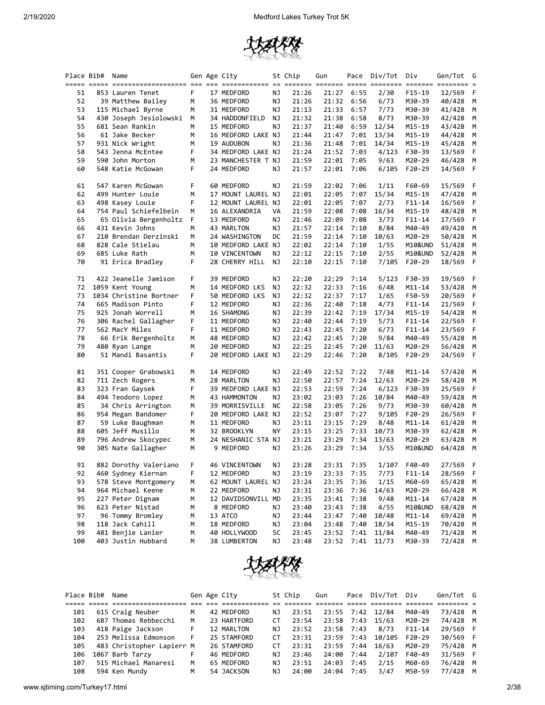

| Place Bib# | Name                   |    | Gen Age City       |    | St Chip | Gun   |      | Pace Div/Tot Div |            | Gen/Tot G |   |
|------------|------------------------|----|--------------------|----|---------|-------|------|------------------|------------|-----------|---|
| 51         | 853 Lauren Tenet       | F  | 17 MEDFORD         | ΝJ | 21:26   | 21:27 | 6:55 | 2/30             | $F15-19$   | 12/569    | F |
| 52         | 39 Matthew Bailey      | М  | 36 MEDFORD         | ΝJ | 21:26   | 21:32 | 6:56 | 6/73             | M30-39     | 40/428    | М |
| 53         | 115 Michael Byrne      | м  | 31 MEDFORD         | ΝJ | 21:13   | 21:33 | 6:57 | 7/73             | M30-39     | 41/428    | М |
| 54         | 430 Joseph Jesiolowski | М  | 34 HADDONFIELD     | ΝJ | 21:32   | 21:38 | 6:58 | 8/73             | M30-39     | 42/428    | M |
| 55         | 681 Sean Rankin        | М  | 15 MEDFORD         | ΝJ | 21:37   | 21:40 | 6:59 | 12/34            | M15-19     | 43/428    | M |
| 56         | 61 Jake Becker         | М  | 16 MEDFORD LAKE NJ |    | 21:44   | 21:47 | 7:01 | 13/34            | M15-19     | 44/428    | М |
| 57         | 931 Nick Wright        | м  | 19 AUDUBON         | ΝJ | 21:36   | 21:48 | 7:01 | 14/34            | M15-19     | 45/428    | M |
| 58         | 543 Jenna McEntee      | F  | 34 MEDFORD LAKE NJ |    | 21:24   | 21:52 | 7:03 | 4/123            | F30-39     | 13/569    | F |
| 59         | 590 John Morton        | м  | 23 MANCHESTER T NJ |    | 21:59   | 22:01 | 7:05 | 9/63             | M20-29     | 46/428    | М |
| 60         | 548 Katie McGowan      | F  | 24 MEDFORD         | ΝJ | 21:57   | 22:01 | 7:06 | 6/105            | F20-29     | 14/569    | F |
| 61         | 547 Karen McGowan      | F  | 60 MEDFORD         | ΝJ | 21:59   | 22:02 | 7:06 | 1/11             | F60-69     | 15/569    | F |
| 62         | 499 Hunter Louie       | М  | 17 MOUNT LAUREL NJ |    | 22:01   | 22:05 | 7:07 | 15/34            | M15-19     | 47/428    | M |
| 63         | 498 Kasey Louie        | F. | 12 MOUNT LAUREL NJ |    | 22:01   | 22:05 | 7:07 | 2/73             | $F11 - 14$ | 16/569    | F |
| 64         | 754 Paul Schiefelbein  | M  | 16 ALEXANDRIA      | VA | 21:59   | 22:08 | 7:08 | 16/34            | M15-19     | 48/428    | М |
| 65         | 65 Olivia Bergenholtz  | F  | 13 MEDFORD         | ΝJ | 21:46   | 22:09 | 7:08 | 3/73             | $F11 - 14$ | 17/569    | F |
| 66         | 431 Kevin Johns        | М  | 43 MARLTON         | ΝJ | 21:57   | 22:14 | 7:10 | 8/84             | M40-49     | 49/428    | M |
| 67         | 210 Brendan Derzinski  | м  | 24 WASHINGTON      | DC | 21:59   | 22:14 | 7:10 | 10/63            | M20-29     | 50/428    | М |
| 68         | 828 Cale Stielau       | М  | 10 MEDFORD LAKE NJ |    | 22:02   | 22:14 | 7:10 | 1/55             | M10&UND    | 51/428    | M |
| 69         | 685 Luke Rath          | М  | 10 VINCENTOWN      | ΝJ | 22:12   | 22:15 | 7:10 | 2/55             | M10&UND    | 52/428    | М |
| 70         | 91 Erica Bradley       | F  | 28 CHERRY HILL     | ΝJ | 22:10   | 22:15 | 7:10 | 7/105            | F20-29     | 18/569    | F |
| 71         | 422 Jeanelle Jamison   | F  | 39 MEDFORD         | ΝJ | 22:20   | 22:29 | 7:14 | 5/123            | F30-39     | 19/569    | F |
| 72         | 1059 Kent Young        | М  | 14 MEDFORD LKS     | ΝJ | 22:32   | 22:33 | 7:16 | 6/48             | M11-14     | 53/428    | M |
| 73         | 1034 Christine Bortner | F  | 50 MEDFORD LKS     | ΝJ | 22:32   | 22:37 | 7:17 | 1/65             | F50-59     | 20/569    | F |
| 74         | 665 Madison Pinto      | F  | 12 MEDFORD         | ΝJ | 22:36   | 22:40 | 7:18 | 4/73             | $F11 - 14$ | 21/569    | F |
| 75         | 925 Jonah Worrell      | м  | 16 SHAMONG         | ΝJ | 22:39   | 22:42 | 7:19 | 17/34            | M15-19     | 54/428    | М |
| 76         | 306 Rachel Gallagher   | F  | 11 MEDFORD         | ΝJ | 22:40   | 22:44 | 7:19 | 5/73             | $F11 - 14$ | 22/569    | F |
| 77         | 562 MacY Miles         | F  | 11 MEDFORD         | ΝJ | 22:43   | 22:45 | 7:20 | 6/73             | $F11 - 14$ | 23/569    | F |
| 78         | 66 Erik Bergenholtz    | м  | 48 MEDFORD         | ΝJ | 22:42   | 22:45 | 7:20 | 9/84             | M40-49     | 55/428    | М |
| 79         | 480 Ryan Lange         | М  | 20 MEDFORD         | ΝJ | 22:25   | 22:45 | 7:20 | 11/63            | M20-29     | 56/428    | M |
| 80         | 51 Mandi Basantis      | F  | 20 MEDFORD LAKE NJ |    | 22:29   | 22:46 | 7:20 | 8/105            | F20-29     | 24/569    | F |
| 81         | 351 Cooper Grabowski   | М  | 14 MEDFORD         | ΝJ | 22:49   | 22:52 | 7:22 | 7/48             | M11-14     | 57/428    | M |
| 82         | 711 Zech Rogers        | М  | 28 MARLTON         | ΝJ | 22:50   | 22:57 | 7:24 | 12/63            | M20-29     | 58/428    | M |
| 83         | 323 Fran Gaysek        | F  | 39 MEDFORD LAKE NJ |    | 22:53   | 22:59 | 7:24 | 6/123            | F30-39     | 25/569    | F |
| 84         | 494 Teodoro Lopez      | М  | 43 HAMMONTON       | ΝJ | 23:02   | 23:03 | 7:26 | 10/84            | M40-49     | 59/428    | М |
| 85         | 34 Chris Arrington     | М  | 39 MORRISVILLE     | ΝC | 22:58   | 23:05 | 7:26 | 9/73             | M30-39     | 60/428    | М |
| 86         | 954 Megan Bandomer     | F  | 20 MEDFORD LAKE NJ |    | 22:52   | 23:07 | 7:27 | 9/105            | F20-29     | 26/569    | F |
| 87         | 59 Luke Baughman       | М  | 11 MEDFORD         | ΝJ | 23:11   | 23:15 | 7:29 | 8/48             | M11-14     | 61/428    | M |
| 88         | 605 Jeff Musillo       | М  | 32 BROOKLYN        | ΝY | 23:15   | 23:25 | 7:33 | 10/73            | M30-39     | 62/428    | M |
| 89         | 796 Andrew Skocypec    | м  | 24 NESHANIC STA NJ |    | 23:21   | 23:29 | 7:34 | 13/63            | M20-29     | 63/428    | М |
| 90         | 305 Nate Gallagher     | М  | 9 MEDFORD          | ΝJ | 23:26   | 23:29 | 7:34 | 3/55             | M10&UND    | 64/428    | M |
| 91         | 882 Dorothy Valeriano  | F  | 46 VINCENTOWN      | ΝJ | 23:28   | 23:31 | 7:35 | 1/107            | F40-49     | 27/569    | F |
| 92         | 460 Sydney Kiernan     | F  | 12 MEDFORD         | ΝJ | 23:19   | 23:33 | 7:35 | 7/73             | $F11 - 14$ | 28/569    | F |
| 93         | 578 Steve Montgomery   | м  | 62 MOUNT LAUREL NJ |    | 23:24   | 23:35 | 7:36 | 1/15             | M60-69     | 65/428    | М |
| 94         | 964 Michael Keene      | м  | 22 MEDFORD         | ΝJ | 23:31   | 23:36 | 7:36 | 14/63            | M20-29     | 66/428    | М |
| 95         | 227 Peter Dignam       | м  | 12 DAVIDSONVILL MD |    | 23:35   | 23:41 | 7:38 | 9/48             | M11-14     | 67/428    | M |
| 96         | 623 Peter Nistad       | м  | 8 MEDFORD          | ΝJ | 23:40   | 23:43 | 7:38 | 4/55             | M10&UND    | 68/428    | М |
| 97         | 96 Tommy Bromley       | м  | 13 ATCO            | ΝJ | 23:44   | 23:47 | 7:40 | 10/48            | $M11 - 14$ | 69/428    | M |
| 98         | 118 Jack Cahill        | м  | 18 MEDFORD         | ΝJ | 23:04   | 23:48 | 7:40 | 18/34            | M15-19     | 70/428    | M |
| 99         | 481 Benjie Lanier      | м  | 40 HOLLYWOOD       | SC | 23:45   | 23:52 | 7:41 | 11/84            | M40-49     | 71/428    | M |
| 100        | 403 Justin Hubbard     | м  | 38 LUMBERTON       | ΝJ | 23:48   | 23:52 | 7:41 | 11/73            | M30-39     | 72/428 M  |   |



| Place Bib# | Name                      |    | Gen Age City |     | St Chip | Gun   |            | Pace Div/Tot     | Div        | Gen/Tot G |   |
|------------|---------------------------|----|--------------|-----|---------|-------|------------|------------------|------------|-----------|---|
|            |                           |    |              |     |         |       |            |                  |            |           |   |
| 101        | 615 Craig Neuber          | м  | 42 MEDFORD   | ΝJ  | 23:51   |       |            | 23:55 7:42 12/84 | M40-49     | 73/428 M  |   |
| 102        | 687 Thomas Rebbecchi      | м  | 23 HARTFORD  | СT  | 23:54   |       | 23:58 7:43 | 15/63            | M20-29     | 74/428 M  |   |
| 103        | 418 Paige Jackson         | F. | 12 MARLTON   | N J | 23:52   |       | 23:58 7:43 | 8/73             | $F11 - 14$ | 29/569 F  |   |
| 104        | 253 Melissa Edmonson      | F. | 25 STAMFORD  | CТ  | 23:31   |       | 23:59 7:43 | 10/105           | F20-29     | 30/569 F  |   |
| 105        | 483 Christopher Lapierr M |    | 26 STAMFORD  | CТ  | 23:31   |       | 23:59 7:44 | 16/63            | M20-29     | 75/428 M  |   |
| 106        | 1067 Barb Tarzy           |    | 46 MEDFORD   | N J | 23:46   | 24:00 | 7:44       | 2/107            | F40-49     | 31/569 F  |   |
| 107        | 515 Michael Manaresi      | м  | 65 MEDFORD   | ΝJ  | 23:51   | 24:03 | 7:45       | 2/15             | M60-69     | 76/428 M  |   |
| 108        | 594 Ken Mundy             | M  | 54 JACKSON   | ΝJ  | 24:00   | 24:04 | 7:45       | 3/47             | M50-59     | 77/428    | м |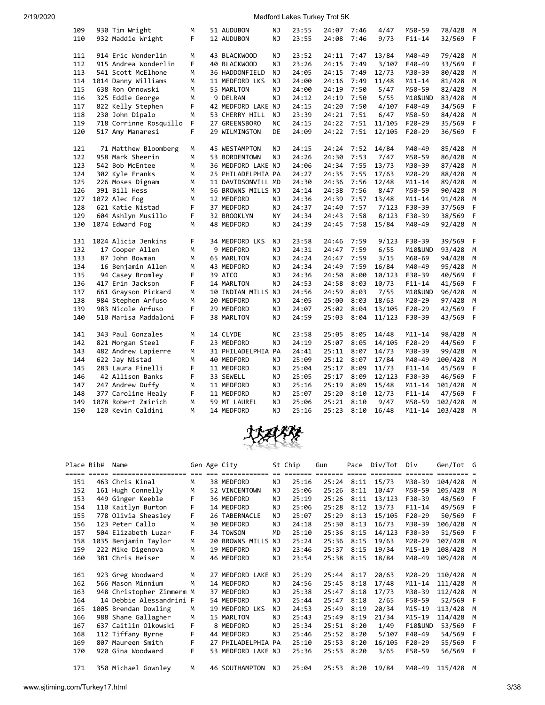| 109        | 930 Tim Wright                            | М      | 51 AUDUBON                 | ΝJ        | 23:55          | 24:07          | 7:46         | 4/47          | M50-59               | 78/428             | M      |
|------------|-------------------------------------------|--------|----------------------------|-----------|----------------|----------------|--------------|---------------|----------------------|--------------------|--------|
| 110        | 932 Maddie Wright                         | F      | 12 AUDUBON                 | NJ        | 23:55          | 24:08          | 7:46         | 9/73          | $F11 - 14$           | 32/569             | F      |
|            |                                           |        |                            |           |                |                |              |               |                      |                    |        |
| 111        | 914 Eric Wonderlin                        | M      | 43 BLACKWOOD               | NJ        | 23:52          | 24:11          | 7:47         | 13/84         | M40-49               | 79/428             | M      |
| 112        | 915 Andrea Wonderlin                      | F      | 40 BLACKWOOD               | <b>NJ</b> | 23:26          | 24:15          | 7:49         | 3/107         | F40-49               | 33/569             | F      |
| 113        | 541 Scott McElhone                        | М      | 36 HADDONFIELD             | NJ        | 24:05          | 24:15          | 7:49         | 12/73         | M30-39               | 80/428             | М      |
| 114        | 1014 Danny Williams                       | м      | 11 MEDFORD LKS             | NJ        | 24:00          | 24:16          | 7:49         | 11/48         | M11-14               | 81/428             | M      |
| 115        | 638 Ron Ornowski                          | М      | 55 MARLTON                 | NJ        | 24:00          | 24:19          | 7:50         | 5/47          | M50-59               | 82/428             | M      |
| 116        | 325 Eddie George                          | М      | 9 DELRAN                   | NJ        | 24:12          | 24:19          | 7:50         | 5/55          | M10&UND              | 83/428             | М      |
| 117        | 822 Kelly Stephen                         | F      | 42 MEDFORD LAKE NJ         |           | 24:15          | 24:20          | 7:50         | 4/107         | F40-49               | 34/569             | F.     |
| 118        | 230 John Dipalo                           | M      | 53 CHERRY HILL             | NJ        | 23:39          | 24:21          | 7:51         | 6/47          | M50-59               | 84/428             | M      |
| 119        | 718 Corrinne Rosquillo                    | F      | 27 GREENSBORO              | <b>NC</b> | 24:15          | 24:22          | 7:51         | 11/105        | F20-29               | 35/569             | F      |
| 120        | 517 Amy Manaresi                          | F      | 29 WILMINGTON              | DE        | 24:09          | 24:22          | 7:51         | 12/105        | F20-29               | 36/569             | F      |
|            |                                           |        |                            |           |                |                |              |               |                      |                    |        |
| 121        | 71 Matthew Bloomberg                      | м      | 45 WESTAMPTON              | NJ        | 24:15          | 24:24          | 7:52         | 14/84         | M40-49               | 85/428             | М      |
| 122        | 958 Mark Sheerin                          | M      | 53 BORDENTOWN              | NJ        | 24:26          | 24:30          | 7:53         | 7/47          | M50-59               | 86/428             | M      |
| 123        | 542 Bob McEntee                           | M      | 36 MEDFORD LAKE NJ         |           | 24:06          | 24:34          | 7:55         | 13/73         | M30-39               | 87/428             | M      |
| 124        | 302 Kyle Franks                           | М      | 25 PHILADELPHIA PA         |           | 24:27          | 24:35          | 7:55         | 17/63         | M20-29               | 88/428             | М      |
| 125        | 226 Moses Dignam                          | M      | 11 DAVIDSONVILL MD         |           | 24:30          | 24:36          | 7:56         | 12/48         | $M11 - 14$           | 89/428             | M      |
| 126        | 391 Bill Hess                             | М      | 56 BROWNS MILLS NJ         |           | 24:14          | 24:38          | 7:56         | 8/47          | M50-59               | 90/428             | M      |
| 127        | 1072 Alec Fog                             | М      | 12 MEDFORD                 | ΝJ        | 24:36          | 24:39          | 7:57         | 13/48         | $M11 - 14$           | 91/428             | M      |
| 128        | 621 Katie Nistad                          | F      | 37 MEDFORD                 | ΝJ        | 24:37          | 24:40          | 7:57         | 7/123         | F30-39               | 37/569             | F      |
| 129        | 604 Ashlyn Musillo                        | F      | 32 BROOKLYN                | <b>NY</b> | 24:34          | 24:43          | 7:58         | 8/123         | F30-39               | 38/569             | F      |
| 130        | 1074 Edward Fog                           | М      | 48 MEDFORD                 | NJ        | 24:39          | 24:45          | 7:58         | 15/84         | M40-49               | 92/428             | M      |
|            |                                           |        |                            |           |                |                |              |               |                      |                    |        |
| 131        | 1024 Alicia Jenkins                       | F      | 34 MEDFORD LKS             | NJ        | 23:58          | 24:46          | 7:59         | 9/123         | F30-39               | 39/569             | F      |
| 132        | 17 Cooper Allen                           | M      | 9 MEDFORD                  | NJ        | 24:31          | 24:47          | 7:59         | 6/55          | M10&UND              | 93/428             | M      |
| 133        | 87 John Bowman                            | М      | 65 MARLTON                 | ΝJ        | 24:24          | 24:47          | 7:59         | 3/15          | M60-69               | 94/428             | М      |
| 134        | 16 Benjamin Allen                         | М      | 43 MEDFORD                 | <b>NJ</b> | 24:34          | 24:49          | 7:59         | 16/84         | M40-49               | 95/428             | M      |
| 135        | 94 Casey Bromley                          | F      | 39 ATCO                    | ΝJ        | 24:36          | 24:50          | 8:00         | 10/123        | F30-39               | 40/569             | F      |
| 136        | 417 Erin Jackson                          | F      | 14 MARLTON                 | ΝJ        | 24:53          | 24:58          | 8:03         | 10/73         |                      |                    | F      |
| 137        |                                           | М      | 10 INDIAN MILLS NJ         |           | 24:56          | 24:59          | 8:03         | 7/55          | F11-14<br>M10&UND    | 41/569             | M      |
| 138        | 661 Grayson Pickard<br>984 Stephen Arfuso |        |                            |           | 24:05          | 25:00          | 8:03         |               |                      | 96/428             | M      |
|            |                                           | М      | 20 MEDFORD                 | ΝJ        |                |                |              | 18/63         | M20-29               | 97/428             |        |
| 139        | 983 Nicole Arfuso                         | F      | 29 MEDFORD                 | <b>NJ</b> | 24:07          | 25:02          | 8:04         | 13/105        | F20-29               | 42/569             | F      |
| 140        | 510 Marisa Maddaloni                      | F.     | 38 MARLTON                 | NJ        | 24:59          | 25:03          | 8:04         | 11/123        | F30-39               | 43/569             | F      |
| 141        | 343 Paul Gonzales                         | М      | 14 CLYDE                   | NC        | 23:58          | 25:05          | 8:05         | 14/48         | M11-14               | 98/428             | M      |
| 142        | 821 Morgan Steel                          | F      | 23 MEDFORD                 | ΝJ        | 24:19          | 25:07          | 8:05         | 14/105        | $F20-29$             | 44/569             | F      |
| 143        | 482 Andrew Lapierre                       | М      | 31 PHILADELPHIA PA         |           | 24:41          | 25:11          | 8:07         | 14/73         | M30-39               | 99/428             | М      |
| 144        | 622 Jay Nistad                            | М      | 40 MEDFORD                 | ΝJ        | 25:09          | 25:12          | 8:07         | 17/84         | M40-49               | 100/428            | М      |
| 145        | 283 Laura Finelli                         | F      | 11 MEDFORD                 | ΝJ        | 25:04          | 25:17          | 8:09         | 11/73         | F11-14               | 45/569             | F      |
| 146        | 42 Allison Banks                          | F      | 33 SEWELL                  | ΝJ        | 25:05          | 25:17          | 8:09         | 12/123        | F30-39               | 46/569             | F      |
| 147        |                                           | М      |                            |           | 25:16          |                | 8:09         |               |                      |                    | М      |
|            | 247 Andrew Duffy                          | F.     | 11 MEDFORD                 | ΝJ        |                | 25:19          |              | 15/48         | M11-14               | 101/428            |        |
| 148<br>149 | 377 Caroline Healy<br>1078 Robert Zmirich |        | 11 MEDFORD                 | ΝJ        | 25:07<br>25:06 | 25:20          | 8:10         | 12/73<br>9/47 | F11-14               | 47/569             | F<br>M |
| 150        | 120 Kevin Caldini                         | М<br>M | 59 MT LAUREL<br>14 MEDFORD | ΝJ<br>NJ  | 25:16          | 25:21<br>25:23 | 8:10<br>8:10 | 16/48         | M50-59<br>$M11 - 14$ | 102/428<br>103/428 | M      |
|            |                                           |        |                            |           |                |                |              |               |                      |                    |        |
|            |                                           |        |                            |           |                |                |              |               |                      |                    |        |



| Place Bib# | Name                      |    | Gen Age City       |           | St Chip | Gun   | Pace | Div/Tot | Div                | Gen/Tot G |   |
|------------|---------------------------|----|--------------------|-----------|---------|-------|------|---------|--------------------|-----------|---|
|            |                           |    |                    |           |         |       |      |         |                    |           |   |
| 151        | 463 Chris Kinal           | M  | 38 MEDFORD         | ΝJ        | 25:16   | 25:24 | 8:11 | 15/73   | M30-39             | 104/428   | M |
| 152        | 161 Hugh Connelly         | м  | 52 VINCENTOWN      | ΝJ        | 25:06   | 25:26 | 8:11 | 10/47   | M50-59             | 105/428   | M |
| 153        | 449 Ginger Keeble         | F  | 36 MEDFORD         | ΝJ        | 25:19   | 25:26 | 8:11 | 13/123  | F30-39             | 48/569    | F |
| 154        | 110 Kaitlyn Burton        | F  | 14 MEDFORD         | NJ        | 25:06   | 25:28 | 8:12 | 13/73   | $F11 - 14$         | 49/569    |   |
| 155        | 778 Olivia Sheasley       | F  | 26 TABERNACLE      | ΝJ        | 25:07   | 25:29 | 8:13 | 15/105  | $F20-29$           | 50/569    |   |
| 156        | 123 Peter Callo           | м  | 30 MEDFORD         | ΝJ        | 24:18   | 25:30 | 8:13 | 16/73   | M30-39             | 106/428   | M |
| 157        | 504 Elizabeth Luzar       | F. | 34 TOWSON          | <b>MD</b> | 25:10   | 25:36 | 8:15 | 14/123  | F30-39             | 51/569    | F |
| 158        | 1035 Benjamin Taylor      | M  | 20 BROWNS MILLS    | NJ        | 25:24   | 25:36 | 8:15 | 19/63   | M20-29             | 107/428   | M |
| 159        | 222 Mike Digenova         | м  | 19 MEDFORD         | ΝJ        | 23:46   | 25:37 | 8:15 | 19/34   | M15-19             | 108/428   | M |
| 160        | 381 Chris Heiser          | м  | 46 MEDFORD         | ΝJ        | 23:54   | 25:38 | 8:15 | 18/84   | M40-49             | 109/428   | M |
|            |                           |    |                    |           |         |       |      |         |                    |           |   |
| 161        | 923 Greg Woodward         | м  | 27 MEDFORD LAKE NJ |           | 25:29   | 25:44 | 8:17 | 20/63   | M20-29             | 110/428   | M |
| 162        | 566 Mason Minnium         | м  | 14 MEDFORD         | ΝJ        | 24:56   | 25:45 | 8:18 | 17/48   | $M11 - 14$         | 111/428   | M |
| 163        | 948 Christopher Zimmerm M |    | 37 MEDFORD         | ΝJ        | 25:38   | 25:47 | 8:18 | 17/73   | M30-39             | 112/428   | М |
| 164        | 14 Debbie Alessandrini F  |    | 54 MEDFORD         | ΝJ        | 25:44   | 25:47 | 8:18 | 2/65    | F50-59             | 52/569    | F |
| 165        | 1005 Brendan Dowling      | м  | 19 MEDFORD LKS     | ΝJ        | 24:53   | 25:49 | 8:19 | 20/34   | $M15 - 19$         | 113/428   | M |
| 166        | 988 Shane Gallagher       | M  | 15 MARLTON         | ΝJ        | 25:43   | 25:49 | 8:19 | 21/34   | M15-19             | 114/428   | М |
| 167        | 637 Caitlin Olkowski      | F  | 8 MEDFORD          | NJ        | 25:34   | 25:51 | 8:20 | 1/49    | <b>F10&amp;UND</b> | 53/569    | F |
| 168        | 112 Tiffany Byrne         | F  | 44 MEDFORD         | ΝJ        | 25:46   | 25:52 | 8:20 | 5/107   | F40-49             | 54/569    | F |
| 169        | 807 Maureen Smith         | F  | 27 PHILADELPHIA PA |           | 25:10   | 25:53 | 8:20 | 16/105  | $F20-29$           | 55/569    | F |
| 170        | 920 Gina Woodward         | F  | 53 MEDFORD LAKE NJ |           | 25:36   | 25:53 | 8:20 | 3/65    | F50-59             | 56/569    |   |
| 171        | 350 Michael Gownley       | м  | 46 SOUTHAMPTON     | NJ.       | 25:04   | 25:53 | 8:20 | 19/84   | M40-49             | 115/428   | M |
|            |                           |    |                    |           |         |       |      |         |                    |           |   |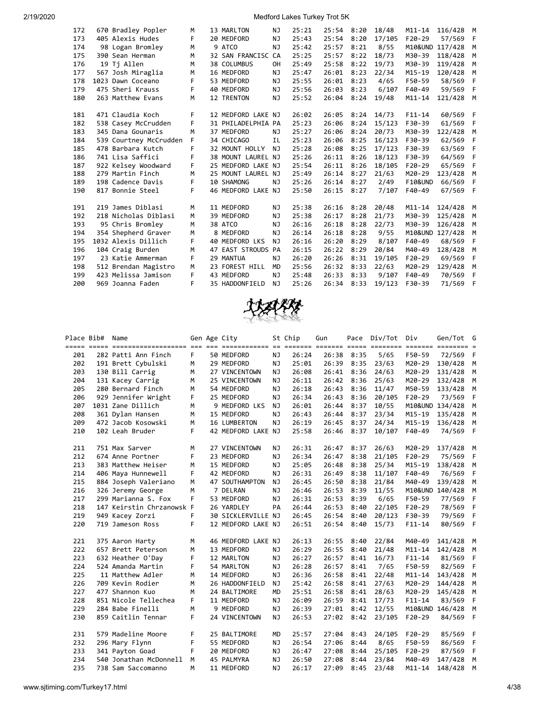| 172 | 670 Bradley Popler     | м  |    | 13 MARLTON             | NJ        | 25:21 | 25:54 | 8:20 | 18/48  | $M11 - 14$         | 116/428         | M |
|-----|------------------------|----|----|------------------------|-----------|-------|-------|------|--------|--------------------|-----------------|---|
| 173 | 405 Alexis Hudes       | F. |    | 20 MEDFORD             | NJ        | 25:43 | 25:54 | 8:20 | 17/105 | $F20-29$           | 57/569          | F |
| 174 | 98 Logan Bromley       | м  |    | 9 ATCO                 | NJ        | 25:42 | 25:57 | 8:21 | 8/55   |                    | M10&UND 117/428 | M |
| 175 | 390 Sean Herman        | м  |    | 32 SAN FRANCISC CA     |           | 25:25 | 25:57 | 8:22 | 18/73  | M30-39             | 118/428         | M |
| 176 | 19 Tj Allen            | M  |    | 38 COLUMBUS            | <b>OH</b> | 25:49 | 25:58 | 8:22 | 19/73  | M30-39             | 119/428         | м |
| 177 | 567 Josh Miraglia      | м  |    | 16 MEDFORD             | NJ        | 25:47 | 26:01 | 8:23 | 22/34  | M15-19             | 120/428         | M |
| 178 | 1023 Dawn Coceano      | F  |    | 53 MEDFORD             | NJ        | 25:55 | 26:01 | 8:23 | 4/65   | F50-59             | 58/569          | F |
| 179 | 475 Sheri Krauss       | F  |    | 40 MEDFORD             | NJ        | 25:56 | 26:03 | 8:23 | 6/107  | F40-49             | 59/569          | F |
| 180 | 263 Matthew Evans      | M  |    | 12 TRENTON             | NJ        | 25:52 | 26:04 | 8:24 | 19/48  | $M11 - 14$         | 121/428         | M |
|     |                        |    |    |                        |           |       |       |      |        |                    |                 |   |
| 181 | 471 Claudia Koch       | F  |    | 12 MEDFORD LAKE NJ     |           | 26:02 | 26:05 | 8:24 | 14/73  | $F11 - 14$         | 60/569          | F |
| 182 | 538 Casey McCrudden    | F  |    | 31 PHILADELPHIA PA     |           | 25:23 | 26:06 | 8:24 | 15/123 | F30-39             | 61/569          | F |
| 183 | 345 Dana Gounaris      | M  |    | 37 MEDFORD             | NJ        | 25:27 | 26:06 | 8:24 | 20/73  | M30-39             | 122/428         | M |
| 184 | 539 Courtney McCrudden | F  |    | 34 CHICAGO             | <b>IL</b> | 25:23 | 26:06 | 8:25 | 16/123 | F30-39             | 62/569          | F |
| 185 | 478 Barbara Kutch      | F  |    | 32 MOUNT HOLLY         | <b>NJ</b> | 25:28 | 26:08 | 8:25 | 17/123 | F30-39             | 63/569          | F |
| 186 | 741 Lisa Saffici       | F  |    | 38 MOUNT LAUREL NJ     |           | 25:26 | 26:11 | 8:26 | 18/123 | F30-39             | 64/569          | F |
| 187 | 922 Kelsey Woodward    | F. |    | 25 MEDFORD LAKE NJ     |           | 25:54 | 26:11 | 8:26 | 18/105 | $F20-29$           | 65/569          | F |
| 188 | 279 Martin Finch       | M  |    | 25 MOUNT LAUREL NJ     |           | 25:49 | 26:14 | 8:27 | 21/63  | M20-29             | 123/428         | M |
| 189 | 198 Cadence Davis      | F  |    | 10 SHAMONG             | NJ        | 25:26 | 26:14 | 8:27 | 2/49   | <b>F10&amp;UND</b> | 66/569          | F |
| 190 | 817 Bonnie Steel       | F  |    | 46 MEDFORD LAKE NJ     |           | 25:50 | 26:15 | 8:27 | 7/107  | F40-49             | 67/569          | F |
|     |                        |    |    |                        |           |       |       |      |        |                    |                 |   |
| 191 | 219 James Diblasi      | M  |    | 11 MEDFORD             | NJ        | 25:38 | 26:16 | 8:28 | 20/48  | $M11 - 14$         | 124/428         | M |
| 192 | 218 Nicholas Diblasi   | M  |    | 39 MEDFORD             | NJ        | 25:38 | 26:17 | 8:28 | 21/73  | M30-39             | 125/428         | M |
| 193 | 95 Chris Bromley       | M  |    | 38 ATCO                | NJ        | 26:16 | 26:18 | 8:28 | 22/73  | M30-39             | 126/428         | M |
| 194 | 354 Shepherd Graver    | M  |    | 8 MEDFORD              | NJ        | 26:14 | 26:18 | 8:28 | 9/55   |                    | M10&UND 127/428 | M |
| 195 | 1032 Alexis Dillich    | F  |    | 40 MEDFORD LKS         | NJ        | 26:16 | 26:20 | 8:29 | 8/107  | F40-49             | 68/569          | F |
| 196 | 104 Craig Burden       | M  | 47 | <b>EAST STROUDS PA</b> |           | 26:15 | 26:22 | 8:29 | 20/84  | M40-49             | 128/428         | M |
| 197 | 23 Katie Ammerman      | F  |    | 29 MANTUA              | NJ        | 26:20 | 26:26 | 8:31 | 19/105 | $F20-29$           | 69/569          | F |
| 198 | 512 Brendan Magistro   | M  |    | 23 FOREST HILL         | <b>MD</b> | 25:56 | 26:32 | 8:33 | 22/63  | M20-29             | 129/428         | M |
| 199 | 423 Melissa Jamison    | F  |    | 43 MEDFORD             | <b>NJ</b> | 25:48 | 26:33 | 8:33 | 9/107  | F40-49             | 70/569          | F |
| 200 | 969 Joanna Faden       | F  |    | 35 HADDONFIELD         | NJ        | 25:26 | 26:34 | 8:33 | 19/123 | F30-39             | 71/569          | F |
|     |                        |    |    |                        |           |       |       |      |        |                    |                 |   |



|     | Place Bib# | Name                                                                                                  |    | Gen Age City       |           | St Chip | Gun   |      | Pace Div/Tot Div |            | Gen/Tot G       |     |
|-----|------------|-------------------------------------------------------------------------------------------------------|----|--------------------|-----------|---------|-------|------|------------------|------------|-----------------|-----|
|     |            | <u>soor ooks soordooddaadaan oo aa addaadaan oo sooda addaan adda addaan addaan addaa addaa addaa</u> |    |                    |           |         |       |      |                  |            |                 |     |
| 201 |            | 282 Patti Ann Finch                                                                                   | F. | 50 MEDFORD         | ΝJ        | 26:24   | 26:38 | 8:35 | 5/65             | F50-59     | 72/569          | - F |
| 202 |            | 191 Brett Cybulski                                                                                    | М  | 29 MEDFORD         | NJ        | 25:01   | 26:39 | 8:35 | 23/63            | M20-29     | 130/428         | M   |
| 203 |            | 130 Bill Carrig                                                                                       | М  | 27 VINCENTOWN      | NJ        | 26:08   | 26:41 | 8:36 | 24/63            | M20-29     | 131/428         | M   |
| 204 |            | 131 Kacey Carrig                                                                                      | M  | 25 VINCENTOWN      | NJ        | 26:11   | 26:42 | 8:36 | 25/63            | M20-29     | 132/428         | M   |
| 205 |            | 280 Bernard Finch                                                                                     | M  | 54 MEDFORD         | NJ        | 26:18   | 26:43 | 8:36 | 11/47            | M50-59     | 133/428         | M   |
| 206 |            | 929 Jennifer Wright                                                                                   | F  | 25 MEDFORD         | NJ        | 26:34   | 26:43 | 8:36 | 20/105           | $F20-29$   | 73/569          | F   |
| 207 |            | 1031 Zane Dillich                                                                                     | M  | 9 MEDFORD LKS      | NJ        | 26:01   | 26:44 | 8:37 | 10/55            |            | M10&UND 134/428 | M   |
| 208 |            | 361 Dylan Hansen                                                                                      | M  | 15 MEDFORD         | NJ        | 26:43   | 26:44 | 8:37 | 23/34            | $M15 - 19$ | 135/428         | M   |
| 209 |            | 472 Jacob Kosowski                                                                                    | м  | 16 LUMBERTON       | NJ        | 26:19   | 26:45 | 8:37 | 24/34            | $M15 - 19$ | 136/428         | M   |
| 210 |            | 102 Leah Bruder                                                                                       | F  | 42 MEDFORD LAKE NJ |           | 25:58   | 26:46 | 8:37 | 10/107           | F40-49     | 74/569          | - F |
|     |            |                                                                                                       |    |                    |           |         |       |      |                  |            |                 |     |
| 211 |            | 751 Max Sarver                                                                                        | м  | 27 VINCENTOWN      | ΝJ        | 26:31   | 26:47 | 8:37 | 26/63            | M20-29     | 137/428 M       |     |
| 212 |            | 674 Anne Portner                                                                                      | F  | 23 MEDFORD         | NJ        | 26:34   | 26:47 | 8:38 | 21/105           | $F20-29$   | 75/569          | F   |
| 213 |            | 383 Matthew Heiser                                                                                    | M  | 15 MEDFORD         | NJ        | 25:05   | 26:48 | 8:38 | 25/34            | $M15 - 19$ | 138/428         | M   |
| 214 |            | 406 Maya Hunnewell                                                                                    | F. | 42 MEDFORD         | NJ        | 26:31   | 26:49 | 8:38 | 11/107           | F40-49     | 76/569          | F   |
| 215 |            | 884 Joseph Valeriano                                                                                  | M  | 47 SOUTHAMPTON     | NJ        | 26:45   | 26:50 | 8:38 | 21/84            | M40-49     | 139/428         | M   |
| 216 |            | 326 Jeremy George                                                                                     | M  | 7 DELRAN           | NJ        | 26:46   | 26:53 | 8:39 | 11/55            |            | M10&UND 140/428 | M   |
| 217 |            | 299 Marianna S. Fox                                                                                   | F  | 53 MEDFORD         | <b>NJ</b> | 26:31   | 26:53 | 8:39 | 6/65             | F50-59     | 77/569          | F   |
| 218 |            | 147 Keirstin Chrzanowsk F                                                                             |    | 26 YARDLEY         | PA        | 26:44   | 26:53 | 8:40 | 22/105           | $F20-29$   | 78/569          | F   |
| 219 |            | 949 Kacey Zorzi                                                                                       | F. | 30 SICKLERVILLE NJ |           | 26:45   | 26:54 | 8:40 | 20/123           | F30-39     | 79/569          | F   |
| 220 |            | 719 Jameson Ross                                                                                      | F. | 12 MEDFORD LAKE NJ |           | 26:51   | 26:54 | 8:40 | 15/73            | $F11 - 14$ | 80/569          | F   |
|     |            |                                                                                                       |    |                    |           |         |       |      |                  |            |                 |     |
| 221 |            | 375 Aaron Harty                                                                                       | M  | 46 MEDFORD LAKE NJ |           | 26:13   | 26:55 | 8:40 | 22/84            | M40-49     | 141/428         | M   |
| 222 |            | 657 Brett Peterson                                                                                    | M  | 13 MEDFORD         | NJ        | 26:29   | 26:55 | 8:40 | 21/48            | $M11 - 14$ | 142/428         | M   |
| 223 |            | 632 Heather O'Day                                                                                     | F  | 12 MARLTON         | NJ        | 26:27   | 26:57 | 8:41 | 16/73            | $F11 - 14$ | 81/569          | F   |
| 224 |            | 524 Amanda Martin                                                                                     | F  | 54 MARLTON         | ΝJ        | 26:28   | 26:57 | 8:41 | 7/65             | F50-59     | 82/569          | F   |
| 225 |            | 11 Matthew Adler                                                                                      | M  | 14 MEDFORD         | NJ        | 26:36   | 26:58 | 8:41 | 22/48            | $M11 - 14$ | 143/428         | M   |
| 226 |            | 709 Kevin Rodier                                                                                      | M  | 26 HADDONFIELD     | NJ        | 25:42   | 26:58 | 8:41 | 27/63            | M20-29     | 144/428         | M   |
| 227 |            | 477 Shannon Kuo                                                                                       | M  | 24 BALTIMORE       | <b>MD</b> | 25:51   | 26:58 | 8:41 | 28/63            | M20-29     | 145/428         | M   |
| 228 |            | 851 Nicole Tellechea                                                                                  | F  | 11 MEDFORD         | NJ        | 26:09   | 26:59 | 8:41 | 17/73            | $F11 - 14$ | 83/569          | F   |
| 229 |            | 284 Babe Finelli                                                                                      | M  | 9 MEDFORD          | ΝJ        | 26:39   | 27:01 | 8:42 | 12/55            |            | M10&UND 146/428 | M   |
| 230 |            | 859 Caitlin Tennar                                                                                    | F. | 24 VINCENTOWN      | ΝJ        | 26:53   | 27:02 | 8:42 | 23/105           | $F20-29$   | 84/569          | F   |
|     |            |                                                                                                       |    |                    |           |         |       |      |                  |            |                 |     |
| 231 |            | 579 Madeline Moore                                                                                    | F  | 25 BALTIMORE       | <b>MD</b> | 25:57   | 27:04 | 8:43 | 24/105           | $F20-29$   | 85/569          | F   |
| 232 |            | 296 Mary Flynn                                                                                        | F  | 55 MEDFORD         | ΝJ        | 26:54   | 27:06 | 8:44 | 8/65             | F50-59     | 86/569          | F   |
| 233 |            | 341 Payton Goad                                                                                       | F  | 20 MEDFORD         | NJ        | 26:47   | 27:08 | 8:44 | 25/105           | $F20-29$   | 87/569          | F   |
| 234 |            | 540 Jonathan McDonnell                                                                                | M  | 45 PALMYRA         | NJ        | 26:50   | 27:08 | 8:44 | 23/84            | M40-49     | 147/428         | M   |
| 235 |            | 738 Sam Saccomanno                                                                                    | M  | 11 MEDFORD         | NJ        | 26:17   | 27:09 | 8:45 | 23/48            | $M11 - 14$ | 148/428         | M   |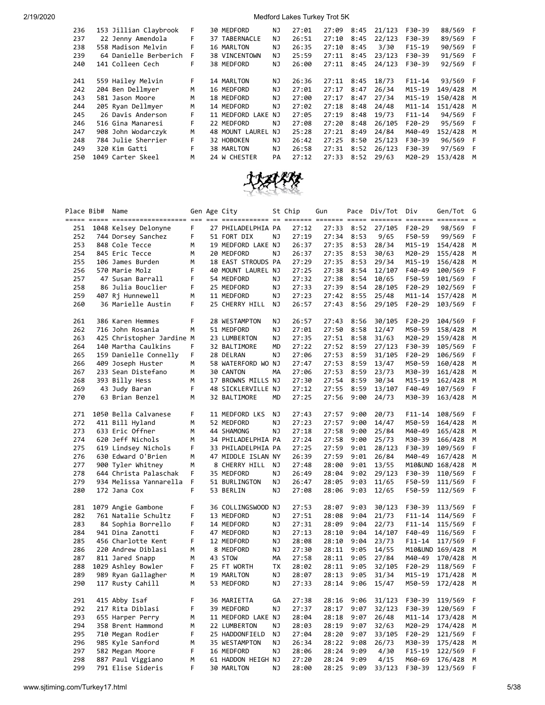| 236 | 153 Jillian Claybrook | F. | 30 MEDFORD         | ΝJ  | 27:01 | 27:09 | 8:45 | 21/123 | F30-39     | 88/569 F |     |
|-----|-----------------------|----|--------------------|-----|-------|-------|------|--------|------------|----------|-----|
| 237 | 22 Jenny Amendola     | F  | 37 TABERNACLE      | NJ  | 26:51 | 27:10 | 8:45 | 22/123 | F30-39     | 89/569   | - F |
| 238 | 558 Madison Melvin    | F  | 16 MARLTON         | NJ  | 26:35 | 27:10 | 8:45 | 3/30   | $F15-19$   | 90/569   | F   |
| 239 | 64 Danielle Berberich | F  | 38 VINCENTOWN      | ΝJ  | 25:59 | 27:11 | 8:45 | 23/123 | F30-39     | 91/569   | - F |
| 240 | 141 Colleen Cech      | F  | 38 MEDFORD         | NJ. | 26:00 | 27:11 | 8:45 | 24/123 | F30-39     | 92/569   | F   |
|     |                       |    |                    |     |       |       |      |        |            |          |     |
| 241 | 559 Hailey Melvin     | F  | 14 MARLTON         | ΝJ  | 26:36 | 27:11 | 8:45 | 18/73  | $F11 - 14$ | 93/569 F |     |
| 242 | 204 Ben Dellmyer      | M  | 16 MEDFORD         | NJ  | 27:01 | 27:17 | 8:47 | 26/34  | M15-19     | 149/428  | M   |
| 243 | 581 Jason Moore       | M  | 18 MEDFORD         | NJ  | 27:00 | 27:17 | 8:47 | 27/34  | M15-19     | 150/428  | M   |
| 244 | 205 Ryan Dellmyer     | M  | 14 MEDFORD         | NJ  | 27:02 | 27:18 | 8:48 | 24/48  | $M11 - 14$ | 151/428  | M   |
| 245 | 26 Davis Anderson     | F  | 11 MEDFORD LAKE    | NJ  | 27:05 | 27:19 | 8:48 | 19/73  | $F11 - 14$ | 94/569 F |     |
| 246 | 516 Gina Manaresi     | F  | 22 MEDFORD         | NJ. | 27:08 | 27:20 | 8:48 | 26/105 | $F20-29$   | 95/569 F |     |
| 247 | 908 John Wodarczyk    | M  | MOUNT LAUREL<br>48 | NJ. | 25:28 | 27:21 | 8:49 | 24/84  | M40-49     | 152/428  | M   |
| 248 | 784 Julie Sherrier    | F  | 32 HOBOKEN         | NJ. | 26:42 | 27:25 | 8:50 | 25/123 | F30-39     | 96/569   | - F |
| 249 | 320 Kim Gatti         | F  | 38 MARLTON         | NJ. | 26:58 | 27:31 | 8:52 | 26/123 | F30-39     | 97/569   | F   |
| 250 | 1049 Carter Skeel     | м  | 24 W CHESTER       | PA  | 27:12 | 27:33 | 8:52 | 29/63  | M20-29     | 153/428  | M   |
|     |                       |    |                    |     |       |       |      |        |            |          |     |



|     | Place Bib# | Name                      |   | Gen Age City       |    | St Chip | Gun   | Pace       | Div/Tot | Div        | Gen/Tot             | G |
|-----|------------|---------------------------|---|--------------------|----|---------|-------|------------|---------|------------|---------------------|---|
|     |            |                           |   |                    |    |         |       |            |         |            | $=$ $=$ $=$ $=$ $=$ |   |
| 251 |            | 1048 Kelsey Delonyne      | F | 27 PHILADELPHIA PA |    | 27:12   | 27:33 | 8:52       | 27/105  | F20-29     | 98/569              | F |
| 252 |            | 744 Dorsey Sanchez        | F | 51 FORT DIX        | ΝJ | 27:19   | 27:34 | 8:53       | 9/65    | F50-59     | 99/569              | F |
| 253 |            | 848 Cole Tecce            | м | 19 MEDFORD LAKE NJ |    | 26:37   | 27:35 | 8:53       | 28/34   | M15-19     | 154/428             | M |
| 254 |            | 845 Eric Tecce            | M | 20 MEDFORD         | ΝJ | 26:37   | 27:35 | 8:53       | 30/63   | M20-29     | 155/428             | M |
| 255 |            | 106 James Burden          | M | 18 EAST STROUDS PA |    | 27:29   | 27:35 | 8:53       | 29/34   | M15-19     | 156/428             | M |
| 256 |            | 570 Marie Molz            | F | 40 MOUNT LAUREL NJ |    | 27:25   | 27:38 | 8:54       | 12/107  | F40-49     | 100/569             | F |
| 257 |            | 47 Susan Barrall          | F | 54 MEDFORD         | ΝJ | 27:32   | 27:38 | 8:54       | 10/65   | F50-59     | 101/569             | F |
| 258 |            | 86 Julia Bouclier         | F | 25 MEDFORD         | ΝJ | 27:33   | 27:39 | 8:54       | 28/105  | F20-29     | 102/569             | F |
| 259 |            | 407 Rj Hunnewell          | М | 11 MEDFORD         | ΝJ | 27:23   | 27:42 | 8:55       | 25/48   | M11-14     | 157/428             | M |
| 260 |            | 36 Marielle Austin        | F | 25 CHERRY HILL     | ΝJ | 26:57   | 27:43 | 8:56       | 29/105  | F20-29     | 103/569             | F |
|     |            |                           |   |                    |    |         |       |            |         |            |                     |   |
| 261 |            | 386 Karen Hemmes          | F | 28 WESTAMPTON      | ΝJ | 26:57   | 27:43 | 8:56       | 30/105  | $F20-29$   | 104/569             | F |
| 262 |            | 716 John Rosania          | М | 51 MEDFORD         | ΝJ | 27:01   | 27:50 | 8:58       | 12/47   | M50-59     | 158/428             | M |
| 263 |            | 425 Christopher Jardine M |   | 23 LUMBERTON       | NJ | 27:35   | 27:51 | 8:58       | 31/63   | M20-29     | 159/428             | M |
| 264 |            | 140 Martha Caulkins       | F | 32 BALTIMORE       | MD | 27:22   |       | 27:52 8:59 | 27/123  | F30-39     | 105/569             | F |
| 265 |            | 159 Danielle Connelly     | F | 28 DELRAN          | ΝJ | 27:06   | 27:53 | 8:59       | 31/105  | F20-29     | 106/569             | F |
| 266 |            | 409 Joseph Huster         | м | 58 WATERFORD WO NJ |    | 27:47   | 27:53 | 8:59       | 13/47   | M50-59     | 160/428             | M |
| 267 |            | 233 Sean Distefano        | М | 30 CANTON          | MA | 27:06   | 27:53 | 8:59       | 23/73   | M30-39     | 161/428             | M |
| 268 |            | 393 Billy Hess            | M | 17 BROWNS MILLS NJ |    | 27:30   | 27:54 | 8:59       | 30/34   | M15-19     | 162/428             | M |
| 269 |            | 43 Judy Baran             | F | 48 SICKLERVILLE NJ |    | 27:12   | 27:55 | 8:59       | 13/107  | F40-49     | 107/569             | F |
| 270 |            | 63 Brian Benzel           | м | 32 BALTIMORE       | MD | 27:25   | 27:56 | 9:00       | 24/73   | M30-39     | 163/428             | M |
|     |            |                           |   |                    |    |         |       |            |         |            |                     |   |
| 271 |            | 1050 Bella Calvanese      | F | 11 MEDFORD LKS     | ΝJ | 27:43   | 27:57 | 9:00       | 20/73   | $F11 - 14$ | 108/569             | F |
| 272 |            | 411 Bill Hyland           | м |                    | NJ |         |       |            | 14/47   |            |                     |   |
|     |            |                           | M | 52 MEDFORD         | ΝJ | 27:23   | 27:57 | 9:00       |         | M50-59     | 164/428             | M |
| 273 |            | 633 Eric Offner           |   | 44 SHAMONG         |    | 27:18   | 27:58 | 9:00       | 25/84   | M40-49     | 165/428             | M |
| 274 |            | 620 Jeff Nichols          | м | 34 PHILADELPHIA PA |    | 27:24   | 27:58 | 9:00       | 25/73   | M30-39     | 166/428             | M |
| 275 |            | 619 Lindsey Nichols       | F | 33 PHILADELPHIA PA |    | 27:25   | 27:59 | 9:01       | 28/123  | F30-39     | 109/569             | F |
| 276 |            | 630 Edward O'Brien        | М | 47 MIDDLE ISLAN NY |    | 26:39   | 27:59 | 9:01       | 26/84   | M40-49     | 167/428             | M |
| 277 |            | 900 Tyler Whitney         | М | 8 CHERRY HILL      | ΝJ | 27:48   | 28:00 | 9:01       | 13/55   |            | M10&UND 168/428     | M |
| 278 |            | 644 Christa Palaschak     | F | 35 MEDFORD         | ΝJ | 26:49   | 28:04 | 9:02       | 29/123  | F30-39     | 110/569             | F |
| 279 |            | 934 Melissa Yannarella    | F | 51 BURLINGTON      | ΝJ | 26:47   | 28:05 | 9:03       | 11/65   | F50-59     | 111/569             | F |
| 280 |            | 172 Jana Cox              | F | 53 BERLIN          | ΝJ | 27:08   | 28:06 | 9:03       | 12/65   | F50-59     | 112/569             | F |
|     |            |                           | F |                    |    |         |       |            |         |            |                     |   |
| 281 |            | 1079 Angie Gambone        | F | 36 COLLINGSWOOD NJ |    | 27:53   | 28:07 | 9:03       | 30/123  | F30-39     | 113/569             | F |
| 282 |            | 761 Natalie Schultz       | F | 13 MEDFORD         | ΝJ | 27:51   | 28:08 | 9:04       | 21/73   | $F11 - 14$ | 114/569             | F |
| 283 |            | 84 Sophia Borrello        |   | 14 MEDFORD         | ΝJ | 27:31   | 28:09 | 9:04       | 22/73   | $F11 - 14$ | 115/569             | F |
| 284 |            | 941 Dina Zanotti          | F | 47 MEDFORD         | ΝJ | 27:13   | 28:10 | 9:04       | 14/107  | F40-49     | 116/569             | F |
| 285 |            | 456 Charlotte Kent        | F | 12 MEDFORD         | ΝJ | 28:08   | 28:10 | 9:04       | 23/73   | $F11 - 14$ | 117/569             | F |
| 286 |            | 220 Andrew Diblasi        | М | 8 MEDFORD          | ΝJ | 27:30   | 28:11 | 9:05       | 14/55   |            | M10&UND 169/428     | M |
| 287 |            | 811 Jared Snapp           | М | 43 STOW            | МA | 27:58   | 28:11 | 9:05       | 27/84   | M40-49     | 170/428             | M |
| 288 |            | 1029 Ashley Bowler        | F | 25 FT WORTH        | TХ | 28:02   | 28:11 | 9:05       | 32/105  | F20-29     | 118/569             | F |
| 289 |            | 989 Ryan Gallagher        | М | 19 MARLTON         | ΝJ | 28:07   | 28:13 | 9:05       | 31/34   | M15-19     | 171/428             | M |
| 290 |            | 117 Rusty Cahill          | м | 53 MEDFORD         | ΝJ | 27:33   | 28:14 | 9:06       | 15/47   | M50-59     | 172/428             | М |
|     |            |                           |   |                    |    |         |       |            |         |            |                     |   |
| 291 |            | 415 Abby Isaf             | F | 36 MARIETTA        | GА | 27:38   | 28:16 | 9:06       | 31/123  | F30-39     | 119/569             | F |
| 292 |            | 217 Rita Diblasi          | F | 39 MEDFORD         | ΝJ | 27:37   | 28:17 | 9:07       | 32/123  | F30-39     | 120/569             | F |
| 293 |            | 655 Harper Perry          | м | 11 MEDFORD LAKE NJ |    | 28:04   | 28:18 | 9:07       | 26/48   | M11-14     | 173/428             | M |
| 294 |            | 358 Brent Hammond         | M | 22 LUMBERTON       | ΝJ | 28:03   | 28:19 | 9:07       | 32/63   | M20-29     | 174/428             | M |
| 295 |            | 710 Megan Rodier          | F | 25 HADDONFIELD     | ΝJ | 27:04   | 28:20 | 9:07       | 33/105  | F20-29     | 121/569             | F |
| 296 |            | 985 Kyle Sanford          | М | 35 WESTAMPTON      | ΝJ | 26:34   | 28:22 | 9:08       | 26/73   | M30-39     | 175/428             | M |
| 297 |            | 582 Megan Moore           | F | 16 MEDFORD         | ΝJ | 28:06   | 28:24 | 9:09       | 4/30    | $F15-19$   | 122/569             | F |
| 298 |            | 887 Paul Viggiano         | M | 61 HADDON HEIGH NJ |    | 27:20   | 28:24 | 9:09       | 4/15    | M60-69     | 176/428             | M |
| 299 |            | 791 Elise Sideris         | F | 30 MARLTON         | NJ | 28:00   | 28:25 | 9:09       | 33/123  | F30-39     | 123/569             | F |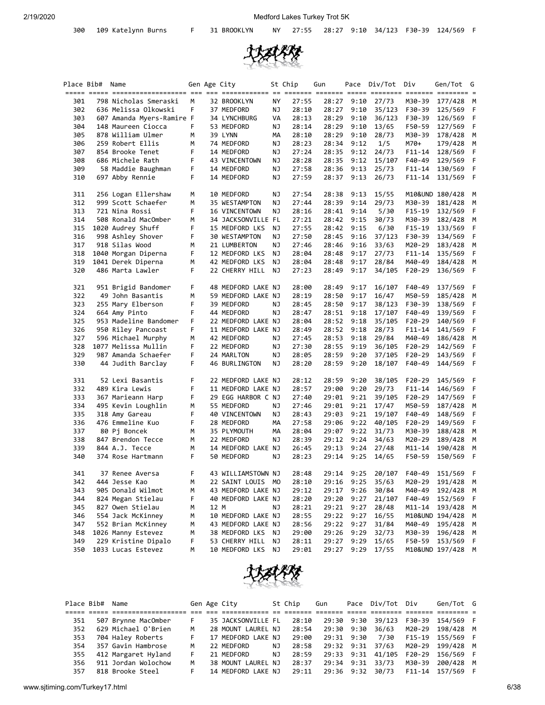

| Place Bib# | Name                                |        |      | Gen Age City                     |    | St Chip        | Gun            |              | Pace Div/Tot Div |                  | Gen/Tot G          |          |
|------------|-------------------------------------|--------|------|----------------------------------|----|----------------|----------------|--------------|------------------|------------------|--------------------|----------|
| 301        | 798 Nicholas Smeraski               | м      |      | 32 BROOKLYN                      | NY | 27:55          | 28:27          | 9:10         | 27/73            | M30-39           | 177/428            | M        |
| 302        | 636 Melissa Olkowski                | F      |      | 37 MEDFORD                       | ΝJ | 28:10          | 28:27          | 9:10         | 35/123           | F30-39           | 125/569            | F        |
| 303        | 607 Amanda Myers-Ramire F           |        |      | 34 LYNCHBURG                     | VA | 28:13          | 28:29          | 9:10         | 36/123           | F30-39           | 126/569            | F        |
| 304        | 148 Maureen Ciocca                  | F      |      | 53 MEDFORD                       | ΝJ | 28:14          | 28:29          | 9:10         | 13/65            | F50-59           | 127/569            | F        |
| 305        | 878 William Ulmer                   | М      |      | 39 LYNN                          | MА | 28:10          | 28:29          | 9:10         | 28/73            | M30-39           | 178/428            | М        |
| 306        | 259 Robert Ellis                    | М      |      | 74 MEDFORD                       | ΝJ | 28:23          | 28:34          | 9:12         | 1/5              | M70+             | 179/428            | M        |
| 307        | 854 Brooke Tenet                    | F      |      | 14 MEDFORD                       | ΝJ | 27:24          | 28:35          | 9:12         | 24/73            | $F11 - 14$       | 128/569            | F        |
| 308        | 686 Michele Rath                    | F      |      | 43 VINCENTOWN                    | ΝJ | 28:28          | 28:35          | 9:12         | 15/107           | F40-49           | 129/569            | F        |
| 309        | 58 Maddie Baughman                  | F      |      | 14 MEDFORD                       | ΝJ | 27:58          | 28:36          | 9:13         | 25/73            | $F11 - 14$       | 130/569            | F        |
| 310        | 697 Abby Rennie                     | F.     |      | 14 MEDFORD                       | ΝJ | 27:59          | 28:37          | 9:13         | 26/73            | $F11 - 14$       | 131/569            | F        |
| 311        | 256 Logan Ellershaw                 | М      |      | 10 MEDFORD                       | ΝJ | 27:54          | 28:38          | 9:13         | 15/55            |                  | M10&UND 180/428    | M        |
| 312        | 999 Scott Schaefer                  | M      |      | 35 WESTAMPTON                    | ΝJ | 27:44          | 28:39          | 9:14         | 29/73            | M30-39           | 181/428            | M        |
| 313        | 721 Nina Rossi                      | F      |      | 16 VINCENTOWN                    | ΝJ | 28:16          | 28:41          | 9:14         | 5/30             | F15-19           | 132/569            | F        |
| 314        | 508 Ronald MacOmber                 | М      |      | 34 JACKSONVILLE FL               |    | 27:21          | 28:42          | 9:15         | 30/73            | M30-39           | 182/428            | М        |
| 315        | 1020 Audrey Shuff                   | F      |      | 15 MEDFORD LKS                   | ΝJ | 27:55          | 28:42          | 9:15         | 6/30             | $F15-19$         | 133/569            | F        |
| 316        | 998 Ashley Shover                   | F      |      | 30 WESTAMPTON                    | NJ | 27:50          | 28:45          | 9:16         | 37/123           | F30-39           | 134/569            | F        |
| 317        | 918 Silas Wood                      | М      |      | 21 LUMBERTON                     | ΝJ | 27:46          | 28:46          | 9:16         | 33/63            | M20-29           | 183/428            | M        |
| 318        | 1040 Morgan Diperna                 | F      |      | 12 MEDFORD LKS                   | NJ | 28:04          | 28:48          | 9:17         | 27/73            | $F11 - 14$       | 135/569            | F        |
| 319        | 1041 Derek Diperna                  | М      |      | 42 MEDFORD LKS                   | NJ | 28:04          | 28:48          | 9:17         | 28/84            | M40-49           | 184/428            | M        |
| 320        | 486 Marta Lawler                    | F      |      | 22 CHERRY HILL                   | ΝJ | 27:23          | 28:49          | 9:17         | 34/105           | F20-29           | 136/569            | F        |
| 321        | 951 Brigid Bandomer                 | F      |      | 48 MEDFORD LAKE NJ               |    | 28:00          | 28:49          | 9:17         | 16/107           | F40-49           | 137/569            | F        |
| 322        | 49 John Basantis                    | М      |      | 59 MEDFORD LAKE NJ               |    | 28:19          | 28:50          | 9:17         | 16/47            | M50-59           | 185/428            | М        |
| 323        | 255 Mary Elberson                   | F      |      | 39 MEDFORD                       | NJ | 28:45          | 28:50          | 9:17         | 38/123           | F30-39           | 138/569            | F        |
| 324        | 664 Amy Pinto                       | F      |      | 44 MEDFORD                       | ΝJ | 28:47          | 28:51          | 9:18         | 17/107           | F40-49           | 139/569            | F        |
| 325        | 953 Madeline Bandomer               | F      |      | 22 MEDFORD LAKE NJ               |    | 28:04          | 28:52          | 9:18         | 35/105           | F20-29           | 140/569            | F        |
| 326        | 950 Riley Pancoast                  | F      |      | 11 MEDFORD LAKE NJ               |    | 28:49          | 28:52          | 9:18         | 28/73            | $F11 - 14$       | 141/569            | F        |
| 327        | 596 Michael Murphy                  | М      |      | 42 MEDFORD                       | NJ | 27:45          | 28:53          | 9:18         | 29/84            | M40-49           | 186/428            | М        |
| 328        | 1077 Melissa Mullin                 | F      |      | 22 MEDFORD                       | ΝJ | 27:30          | 28:55          | 9:19         | 36/105           | F20-29           | 142/569            | F        |
| 329        | 987 Amanda Schaefer                 | F      |      | 24 MARLTON                       | ΝJ | 28:05          | 28:59          | 9:20         | 37/105           | $F20-29$         | 143/569            | F        |
| 330        | 44 Judith Barclay                   | F      |      | 46 BURLINGTON                    | ΝJ | 28:20          | 28:59          | 9:20         | 18/107           | F40-49           | 144/569            | F        |
| 331        | 52 Lexi Basantis                    | F      |      | 22 MEDFORD LAKE NJ               |    | 28:12          | 28:59          | 9:20         | 38/105           | F20-29           | 145/569            | F        |
| 332        | 489 Kira Lewis                      | F      |      | 11 MEDFORD LAKE NJ               |    | 28:57          | 29:00          | 9:20         | 29/73            | $F11 - 14$       | 146/569            | F        |
| 333        | 367 Marieann Harp                   | F      |      | 29 EGG HARBOR C NJ               |    | 27:40          | 29:01          | 9:21         | 39/105           | F20-29           | 147/569            | F        |
| 334        | 495 Kevin Loughlin                  | М      |      | 55 MEDFORD                       | ΝJ | 27:46          | 29:01          | 9:21         | 17/47            | M50-59           | 187/428            | M        |
| 335        | 318 Amy Gareau                      | F      |      | 40 VINCENTOWN                    | ΝJ | 28:43          | 29:03          | 9:21         | 19/107           | F40-49           | 148/569            | F        |
| 336        | 476 Emmeline Kuo                    | F      |      | 28 MEDFORD                       | МA | 27:58          | 29:06          | 9:22         | 40/105           | F20-29           | 149/569            | F        |
| 337        | 80 Pj Boncek                        | М      |      | 35 PLYMOUTH                      | МA | 28:04          | 29:07          | 9:22         | 31/73            | M30-39           | 188/428            | М        |
| 338        | 847 Brendon Tecce                   | М      |      | 22 MEDFORD                       | ΝJ | 28:39          | 29:12          | 9:24         | 34/63            | M20-29           | 189/428            | М        |
| 339<br>340 | 844 A.J. Tecce<br>374 Rose Hartmann | М<br>F |      | 14 MEDFORD LAKE NJ<br>50 MEDFORD | NJ | 26:45<br>28:23 | 29:13<br>29:14 | 9:24<br>9:25 | 27/48<br>14/65   | M11-14<br>F50-59 | 190/428<br>150/569 | М<br>- F |
|            |                                     |        |      |                                  |    |                |                |              |                  |                  |                    |          |
| 341        | 37 Renee Aversa                     | F      |      | 43 WILLIAMSTOWN NJ               |    | 28:48          | 29:14          | 9:25         | 20/107           | F40-49           | 151/569            | -F       |
| 342        | 444 Jesse Kao                       | М      |      | 22 SAINT LOUIS MO                |    | 28:10          | 29:16          | 9:25         | 35/63            | M20-29           | 191/428            | M        |
| 343        | 905 Donald Wilmot                   | М      |      | 43 MEDFORD LAKE NJ               |    | 29:12          | 29:17          | 9:26         | 30/84            | M40-49           | 192/428            | M        |
| 344        | 824 Megan Stielau                   | F      |      | 40 MEDFORD LAKE NJ               |    | 28:20          | 29:20          | 9:27         | 21/107           | F40-49           | 152/569            | F        |
| 345        | 827 Owen Stielau                    | М      | 12 M |                                  | ΝJ | 28:21          | 29:21          | 9:27         | 28/48            | M11-14           | 193/428            | M        |
| 346        | 554 Jack McKinney                   | М      |      | 10 MEDFORD LAKE NJ               |    | 28:55          | 29:22          | 9:27         | 16/55            |                  | M10&UND 194/428    | M        |
| 347        | 552 Brian McKinney                  | M      |      | 43 MEDFORD LAKE NJ               |    | 28:56          | 29:22          | 9:27         | 31/84            | M40-49           | 195/428            | M        |
| 348        | 1026 Manny Estevez                  | M      |      | 38 MEDFORD LKS                   | ΝJ | 29:00          | 29:26          | 9:29         | 32/73            | M30-39           | 196/428            | M        |
| 349        | 229 Kristine Dipalo                 | F      |      | 53 CHERRY HILL                   | ΝJ | 28:11          | 29:27          | 9:29         | 15/65            | F50-59           | 153/569            | F        |
| 350        | 1033 Lucas Estevez                  | м      |      | 10 MEDFORD LKS                   | ΝJ | 29:01          | 29:27          | 9:29         | 17/55            |                  | M10&UND 197/428    | M        |



|     | Place Bib# Name |                     |    | Gen Age City       |    | St Chip | Gun        | Pace Div/Tot Div  |        | Gen/Tot G |  |
|-----|-----------------|---------------------|----|--------------------|----|---------|------------|-------------------|--------|-----------|--|
|     |                 |                     |    |                    |    |         |            |                   |        |           |  |
| 351 |                 | 507 Brynne MacOmber |    | 35 JACKSONVILLE FL |    | 28:10   |            | 29:30 9:30 39/123 | F30-39 | 154/569 F |  |
| 352 |                 | 629 Michael O'Brien | м  | 28 MOUNT LAUREL NJ |    | 28:54   | 29:30 9:30 | 36/63             | M20-29 | 198/428 M |  |
| 353 |                 | 704 Haley Roberts   |    | 17 MEDFORD LAKE NJ |    | 29:00   | 29:31 9:30 | 7/30              | F15-19 | 155/569 F |  |
| 354 |                 | 357 Gavin Hambrose  | M  | 22 MEDFORD         | NJ | 28:58   | 29:32 9:31 | 37/63             | M20-29 | 199/428 M |  |
| 355 |                 | 412 Margaret Hyland | F. | 21 MEDFORD         | NJ | 28:59   |            | 29:33 9:31 41/105 | F20-29 | 156/569 F |  |
| 356 |                 | 911 Jordan Wolochow | м  | 38 MOUNT LAUREL NJ |    | 28:37   |            | 29:34 9:31 33/73  | M30-39 | 200/428 M |  |
| 357 |                 | 818 Brooke Steel    |    | 14 MEDFORD LAKE NJ |    | 29:11   | 29:36 9:32 | 30/73             | F11-14 | 157/569 F |  |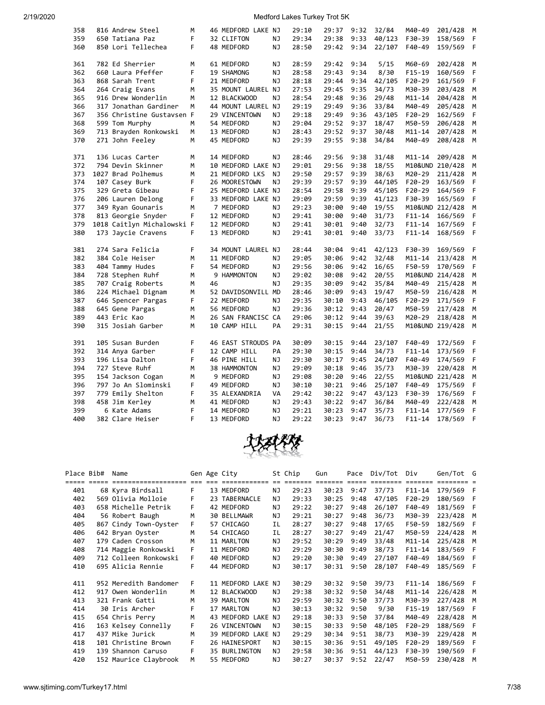| 358 | 816 Andrew Steel           | М  |    | 46 MEDFORD LAKE NJ |    | 29:10 | 29:37 | 9:32 | 32/84  | M40-49          | 201/428 | М |
|-----|----------------------------|----|----|--------------------|----|-------|-------|------|--------|-----------------|---------|---|
| 359 | 650 Tatiana Paz            | F  |    | 32 CLIFTON         | ΝJ | 29:34 | 29:38 | 9:33 | 40/123 | F30-39          | 158/569 | F |
| 360 | 850 Lori Tellechea         | F. |    | 48 MEDFORD         | ΝJ | 28:50 | 29:42 | 9:34 | 22/107 | F40-49          | 159/569 | F |
|     |                            |    |    |                    |    |       |       |      |        |                 |         |   |
| 361 | 782 Ed Sherrier            | м  |    | 61 MEDFORD         | NJ | 28:59 | 29:42 | 9:34 | 5/15   | M60-69          | 202/428 | М |
| 362 | 660 Laura Pfeffer          | F  |    | 19 SHAMONG         | ΝJ | 28:58 | 29:43 | 9:34 | 8/30   | $F15-19$        | 160/569 | F |
| 363 | 868 Sarah Trent            | F  |    | 21 MEDFORD         | NJ | 28:18 | 29:44 | 9:34 | 42/105 | F20-29          | 161/569 | F |
| 364 | 264 Craig Evans            | M  |    | 35 MOUNT LAUREL NJ |    | 27:53 | 29:45 | 9:35 | 34/73  | M30-39          | 203/428 | M |
| 365 | 916 Drew Wonderlin         | M  |    | 12 BLACKWOOD       | NJ | 28:54 | 29:48 | 9:36 | 29/48  | $M11 - 14$      | 204/428 | M |
| 366 | 317 Jonathan Gardiner      | M  |    | 44 MOUNT LAUREL NJ |    | 29:19 | 29:49 | 9:36 | 33/84  | M40-49          | 205/428 | M |
| 367 | 356 Christine Gustavsen F  |    |    | 29 VINCENTOWN      | NJ | 29:18 | 29:49 | 9:36 | 43/105 | $F20-29$        | 162/569 | F |
| 368 | 599 Tom Murphy             | м  |    | 54 MEDFORD         | NJ | 29:04 | 29:52 | 9:37 | 18/47  | M50-59          | 206/428 | М |
| 369 | 713 Brayden Ronkowski      | М  |    | 13 MEDFORD         | ΝJ | 28:43 | 29:52 | 9:37 | 30/48  | M11-14          | 207/428 | М |
| 370 | 271 John Feeley            | M  |    | 45 MEDFORD         | NJ | 29:39 | 29:55 | 9:38 | 34/84  | M40-49          | 208/428 | M |
|     |                            |    |    |                    |    |       |       |      |        |                 |         |   |
| 371 | 136 Lucas Carter           | М  |    | 14 MEDFORD         | NJ | 28:46 | 29:56 | 9:38 | 31/48  | M11-14          | 209/428 | M |
| 372 | 794 Devin Skinner          | М  |    | 10 MEDFORD LAKE NJ |    | 29:01 | 29:56 | 9:38 | 18/55  | M10&UND 210/428 |         | M |
| 373 | 1027 Brad Polhemus         | М  |    | 21 MEDFORD LKS     | NJ | 29:50 | 29:57 | 9:39 | 38/63  | M20-29          | 211/428 | М |
| 374 | 107 Casey Burk             | F  |    | 26 MOORESTOWN      | NJ | 29:39 | 29:57 | 9:39 | 44/105 | F20-29          | 163/569 | F |
| 375 | 329 Greta Gibeau           | F  |    | 25 MEDFORD LAKE NJ |    | 28:54 | 29:58 | 9:39 | 45/105 | F20-29          | 164/569 | F |
| 376 | 206 Lauren Delong          | F  |    | 33 MEDFORD LAKE NJ |    | 29:09 | 29:59 | 9:39 | 41/123 | F30-39          | 165/569 | F |
| 377 | 349 Ryan Gounaris          | м  |    | 7 MEDFORD          | ΝJ | 29:23 | 30:00 | 9:40 | 19/55  | M10&UND 212/428 |         | M |
| 378 | 813 Georgie Snyder         | F  |    | 12 MEDFORD         | NJ | 29:41 | 30:00 | 9:40 | 31/73  | $F11 - 14$      | 166/569 | F |
| 379 | 1018 Caitlyn Michalowski F |    |    | 12 MEDFORD         | NJ | 29:41 | 30:01 | 9:40 | 32/73  | $F11 - 14$      | 167/569 | F |
| 380 | 173 Jaycie Cravens         | F  |    | 13 MEDFORD         | ΝJ | 29:41 | 30:01 | 9:40 | 33/73  | $F11 - 14$      | 168/569 | F |
|     |                            |    |    |                    |    |       |       |      |        |                 |         |   |
| 381 | 274 Sara Felicia           | F  |    | 34 MOUNT LAUREL NJ |    | 28:44 | 30:04 | 9:41 | 42/123 | F30-39          | 169/569 | F |
| 382 | 384 Cole Heiser            | M  |    | 11 MEDFORD         | ΝJ | 29:05 | 30:06 | 9:42 | 32/48  | $M11 - 14$      | 213/428 | M |
| 383 | 404 Tammy Hudes            | F  |    | 54 MEDFORD         | ΝJ | 29:56 | 30:06 | 9:42 | 16/65  | F50-59          | 170/569 | F |
| 384 | 728 Stephen Ruhf           | М  |    | 9 HAMMONTON        | NJ | 29:02 | 30:08 | 9:42 | 20/55  | M10&UND 214/428 |         | M |
| 385 | 707 Craig Roberts          | М  | 46 |                    | NJ | 29:35 | 30:09 | 9:42 | 35/84  | M40-49          | 215/428 | М |
| 386 | 224 Michael Dignam         | м  |    | 52 DAVIDSONVILL MD |    | 28:46 | 30:09 | 9:43 | 19/47  | M50-59          | 216/428 | M |
| 387 | 646 Spencer Pargas         | F  |    | 22 MEDFORD         | ΝJ | 29:35 | 30:10 | 9:43 | 46/105 | F20-29          | 171/569 | F |
| 388 | 645 Gene Pargas            | M  |    | 56 MEDFORD         | NJ | 29:36 | 30:12 | 9:43 | 20/47  | M50-59          | 217/428 | M |
| 389 | 443 Eric Kao               | м  |    | 26 SAN FRANCISC CA |    | 29:06 | 30:12 | 9:44 | 39/63  | M20-29          | 218/428 | M |
| 390 | 315 Josiah Garber          | М  |    | 10 CAMP HILL       | PA | 29:31 | 30:15 | 9:44 | 21/55  | M10&UND 219/428 |         | M |
|     |                            |    |    |                    |    |       |       |      |        |                 |         |   |
| 391 | 105 Susan Burden           | F  |    | 46 EAST STROUDS PA |    | 30:09 | 30:15 | 9:44 | 23/107 | F40-49          | 172/569 | F |
| 392 | 314 Anya Garber            | F  |    | 12 CAMP HILL       | PA | 29:30 | 30:15 | 9:44 | 34/73  | F11-14          | 173/569 | F |
| 393 | 196 Lisa Dalton            | F  |    | 46 PINE HILL       | ΝJ | 29:30 | 30:17 | 9:45 | 24/107 | F40-49          | 174/569 | F |
| 394 | 727 Steve Ruhf             | М  |    | 38 HAMMONTON       | ΝJ | 29:09 | 30:18 | 9:46 | 35/73  | M30-39          | 220/428 | M |
| 395 | 154 Jackson Cogan          | м  |    | 9 MEDFORD          | ΝJ | 29:08 | 30:20 | 9:46 | 22/55  | M10&UND 221/428 |         | M |
| 396 | 797 Jo An Slominski        | F  |    | 49 MEDFORD         | ΝJ | 30:10 | 30:21 | 9:46 | 25/107 | F40-49          | 175/569 | F |
| 397 | 779 Emily Shelton          | F  |    | 35 ALEXANDRIA      | VA | 29:42 | 30:22 | 9:47 | 43/123 | F30-39          | 176/569 | F |
| 398 | 458 Jim Kerley             | М  |    | 41 MEDFORD         | ΝJ | 29:43 | 30:22 | 9:47 | 36/84  | M40-49          | 222/428 | M |
| 399 | 6 Kate Adams               | F  |    | 14 MEDFORD         | ΝJ | 29:21 | 30:23 | 9:47 | 35/73  | $F11 - 14$      | 177/569 | F |
| 400 | 382 Clare Heiser           | F  |    | 13 MEDFORD         | NJ | 29:22 | 30:23 | 9:47 | 36/73  | $F11 - 14$      | 178/569 | F |
|     |                            |    |    |                    |    |       |       |      |        |                 |         |   |



| Place Bib# |             | Name                  |      | Gen Age City       |     | St Chip | Gun   |             | Pace Div/Tot | Div        | Gen/Tot G |     |
|------------|-------------|-----------------------|------|--------------------|-----|---------|-------|-------------|--------------|------------|-----------|-----|
|            | ===== ===== |                       | $==$ |                    |     | ======  |       | $=$ $=$ $=$ |              | ======     |           |     |
| 401        |             | 68 Kyra Birdsall      | F.   | 13 MEDFORD         | NJ. | 29:23   | 30:23 | 9:47        | 37/73        | $F11 - 14$ | 179/569   | F   |
| 402        |             | 569 Olivia Molloie    | F    | 23 TABERNACLE      | ΝJ  | 29:33   | 30:25 | 9:48        | 47/105       | $F20-29$   | 180/569   | F   |
| 403        |             | 658 Michelle Petrik   | F.   | 42 MEDFORD         | NJ. | 29:22   | 30:27 | 9:48        | 26/107       | F40-49     | 181/569   | F   |
| 404        |             | 56 Robert Baugh       | м    | 30 BELLMAWR        | ΝJ  | 29:21   | 30:27 | 9:48        | 36/73        | M30-39     | 223/428   | M   |
| 405        |             | 867 Cindy Town-Oyster | F    | 57 CHICAGO         | ΙL  | 28:27   | 30:27 | 9:48        | 17/65        | F50-59     | 182/569   | - F |
| 406        |             | 642 Bryan Oyster      | M    | 54 CHICAGO         | ΙL  | 28:27   | 30:27 | 9:49        | 21/47        | M50-59     | 224/428   | M   |
| 407        |             | 179 Caden Crosson     | м    | 11 MARLTON         | ΝJ  | 29:52   | 30:29 | 9:49        | 33/48        | $M11 - 14$ | 225/428   | М   |
| 408        |             | 714 Maggie Ronkowski  | F.   | 11 MEDFORD         | ΝJ  | 29:29   | 30:30 | 9:49        | 38/73        | $F11 - 14$ | 183/569   | F   |
| 409        |             | 712 Colleen Ronkowski | F.   | 40 MEDFORD         | ΝJ  | 29:20   | 30:30 | 9:49        | 27/107       | F40-49     | 184/569   | F   |
| 410        |             | 695 Alicia Rennie     | F    | 44 MEDFORD         | ΝJ  | 30:17   | 30:31 | 9:50        | 28/107       | F40-49     | 185/569   |     |
|            |             |                       |      |                    |     |         |       |             |              |            |           |     |
| 411        |             | 952 Meredith Bandomer | F    | 11 MEDFORD LAKE NJ |     | 30:29   | 30:32 | 9:50        | 39/73        | $F11 - 14$ | 186/569   | F   |
| 412        |             | 917 Owen Wonderlin    | м    | 12 BLACKWOOD       | ΝJ  | 29:38   | 30:32 | 9:50        | 34/48        | $M11 - 14$ | 226/428   | M   |
| 413        |             | 321 Frank Gatti       | м    | 39 MARLTON         | ΝJ  | 29:59   | 30:32 | 9:50        | 37/73        | M30-39     | 227/428   | M   |
| 414        |             | 30 Iris Archer        | F    | 17 MARLTON         | NJ  | 30:13   | 30:32 | 9:50        | 9/30         | $F15-19$   | 187/569   | - F |
| 415        |             | 654 Chris Perry       | M    | 43 MEDFORD LAKE NJ |     | 29:18   | 30:33 | 9:50        | 37/84        | M40-49     | 228/428   | М   |
| 416        |             | 163 Kelsey Connelly   | F    | 26 VINCENTOWN      | ΝJ  | 30:15   | 30:33 | 9:50        | 48/105       | $F20-29$   | 188/569   | F   |
| 417        |             | 437 Mike Jurick       | м    | 39 MEDFORD LAKE NJ |     | 29:29   | 30:34 | 9:51        | 38/73        | M30-39     | 229/428   | M   |
| 418        |             | 101 Christine Brown   | F    | 26 HAINESPORT      | NJ  | 30:15   | 30:36 | 9:51        | 49/105       | $F20-29$   | 189/569   | F   |
| 419        |             | 139 Shannon Caruso    | F    | 35 BURLINGTON      | ΝJ  | 29:58   | 30:36 | 9:51        | 44/123       | F30-39     | 190/569   | F   |
| 420        |             | 152 Maurice Claybrook | м    | 55 MEDFORD         | ΝJ  | 30:27   | 30:37 | 9:52        | 22/47        | M50-59     | 230/428   | M   |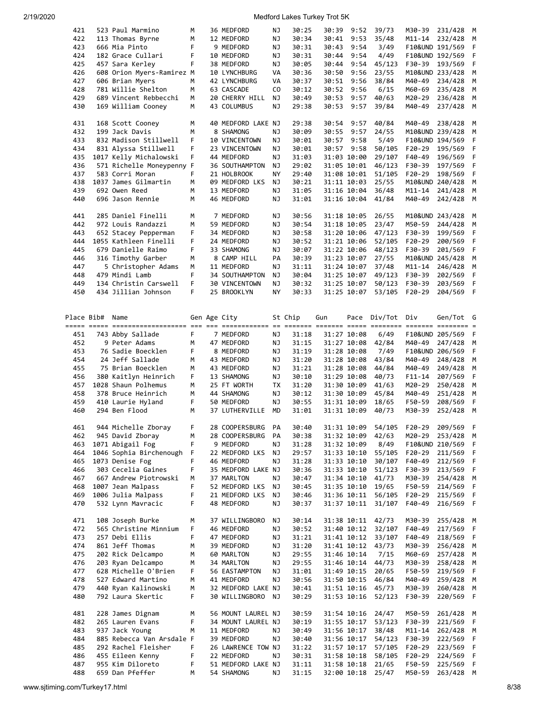| 421        | 523 Paul Marmino                    | м      | 36 MEDFORD                       | ΝJ        | 30:25          | 30:39       | 9:52                       | 39/73          | M30-39           | 231/428              | M  |
|------------|-------------------------------------|--------|----------------------------------|-----------|----------------|-------------|----------------------------|----------------|------------------|----------------------|----|
| 422        | 113 Thomas Byrne                    | M      | 12 MEDFORD                       | ΝJ        | 30:34          | 30:41       | 9:53                       | 35/48          | $M11 - 14$       | 232/428              | М  |
| 423        | 666 Mia Pinto                       | F      | 9 MEDFORD                        | ΝJ        | 30:31          | 30:43       | 9:54                       | 3/49           |                  | F10&UND 191/569      | F  |
| 424        |                                     | F      |                                  |           |                | 30:44       |                            | 4/49           |                  |                      |    |
|            | 182 Grace Cullari                   |        | 10 MEDFORD                       | ΝJ        | 30:31          |             | 9:54                       |                |                  | F10&UND 192/569      | F  |
| 425        | 457 Sara Kerley                     | F      | 38 MEDFORD                       | ΝJ        | 30:05          | 30:44       | 9:54                       | 45/123         | F30-39           | 193/569              | F  |
| 426        | 608 Orion Myers-Ramirez M           |        | 10 LYNCHBURG                     | VA        | 30:36          | 30:50       | 9:56                       | 23/55          |                  | M10&UND 233/428      | М  |
| 427        | 606 Brian Myers                     | M      | 42 LYNCHBURG                     | VA        | 30:37          | 30:51       | 9:56                       | 38/84          | M40-49           | 234/428              | M  |
|            |                                     |        |                                  |           |                |             |                            |                |                  |                      |    |
| 428        | 781 Willie Shelton                  | M      | 63 CASCADE                       | CO        | 30:12          | 30:52       | 9:56                       | 6/15           | M60-69           | 235/428              | M  |
| 429        | 689 Vincent Rebbecchi               | м      | 20 CHERRY HILL                   | ΝJ        | 30:49          | 30:53       | 9:57                       | 40/63          | M20-29           | 236/428              | М  |
| 430        | 169 William Cooney                  | М      | 43 COLUMBUS                      | ΝJ        | 29:38          | 30:53       | 9:57                       | 39/84          | M40-49           | 237/428              | M  |
|            |                                     |        |                                  |           |                |             |                            |                |                  |                      |    |
| 431        |                                     | М      | 40 MEDFORD LAKE NJ               |           | 29:38          | 30:54       | 9:57                       | 40/84          | M40-49           | 238/428              |    |
|            | 168 Scott Cooney                    |        |                                  |           |                |             |                            |                |                  |                      | М  |
| 432        | 199 Jack Davis                      | M      | 8 SHAMONG                        | ΝJ        | 30:09          | 30:55       | 9:57                       | 24/55          |                  | M10&UND 239/428      | M  |
| 433        | 832 Madison Stillwell               | F      | 10 VINCENTOWN                    | ΝJ        | 30:01          | 30:57       | 9:58                       | 5/49           |                  | F10&UND 194/569      | F  |
| 434        | 831 Alyssa Stillwell                | F      | 23 VINCENTOWN                    | ΝJ        | 30:01          | 30:57       | 9:58                       | 50/105         | $F20-29$         | 195/569              | F  |
|            |                                     |        |                                  |           |                |             |                            |                |                  |                      |    |
| 435        | 1017 Kelly Michalowski              | F      | 44 MEDFORD                       | ΝJ        | 31:03          |             | 31:03 10:00                | 29/107         | F40-49           | 196/569              | F  |
| 436        | 571 Richelle Moneypenny F           |        | 36 SOUTHAMPTON                   | ΝJ        | 29:02          |             | 31:05 10:01                | 46/123         | F30-39           | 197/569              | F  |
| 437        | 583 Corri Moran                     | F      | 21 HOLBROOK                      | NY        | 29:40          |             | 31:08 10:01                | 51/105         | $F20-29$         | 198/569              | F  |
| 438        | 1037 James Gilmartin                | M      | 09 MEDFORD LKS                   | ΝJ        | 30:21          | 31:11 10:03 |                            | 25/55          |                  | M10&UND 240/428      | M  |
|            |                                     |        |                                  |           |                |             |                            |                |                  |                      |    |
| 439        | 692 Owen Reed                       | м      | 13 MEDFORD                       | ΝJ        | 31:05          |             | 31:16 10:04                | 36/48          | $M11 - 14$       | 241/428              | M  |
| 440        | 696 Jason Rennie                    | м      | 46 MEDFORD                       | ΝJ        | 31:01          |             | 31:16 10:04                | 41/84          | M40-49           | 242/428              | M  |
|            |                                     |        |                                  |           |                |             |                            |                |                  |                      |    |
| 441        | 285 Daniel Finelli                  | м      | 7 MEDFORD                        | ΝJ        | 30:56          | 31:18 10:05 |                            | 26/55          |                  | M10&UND 243/428      | M  |
|            |                                     |        |                                  |           |                |             |                            |                |                  |                      |    |
| 442        | 972 Louis Randazzi                  | м      | 59 MEDFORD                       | ΝJ        | 30:54          | 31:18 10:05 |                            | 23/47          | M50-59           | 244/428              | M  |
| 443        | 652 Stacey Pepperman                | F      | 34 MEDFORD                       | ΝJ        | 30:58          |             | 31:20 10:06                | 47/123         | F30-39           | 199/569              | F  |
| 444        | 1055 Kathleen Finelli               | F      | 24 MEDFORD                       | ΝJ        | 30:52          |             | 31:21 10:06                | 52/105         | $F20-29$         | 200/569              | F  |
| 445        | 679 Danielle Raimo                  | F      | 33 SHAMONG                       | ΝJ        | 30:07          |             | 31:22 10:06                | 48/123         | F30-39           | 201/569              | F  |
|            |                                     |        |                                  |           |                |             |                            |                |                  |                      |    |
| 446        | 316 Timothy Garber                  | м      | 8 CAMP HILL                      | PA        | 30:39          | 31:23 10:07 |                            | 27/55          |                  | M10&UND 245/428      | M  |
| 447        | 5 Christopher Adams                 | м      | 11 MEDFORD                       | ΝJ        | 31:11          | 31:24 10:07 |                            | 37/48          | M11-14           | 246/428              | М  |
| 448        | 479 Mindi Lamb                      | F      | 34 SOUTHAMPTON                   | ΝJ        | 30:04          |             | 31:25 10:07                | 49/123         | F30-39           | 202/569              | F  |
| 449        | 134 Christin Carswell               | F      |                                  | ΝJ        |                |             |                            |                | F30-39           |                      | F  |
|            |                                     |        | 30 VINCENTOWN                    |           | 30:32          | 31:25 10:07 |                            | 50/123         |                  | 203/569              |    |
| 450        | 434 Jillian Johnson                 | F      | 25 BROOKLYN                      | ΝY        | 30:33          | 31:25 10:07 |                            | 53/105         | $F20-29$         | 204/569              | F  |
|            |                                     |        |                                  |           |                |             |                            |                |                  |                      |    |
|            |                                     |        |                                  |           |                |             |                            |                |                  |                      |    |
| Place Bib# | Name                                |        | Gen Age City                     |           | St Chip        |             | Pace                       | Div/Tot        | Div              | Gen/Tot              | G  |
|            |                                     |        |                                  |           |                | Gun         |                            |                |                  |                      |    |
|            |                                     |        |                                  |           |                |             |                            |                |                  |                      |    |
| 451        | 743 Abby Sallade                    | F      | 7 MEDFORD                        | ΝJ        | 31:18          | 31:27 10:08 |                            | 6/49           |                  | F10&UND 205/569      | F  |
|            |                                     |        |                                  |           |                |             |                            |                |                  |                      |    |
|            |                                     |        |                                  |           |                |             |                            |                |                  |                      |    |
| 452        | 9 Peter Adams                       | M      | 47 MEDFORD                       | ΝJ        | 31:15          |             | 31:27 10:08                | 42/84          | M40-49           | 247/428              | M  |
| 453        | 76 Sadie Boecklen                   | F      | 8 MEDFORD                        | ΝJ        | 31:19          | 31:28 10:08 |                            | 7/49           |                  | F10&UND 206/569      | F  |
| 454        | 24 Jeff Sallade                     | м      | 43 MEDFORD                       | ΝJ        | 31:20          |             | 31:28 10:08                | 43/84          | M40-49           | 248/428              | М  |
| 455        | 75 Brian Boecklen                   | м      | 43 MEDFORD                       | ΝJ        | 31:21          |             | 31:28 10:08                | 44/84          | M40-49           | 249/428              | М  |
|            |                                     |        |                                  |           |                |             |                            |                |                  |                      |    |
| 456        | 380 Kaitlyn Heinrich                | F      | 13 SHAMONG                       | ΝJ        | 30:10          |             | 31:29 10:08                | 40/73          | F11-14           | 207/569              | F  |
| 457        | 1028 Shaun Polhemus                 | M      | 25 FT WORTH                      | TX        | 31:20          | 31:30 10:09 |                            | 41/63          | M20-29           | 250/428              | M  |
| 458        | 378 Bruce Heinrich                  | м      | 44 SHAMONG                       | ΝJ        | 30:12          |             | 31:30 10:09                | 45/84          | M40-49           | 251/428              | M  |
| 459        | 410 Laurie Hyland                   | F      | 50 MEDFORD                       | ΝJ        | 30:55          | 31:31 10:09 |                            | 18/65          | F50-59           | 208/569              | F  |
|            |                                     |        |                                  |           |                |             |                            |                |                  |                      |    |
| 460        | 294 Ben Flood                       | M      | 37 LUTHERVILLE                   | <b>MD</b> | 31:01          | 31:31 10:09 |                            | 40/73          | M30-39           | 252/428              | M  |
|            |                                     |        |                                  |           |                |             |                            |                |                  |                      |    |
| 461        | 944 Michelle Zboray                 | F      | 28 COOPERSBURG                   | PA        | 30:40          | 31:31 10:09 |                            | 54/105         | $F20-29$         | 209/569              | F  |
| 462        | 945 David Zboray                    | М      | 28 COOPERSBURG                   | PA        | 30:38          | 31:32 10:09 |                            | 42/63          | M20-29           | 253/428              | M  |
|            |                                     |        |                                  |           |                |             |                            |                |                  |                      |    |
| 463        | 1071 Abigail Fog                    | F      | 9 MEDFORD                        | ΝJ        | 31:28          |             | 31:32 10:09                | 8/49           |                  | F10&UND 210/569      | F  |
| 464        | 1046 Sophia Birchenough             | F      | 22 MEDFORD LKS                   | ΝJ        | 29:57          |             | 31:33 10:10                | 55/105         | F20-29           | 211/569              | F  |
| 465        | 1073 Denise Fog                     | F      | 46 MEDFORD                       | ΝJ        | 31:28          |             | 31:33 10:10                | 30/107         | F40-49           | 212/569              | F  |
| 466        | 303 Cecelia Gaines                  | F      | 35 MEDFORD LAKE NJ               |           | 30:36          | 31:33 10:10 |                            | 51/123         | F30-39           | 213/569              | F  |
| 467        | 667 Andrew Piotrowski               | м      | 37 MARLTON                       | ΝJ        | 30:47          |             |                            | 41/73          | M30-39           | 254/428              | М  |
|            |                                     |        |                                  |           |                |             | 31:34 10:10                |                |                  |                      |    |
| 468        | 1007 Jean Malpass                   | F      | 52 MEDFORD LKS                   | ΝJ        | 30:45          |             | 31:35 10:10                | 19/65          | F50-59           | 214/569              | F  |
| 469        | 1006 Julia Malpass                  | F      | 21 MEDFORD LKS                   | ΝJ        | 30:46          |             | 31:36 10:11                | 56/105         | $F20-29$         | 215/569              | F  |
| 470        | 532 Lynn Mavracic                   | F      | 48 MEDFORD                       | ΝJ        | 30:37          | 31:37 10:11 |                            | 31/107         | F40-49           | 216/569              | -F |
|            |                                     |        |                                  |           |                |             |                            |                |                  |                      |    |
|            |                                     |        |                                  |           |                |             |                            |                |                  |                      |    |
| 471        | 108 Joseph Burke                    | м      | 37 WILLINGBORO                   | ΝJ        | 30:14          |             | 31:38 10:11                | 42/73          | M30-39           | 255/428              | M  |
| 472        | 565 Christine Minnium               | F      | 46 MEDFORD                       | ΝJ        | 30:52          |             | 31:40 10:12                | 32/107         | F40-49           | 217/569              | F  |
| 473        | 257 Debi Ellis                      | F      | 47 MEDFORD                       | ΝJ        | 31:21          |             | 31:41 10:12                | 33/107         | F40-49           | 218/569              | F  |
| 474        | 861 Jeff Thomas                     | м      | 39 MEDFORD                       | ΝJ        | 31:20          |             | 31:41 10:12                | 43/73          | M30-39           | 256/428              | M  |
|            |                                     |        |                                  |           |                |             |                            |                |                  |                      |    |
| 475        | 202 Rick Delcampo                   | М      | 60 MARLTON                       | ΝJ        | 29:55          |             | 31:46 10:14                | 7/15           | M60-69           | 257/428              | M  |
| 476        | 203 Ryan Delcampo                   | м      | 34 MARLTON                       | ΝJ        | 29:55          |             | 31:46 10:14                | 44/73          | M30-39           | 258/428              | M  |
| 477        | 628 Michelle O'Brien                | F      | 56 EASTAMPTON                    | ΝJ        | 31:01          |             | 31:49 10:15                | 20/65          | F50-59           | 219/569              | F  |
| 478        | 527 Edward Martino                  | м      | 41 MEDFORD                       | ΝJ        | 30:56          |             |                            | 46/84          | M40-49           | 259/428              | М  |
|            |                                     |        |                                  |           |                |             | 31:50 10:15                |                |                  |                      |    |
| 479        | 440 Ryan Kalinowski                 | М      | 32 MEDFORD LAKE NJ               |           | 30:41          |             | 31:51 10:16                | 45/73          | M30-39           | 260/428              | M  |
| 480        | 792 Laura Skertic                   | F      | 30 WILLINGBORO                   | ΝJ        | 30:29          |             | 31:53 10:16                | 52/123         | F30-39           | 220/569              | F  |
|            |                                     |        |                                  |           |                |             |                            |                |                  |                      |    |
| 481        | 228 James Dignam                    | м      | 56 MOUNT LAUREL NJ               |           | 30:59          | 31:54 10:16 |                            | 24/47          | M50-59           | 261/428              | M  |
|            |                                     |        |                                  |           |                |             |                            |                |                  |                      |    |
| 482        | 265 Lauren Evans                    | F      | 34 MOUNT LAUREL NJ               |           | 30:19          | 31:55 10:17 |                            | 53/123         | F30-39           | 221/569              | F  |
| 483        | 937 Jack Young                      | М      | 11 MEDFORD                       | ΝJ        | 30:49          |             | 31:56 10:17                | 38/48          | $M11 - 14$       | 262/428              | M  |
| 484        | 885 Rebecca Van Arsdale F           |        | 39 MEDFORD                       | ΝJ        | 30:40          |             | 31:56 10:17                | 54/123         | F30-39           | 222/569              | F  |
| 485        | 292 Rachel Fleisher                 | F      | 26 LAWRENCE TOW NJ               |           | 31:22          |             | 31:57 10:17                | 57/105         | F20-29           | 223/569              | F  |
|            |                                     |        |                                  |           |                |             |                            |                |                  |                      |    |
| 486        | 455 Eileen Kenny                    | F      | 22 MEDFORD                       | ΝJ        | 30:31          | 31:58 10:18 |                            | 58/105         | F20-29           | 224/569              | F  |
| 487<br>488 | 955 Kim Diloreto<br>659 Dan Pfeffer | F<br>М | 51 MEDFORD LAKE NJ<br>54 SHAMONG | ΝJ        | 31:11<br>31:15 |             | 31:58 10:18<br>32:00 10:18 | 21/65<br>25/47 | F50-59<br>M50-59 | 225/569<br>263/428 M | F  |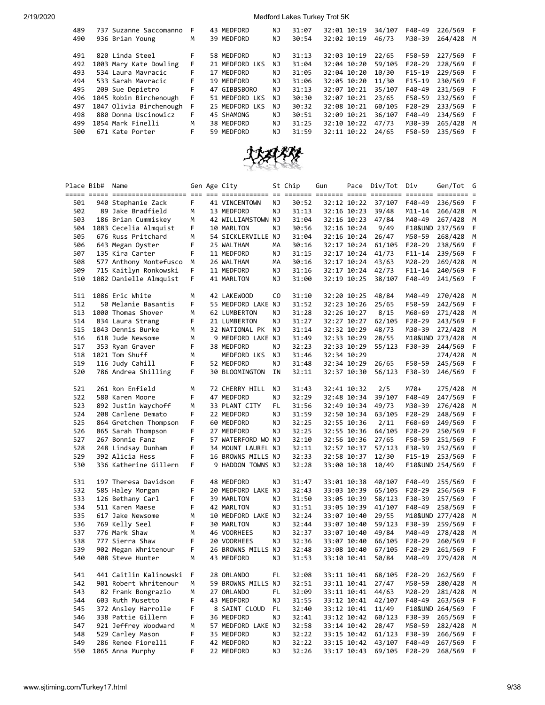| 489<br>490 | 737 Suzanne Saccomanno<br>936 Brian Young | F<br>M | 43 MEDFORD<br>39 MEDFORD | NJ<br>NJ | 31:07<br>30:54 | 32:01 10:19<br>32:02 10:19 | 34/107<br>46/73 | F40-49<br>M30-39 | 226/569 F<br>264/428 M |   |
|------------|-------------------------------------------|--------|--------------------------|----------|----------------|----------------------------|-----------------|------------------|------------------------|---|
|            |                                           |        |                          |          |                |                            |                 | F50-59           |                        |   |
| 491        | 820 Linda Steel                           | F      | 58 MEDFORD               | ΝJ       | 31:13          | 32:03 10:19                | 22/65           |                  | 227/569 F              |   |
| 492        | 1003 Mary Kate Dowling                    | F.     | 21 MEDFORD LKS           | NJ       | 31:04          | 32:04 10:20                | 59/105          | $F20-29$         | 228/569 F              |   |
| 493        | 534 Laura Mayracic                        | F      | 17 MEDFORD               | NJ       | 31:05          | 32:04 10:20                | 10/30           | $F15-19$         | 229/569 F              |   |
| 494        | 533 Sarah Mavracic                        | F.     | 19 MEDFORD               | NJ       | 31:06          | 32:05 10:20                | 11/30           | F15-19           | 230/569 F              |   |
| 495        | 209 Sue Depietro                          | F      | 47 GIBBSBORO             | NJ       | 31:13          | 32:07 10:21                | 35/107          | F40-49           | 231/569 F              |   |
| 496        | 1045 Robin Birchenough                    | F      | 51 MEDFORD LKS           | NJ       | 30:30          | 32:07 10:21                | 23/65           | F50-59           | 232/569 F              |   |
| 497        | 1047 Olivia Birchenough                   | F      | 25 MEDFORD LKS           | NJ       | 30:32          | 32:08 10:21                | 60/105          | $F20-29$         | 233/569 F              |   |
| 498        | 880 Donna Uscinowicz                      | F      | 45 SHAMONG               | NJ       | 30:51          | 32:09 10:21                | 36/107          | $F40-49$         | 234/569 F              |   |
| 499        | 1054 Mark Finelli                         | M      | 38 MEDFORD               | NJ       | 31:25          | 32:10 10:22                | 47/73           | M30-39           | 265/428                | M |
| 500        | 671 Kate Porter                           | F      | 59 MEDFORD               | NJ       | 31:59          | 32:11 10:22                | 24/65           | F50-59           | 235/569                | F |
|            |                                           |        |                          |          |                |                            |                 |                  |                        |   |



|            | Place Bib# | Name                                   |        | Gen Age City                 |          | St Chip        | Gun |                            | Pace Div/Tot Div |                  | Gen/Tot G          |          |
|------------|------------|----------------------------------------|--------|------------------------------|----------|----------------|-----|----------------------------|------------------|------------------|--------------------|----------|
| 501        |            | 940 Stephanie Zack                     | F.     | 41 VINCENTOWN                | ΝJ       | 30:52          |     | 32:12 10:22                | 37/107           | F40-49           | 236/569            | F        |
| 502        |            | 89 Jake Bradfield                      | M      | 13 MEDFORD                   | ΝJ       | 31:13          |     | 32:16 10:23                | 39/48            | M11-14           | 266/428            | М        |
| 503        |            | 186 Brian Cummiskey                    | M      | 42 WILLIAMSTOWN NJ           |          | 31:04          |     | 32:16 10:23                | 47/84            | M40-49           | 267/428            | М        |
| 504        |            | 1083 Cecelia Almquist                  | F      | 10 MARLTON                   | ΝJ       | 30:56          |     | 32:16 10:24                | 9/49             |                  | F10&UND 237/569    | F        |
| 505        |            | 676 Russ Pritchard                     | М      | 54 SICKLERVILLE NJ           |          | 31:04          |     | 32:16 10:24                | 26/47            | M50-59           | 268/428            | М        |
| 506        |            | 643 Megan Oyster                       | F      | 25 WALTHAM                   | MА       | 30:16          |     | 32:17 10:24                | 61/105           | F20-29           | 238/569            | F        |
| 507        |            | 135 Kira Carter                        | F.     | 11 MEDFORD                   | ΝJ       | 31:15          |     | 32:17 10:24                | 41/73            | F11-14           | 239/569            | F        |
| 508        |            | 577 Anthony Montefusco                 | M      | 26 WALTHAM                   | MА       | 30:16          |     | 32:17 10:24                | 43/63            | M20-29           | 269/428            | M        |
| 509        |            | 715 Kaitlyn Ronkowski                  | F      | 11 MEDFORD                   | ΝJ       | 31:16          |     | 32:17 10:24                | 42/73            | F11-14           | 240/569            | F        |
| 510        |            | 1082 Danielle Almquist                 | F      | 41 MARLTON                   | ΝJ       | 31:00          |     | 32:19 10:25                | 38/107           | F40-49           | 241/569            | - F      |
| 511        |            | 1086 Eric White                        | м      | 42 LAKEWOOD                  | CO.      | 31:10          |     | 32:20 10:25                | 48/84            | M40-49           | 270/428            | M        |
| 512        |            | 50 Melanie Basantis                    | F      | 55 MEDFORD LAKE NJ           |          | 31:52          |     | 32:23 10:26                | 25/65            | F50-59           | 242/569            | F        |
| 513        |            | 1000 Thomas Shover                     | M      | 62 LUMBERTON                 | ΝJ       | 31:28          |     | 32:26 10:27                | 8/15             | M60-69           | 271/428            | M        |
| 514        |            | 834 Laura Strang                       | F      | 21 LUMBERTON                 | ΝJ       | 31:27          |     | 32:27 10:27                | 62/105           | F20-29           | 243/569            | F        |
| 515        |            | 1043 Dennis Burke                      | м      | 32 NATIONAL PK               | ΝJ       | 31:14          |     | 32:32 10:29                | 48/73            | M30-39           | 272/428            | М        |
| 516        |            | 618 Jude Newsome                       | м      | 9 MEDFORD LAKE NJ            |          | 31:49          |     | 32:33 10:29                | 28/55            |                  | M10&UND 273/428    | М        |
| 517        |            | 353 Ryan Graver                        | F      | 38 MEDFORD                   | ΝJ       | 32:23          |     | 32:33 10:29                | 55/123           | F30-39           | 244/569            | F        |
| 518        |            | 1021 Tom Shuff                         | м      | MEDFORD LKS                  | ΝJ       | 31:46          |     | 32:34 10:29                |                  |                  | 274/428            | M        |
| 519<br>520 |            | 116 Judy Cahill<br>786 Andrea Shilling | F<br>F | 52 MEDFORD<br>30 BLOOMINGTON | ΝJ<br>ΙN | 31:48<br>32:11 |     | 32:34 10:29<br>32:37 10:30 | 26/65<br>56/123  | F50-59<br>F30-39 | 245/569<br>246/569 | F<br>- F |
| 521        |            | 261 Ron Enfield                        | м      | 72 CHERRY HILL               | ΝJ       | 31:43          |     | 32:41 10:32                | 2/5              | M70+             | 275/428            | M        |
| 522        |            | 580 Karen Moore                        | F      | 47 MEDFORD                   | ΝJ       | 32:29          |     | 32:48 10:34                | 39/107           | F40-49           | 247/569            | F        |
| 523        |            | 892 Justin Waychoff                    | М      | 33 PLANT CITY                | FL       | 31:56          |     | 32:49 10:34                | 49/73            | M30-39           | 276/428            | М        |
| 524        |            | 208 Carlene Demato                     | F      | 22 MEDFORD                   | ΝJ       | 31:59          |     | 32:50 10:34                | 63/105           | $F20-29$         | 248/569            | F        |
| 525        |            | 864 Gretchen Thompson                  | F      | 60 MEDFORD                   | ΝJ       | 32:25          |     | 32:55 10:36                | 2/11             | F60-69           | 249/569            | F        |
| 526        |            | 865 Sarah Thompson                     | F      | 27 MEDFORD                   | ΝJ       | 32:25          |     | 32:55 10:36                | 64/105           | $F20-29$         | 250/569            | F        |
| 527        |            | 267 Bonnie Fanz                        | F      | 57 WATERFORD WO NJ           |          | 32:10          |     | 32:56 10:36                | 27/65            | F50-59           | 251/569            | F        |
| 528        |            | 248 Lindsay Dunham                     | F      | 34 MOUNT LAUREL NJ           |          | 32:11          |     | 32:57 10:37                | 57/123           | F30-39           | 252/569            | F        |
| 529        |            | 392 Alicia Hess                        | F      | 16 BROWNS MILLS NJ           |          | 32:33          |     | 32:58 10:37                | 12/30            | $F15-19$         | 253/569            | F        |
| 530        |            | 336 Katherine Gillern                  | F      | 9 HADDON TOWNS NJ            |          | 32:28          |     | 33:00 10:38                | 10/49            |                  | F10&UND 254/569    | F        |
| 531        |            | 197 Theresa Davidson                   | F      | 48 MEDFORD                   | ΝJ       | 31:47          |     | 33:01 10:38                | 40/107           | F40-49           | 255/569            | F        |
| 532        |            | 585 Haley Morgan                       | F      | 20 MEDFORD LAKE NJ           |          | 32:43          |     | 33:03 10:39                | 65/105           | F20-29           | 256/569            | F        |
| 533        |            | 126 Bethany Carl                       | F      | 39 MARLTON                   | ΝJ       | 31:50          |     | 33:05 10:39                | 58/123           | F30-39           | 257/569            | F        |
| 534        |            | 511 Karen Maese                        | F      | 42 MARLTON                   | ΝJ       | 31:51          |     | 33:05 10:39                | 41/107           | F40-49           | 258/569            | F        |
| 535        |            | 617 Jake Newsome                       | M      | 10 MEDFORD LAKE NJ           |          | 32:24          |     | 33:07 10:40                | 29/55            |                  | M10&UND 277/428    | M        |
| 536        |            | 769 Kelly Seel                         | F      | 30 MARLTON                   | ΝJ       | 32:44          |     | 33:07 10:40                | 59/123           | F30-39           | 259/569            | F        |
| 537        |            | 776 Mark Shaw                          | м      | 46 VOORHEES                  | ΝJ       | 32:37          |     | 33:07 10:40                | 49/84            | M40-49           | 278/428            | M        |
| 538        |            | 777 Sierra Shaw                        | F      | 20 VOORHEES                  | ΝJ       | 32:36          |     | 33:07 10:40                | 66/105           | F20-29           | 260/569            | F        |
| 539        |            | 902 Megan Whritenour                   | F      | 26 BROWNS MILLS NJ           |          | 32:48          |     | 33:08 10:40                | 67/105           | F20-29           | 261/569            | F        |
| 540        |            | 408 Steve Hunter                       | M      | 43 MEDFORD                   | ΝJ       | 31:53          |     | 33:10 10:41                | 50/84            | M40-49           | 279/428            | M        |
| 541        |            | 441 Caitlin Kalinowski                 | - F    | 28 ORLANDO                   | FL       | 32:08          |     | 33:11 10:41                | 68/105           | $F20-29$         | 262/569            | - F      |
| 542        |            | 901 Robert Whritenour                  | м      | 59 BROWNS MILLS NJ           |          | 32:51          |     | 33:11 10:41                | 27/47            | M50-59           | 280/428            | M        |
| 543        |            | 82 Frank Bongrazio                     | м      | 27 ORLANDO                   | FL       | 32:09          |     | 33:11 10:41                | 44/63            | M20-29           | 281/428            | M        |
| 544        |            | 603 Ruth Musetto                       | F      | 43 MEDFORD                   | ΝJ       | 31:55          |     | 33:12 10:41                | 42/107           | F40-49           | 263/569            | F        |
| 545        |            | 372 Ansley Harrolle                    | F      | 8 SAINT CLOUD                | FL       | 32:40          |     | 33:12 10:41                | 11/49            |                  | F10&UND 264/569    | F        |
| 546        |            | 338 Pattie Gillern                     | F      | 36 MEDFORD                   | ΝJ       | 32:41          |     | 33:12 10:42                | 60/123           | F30-39           | 265/569            | F        |
| 547        |            | 921 Jeffrey Woodward                   | м      | 57 MEDFORD LAKE NJ           |          | 32:58          |     | 33:14 10:42                | 28/47            | M50-59           | 282/428            | M        |
| 548        |            | 529 Carley Mason                       | F      | 35 MEDFORD                   | ΝJ       | 32:22          |     | 33:15 10:42                | 61/123           | F30-39           | 266/569            | F        |
| 549        |            | 286 Renee Fiorelli                     | F      | 42 MEDFORD                   | ΝJ       | 32:22          |     | 33:15 10:42                | 43/107           | F40-49           | 267/569            | F        |
| 550        |            | 1065 Anna Murphy                       | F      | 22 MEDFORD                   | ΝJ       | 32:26          |     | 33:17 10:43                | 69/105           | F20-29           | 268/569            | - F      |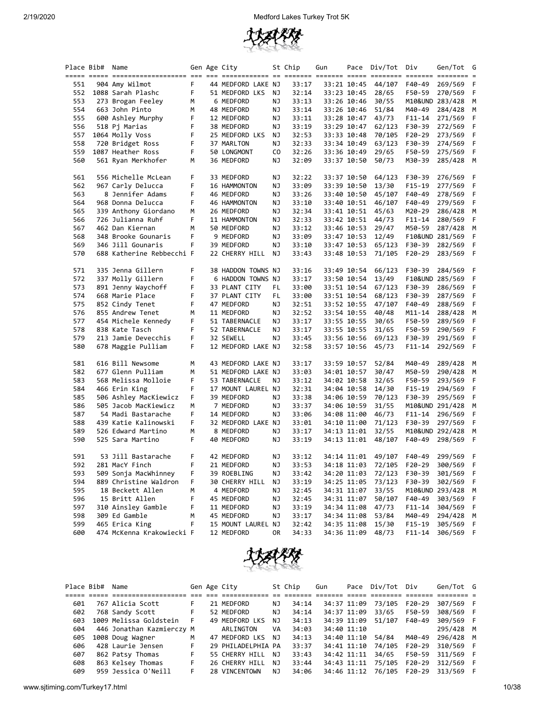

|     | Place Bib# Name |                                                                                                        |        | Gen Age City          |     | St Chip | Gun | Pace        | Div/Tot | Div        | Gen/Tot         | G   |
|-----|-----------------|--------------------------------------------------------------------------------------------------------|--------|-----------------------|-----|---------|-----|-------------|---------|------------|-----------------|-----|
|     |                 | <u>soor oose soorooroorooroore oo oo oorooroore oo soore aaroor oose ooreen ooreen aaroor ooreen o</u> |        |                       |     |         |     |             |         |            |                 |     |
| 551 |                 | 904 Amy Wilmot                                                                                         | F      | 44 MEDFORD LAKE NJ    |     | 33:17   |     | 33:21 10:45 | 44/107  | F40-49     | 269/569         | F.  |
| 552 |                 | 1088 Sarah Plashc                                                                                      | F      | 51 MEDFORD LKS        | ΝJ  | 32:14   |     | 33:23 10:45 | 28/65   | F50-59     | 270/569         | F   |
| 553 |                 | 273 Brogan Feeley                                                                                      | М      | 6 MEDFORD             | ΝJ  | 33:13   |     | 33:26 10:46 | 30/55   |            | M10&UND 283/428 | М   |
| 554 |                 | 663 John Pinto                                                                                         | м      | 48 MEDFORD            | ΝJ  | 33:14   |     | 33:26 10:46 | 51/84   | M40-49     | 284/428         | М   |
| 555 |                 | 600 Ashley Murphy                                                                                      | F      | 12 MEDFORD            | ΝJ  | 33:11   |     | 33:28 10:47 | 43/73   | F11-14     | 271/569         | F   |
| 556 |                 | 518 Pj Marias                                                                                          | F      | 38 MEDFORD            | ΝJ  | 33:19   |     | 33:29 10:47 | 62/123  | F30-39     | 272/569         | F   |
| 557 |                 | 1064 Molly Voss                                                                                        | F      | 25 MEDFORD LKS        | ΝJ  | 32:53   |     | 33:33 10:48 | 70/105  | F20-29     | 273/569         | F   |
| 558 |                 | 720 Bridget Ross                                                                                       | F      | 37 MARLTON            | ΝJ  | 32:33   |     | 33:34 10:49 | 63/123  | F30-39     | 274/569         | F   |
| 559 |                 | 1087 Heather Ross                                                                                      | F      | 50 LONGMONT           | CO. | 32:26   |     | 33:36 10:49 | 29/65   | F50-59     | 275/569         | F   |
| 560 |                 | 561 Ryan Merkhofer                                                                                     | м      | 36 MEDFORD            | ΝJ  | 32:09   |     | 33:37 10:50 | 50/73   | M30-39     | 285/428         | M   |
|     |                 |                                                                                                        |        |                       |     |         |     |             |         |            |                 |     |
| 561 |                 | 556 Michelle McLean                                                                                    | F      | 33 MEDFORD            | ΝJ  | 32:22   |     | 33:37 10:50 | 64/123  | F30-39     | 276/569         | F   |
| 562 |                 | 967 Carly Delucca                                                                                      | F      | 16 HAMMONTON          | ΝJ  | 33:09   |     | 33:39 10:50 | 13/30   | F15-19     | 277/569         | F   |
| 563 |                 | 8 Jennifer Adams                                                                                       | F      | 46 MEDFORD            | ΝJ  | 33:26   |     | 33:40 10:50 | 45/107  | F40-49     | 278/569         | F   |
| 564 |                 | 968 Donna Delucca                                                                                      | F      |                       | ΝJ  |         |     |             | 46/107  | F40-49     |                 | F   |
|     |                 |                                                                                                        |        | 46 HAMMONTON          |     | 33:10   |     | 33:40 10:51 |         |            | 279/569         |     |
| 565 |                 | 339 Anthony Giordano                                                                                   | м      | 26 MEDFORD            | ΝJ  | 32:34   |     | 33:41 10:51 | 45/63   | M20-29     | 286/428         | M   |
| 566 |                 | 726 Julianna Ruhf                                                                                      | F      | 11 HAMMONTON          | ΝJ  | 32:33   |     | 33:42 10:51 | 44/73   | F11-14     | 280/569         | F   |
| 567 |                 | 462 Dan Kiernan                                                                                        | M      | 50 MEDFORD            | ΝJ  | 33:12   |     | 33:46 10:53 | 29/47   | M50-59     | 287/428         | М   |
| 568 |                 | 348 Brooke Gounaris                                                                                    | F      | 9 MEDFORD             | ΝJ  | 33:09   |     | 33:47 10:53 | 12/49   |            | F10&UND 281/569 | F   |
| 569 |                 | 346 Jill Gounaris                                                                                      | F      | 39 MEDFORD            | ΝJ  | 33:10   |     | 33:47 10:53 | 65/123  | F30-39     | 282/569         | F   |
| 570 |                 | 688 Katherine Rebbecchi F                                                                              |        | 22 CHERRY HILL        | ΝJ  | 33:43   |     | 33:48 10:53 | 71/105  | $F20-29$   | 283/569         | F   |
|     |                 |                                                                                                        |        |                       |     |         |     |             |         |            |                 |     |
| 571 |                 | 335 Jenna Gillern                                                                                      | F      | 38 HADDON TOWNS NJ    |     | 33:16   |     | 33:49 10:54 | 66/123  | F30-39     | 284/569         | F   |
| 572 |                 | 337 Molly Gillern                                                                                      | F      | 6 HADDON TOWNS NJ     |     | 33:17   |     | 33:50 10:54 | 13/49   |            | F10&UND 285/569 | F   |
| 573 |                 | 891 Jenny Waychoff                                                                                     | F      | 33 PLANT CITY         | FL  | 33:00   |     | 33:51 10:54 | 67/123  | F30-39     | 286/569         | F   |
| 574 |                 | 668 Marie Place                                                                                        | F      | 37 PLANT CITY         | FL  | 33:00   |     | 33:51 10:54 | 68/123  | F30-39     | 287/569         | F   |
| 575 |                 | 852 Cindy Tenet                                                                                        | F      | 47 MEDFORD            | ΝJ  | 32:51   |     | 33:52 10:55 | 47/107  | F40-49     | 288/569         | F   |
| 576 |                 | 855 Andrew Tenet                                                                                       | М      | 11 MEDFORD            | ΝJ  | 32:52   |     | 33:54 10:55 | 40/48   | M11-14     | 288/428         | M   |
| 577 |                 | 454 Michele Kennedy                                                                                    | F      | 51 TABERNACLE         | ΝJ  | 33:17   |     | 33:55 10:55 | 30/65   | F50-59     | 289/569         | F   |
| 578 |                 | 838 Kate Tasch                                                                                         | F      | 52 TABERNACLE         | ΝJ  | 33:17   |     | 33:55 10:55 | 31/65   | F50-59     | 290/569         | F   |
| 579 |                 | 213 Jamie Devecchis                                                                                    | F      | 32 SEWELL             | ΝJ  | 33:45   |     | 33:56 10:56 | 69/123  | F30-39     | 291/569         | F   |
| 580 |                 | 678 Maggie Pulliam                                                                                     | F      | 12 MEDFORD LAKE NJ    |     | 32:58   |     | 33:57 10:56 | 45/73   | $F11 - 14$ | 292/569         | - F |
|     |                 |                                                                                                        |        |                       |     |         |     |             |         |            |                 |     |
| 581 |                 | 616 Bill Newsome                                                                                       | м      | 43 MEDFORD LAKE NJ    |     | 33:17   |     | 33:59 10:57 | 52/84   | M40-49     | 289/428         | М   |
| 582 |                 | 677 Glenn Pulliam                                                                                      | М      | 51 MEDFORD LAKE NJ    |     | 33:03   |     | 34:01 10:57 | 30/47   | M50-59     | 290/428         | М   |
| 583 |                 | 568 Melissa Molloie                                                                                    | F      | 53 TABERNACLE         | ΝJ  | 33:12   |     | 34:02 10:58 | 32/65   | F50-59     | 293/569         | F   |
| 584 |                 | 466 Erin King                                                                                          | F      | 17 MOUNT LAUREL NJ    |     | 32:31   |     | 34:04 10:58 | 14/30   | F15-19     | 294/569         | F   |
| 585 |                 | 506 Ashley MacKiewicz                                                                                  | F      | 39 MEDFORD            | ΝJ  | 33:38   |     | 34:06 10:59 | 70/123  | F30-39     | 295/569         | F   |
| 586 |                 | 505 Jacob MacKiewicz                                                                                   | М      | 7 MEDFORD             | ΝJ  | 33:37   |     | 34:06 10:59 | 31/55   |            | M10&UND 291/428 | М   |
| 587 |                 | 54 Madi Bastarache                                                                                     | F      | 14 MEDFORD            | ΝJ  | 33:06   |     | 34:08 11:00 | 46/73   | F11-14     | 296/569         | F   |
| 588 |                 | 439 Katie Kalinowski                                                                                   | F      | 32 MEDFORD LAKE NJ    |     | 33:01   |     | 34:10 11:00 | 71/123  | F30-39     | 297/569         | F   |
| 589 |                 | 526 Edward Martino                                                                                     | М      | 8 MEDFORD             | ΝJ  | 33:17   |     | 34:13 11:01 | 32/55   |            | M10&UND 292/428 | M   |
| 590 |                 | 525 Sara Martino                                                                                       | F      | 40 MEDFORD            | ΝJ  | 33:19   |     | 34:13 11:01 | 48/107  | F40-49     | 298/569         | F   |
|     |                 |                                                                                                        |        |                       |     |         |     |             |         |            |                 |     |
| 591 |                 | 53 Jill Bastarache                                                                                     | F.     | 42 MEDFORD            | ΝJ  | 33:12   |     | 34:14 11:01 | 49/107  | F40-49     | 299/569         | - F |
| 592 |                 | 281 MacY Finch                                                                                         | F      | 21 MEDFORD            | ΝJ  | 33:53   |     | 34:18 11:03 | 72/105  | F20-29     | 300/569         | F   |
| 593 |                 | 509 Sonja MacWhinney                                                                                   | F      | 39 ROEBLING           | ΝJ  | 33:42   |     | 34:20 11:03 | 72/123  | F30-39     | 301/569         | F   |
| 594 |                 | 889 Christine Waldron                                                                                  | F      | <b>30 CHERRY HILL</b> | ΝJ  | 33:19   |     | 34:25 11:05 | 73/123  | F30-39     | 302/569         | F   |
| 595 |                 | 18 Beckett Allen                                                                                       | м      | 4 MEDFORD             | ΝJ  | 32:45   |     | 34:31 11:07 | 33/55   |            | M10&UND 293/428 | M   |
| 596 |                 | 15 Britt Allen                                                                                         | F      | 45 MEDFORD            | ΝJ  | 32:45   |     | 34:31 11:07 | 50/107  | F40-49     | 303/569         | F   |
| 597 |                 | 310 Ainsley Gamble                                                                                     | F      | 11 MEDFORD            | ΝJ  | 33:19   |     | 34:34 11:08 | 47/73   | $F11 - 14$ | 304/569         | F   |
| 598 |                 | 309 Ed Gamble                                                                                          |        | 45 MEDFORD            |     | 33:17   |     | 34:34 11:08 | 53/84   | M40-49     |                 |     |
|     |                 |                                                                                                        | м<br>F | 15 MOUNT LAUREL NJ    | ΝJ  |         |     |             |         |            | 294/428         | M   |
| 599 |                 | 465 Erica King                                                                                         |        |                       |     | 32:42   |     | 34:35 11:08 | 15/30   | F15-19     | 305/569         | F   |
| 600 |                 | 474 McKenna Krakowiecki F                                                                              |        | 12 MEDFORD            | 0R  | 34:33   |     | 34:36 11:09 | 48/73   | $F11 - 14$ | 306/569 F       |     |



| Place Bib# | Name                      |    | Gen Age City       |                | St Chip | Gun | Pace        | Div/Tot | Div    | Gen/Tot G |  |
|------------|---------------------------|----|--------------------|----------------|---------|-----|-------------|---------|--------|-----------|--|
|            |                           |    |                    |                |         |     |             |         |        |           |  |
| 601        | 767 Alicia Scott          |    | 21 MEDFORD         | NJ             | 34:14   |     | 34:37 11:09 | 73/105  | F20-29 | 307/569 F |  |
| 602        | 768 Sandy Scott           | F. | 52 MEDFORD         | ΝJ             | 34:14   |     | 34:37 11:09 | 33/65   | F50-59 | 308/569 F |  |
| 603        | 1009 Melissa Goldstein    | F  | 49 MEDFORD LKS     | N <sub>1</sub> | 34:13   |     | 34:39 11:09 | 51/107  | F40-49 | 309/569 F |  |
| 604        | 446 Jonathan Kazmierczy M |    | ARLINGTON          | VA             | 34:03   |     | 34:40 11:10 |         |        | 295/428 M |  |
| 605        | 1008 Doug Wagner          | м  | 47 MEDFORD LKS     | NJ.            | 34:13   |     | 34:40 11:10 | 54/84   | M40-49 | 296/428 M |  |
| 606        | 428 Laurie Jensen         | F. | 29 PHILADELPHIA PA |                | 33:37   |     | 34:41 11:10 | 74/105  | F20-29 | 310/569 F |  |
| 607        | 862 Patsy Thomas          | F. | 55 CHERRY HILL     | NJ.            | 33:43   |     | 34:42 11:11 | 34/65   | F50-59 | 311/569 F |  |
| 608        | 863 Kelsey Thomas         | F  | 26 CHERRY HILL     | NJ             | 33:44   |     | 34:43 11:11 | 75/105  | F20-29 | 312/569 F |  |
| 609        | 959 Jessica O'Neill       | F. | 28 VINCENTOWN      | NJ             | 34:06   |     | 34:46 11:12 | 76/105  | F20-29 | 313/569 F |  |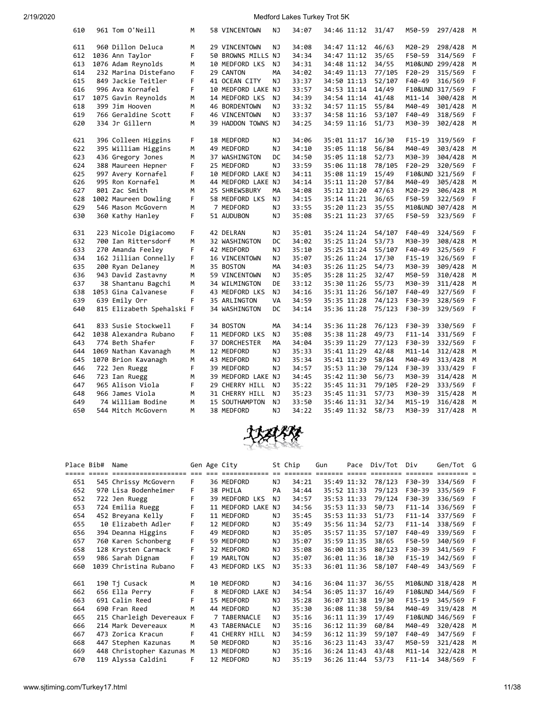| 610 | 961 Tom O'Neill           | М | 58 VINCENTOWN      | NJ        | 34:07 | 34:46 11:12 | 31/47  | M50-59          | 297/428         | M |
|-----|---------------------------|---|--------------------|-----------|-------|-------------|--------|-----------------|-----------------|---|
| 611 | 960 Dillon Deluca         | M | 29 VINCENTOWN      | NJ        | 34:08 | 34:47 11:12 | 46/63  | M20-29          | 298/428         | M |
| 612 | 1036 Ann Taylor           | F | 50 BROWNS MILLS NJ |           | 34:34 | 34:47 11:12 | 35/65  | F50-59          | 314/569         | F |
| 613 | 1076 Adam Reynolds        | М | 10 MEDFORD LKS     | NJ        | 34:31 | 34:48 11:12 | 34/55  | M10&UND 299/428 |                 | M |
| 614 | 232 Marina Distefano      | F | 29 CANTON          | MA        | 34:02 | 34:49 11:13 | 77/105 | $F20-29$        | 315/569         | F |
| 615 | 849 Jackie Teitler        | F | 41 OCEAN CITY      | NJ        | 33:37 | 34:50 11:13 | 52/107 | F40-49          | 316/569         | F |
| 616 | 996 Ava Kornafel          | F | 10 MEDFORD LAKE NJ |           | 33:57 | 34:53 11:14 | 14/49  |                 | F10&UND 317/569 | F |
| 617 | 1075 Gavin Reynolds       | М | 14 MEDFORD LKS     | NJ        | 34:39 | 34:54 11:14 | 41/48  | $M11 - 14$      | 300/428         | M |
| 618 | 399 Jim Hooven            | м | 46 BORDENTOWN      | NJ        | 33:32 | 34:57 11:15 | 55/84  | M40-49          | 301/428         | M |
| 619 | 766 Geraldine Scott       | F | 46 VINCENTOWN      | NJ        | 33:37 | 34:58 11:16 | 53/107 | F40-49          | 318/569         | F |
| 620 | 334 Jr Gillern            | M | 39 HADDON TOWNS NJ |           | 34:25 | 34:59 11:16 | 51/73  | M30-39          | 302/428         | M |
|     |                           |   |                    |           |       |             |        |                 |                 |   |
| 621 | 396 Colleen Higgins       | F | 18 MEDFORD         | NJ        | 34:06 | 35:01 11:17 | 16/30  | $F15-19$        | 319/569         | F |
| 622 | 395 William Higgins       | M | 49 MEDFORD         | <b>NJ</b> | 34:10 | 35:05 11:18 | 56/84  | M40-49          | 303/428         | M |
| 623 | 436 Gregory Jones         | М | 37 WASHINGTON      | DC        | 34:50 | 35:05 11:18 | 52/73  | M30-39          | 304/428         | M |
| 624 | 388 Maureen Hepner        | F | 25 MEDFORD         | NJ        | 33:59 | 35:06 11:18 | 78/105 | $F20-29$        | 320/569         | F |
| 625 | 997 Avery Kornafel        | F | 10 MEDFORD LAKE NJ |           | 34:11 | 35:08 11:19 | 15/49  | F10&UND 321/569 |                 | F |
| 626 | 995 Ron Kornafel          | M | 44 MEDFORD LAKE NJ |           | 34:14 | 35:11 11:20 | 57/84  | M40-49          | 305/428         | M |
| 627 | 801 Zac Smith             | M | 25 SHREWSBURY      | MA        | 34:08 | 35:12 11:20 | 47/63  | M20-29          | 306/428         | M |
| 628 | 1002 Maureen Dowling      | F | 58 MEDFORD LKS     | ΝJ        | 34:15 | 35:14 11:21 | 36/65  | F50-59          | 322/569         | F |
| 629 | 546 Mason McGovern        | М | 7 MEDFORD          | NJ        | 33:55 | 35:20 11:23 | 35/55  | M10&UND 307/428 |                 | М |
| 630 | 360 Kathy Hanley          | F | 51 AUDUBON         | ΝJ        | 35:08 | 35:21 11:23 | 37/65  | F50-59          | 323/569         | F |
|     |                           |   |                    |           |       |             |        |                 |                 |   |
| 631 | 223 Nicole Digiacomo      | F | 42 DELRAN          | NJ        | 35:01 | 35:24 11:24 | 54/107 | F40-49          | 324/569         | F |
| 632 | 700 Ian Rittersdorf       | M | 32 WASHINGTON      | DC        | 34:02 | 35:25 11:24 | 53/73  | M30-39          | 308/428         | M |
| 633 | 270 Amanda Feeley         | F | 42 MEDFORD         | NJ        | 35:10 | 35:25 11:24 | 55/107 | F40-49          | 325/569         | F |
| 634 | 162 Jillian Connelly      | F | 16 VINCENTOWN      | ΝJ        | 35:07 | 35:26 11:24 | 17/30  | F15-19          | 326/569         | F |
| 635 | 200 Ryan Delaney          | М | 35 BOSTON          | МA        | 34:03 | 35:26 11:25 | 54/73  | M30-39          | 309/428         | M |
| 636 | 943 David Zastavny        | M | 59 VINCENTOWN      | NJ        | 35:05 | 35:28 11:25 | 32/47  | M50-59          | 310/428         | M |
| 637 | 38 Shantanu Bagchi        | M | 34 WILMINGTON      | DE        | 33:12 | 35:30 11:26 | 55/73  | M30-39          | 311/428         | M |
| 638 | 1053 Gina Calvanese       | F | 43 MEDFORD LKS     | <b>NJ</b> | 34:16 | 35:31 11:26 | 56/107 | F40-49          | 327/569         | F |
| 639 | 639 Emily Orr             | F | 35 ARLINGTON       | VA        | 34:59 | 35:35 11:28 | 74/123 | F30-39          | 328/569         | F |
| 640 | 815 Elizabeth Spehalski F |   | 34 WASHINGTON      | DC        | 34:14 | 35:36 11:28 | 75/123 | F30-39          | 329/569         | F |
|     |                           |   |                    |           |       |             |        |                 |                 |   |
| 641 | 833 Susie Stockwell       | F | 34 BOSTON          | <b>MA</b> | 34:14 | 35:36 11:28 | 76/123 | F30-39          | 330/569         | F |
| 642 | 1038 Alexandra Rubano     | F | 11 MEDFORD LKS     | ΝJ        | 35:08 | 35:38 11:28 | 49/73  | $F11 - 14$      | 331/569         | F |
| 643 | 774 Beth Shafer           | F | 37 DORCHESTER      | MA        | 34:04 | 35:39 11:29 | 77/123 | F30-39          | 332/569         | F |
| 644 | 1069 Nathan Kavanagh      | М | 12 MEDFORD         | NJ        | 35:33 | 35:41 11:29 | 42/48  | $M11 - 14$      | 312/428         | M |
| 645 | 1070 Brion Kavanagh       | М | 43 MEDFORD         | NJ        | 35:34 | 35:41 11:29 | 58/84  | M40-49          | 313/428         | М |
| 646 | 722 Jen Ruegg             | F | 39 MEDFORD         | NJ        | 34:57 | 35:53 11:30 | 79/124 | F30-39          | 333/429         | F |
| 646 | 723 Ian Ruegg             | М | 39 MEDFORD LAKE NJ |           | 34:45 | 35:42 11:30 | 56/73  | M30-39          | 314/428         | M |
| 647 | 965 Alison Viola          | F | 29 CHERRY HILL     | NJ        | 35:22 | 35:45 11:31 | 79/105 | F20-29          | 333/569         | F |
| 648 | 966 James Viola           | М | 31 CHERRY HILL     | NJ        | 35:23 | 35:45 11:31 | 57/73  | M30-39          | 315/428         | M |
| 649 | 74 William Bodine         | М | 15 SOUTHAMPTON     | NJ        | 33:50 | 35:46 11:31 | 32/34  | M15-19          | 316/428         | M |
| 650 | 544 Mitch McGovern        | M | 38 MEDFORD         | NJ        | 34:22 | 35:49 11:32 | 58/73  | M30-39          | 317/428         | M |
|     |                           |   |                    |           |       |             |        |                 |                 |   |



| Place Bib# |             | Name                      |    |                         | Gen Age City       |    |     | St Chip                 | Gun         | Pace        | Div/Tot | Div                | Gen/Tot G         |   |
|------------|-------------|---------------------------|----|-------------------------|--------------------|----|-----|-------------------------|-------------|-------------|---------|--------------------|-------------------|---|
|            | ===== ===== | =====================     |    | $=$ $=$ $=$ $=$ $=$ $=$ | ============       |    |     | $=$ $=$ $=$ $=$ $=$ $=$ |             | $==$        |         | ======             |                   |   |
| 651        |             | 545 Chrissy McGovern      | F. |                         | 36 MEDFORD         |    | ΝJ  | 34:21                   |             | 35:49 11:32 | 78/123  | F30-39             | 334/569           | F |
| 652        |             | 970 Lisa Bodenheimer      | F  |                         | 38 PHILA           |    | PA  | 34:44                   | 35:52 11:33 |             | 79/123  | F30-39             | 335/569           |   |
| 652        |             | 722 Jen Ruegg             | F  |                         | 39 MEDFORD LKS     |    | NJ. | 34:57                   |             | 35:53 11:33 | 79/124  | F30-39             | 336/569           | F |
| 653        |             | 724 Emilia Ruegg          | F  |                         | 11 MEDFORD LAKE NJ |    |     | 34:56                   |             | 35:53 11:33 | 50/73   | $F11 - 14$         | 336/569           | F |
| 654        |             | 452 Breyana Kelly         | F  |                         | 11 MEDFORD         |    | NJ  | 35:45                   |             | 35:53 11:33 | 51/73   | $F11 - 14$         | 337/569           | F |
| 655        |             | 10 Elizabeth Adler        | F  |                         | 12 MEDFORD         |    | NJ  | 35:49                   |             | 35:56 11:34 | 52/73   | $F11 - 14$         | 338/569           | F |
| 656        |             | 394 Deanna Higgins        | F  |                         | 49 MEDFORD         |    | NJ  | 35:05                   |             | 35:57 11:35 | 57/107  | F40-49             | 339/569           | F |
| 657        |             | 760 Karen Schonberg       | F  |                         | 59 MEDFORD         |    | NJ  | 35:07                   | 35:59 11:35 |             | 38/65   | F50-59             | 340/569           | F |
| 658        |             | 128 Krysten Carmack       | F. |                         | 32 MEDFORD         |    | NJ  | 35:08                   |             | 36:00 11:35 | 80/123  | F30-39             | 341/569           | F |
| 659        |             | 986 Sarah Dignam          | F  |                         | 19 MARLTON         |    | ΝJ  | 35:07                   |             | 36:01 11:36 | 18/30   | $F15-19$           | 342/569           | F |
| 660        |             | 1039 Christina Rubano     | F  |                         | 43 MEDFORD LKS     |    | NJ. | 35:33                   |             | 36:01 11:36 | 58/107  | F40-49             | 343/569 F         |   |
|            |             |                           |    |                         |                    |    |     |                         |             |             |         |                    |                   |   |
| 661        |             | 190 Tj Cusack             | м  |                         | 10 MEDFORD         |    | ΝJ  | 34:16                   |             | 36:04 11:37 | 36/55   |                    | M10&UND 318/428 M |   |
| 662        |             | 656 Ella Perry            | F  |                         | 8 MEDFORD LAKE     | NJ |     | 34:54                   | 36:05 11:37 |             | 16/49   |                    | F10&UND 344/569   |   |
| 663        |             | 691 Calin Reed            | F  |                         | 15 MEDFORD         |    | ΝJ  | 35:28                   |             | 36:07 11:38 | 19/30   | $F15-19$           | 345/569           |   |
| 664        |             | 690 Fran Reed             | M  |                         | 44 MEDFORD         |    | ΝJ  | 35:30                   |             | 36:08 11:38 | 59/84   | M40-49             | 319/428           | М |
| 665        |             | 215 Charleigh Devereaux F |    |                         | 7 TABERNACLE       |    | NJ  | 35:16                   | 36:11 11:39 |             | 17/49   | <b>F10&amp;UND</b> | 346/569           | F |
| 666        |             | 214 Mark Devereaux        | м  |                         | 43 TABERNACLE      |    | ΝJ  | 35:16                   |             | 36:12 11:39 | 60/84   | M40-49             | 320/428           | M |
| 667        |             | 473 Zorica Kracun         | F  |                         | 41 CHERRY HILL     |    | NJ. | 34:59                   | 36:12 11:39 |             | 59/107  | F40-49             | 347/569           | F |
| 668        |             | 447 Stephen Kazunas       | M  |                         | 50 MEDFORD         |    | ΝJ  | 35:16                   |             | 36:23 11:43 | 33/47   | M50-59             | 321/428           | M |
| 669        |             | 448 Christopher Kazunas M |    |                         | 13 MEDFORD         |    | ΝJ  | 35:16                   |             | 36:24 11:43 | 43/48   | $M11 - 14$         | 322/428           | M |
| 670        |             | 119 Alyssa Caldini        | F  |                         | 12 MEDFORD         |    | ΝJ  | 35:19                   |             | 36:26 11:44 | 53/73   | $F11 - 14$         | 348/569           | F |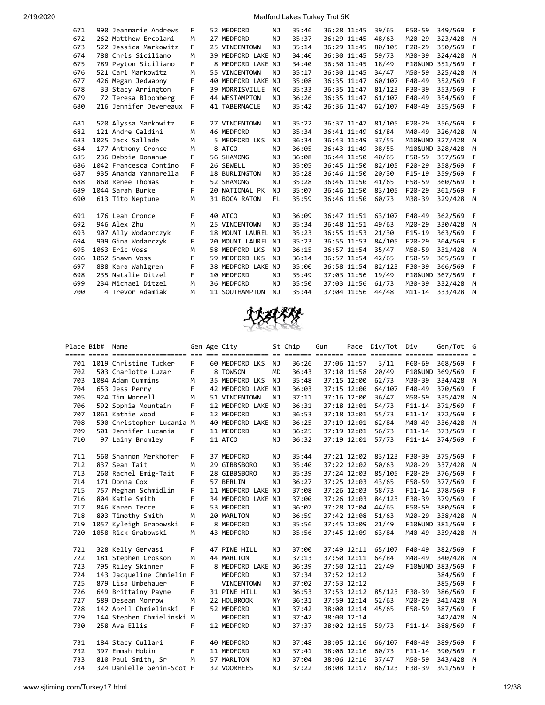| 671 | 990 Jeanmarie Andrews  | F  | 52 MEDFORD         | NJ        | 35:46 | 36:28 11:45 | 39/65  | F50-59          | 349/569 | - F |
|-----|------------------------|----|--------------------|-----------|-------|-------------|--------|-----------------|---------|-----|
| 672 | 262 Matthew Ercolani   | м  | 27 MEDFORD         | NJ        | 35:37 | 36:29 11:45 | 48/63  | M20-29          | 323/428 | M   |
| 673 | 522 Jessica Markowitz  | F  | 25 VINCENTOWN      | NJ        | 35:14 | 36:29 11:45 | 80/105 | $F20-29$        | 350/569 | F   |
| 674 | 788 Chris Siciliano    | м  | 39 MEDFORD LAKE NJ |           | 34:40 | 36:30 11:45 | 59/73  | M30-39          | 324/428 | M   |
| 675 | 789 Peyton Siciliano   | F  | 8 MEDFORD LAKE NJ  |           | 34:40 | 36:30 11:45 | 18/49  | F10&UND 351/569 |         | F   |
| 676 | 521 Carl Markowitz     | M  | 55 VINCENTOWN      | NJ.       | 35:17 | 36:30 11:45 | 34/47  | M50-59          | 325/428 | M   |
| 677 | 426 Megan Jedwabny     | F  | 40 MEDFORD LAKE NJ |           | 35:08 | 36:35 11:47 | 60/107 | F40-49          | 352/569 | F   |
| 678 | 33 Stacy Arrington     | F  | 39 MORRISVILLE     | <b>NC</b> | 35:33 | 36:35 11:47 | 81/123 | F30-39          | 353/569 | F   |
| 679 | 72 Teresa Bloomberg    | F  | 44 WESTAMPTON      | NJ        | 36:26 | 36:35 11:47 | 61/107 | $F40-49$        | 354/569 | F   |
| 680 | 216 Jennifer Devereaux | F  | 41 TABERNACLE      | NJ        | 35:42 | 36:36 11:47 | 62/107 | F40-49          | 355/569 | F   |
|     |                        |    |                    |           |       |             |        |                 |         |     |
| 681 | 520 Alyssa Markowitz   | F  | 27 VINCENTOWN      | NJ        | 35:22 | 36:37 11:47 | 81/105 | $F20-29$        | 356/569 | F   |
| 682 | 121 Andre Caldini      | M  | 46 MEDFORD         | NJ        | 35:34 | 36:41 11:49 | 61/84  | M40-49          | 326/428 | M   |
| 683 | 1025 Jack Sallade      | M  | 5 MEDFORD LKS      | NJ        | 36:34 | 36:43 11:49 | 37/55  | M10&UND         | 327/428 | M   |
| 684 | 177 Anthony Cronce     | M  | 8 ATCO             | NJ        | 36:05 | 36:43 11:49 | 38/55  | M10&UND 328/428 |         | M   |
| 685 | 236 Debbie Donahue     | F  | 56 SHAMONG         | NJ        | 36:08 | 36:44 11:50 | 40/65  | F50-59          | 357/569 | F   |
| 686 | 1042 Francesca Contino | F  | 26 SEWELL          | NJ        | 35:05 | 36:45 11:50 | 82/105 | $F20-29$        | 358/569 | F   |
| 687 | 935 Amanda Yannarella  | F. | 18 BURLINGTON      | NJ        | 35:28 | 36:46 11:50 | 20/30  | $F15-19$        | 359/569 | F   |
| 688 | 860 Renee Thomas       | F  | 52 SHAMONG         | NJ        | 35:28 | 36:46 11:50 | 41/65  | F50-59          | 360/569 | F   |
| 689 | 1044 Sarah Burke       | F  | 20 NATIONAL PK     | NJ        | 35:07 | 36:46 11:50 | 83/105 | $F20-29$        | 361/569 | F   |
| 690 | 613 Tito Neptune       | м  | 31 BOCA RATON      | FL.       | 35:59 | 36:46 11:50 | 60/73  | M30-39          | 329/428 | M   |
|     |                        |    |                    |           |       |             |        |                 |         |     |
| 691 | 176 Leah Cronce        | F  | 40 ATCO            | NJ        | 36:09 | 36:47 11:51 | 63/107 | F40-49          | 362/569 | F   |
| 692 | 946 Alex Zhu           | м  | 25 VINCENTOWN      | NJ        | 35:34 | 36:48 11:51 | 49/63  | M20-29          | 330/428 | M   |
| 693 | 907 Ally Wodaorczyk    | F  | 18 MOUNT LAUREL NJ |           | 35:23 | 36:55 11:53 | 21/30  | $F15-19$        | 363/569 | F   |
| 694 | 909 Gina Wodarczyk     | F  | 20 MOUNT LAUREL NJ |           | 35:23 | 36:55 11:53 | 84/105 | $F20-29$        | 364/569 | F   |
| 695 | 1063 Eric Voss         | м  | 58 MEDFORD LKS     | NJ        | 36:15 | 36:57 11:54 | 35/47  | M50-59          | 331/428 | M   |
| 696 | 1062 Shawn Voss        | F  | 59 MEDFORD LKS     | NJ        | 36:14 | 36:57 11:54 | 42/65  | F50-59          | 365/569 | F   |
| 697 | 888 Kara Wahlgren      | F  | 38 MEDFORD LAKE NJ |           | 35:00 | 36:58 11:54 | 82/123 | F30-39          | 366/569 | F   |
| 698 | 235 Natalie Ditzel     | F  | 10 MEDFORD         | NJ        | 35:49 | 37:03 11:56 | 19/49  | F10&UND         | 367/569 | F   |
| 699 | 234 Michael Ditzel     | M  | 36 MEDFORD         | NJ        | 35:50 | 37:03 11:56 | 61/73  | M30-39          | 332/428 | M   |
| 700 | 4 Trevor Adamiak       | M  | 11 SOUTHAMPTON     | NJ        | 35:44 | 37:04 11:56 | 44/48  | $M11 - 14$      | 333/428 | M   |
|     |                        |    |                    |           |       |             |        |                 |         |     |



|     | Place Bib# Name |                                                                                                                                |    | Gen Age City       |           | St Chip | Gun         |             | Pace Div/Tot Div |            | Gen/Tot G       |     |
|-----|-----------------|--------------------------------------------------------------------------------------------------------------------------------|----|--------------------|-----------|---------|-------------|-------------|------------------|------------|-----------------|-----|
| 701 |                 | <u>soor ooks soordooddaadaan oo aa addaadaan oo sooda addaan adda addaan addaan addaa addaa addaa</u><br>1019 Christine Tucker | F. | 60 MEDFORD LKS     | NJ        | 36:26   |             | 37:06 11:57 | 3/11             | F60-69     | 368/569         | - F |
| 702 |                 | 503 Charlotte Luzar                                                                                                            | F  | 8 TOWSON           | <b>MD</b> | 36:43   |             | 37:10 11:58 | 20/49            |            | F10&UND 369/569 | F   |
| 703 |                 | 1084 Adam Cummins                                                                                                              | M  | 35 MEDFORD LKS     | <b>NJ</b> | 35:48   |             | 37:15 12:00 | 62/73            | M30-39     | 334/428         | M   |
| 704 |                 | 653 Jess Perry                                                                                                                 | F  | 42 MEDFORD LAKE NJ |           | 36:03   |             | 37:15 12:00 | 64/107           | F40-49     | 370/569         | F   |
| 705 |                 | 924 Tim Worrell                                                                                                                | M  | 51 VINCENTOWN      | NJ        | 37:11   |             | 37:16 12:00 | 36/47            | M50-59     | 335/428         | M   |
| 706 |                 | 592 Sophia Mountain                                                                                                            | F  | 12 MEDFORD LAKE NJ |           | 36:31   |             | 37:18 12:01 | 54/73            | $F11 - 14$ | 371/569         | F   |
| 707 |                 | 1061 Kathie Wood                                                                                                               | F  | 12 MEDFORD         | NJ        | 36:53   |             | 37:18 12:01 | 55/73            | $F11 - 14$ | 372/569         | F   |
| 708 |                 | 500 Christopher Lucania M                                                                                                      |    | 40 MEDFORD LAKE NJ |           | 36:25   |             | 37:19 12:01 | 62/84            | M40-49     | 336/428         | M   |
| 709 |                 |                                                                                                                                | F. |                    |           |         |             |             |                  |            |                 |     |
|     |                 | 501 Jennifer Lucania                                                                                                           |    | 11 MEDFORD         | NJ        | 36:25   |             | 37:19 12:01 | 56/73            | $F11 - 14$ | 373/569         | F   |
| 710 |                 | 97 Lainy Bromley                                                                                                               | F  | 11 ATCO            | NJ        | 36:32   |             | 37:19 12:01 | 57/73            | $F11 - 14$ | 374/569         | - F |
| 711 |                 | 560 Shannon Merkhofer                                                                                                          | F. | 37 MEDFORD         | NJ        | 35:44   |             | 37:21 12:02 | 83/123           | F30-39     | 375/569         | - F |
| 712 |                 | 837 Sean Tait                                                                                                                  | M  | 29 GIBBSBORO       | NJ        | 35:40   |             | 37:22 12:02 | 50/63            | M20-29     | 337/428         | M   |
| 713 |                 | 260 Rachel Emig-Tait                                                                                                           | F  | 28 GIBBSBORO       | NJ        | 35:39   |             | 37:24 12:03 | 85/105           | $F20-29$   | 376/569         | F   |
| 714 |                 | 171 Donna Cox                                                                                                                  | F  | 57 BERLIN          | NJ        | 36:27   |             | 37:25 12:03 | 43/65            | F50-59     | 377/569         | F   |
| 715 |                 | 757 Meghan Schmidlin                                                                                                           | F  | 11 MEDFORD LAKE NJ |           | 37:08   |             | 37:26 12:03 | 58/73            | $F11 - 14$ | 378/569         | F   |
| 716 |                 | 804 Katie Smith                                                                                                                | F  | 34 MEDFORD LAKE NJ |           | 37:00   |             | 37:26 12:03 | 84/123           | F30-39     | 379/569         | F   |
| 717 |                 | 846 Karen Tecce                                                                                                                | F  | 53 MEDFORD         | NJ        | 36:07   |             | 37:28 12:04 | 44/65            | F50-59     | 380/569         | F   |
| 718 |                 | 803 Timothy Smith                                                                                                              | M  | 20 MARLTON         | NJ        | 36:59   |             | 37:42 12:08 | 51/63            | M20-29     | 338/428         | M   |
| 719 |                 | 1057 Kyleigh Grabowski                                                                                                         | F. | 8 MEDFORD          | NJ        | 35:56   |             | 37:45 12:09 | 21/49            |            | F10&UND 381/569 | F   |
| 720 |                 | 1058 Rick Grabowski                                                                                                            | М  | 43 MEDFORD         | NJ        | 35:56   |             | 37:45 12:09 | 63/84            | M40-49     | 339/428         | M   |
| 721 |                 | 328 Kelly Gervasi                                                                                                              | F. | 47 PINE HILL       | NJ        | 37:00   |             | 37:49 12:11 | 65/107           | F40-49     | 382/569         | F   |
| 722 |                 | 181 Stephen Crosson                                                                                                            | M  | 44 MARLTON         | NJ        | 37:13   | 37:50 12:11 |             | 64/84            | M40-49     | 340/428         | M   |
| 723 |                 | 795 Riley Skinner                                                                                                              | F  | 8 MEDFORD LAKE NJ  |           | 36:39   |             | 37:50 12:11 | 22/49            |            | F10&UND 383/569 | F   |
| 724 |                 | 143 Jacqueline Chmielin F                                                                                                      |    | MEDFORD            | NJ        | 37:34   |             | 37:52 12:12 |                  |            | 384/569         | F   |
| 725 |                 | 879 Lisa Umbehauer                                                                                                             | F  | <b>VINCENTOWN</b>  | NJ        | 37:02   |             | 37:53 12:12 |                  |            | 385/569         | F   |
| 726 |                 | 649 Brittainy Payne                                                                                                            | F  | 31 PINE HILL       | NJ        | 36:53   |             | 37:53 12:12 | 85/123           | F30-39     | 386/569         | F   |
| 727 |                 | 589 Desean Morrow                                                                                                              | M  | 22 HOLBROOK        | <b>NY</b> | 36:31   |             | 37:59 12:14 | 52/63            | M20-29     | 341/428         | M   |
| 728 |                 | 142 April Chmielinski                                                                                                          | F. | 52 MEDFORD         | NJ        | 37:42   |             | 38:00 12:14 | 45/65            | F50-59     | 387/569         | F   |
| 729 |                 | 144 Stephen Chmielinski M                                                                                                      |    | MEDFORD            | NJ        | 37:42   |             | 38:00 12:14 |                  |            | 342/428         | M   |
| 730 |                 | 258 Ava Ellis                                                                                                                  | F. | 12 MEDFORD         | NJ        | 37:37   |             | 38:02 12:15 | 59/73            | $F11 - 14$ | 388/569         | F   |
|     |                 |                                                                                                                                |    |                    |           |         |             |             |                  |            |                 |     |
| 731 |                 | 184 Stacy Cullari                                                                                                              | F  | 40 MEDFORD         | ΝJ        | 37:48   |             | 38:05 12:16 | 66/107           | F40-49     | 389/569         | - F |
| 732 |                 | 397 Emmah Hobin                                                                                                                | F  | 11 MEDFORD         | NJ        | 37:41   |             | 38:06 12:16 | 60/73            | $F11 - 14$ | 390/569         | F   |
| 733 |                 | 810 Paul Smith, Sr                                                                                                             | M  | 57 MARLTON         | NJ        | 37:04   |             | 38:06 12:16 | 37/47            | M50-59     | 343/428         | M   |
| 734 |                 | 324 Danielle Gehin-Scot F                                                                                                      |    | 32 VOORHEES        | NJ        | 37:22   |             | 38:08 12:17 | 86/123           | F30-39     | 391/569         | F   |

www.sjtiming.com/Turkey17.html 12/38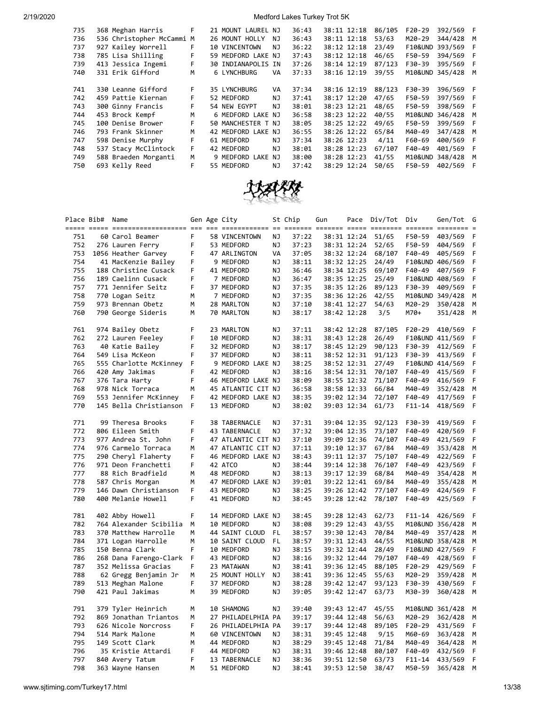| 735 | 368 Meghan Harris         | F | 21 MOUNT LAUREL NJ   |    | 36:43 | 38:11 12:18 | 86/105 | $F20-29$           | 392/569   | F |
|-----|---------------------------|---|----------------------|----|-------|-------------|--------|--------------------|-----------|---|
| 736 | 536 Christopher McCammi M |   | 26 MOUNT HOLLY       | NJ | 36:43 | 38:11 12:18 | 53/63  | M20-29             | 344/428   | M |
| 737 | 927 Kailey Worrell        |   | <b>10 VINCENTOWN</b> | NJ | 36:22 | 38:12 12:18 | 23/49  | <b>F10&amp;UND</b> | 393/569   | F |
| 738 | 785 Lisa Shilling         | F | 59 MEDFORD LAKE NJ   |    | 37:43 | 38:12 12:18 | 46/65  | F50-59             | 394/569   | F |
| 739 | 413 Jessica Ingemi        | F | 30 INDIANAPOLIS IN   |    | 37:26 | 38:14 12:19 | 87/123 | F30-39             | 395/569   | F |
| 740 | 331 Erik Gifford          | м | 6 LYNCHBURG          | VA | 37:33 | 38:16 12:19 | 39/55  | M10&UND            | 345/428   | M |
|     |                           |   |                      |    |       |             |        |                    |           |   |
| 741 | 330 Leanne Gifford        | F | 35 LYNCHBURG         | VA | 37:34 | 38:16 12:19 | 88/123 | F30-39             | 396/569   |   |
| 742 | 459 Pattie Kiernan        |   | 52 MEDFORD           | NJ | 37:41 | 38:17 12:20 | 47/65  | F50-59             | 397/569   | F |
| 743 | 300 Ginny Francis         |   | 54 NEW EGYPT         | NJ | 38:01 | 38:23 12:21 | 48/65  | F50-59             | 398/569 F |   |
| 744 | 453 Brock Kempf           | м | 6 MEDFORD LAKE NJ    |    | 36:58 | 38:23 12:22 | 40/55  | M10&UND            | 346/428   | M |
| 745 | 100 Denise Brower         | F | 50 MANCHESTER T NJ   |    | 38:05 | 38:25 12:22 | 49/65  | F50-59             | 399/569   | F |
| 746 | 793 Frank Skinner         | м | 42 MEDFORD LAKE NJ   |    | 36:55 | 38:26 12:22 | 65/84  | M40-49             | 347/428   | M |
| 747 | 598 Denise Murphy         | F | 61 MEDFORD           | NJ | 37:34 | 38:26 12:23 | 4/11   | F60-69             | 400/569   | F |
| 748 | 537 Stacy McClintock      | F | 42 MEDFORD           | NJ | 38:01 | 38:28 12:23 | 67/107 | F40-49             | 401/569   | F |
| 749 | 588 Braeden Morganti      | M | 9 MEDFORD LAKE NJ    |    | 38:00 | 38:28 12:23 | 41/55  | M10&UND            | 348/428   | M |
| 750 | 693 Kelly Reed            | F | 55 MEDFORD           | NJ | 37:42 | 38:29 12:24 | 50/65  | F50-59             | 402/569   | F |
|     |                           |   |                      |    |       |             |        |                    |           |   |



|     | Place Bib# Name |                                 |   | Gen Age City       |     | St Chip | Gun         |             | Pace Div/Tot Div |            | Gen/Tot          | G |
|-----|-----------------|---------------------------------|---|--------------------|-----|---------|-------------|-------------|------------------|------------|------------------|---|
|     |                 | ===== ===== =================== |   |                    |     |         |             |             |                  |            | $====$<br>==== = |   |
| 751 |                 | 60 Carol Beamer                 | F | 58 VINCENTOWN      | ΝJ  | 37:22   |             | 38:31 12:24 | 51/65            | F50-59     | 403/569          | F |
| 752 |                 | 276 Lauren Ferry                | F | 53 MEDFORD         | ΝJ  | 37:23   |             | 38:31 12:24 | 52/65            | F50-59     | 404/569          | F |
| 753 |                 | 1056 Heather Garvey             | F | 47 ARLINGTON       | VA  | 37:05   |             | 38:32 12:24 | 68/107           | F40-49     | 405/569          | F |
| 754 |                 | 41 MacKenzie Bailey             | F | 9 MEDFORD          | ΝJ  | 38:11   |             | 38:32 12:25 | 24/49            |            | F10&UND 406/569  | F |
| 755 |                 | 188 Christine Cusack            | F | 41 MEDFORD         | ΝJ  | 36:46   |             | 38:34 12:25 | 69/107           | F40-49     | 407/569          | F |
| 756 |                 | 189 Caelinn Cusack              | F | 7 MEDFORD          | ΝJ  | 36:47   |             | 38:35 12:25 | 25/49            |            | F10&UND 408/569  | F |
| 757 |                 | 771 Jennifer Seitz              | F | 37 MEDFORD         | ΝJ  | 37:35   |             | 38:35 12:26 | 89/123           | F30-39     | 409/569          | F |
| 758 |                 | 770 Logan Seitz                 | м | 7 MEDFORD          | ΝJ  | 37:35   |             | 38:36 12:26 | 42/55            |            | M10&UND 349/428  | M |
| 759 |                 | 973 Brennan Obetz               | M | 28 MARLTON         | NJ  | 37:10   |             | 38:41 12:27 | 54/63            | M20-29     | 350/428          | М |
| 760 |                 | 790 George Sideris              | М | 70 MARLTON         | ΝJ  | 38:17   |             | 38:42 12:28 | 3/5              | M70+       | 351/428          | М |
|     |                 |                                 |   |                    |     |         |             |             |                  |            |                  |   |
| 761 |                 | 974 Bailey Obetz                | F | 23 MARLTON         | ΝJ  | 37:11   |             | 38:42 12:28 | 87/105           | F20-29     | 410/569          | F |
| 762 |                 | 272 Lauren Feeley               | F | 10 MEDFORD         | ΝJ  | 38:31   |             | 38:43 12:28 | 26/49            |            | F10&UND 411/569  | F |
| 763 |                 | 40 Katie Bailey                 | F | 32 MEDFORD         | ΝJ  | 38:17   |             | 38:45 12:29 | 90/123           | F30-39     | 412/569          | F |
| 764 |                 | 549 Lisa McKeon                 | F | 37 MEDFORD         | NJ  | 38:11   |             | 38:52 12:31 | 91/123           | F30-39     | 413/569          | F |
| 765 |                 | 555 Charlotte McKinney          | F | 9 MEDFORD LAKE NJ  |     | 38:25   |             | 38:52 12:31 | 27/49            |            | F10&UND 414/569  | F |
| 766 |                 | 420 Amy Jakimas                 | F | 42 MEDFORD         | ΝJ  | 38:16   |             | 38:54 12:31 | 70/107           | F40-49     | 415/569          | F |
| 767 |                 | 376 Tara Harty                  | F | 46 MEDFORD LAKE NJ |     | 38:09   |             | 38:55 12:32 | 71/107           | F40-49     | 416/569          | F |
| 768 |                 | 978 Nick Torraca                | M | 45 ATLANTIC CIT NJ |     | 36:58   |             | 38:58 12:33 | 66/84            | M40-49     | 352/428          | M |
| 769 |                 | 553 Jennifer McKinney           | F | 42 MEDFORD LAKE NJ |     | 38:35   |             | 39:02 12:34 | 72/107           | F40-49     | 417/569          | F |
| 770 |                 | 145 Bella Christianson          | F | 13 MEDFORD         | ΝJ  | 38:02   |             | 39:03 12:34 | 61/73            | F11-14     | 418/569          | F |
|     |                 |                                 |   |                    |     |         |             |             |                  |            |                  |   |
| 771 |                 | 99 Theresa Brooks               | F | 38 TABERNACLE      | ΝJ  | 37:31   |             | 39:04 12:35 | 92/123           | F30-39     | 419/569          | F |
| 772 |                 | 806 Eileen Smith                | F | 43 TABERNACLE      | NJ  | 37:32   | 39:04 12:35 |             | 73/107           | F40-49     | 420/569          | F |
| 773 |                 | 977 Andrea St. John             | F | 47 ATLANTIC CIT NJ |     | 37:10   |             | 39:09 12:36 | 74/107           | F40-49     | 421/569          | F |
| 774 |                 | 976 Carmelo Torraca             | М | 47 ATLANTIC CIT NJ |     | 37:11   |             | 39:10 12:37 | 67/84            | M40-49     | 353/428          | М |
| 775 |                 | 290 Cheryl Flaherty             | F | 46 MEDFORD LAKE NJ |     | 38:43   |             | 39:11 12:37 | 75/107           | F40-49     | 422/569          | F |
| 776 |                 | 971 Deon Franchetti             | F | 42 ATCO            | ΝJ  | 38:44   |             | 39:14 12:38 | 76/107           | F40-49     | 423/569          | F |
| 777 |                 | 88 Rich Bradfield               | M | 48 MEDFORD         | ΝJ  | 38:13   |             | 39:17 12:39 | 68/84            | M40-49     | 354/428          | М |
| 778 |                 | 587 Chris Morgan                | M | 47 MEDFORD LAKE NJ |     | 39:01   |             | 39:22 12:41 | 69/84            | M40-49     | 355/428          | M |
| 779 |                 | 146 Dawn Christianson           | F | 43 MEDFORD         | ΝJ  | 38:25   |             | 39:26 12:42 | 77/107           | F40-49     | 424/569          | F |
| 780 |                 | 400 Melanie Howell              | F | 41 MEDFORD         | ΝJ  | 38:45   |             | 39:28 12:42 | 78/107           | F40-49     | 425/569          | F |
|     |                 |                                 |   |                    |     |         |             |             |                  |            |                  |   |
| 781 |                 | 402 Abby Howell                 | F | 14 MEDFORD LAKE NJ |     | 38:45   |             | 39:28 12:43 | 62/73            |            | F11-14 426/569   | F |
| 782 |                 | 764 Alexander Scibilia          | M | 10 MEDFORD         | NJ  | 38:08   |             | 39:29 12:43 | 43/55            |            | M10&UND 356/428  | М |
| 783 |                 | 370 Matthew Harrolle            | M | 44 SAINT CLOUD     | FL. | 38:57   |             | 39:30 12:43 | 70/84            | M40-49     | 357/428          | М |
| 784 |                 | 371 Logan Harrolle              | M | 10 SAINT CLOUD     | FL  | 38:57   |             | 39:31 12:43 | 44/55            |            | M10&UND 358/428  | M |
| 785 |                 | 150 Benna Clark                 | F | 10 MEDFORD         | ΝJ  | 38:15   |             | 39:32 12:44 | 28/49            |            | F10&UND 427/569  | F |
| 786 |                 | 268 Dana Farengo-Clark          | F | 43 MEDFORD         | NJ  | 38:16   |             | 39:32 12:44 | 79/107           | F40-49     | 428/569          | F |
| 787 |                 | 352 Melissa Gracias             | F | 23 MATAWAN         | ΝJ  | 38:41   |             | 39:36 12:45 | 88/105           | F20-29     | 429/569          | F |
| 788 |                 | 62 Gregg Benjamin Jr            | М | 25 MOUNT HOLLY     | ΝJ  | 38:41   |             | 39:36 12:45 | 55/63            | M20-29     | 359/428          | М |
| 789 |                 | 513 Meghan Malone               | F | 37 MEDFORD         | ΝJ  | 38:28   |             | 39:42 12:47 | 93/123           | F30-39     | 430/569          | F |
| 790 |                 | 421 Paul Jakimas                | М | 39 MEDFORD         | NJ  | 39:05   |             | 39:42 12:47 | 63/73            | M30-39     | 360/428          | М |
|     |                 |                                 |   |                    |     |         |             |             |                  |            |                  |   |
| 791 |                 | 379 Tyler Heinrich              | М | 10 SHAMONG         | ΝJ  | 39:40   | 39:43 12:47 |             | 45/55            |            | M10&UND 361/428  | M |
| 792 |                 | 869 Jonathan Triantos           | M | 27 PHILADELPHIA PA |     | 39:17   |             | 39:44 12:48 | 56/63            | M20-29     | 362/428          | М |
| 793 |                 | 626 Nicole Norcross             | F | 26 PHILADELPHIA PA |     | 39:17   |             | 39:44 12:48 | 89/105           | F20-29     | 431/569          | F |
| 794 |                 | 514 Mark Malone                 | М | 60 VINCENTOWN      | ΝJ  | 38:31   |             | 39:45 12:48 | 9/15             | M60-69     | 363/428          | M |
| 795 |                 | 149 Scott Clark                 | M | 44 MEDFORD         | NJ  | 38:29   |             | 39:45 12:48 | 71/84            | M40-49     | 364/428          | M |
| 796 |                 | 35 Kristie Attardi              | F | 44 MEDFORD         | ΝJ  | 38:31   |             | 39:46 12:48 | 80/107           | F40-49     | 432/569          | F |
| 797 |                 | 840 Avery Tatum                 | F | 13 TABERNACLE      | ΝJ  | 38:36   |             | 39:51 12:50 | 63/73            | $F11 - 14$ | 433/569          | F |
| 798 |                 | 363 Wayne Hansen                | M | 51 MEDFORD         | NJ  | 38:41   |             | 39:53 12:50 | 38/47            | M50-59     | 365/428          | M |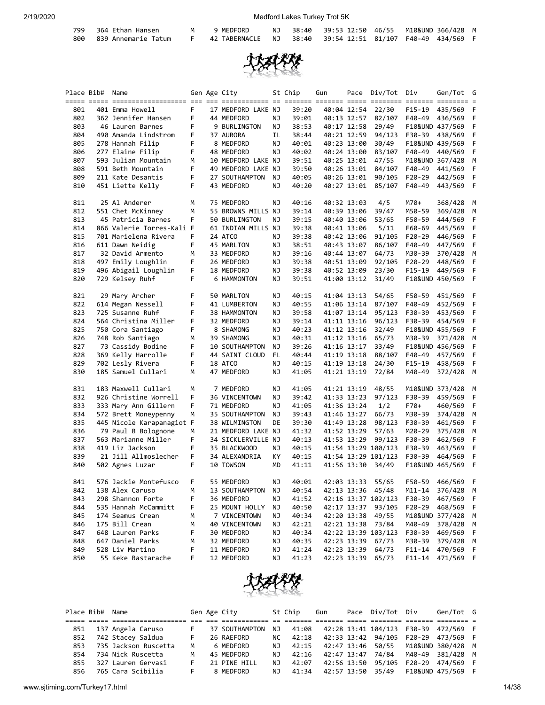| han Hancon |  |
|------------|--|

| M | 9 MEDEORD | 38.40 |  |
|---|-----------|-------|--|

| 799 364 Ethan Hansen    | 9 MEDFORD                                                                    |  | NJ 38:40 39:53 12:50 46/55 M10&UND 366/428 M |  |  |
|-------------------------|------------------------------------------------------------------------------|--|----------------------------------------------|--|--|
| 800 839 Annemarie Tatum | 42 TABERNACLE    NJ     38:40    39:54 12:51   81/107   F40-49   434/569   F |  |                                              |  |  |



|     | Place Bib# | Name                      |    | Gen Age City       |    | St Chip | Gun | Pace        | Div/Tot Div         |            | Gen/Tot G       |     |
|-----|------------|---------------------------|----|--------------------|----|---------|-----|-------------|---------------------|------------|-----------------|-----|
| 801 |            | 401 Emma Howell           | F  | 17 MEDFORD LAKE NJ |    | 39:20   |     | 40:04 12:54 | 22/30               | F15-19     | 435/569         | F   |
| 802 |            | 362 Jennifer Hansen       | F  | 44 MEDFORD         | ΝJ | 39:01   |     | 40:13 12:57 | 82/107              | F40-49     | 436/569         | F   |
| 803 |            | 46 Lauren Barnes          | F  | 9 BURLINGTON       | ΝJ | 38:53   |     | 40:17 12:58 | 29/49               |            | F10&UND 437/569 | F   |
| 804 |            | 490 Amanda Lindstrom      | F  | 37 AURORA          | IL | 38:44   |     | 40:21 12:59 | 94/123              | F30-39     | 438/569         | F   |
| 805 |            | 278 Hannah Filip          | F  | 8 MEDFORD          | ΝJ | 40:01   |     | 40:23 13:00 | 30/49               |            | F10&UND 439/569 | F   |
| 806 |            | 277 Elaine Filip          | F  | 48 MEDFORD         | ΝJ | 40:02   |     | 40:24 13:00 | 83/107              | F40-49     | 440/569         | F   |
| 807 |            | 593 Julian Mountain       | М  | 10 MEDFORD LAKE NJ |    | 39:51   |     | 40:25 13:01 | 47/55               |            | M10&UND 367/428 | M   |
| 808 |            | 591 Beth Mountain         | F  | 49 MEDFORD LAKE NJ |    | 39:50   |     | 40:26 13:01 | 84/107              | F40-49     | 441/569         | F   |
| 809 |            | 211 Kate Desantis         | F  | 27 SOUTHAMPTON     | ΝJ | 40:05   |     | 40:26 13:01 | 90/105              | $F20-29$   | 442/569         | F   |
| 810 |            | 451 Liette Kelly          | F  | 43 MEDFORD         | ΝJ | 40:20   |     | 40:27 13:01 | 85/107              | F40-49     | 443/569         | F   |
| 811 |            | 25 Al Anderer             | М  | 75 MEDFORD         | ΝJ | 40:16   |     | 40:32 13:03 | 4/5                 | M70+       | 368/428         | M   |
| 812 |            | 551 Chet McKinney         | М  | 55 BROWNS MILLS NJ |    | 39:14   |     | 40:39 13:06 | 39/47               | M50-59     | 369/428         | М   |
| 813 |            | 45 Patricia Barnes        | F  | 50 BURLINGTON      | ΝJ | 39:15   |     | 40:40 13:06 | 53/65               | F50-59     | 444/569         | F   |
| 814 |            | 866 Valerie Torres-Kali F |    | 61 INDIAN MILLS NJ |    | 39:38   |     | 40:41 13:06 | 5/11                | F60-69     | 445/569         | F   |
| 815 |            | 701 Marielena Rivera      | F  | 24 ATCO            | ΝJ | 39:38   |     | 40:42 13:06 | 91/105              | $F20-29$   | 446/569         | F   |
| 816 |            | 611 Dawn Neidig           | F. | 45 MARLTON         | ΝJ | 38:51   |     | 40:43 13:07 | 86/107              | F40-49     | 447/569         | F   |
| 817 |            | 32 David Armento          | М  | 33 MEDFORD         | ΝJ | 39:16   |     | 40:44 13:07 | 64/73               | M30-39     | 370/428         | М   |
| 818 |            | 497 Emily Loughlin        | F  | 26 MEDFORD         | ΝJ | 39:38   |     | 40:51 13:09 | 92/105              | F20-29     | 448/569         | F   |
| 819 |            | 496 Abigail Loughlin      | F  | 18 MEDFORD         | ΝJ | 39:38   |     | 40:52 13:09 | 23/30               | $F15-19$   | 449/569         | F   |
| 820 |            | 729 Kelsey Ruhf           | F  | 6 HAMMONTON        | ΝJ | 39:51   |     | 41:00 13:12 | 31/49               |            | F10&UND 450/569 | F   |
| 821 |            | 29 Mary Archer            | F  | 50 MARLTON         | ΝJ | 40:15   |     | 41:04 13:13 | 54/65               | F50-59     | 451/569         | F   |
| 822 |            | 614 Megan Nessell         | F  | 41 LUMBERTON       | ΝJ | 40:55   |     | 41:06 13:14 | 87/107              | F40-49     | 452/569         | F   |
| 823 |            | 725 Susanne Ruhf          | F  | 38 HAMMONTON       | ΝJ | 39:58   |     | 41:07 13:14 | 95/123              | F30-39     | 453/569         | F   |
| 824 |            | 564 Christina Miller      | F  | 32 MEDFORD         | ΝJ | 39:14   |     | 41:11 13:16 | 96/123              | F30-39     | 454/569         | F   |
| 825 |            | 750 Cora Santiago         | F  | 8 SHAMONG          | ΝJ | 40:23   |     | 41:12 13:16 | 32/49               |            | F10&UND 455/569 | F   |
| 826 |            | 748 Rob Santiago          | М  | 39 SHAMONG         | ΝJ | 40:31   |     | 41:12 13:16 | 65/73               | M30-39     | 371/428         | М   |
| 827 |            | 73 Cassidy Bodine         | F  | 10 SOUTHAMPTON     | ΝJ | 39:26   |     | 41:16 13:17 | 33/49               |            | F10&UND 456/569 | F   |
| 828 |            | 369 Kelly Harrolle        | F  | 44 SAINT CLOUD     | FL | 40:44   |     | 41:19 13:18 | 88/107              | F40-49     | 457/569         | F   |
| 829 |            | 702 Lesly Rivera          | F  | 18 ATCO            | ΝJ | 40:15   |     | 41:19 13:18 | 24/30               | F15-19     | 458/569         | F   |
| 830 |            | 185 Samuel Cullari        | М  | 47 MEDFORD         | ΝJ | 41:05   |     | 41:21 13:19 | 72/84               | M40-49     | 372/428         | M   |
| 831 |            | 183 Maxwell Cullari       | M  | 7 MEDFORD          | ΝJ | 41:05   |     | 41:21 13:19 | 48/55               |            | M10&UND 373/428 | М   |
| 832 |            | 926 Christine Worrell     | F. | 36 VINCENTOWN      | ΝJ | 39:42   |     | 41:33 13:23 | 97/123              | F30-39     | 459/569         | F   |
| 833 |            | 333 Mary Ann Gillern      | F  | 71 MEDFORD         | ΝJ | 41:05   |     | 41:36 13:24 | 1/2                 | F70+       | 460/569         | F   |
| 834 |            | 572 Brett Moneypenny      | м  | 35 SOUTHAMPTON     | ΝJ | 39:43   |     | 41:46 13:27 | 66/73               | M30-39     | 374/428         | М   |
| 835 |            | 445 Nicole Karapanagiot F |    | 38 WILMINGTON      | DE | 39:30   |     | 41:49 13:28 | 98/123              | F30-39     | 461/569         | F   |
| 836 |            | 79 Paul B Bolognone       | м  | 21 MEDFORD LAKE NJ |    | 41:32   |     | 41:52 13:29 | 57/63               | M20-29     | 375/428         | М   |
| 837 |            | 563 Marianne Miller       | F  | 34 SICKLERVILLE NJ |    | 40:13   |     | 41:53 13:29 | 99/123              | F30-39     | 462/569         | F   |
| 838 |            | 419 Liz Jackson           | F. | 35 BLACKWOOD       | ΝJ | 40:15   |     |             | 41:54 13:29 100/123 | F30-39     | 463/569         | F   |
| 839 |            | 21 Jill Allmoslecher      | F  | 34 ALEXANDRIA      | КY | 40:15   |     |             | 41:54 13:29 101/123 | F30-39     | 464/569         | F   |
| 840 |            | 502 Agnes Luzar           | F  | 10 TOWSON          | MD | 41:11   |     | 41:56 13:30 | 34/49               |            | F10&UND 465/569 | F   |
| 841 |            | 576 Jackie Montefusco     | F  | 55 MEDFORD         | ΝJ | 40:01   |     | 42:03 13:33 | 55/65               | F50-59     | 466/569         | - F |
| 842 |            | 138 Alex Caruso           | м  | 13 SOUTHAMPTON     | ΝJ | 40:54   |     |             | 42:13 13:36 45/48   | $M11 - 14$ | 376/428         | M   |
| 843 |            | 298 Shannon Forte         | F  | 36 MEDFORD         | ΝJ | 41:52   |     |             | 42:16 13:37 102/123 | F30-39     | 467/569         | F   |
| 844 |            | 535 Hannah McCammitt      | F  | 25 MOUNT HOLLY     | ΝJ | 40:50   |     | 42:17 13:37 | 93/105              | F20-29     | 468/569         | F   |
| 845 |            | 174 Seamus Crean          | м  | 7 VINCENTOWN       | ΝJ | 40:34   |     | 42:20 13:38 | 49/55               |            | M10&UND 377/428 | M   |
| 846 |            | 175 Bill Crean            | м  | 40 VINCENTOWN      | ΝJ | 42:21   |     | 42:21 13:38 | 73/84               | M40-49     | 378/428         | M   |
| 847 |            | 648 Lauren Parks          | F  | 30 MEDFORD         | ΝJ | 40:34   |     |             | 42:22 13:39 103/123 | F30-39     | 469/569         | F   |
| 848 |            | 647 Daniel Parks          | м  | 32 MEDFORD         | ΝJ | 40:35   |     | 42:23 13:39 | 67/73               | M30-39     | 379/428         | M   |
| 849 |            | 528 Liv Martino           | F  | 11 MEDFORD         | ΝJ | 41:24   |     | 42:23 13:39 | 64/73               | $F11 - 14$ | 470/569         | F   |
| 850 |            | 55 Keke Bastarache        | F. | 12 MEDFORD         | ΝJ | 41:23   |     | 42:23 13:39 | 65/73               | $F11 - 14$ | 471/569 F       |     |
|     |            |                           |    |                    |    |         |     |             |                     |            |                 |     |



|     | Place Bib# Name |                      |   | Gen Age City   |     | St Chip | Gun | Pace Div/Tot Div                    |        | Gen/Tot G        |  |
|-----|-----------------|----------------------|---|----------------|-----|---------|-----|-------------------------------------|--------|------------------|--|
|     |                 |                      |   |                |     |         |     |                                     |        |                  |  |
| 851 |                 | 137 Angela Caruso    |   | 37 SOUTHAMPTON | N J | 41:08   |     |                                     |        |                  |  |
| 852 |                 | 742 Stacey Saldua    |   | 26 RAEFORD     | NC. | 42:18   |     | 42:33 13:42 94/105 F20-29 473/569 F |        |                  |  |
| 853 |                 | 735 Jackson Ruscetta | м | 6 MEDFORD      | NJ. | 42:15   |     | 42:47 13:46 50/55 M10&UND 380/428 M |        |                  |  |
| 854 |                 | 734 Nick Ruscetta    | м | 45 MEDFORD     | NJ. | 42:16   |     | 42:47 13:47 74/84                   |        | M40-49 381/428 M |  |
| 855 |                 | 327 Lauren Gervasi   |   | 21 PINE HILL   | NJ. | 42:07   |     | 42:56 13:50 95/105                  | F20-29 | 474/569 F        |  |
| 856 |                 | 765 Cara Scibilia    |   | 8 MEDFORD      | N J | 41:34   |     |                                     |        |                  |  |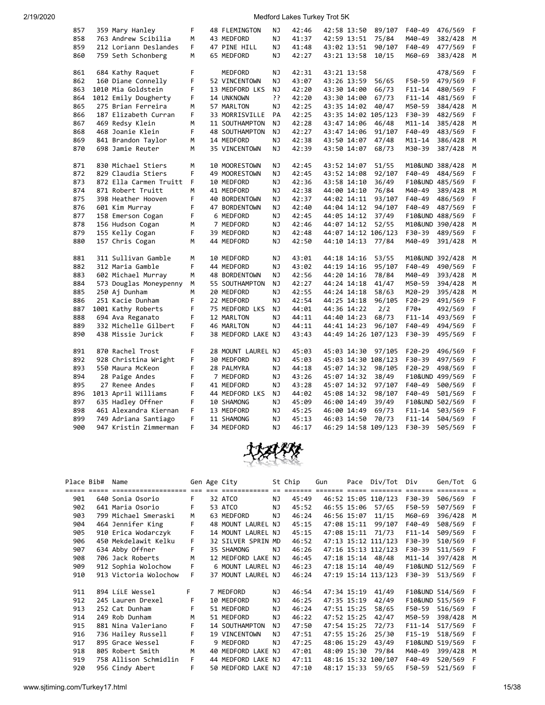| 857 | 359 Mary Hanley        | F  | 48 FLEMINGTON      | ΝJ        | 42:46 | 42:58 13:50 | 89/107              | F40-49          | 476/569         | F |
|-----|------------------------|----|--------------------|-----------|-------|-------------|---------------------|-----------------|-----------------|---|
| 858 | 763 Andrew Scibilia    | М  | 43 MEDFORD         | <b>NJ</b> | 41:37 | 42:59 13:51 | 75/84               | M40-49          | 382/428         | M |
| 859 | 212 Loriann Deslandes  | F. | 47 PINE HILL       | NJ        | 41:48 | 43:02 13:51 | 90/107              | F40-49          | 477/569         | F |
| 860 | 759 Seth Schonberg     | M  | 65 MEDFORD         | NJ        | 42:27 | 43:21 13:58 | 10/15               | M60-69          | 383/428         | M |
|     |                        |    |                    |           |       |             |                     |                 |                 |   |
| 861 | 684 Kathy Raquet       | F  | MEDFORD            | NJ        | 42:31 | 43:21 13:58 |                     |                 | 478/569         | F |
| 862 | 160 Diane Connelly     | F  | 52 VINCENTOWN      | NJ        | 43:07 | 43:26 13:59 | 56/65               | F50-59          | 479/569         | F |
| 863 | 1010 Mia Goldstein     | F  | 13 MEDFORD LKS     | NJ        | 42:20 | 43:30 14:00 | 66/73               | F11-14          | 480/569         | F |
| 864 | 1012 Emily Dougherty   | F  | 14 UNKNOWN         | ??        | 42:20 | 43:30 14:00 | 67/73               | $F11 - 14$      | 481/569         | F |
| 865 | 275 Brian Ferreira     | м  | 57 MARLTON         | NJ        | 42:25 | 43:35 14:02 | 40/47               | M50-59          | 384/428         | M |
| 866 | 187 Elizabeth Curran   | F  | 33 MORRISVILLE     | PA        | 42:25 |             | 43:35 14:02 105/123 | F30-39          | 482/569         | F |
| 867 | 469 Redsy Klein        | M  | 11 SOUTHAMPTON     | NJ        | 42:28 | 43:47 14:06 | 46/48               | M11-14          | 385/428         | M |
| 868 | 468 Joanie Klein       | F  | 48 SOUTHAMPTON     | NJ        | 42:27 | 43:47 14:06 | 91/107              | F40-49          | 483/569         | F |
| 869 | 841 Brandon Taylor     | М  | 14 MEDFORD         | NJ        | 42:38 | 43:50 14:07 | 47/48               | $M11 - 14$      | 386/428         | М |
| 870 | 698 Jamie Reuter       | M  | 35 VINCENTOWN      | NJ        | 42:39 | 43:50 14:07 | 68/73               | M30-39          | 387/428         | M |
|     |                        |    |                    |           |       |             |                     |                 |                 |   |
| 871 | 830 Michael Stiers     | M  | 10 MOORESTOWN      | NJ        | 42:45 | 43:52 14:07 | 51/55               | M10&UND 388/428 |                 | M |
| 872 | 829 Claudia Stiers     | F  | 49 MOORESTOWN      | NJ        | 42:45 | 43:52 14:08 | 92/107              | F40-49          | 484/569         | F |
| 873 | 872 Ella Carmen Truitt | F  | 10 MEDFORD         | NJ        | 42:36 | 43:58 14:10 | 36/49               |                 | F10&UND 485/569 | F |
| 874 | 871 Robert Truitt      | м  | 41 MEDFORD         | NJ        | 42:38 | 44:00 14:10 | 76/84               | M40-49          | 389/428         | M |
| 875 | 398 Heather Hooven     | F  | 40 BORDENTOWN      | ΝJ        | 42:37 | 44:02 14:11 | 93/107              | F40-49          | 486/569         | F |
| 876 | 601 Kim Murray         | F  | 47 BORDENTOWN      | NJ        | 42:40 | 44:04 14:12 | 94/107              | F40-49          | 487/569         | F |
| 877 | 158 Emerson Cogan      | F  | 6 MEDFORD          | <b>NJ</b> | 42:45 | 44:05 14:12 | 37/49               |                 | F10&UND 488/569 | F |
| 878 | 156 Hudson Cogan       | M  | 7 MEDFORD          | NJ        | 42:46 | 44:07 14:12 | 52/55               | M10&UND 390/428 |                 | M |
| 879 | 155 Kelly Cogan        | F  | 39 MEDFORD         | ΝJ        | 42:48 |             | 44:07 14:12 106/123 | F30-39          | 489/569         | F |
| 880 | 157 Chris Cogan        | М  | 44 MEDFORD         | ΝJ        | 42:50 | 44:10 14:13 | 77/84               | M40-49          | 391/428         | M |
| 881 | 311 Sullivan Gamble    | М  | 10 MEDFORD         | ΝJ        | 43:01 | 44:18 14:16 | 53/55               | M10&UND 392/428 |                 | М |
| 882 | 312 Maria Gamble       | F  | 44 MEDFORD         | NJ        | 43:02 | 44:19 14:16 | 95/107              | F40-49          | 490/569         | F |
| 883 | 602 Michael Murray     | М  | 48 BORDENTOWN      | NJ        | 42:56 | 44:20 14:16 | 78/84               | M40-49          | 393/428         | M |
| 884 | 573 Douglas Moneypenny | М  | 55 SOUTHAMPTON     | NJ        | 42:27 | 44:24 14:18 | 41/47               | M50-59          | 394/428         | M |
| 885 | 250 Aj Dunham          | M  | 20 MEDFORD         | NJ        | 42:55 | 44:24 14:18 | 58/63               | M20-29          | 395/428         | M |
| 886 | 251 Kacie Dunham       | F  | 22 MEDFORD         | NJ        | 42:54 | 44:25 14:18 | 96/105              | F20-29          | 491/569         | F |
| 887 | 1001 Kathy Roberts     | F  | 75 MEDFORD LKS     | NJ        | 44:01 | 44:36 14:22 | 2/2                 | F70+            | 492/569         | F |
| 888 | 694 Ava Reganato       | F  | 12 MARLTON         | NJ        | 44:11 | 44:40 14:23 | 68/73               | $F11 - 14$      | 493/569         | F |
| 889 | 332 Michelle Gilbert   | F  | 46 MARLTON         | NJ        | 44:11 | 44:41 14:23 | 96/107              | F40-49          | 494/569         | F |
| 890 | 438 Missie Jurick      | F  | 38 MEDFORD LAKE NJ |           | 43:43 |             | 44:49 14:26 107/123 | F30-39          | 495/569         | F |
|     |                        |    |                    |           |       |             |                     |                 |                 |   |
| 891 | 870 Rachel Trost       | F  | 28 MOUNT LAUREL NJ |           | 45:03 | 45:03 14:30 | 97/105              | F20-29          | 496/569         | F |
| 892 | 928 Christina Wright   | F  | 30 MEDFORD         | ΝJ        | 45:03 |             | 45:03 14:30 108/123 | F30-39          | 497/569         | F |
| 893 | 550 Maura McKeon       | F  | 28 PALMYRA         | NJ        | 44:18 | 45:07 14:32 | 98/105              | $F20-29$        | 498/569         | F |
| 894 | 28 Paige Andes         | F  | 7 MEDFORD          | <b>NJ</b> | 43:26 | 45:07 14:32 | 38/49               |                 | F10&UND 499/569 | F |
| 895 | 27 Renee Andes         | F  | 41 MEDFORD         | NJ        | 43:28 | 45:07 14:32 | 97/107              | F40-49          | 500/569         | F |
| 896 | 1013 April Williams    | F  | 44 MEDFORD LKS     | NJ        | 44:02 | 45:08 14:32 | 98/107              | F40-49          | 501/569         | F |
| 897 | 635 Hadley Offner      | F  | 10 SHAMONG         | NJ        | 45:09 | 46:00 14:49 | 39/49               |                 | F10&UND 502/569 | F |
| 898 | 461 Alexandra Kiernan  | F  | 13 MEDFORD         | NJ        | 45:25 | 46:00 14:49 | 69/73               | F11-14          | 503/569         | F |
| 899 | 749 Adriana Santiago   | F  | 11 SHAMONG         | <b>NJ</b> | 45:13 | 46:03 14:50 | 70/73               | F11-14          | 504/569         | F |
| 900 | 947 Kristin Zimmerman  | F  | 34 MEDFORD         | NJ        | 46:17 |             | 46:29 14:58 109/123 | F30-39          | 505/569         | F |
|     |                        |    |                    |           |       |             |                     |                 |                 |   |



| Place Bib# | Name                  |    | Gen Age City       |     | St Chip | Gun |             | Pace Div/Tot        | Div                | Gen/Tot G       |     |
|------------|-----------------------|----|--------------------|-----|---------|-----|-------------|---------------------|--------------------|-----------------|-----|
|            | ===================== |    |                    |     |         |     |             |                     |                    |                 |     |
| 901        | 640 Sonia Osorio      | F. | 32 ATCO            | NJ. | 45:49   |     |             | 46:52 15:05 110/123 | F30-39             | 506/569 F       |     |
| 902        | 641 Maria Osorio      | F  | 53 ATCO            | NJ  | 45:52   |     | 46:55 15:06 | 57/65               | F50-59             | 507/569 F       |     |
| 903        | 799 Michael Smeraski  | M  | 63 MEDFORD         | NJ. | 46:24   |     | 46:56 15:07 | 11/15               | M60-69             | 396/428         | M   |
| 904        | 464 Jennifer King     | F  | 48 MOUNT LAUREL NJ |     | 45:15   |     | 47:08 15:11 | 99/107              | F40-49             | 508/569         | F   |
| 905        | 910 Erica Wodarczyk   | F  | 14 MOUNT LAUREL NJ |     | 45:15   |     | 47:08 15:11 | 71/73               | $F11 - 14$         | 509/569 F       |     |
| 906        | 450 Mekdelawit Kelku  | F. | 32 SILVER SPRIN MD |     | 46:52   |     |             | 47:13 15:12 111/123 | F30-39             | 510/569         | - F |
| 907        | 634 Abby Offner       | F  | 35 SHAMONG         | NJ. | 46:26   |     |             | 47:16 15:13 112/123 | F30-39             | 511/569 F       |     |
| 908        | 706 Jack Roberts      | M  | 12 MEDFORD LAKE NJ |     | 46:45   |     | 47:18 15:14 | 48/48               | $M11 - 14$         | 397/428         | M   |
| 909        | 912 Sophia Wolochow   | F  | 6 MOUNT LAUREL NJ  |     | 46:23   |     | 47:18 15:14 | 40/49               | <b>F10&amp;UND</b> | 512/569         | F   |
| 910        | 913 Victoria Wolochow | F  | 37 MOUNT LAUREL NJ |     | 46:24   |     |             | 47:19 15:14 113/123 | F30-39             | 513/569 F       |     |
|            |                       |    |                    |     |         |     |             |                     |                    |                 |     |
| 911        | 894 LíLE Wessel       | F. | 7 MEDFORD          | ΝJ  | 46:54   |     | 47:34 15:19 | 41/49               |                    | F10&UND 514/569 | -F  |
| 912        | 245 Lauren Drexel     | F  | 10 MEDFORD         | ΝJ  | 46:25   |     | 47:35 15:19 | 42/49               |                    | F10&UND 515/569 | F   |
| 913        | 252 Cat Dunham        | F  | 51 MEDFORD         | ΝJ  | 46:24   |     | 47:51 15:25 | 58/65               | F50-59             | 516/569         | F   |
| 914        | 249 Rob Dunham        | M  | 51 MEDFORD         | ΝJ  | 46:22   |     | 47:52 15:25 | 42/47               | M50-59             | 398/428         | M   |
| 915        | 881 Nina Valeriano    | F  | 14 SOUTHAMPTON     | NJ. | 47:50   |     | 47:54 15:25 | 72/73               | $F11 - 14$         | 517/569         |     |
| 916        | 736 Hailey Russell    | F  | 19 VINCENTOWN      | NJ. | 47:51   |     | 47:55 15:26 | 25/30               | $F15-19$           | 518/569         | F   |
| 917        | 895 Grace Wessel      | F  | 9 MEDFORD          | NJ. | 47:25   |     | 48:06 15:29 | 43/49               |                    | F10&UND 519/569 | F   |
| 918        | 805 Robert Smith      | М  | 40 MEDFORD LAKE NJ |     | 47:01   |     | 48:09 15:30 | 79/84               | M40-49             | 399/428         | M   |
| 919        | 758 Allison Schmidlin | F. | 44 MEDFORD LAKE NJ |     | 47:11   |     |             | 48:16 15:32 100/107 | F40-49             | 520/569         | -F  |
| 920        | 956 Cindy Abert       | F  | 50 MEDFORD LAKE NJ |     | 47:10   |     | 48:17 15:33 | 59/65               | F50-59             | 521/569         |     |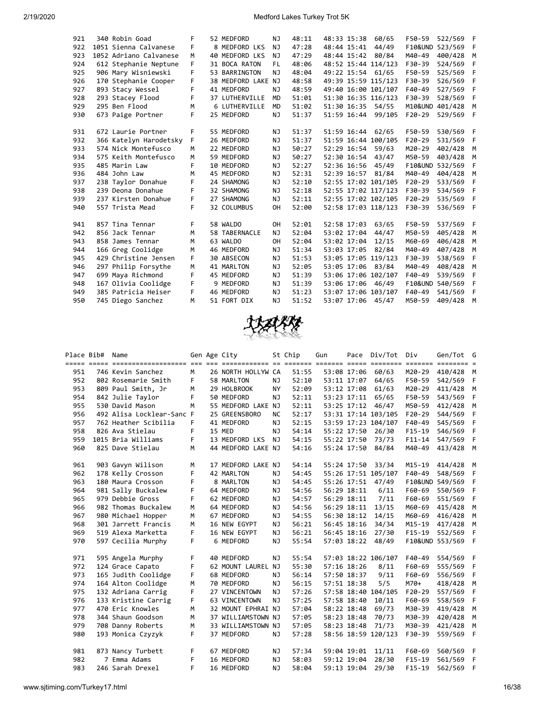| 921 | 340 Robin Goad         | F  | 52 MEDFORD            | NJ        | 48:11 | 48:33 15:38 |             | 60/65               | F50-59          | 522/569 | F   |
|-----|------------------------|----|-----------------------|-----------|-------|-------------|-------------|---------------------|-----------------|---------|-----|
| 922 | 1051 Sienna Calvanese  | F. | 8 MEDFORD LKS         | NJ.       | 47:28 |             | 48:44 15:41 | 44/49               | F10&UND 523/569 |         | F   |
| 923 | 1052 Adriano Calvanese | M  | 40 MEDFORD LKS        | NJ.       | 47:29 |             |             | 48:44 15:42 80/84   | M40-49          | 400/428 | M   |
| 924 | 612 Stephanie Neptune  | F. | 31 BOCA RATON         | FL        | 48:06 |             |             | 48:52 15:44 114/123 | F30-39          | 524/569 | F   |
| 925 | 906 Mary Wisniewski    | F  | 53 BARRINGTON         | NJ        | 48:04 |             |             | 49:22 15:54 61/65   | F50-59          | 525/569 | F   |
| 926 | 170 Stephanie Cooper   | F  | 38 MEDFORD LAKE NJ    |           | 48:58 |             |             | 49:39 15:59 115/123 | F30-39          | 526/569 | F   |
| 927 | 893 Stacy Wessel       | F. | 41 MEDFORD            | NJ.       | 48:59 |             |             | 49:40 16:00 101/107 | F40-49          | 527/569 | F   |
| 928 | 293 Stacey Flood       | F  | <b>37 LUTHERVILLE</b> | <b>MD</b> | 51:01 |             |             | 51:30 16:35 116/123 | F30-39          | 528/569 | F   |
| 929 | 295 Ben Flood          | м  | 6 LUTHERVILLE         | <b>MD</b> | 51:02 |             | 51:30 16:35 | 54/55               | M10&UND 401/428 |         | M   |
| 930 | 673 Paige Portner      | F  | 25 MEDFORD            | NJ        | 51:37 | 51:59 16:44 |             | 99/105              | $F20-29$        | 529/569 | F   |
|     |                        |    |                       |           |       |             |             |                     |                 |         |     |
| 931 | 672 Laurie Portner     | F  | 55 MEDFORD            | NJ        | 51:37 |             | 51:59 16:44 | 62/65               | F50-59          | 530/569 | - F |
| 932 | 366 Katelyn Harodetsky | F. | 26 MEDFORD            | NJ        | 51:37 |             |             | 51:59 16:44 100/105 | $F20-29$        | 531/569 | F   |
| 933 | 574 Nick Montefusco    | M  | 22 MEDFORD            | NJ        | 50:27 |             | 52:29 16:54 | 59/63               | M20-29          | 402/428 | M   |
| 934 | 575 Keith Montefusco   | М  | 59 MEDFORD            | NJ        | 50:27 |             | 52:30 16:54 | 43/47               | M50-59          | 403/428 | M   |
| 935 | 485 Marin Law          | F  | 10 MEDFORD            | NJ        | 52:27 |             | 52:36 16:56 | 45/49               | F10&UND 532/569 |         | F   |
| 936 | 484 John Law           | M  | 45 MEDFORD            | NJ        | 52:31 |             | 52:39 16:57 | 81/84               | M40-49          | 404/428 | M   |
| 937 | 238 Taylor Donahue     | F. | 24 SHAMONG            | NJ        | 52:10 |             |             | 52:55 17:02 101/105 | $F20-29$        | 533/569 | F   |
| 938 | 239 Deona Donahue      | F. | 32 SHAMONG            | NJ        | 52:18 |             |             | 52:55 17:02 117/123 | F30-39          | 534/569 | F   |
| 939 | 237 Kirsten Donahue    | F. | 27 SHAMONG            | NJ        | 52:11 |             |             | 52:55 17:02 102/105 | $F20-29$        | 535/569 | F   |
| 940 | 557 Trista Mead        | F  | 32 COLUMBUS           | <b>OH</b> | 52:00 |             |             | 52:58 17:03 118/123 | F30-39          | 536/569 | - F |
|     |                        |    |                       |           |       |             |             |                     |                 |         |     |
| 941 | 857 Tina Tennar        | F  | 58 WALDO              | <b>OH</b> | 52:01 | 52:58 17:03 |             | 63/65               | F50-59          | 537/569 | - F |
| 942 | 856 Jack Tennar        | M  | 58 TABERNACLE         | NJ        | 52:04 |             | 53:02 17:04 | 44/47               | M50-59          | 405/428 | M   |
| 943 | 858 James Tennar       | M  | 63 WALDO              | OH        | 52:04 | 53:02 17:04 |             | 12/15               | M60-69          | 406/428 | M   |
| 944 | 166 Greg Coolidge      | M  | 46 MEDFORD            | NJ        | 51:34 | 53:03 17:05 |             | 82/84               | M40-49          | 407/428 | M   |
| 945 | 429 Christine Jensen   | F  | 30 ABSECON            | ΝJ        | 51:53 |             |             | 53:05 17:05 119/123 | F30-39          | 538/569 | F   |
| 946 | 297 Philip Forsythe    | M  | 41 MARLTON            | NJ        | 52:05 | 53:05 17:06 |             | 83/84               | M40-49          | 408/428 | M   |
| 947 | 699 Maya Richmond      | F  | 45 MEDFORD            | NJ        | 51:39 |             |             | 53:06 17:06 102/107 | F40-49          | 539/569 | F   |
| 948 | 167 Olivia Coolidge    | F  | 9 MEDFORD             | NJ.       | 51:39 |             | 53:06 17:06 | 46/49               | F10&UND 540/569 |         | F   |
| 949 | 385 Patricia Heiser    | F. | 46 MEDFORD            | NJ        | 51:23 |             |             | 53:07 17:06 103/107 | F40-49          | 541/569 | F   |
| 950 | 745 Diego Sanchez      | м  | 51 FORT DIX           | NJ        | 51:52 |             |             | 53:07 17:06 45/47   | M50-59          | 409/428 | M   |



| Place Bib# | Name                      |    | Gen Age City       |           | St Chip | Gun         |             | Pace Div/Tot Div    |          | Gen/Tot G        |      |
|------------|---------------------------|----|--------------------|-----------|---------|-------------|-------------|---------------------|----------|------------------|------|
|            |                           |    |                    |           |         |             |             |                     |          |                  |      |
| 951        | 746 Kevin Sanchez         | M  | 26 NORTH HOLLYW CA |           | 51:55   |             | 53:08 17:06 | 60/63               | M20-29   | 410/428 M        |      |
| 952        | 802 Rosemarie Smith       | F. | 58 MARLTON         | <b>NJ</b> | 52:10   |             | 53:11 17:07 | 64/65               | F50-59   | 542/569          | - F  |
| 953        | 809 Paul Smith, Jr        | M  | 29 HOLBROOK        | <b>NY</b> | 52:09   |             | 53:12 17:08 | 61/63               | M20-29   | 411/428          | M    |
| 954        | 842 Julie Taylor          | F. | 50 MEDFORD         | <b>NJ</b> | 52:11   |             | 53:23 17:11 | 65/65               | F50-59   | 543/569          | $-F$ |
| 955        | 530 David Mason           | M  | 55 MEDFORD LAKE NJ |           | 52:11   |             |             | 53:25 17:12 46/47   |          | M50-59 412/428 M |      |
| 956        | 492 Alisa Locklear-Sanc F |    | 25 GREENSBORO      | <b>NC</b> | 52:17   |             |             | 53:31 17:14 103/105 | F20-29   | 544/569          | F    |
| 957        | 762 Heather Scibilia      | F  | 41 MEDFORD         | NJ        | 52:15   |             |             | 53:59 17:23 104/107 | F40-49   | 545/569          | - F  |
| 958        | 826 Ava Stielau           | F  | 15 MED             | <b>NJ</b> | 54:14   |             | 55:22 17:50 | 26/30               | F15-19   | 546/569          | - F  |
| 959        | 1015 Bria Williams        | F  | 13 MEDFORD LKS     | <b>NJ</b> | 54:15   |             | 55:22 17:50 | 73/73               | F11-14   | 547/569 F        |      |
| 960        | 825 Dave Stielau          | M  | 44 MEDFORD LAKE NJ |           | 54:16   |             | 55:24 17:50 | 84/84               | M40-49   | 413/428 M        |      |
|            |                           |    |                    |           |         |             |             |                     |          |                  |      |
| 961        | 903 Gavyn Wilison         | M  | 17 MEDFORD LAKE NJ |           | 54:14   |             | 55:24 17:50 | 33/34               | M15-19   | 414/428          | M    |
| 962        | 178 Kelly Crosson         | F  | 42 MARLTON         | NJ.       | 54:45   |             |             | 55:26 17:51 105/107 | F40-49   | 548/569          | F    |
| 963        | 180 Maura Crosson         | F  | 8 MARLTON          | NJ        | 54:45   |             | 55:26 17:51 | 47/49               |          | F10&UND 549/569  | F    |
| 964        | 981 Sally Buckalew        | F  | 64 MEDFORD         | NJ        | 54:56   |             | 56:29 18:11 | 6/11                | F60-69   | 550/569          | F    |
| 965        | 979 Debbie Gross          | F  | 62 MEDFORD         | NJ        | 54:57   |             | 56:29 18:11 | 7/11                | F60-69   | 551/569          | F    |
| 966        | 982 Thomas Buckalew       | M  | 64 MEDFORD         | NJ        | 54:56   |             | 56:29 18:11 | 13/15               | M60-69   | 415/428          | M    |
| 967        | 980 Michael Hopper        | M  | 67 MEDFORD         | NJ        | 54:55   |             | 56:30 18:12 | 14/15               | M60-69   | 416/428          | M    |
| 968        | 301 Jarrett Francis       | M  | 16 NEW EGYPT       | <b>NJ</b> | 56:21   |             | 56:45 18:16 | 34/34               | M15-19   | 417/428          | M    |
| 969        | 519 Alexa Marketta        | F  | 16 NEW EGYPT       | NJ.       | 56:21   |             | 56:45 18:16 | 27/30               | $F15-19$ | 552/569          | F    |
| 970        | 597 Cecilia Murphy        | F. | 6 MEDFORD          | NJ        | 55:54   |             | 57:03 18:22 | 48/49               |          | F10&UND 553/569  | F    |
|            |                           |    |                    |           |         |             |             |                     |          |                  |      |
| 971        | 595 Angela Murphy         | F  | 40 MEDFORD         | NJ        | 55:54   |             |             | 57:03 18:22 106/107 | F40-49   | 554/569          | F    |
| 972        | 124 Grace Capato          | F  | 62 MOUNT LAUREL NJ |           | 55:30   |             | 57:16 18:26 | 8/11                | F60-69   | 555/569          | F    |
| 973        | 165 Judith Coolidge       | F  | 68 MEDFORD         | NJ        | 56:14   |             | 57:50 18:37 | 9/11                | F60-69   | 556/569          | F    |
| 974        | 164 Alton Coolidge        | M  | 70 MEDFORD         | NJ        | 56:15   |             | 57:51 18:38 | 5/5                 | M70+     | 418/428          | M    |
| 975        | 132 Adriana Carrig        | F  | 27 VINCENTOWN      | NJ        | 57:26   |             |             | 57:58 18:40 104/105 | F20-29   | 557/569          | $-F$ |
| 976        | 133 Kristine Carrig       | F  | 63 VINCENTOWN      | NJ        | 57:25   |             | 57:58 18:40 | 10/11               | F60-69   | 558/569          | - F  |
| 977        | 470 Eric Knowles          | M  | 32 MOUNT EPHRAI NJ |           | 57:04   |             | 58:22 18:48 | 69/73               | M30-39   | 419/428 M        |      |
| 978        | 344 Shaun Goodson         | M  | 37 WILLIAMSTOWN NJ |           | 57:05   |             | 58:23 18:48 | 70/73               |          | M30-39 420/428 M |      |
| 979        | 708 Danny Roberts         | M  | 33 WILLIAMSTOWN NJ |           | 57:05   |             | 58:23 18:48 | 71/73               |          | M30-39 421/428 M |      |
| 980        | 193 Monica Czyzyk         | F  | 37 MEDFORD         | NJ        | 57:28   |             |             | 58:56 18:59 120/123 | F30-39   | 559/569          | F    |
|            |                           |    |                    |           |         |             |             |                     |          |                  |      |
| 981        | 873 Nancy Turbett         | F. | 67 MEDFORD         | NJ        | 57:34   | 59:04 19:01 |             | 11/11               | F60-69   | 560/569 F        |      |
| 982        | 7 Emma Adams              | F  | 16 MEDFORD         | NJ        | 58:03   |             | 59:12 19:04 | 28/30               | $F15-19$ | 561/569          | F    |
| 983        | 246 Sarah Drexel          | F  | 16 MEDFORD         | NJ        | 58:04   |             | 59:13 19:04 | 29/30               | $F15-19$ | 562/569          | F    |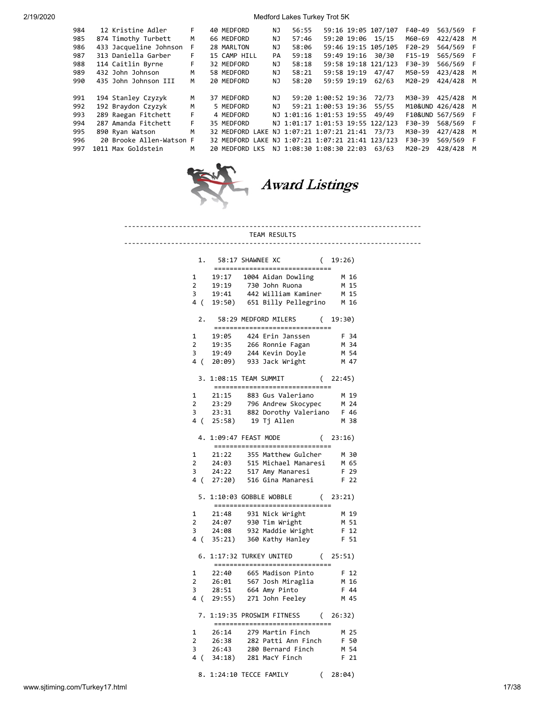| 984 | 12 Kristine Adler        | F  | 40 MEDFORD                                       | NJ  | 56:55                            |                     | 59:16 19:05 107/107 | F40-49   | 563/569 F         |   |
|-----|--------------------------|----|--------------------------------------------------|-----|----------------------------------|---------------------|---------------------|----------|-------------------|---|
| 985 | 874 Timothy Turbett      | м  | 66 MEDFORD                                       | NJ. | 57:46                            |                     | 59:20 19:06 15/15   | M60-69   | 422/428 M         |   |
| 986 | 433 Jacqueline Johnson   | F. | 28 MARLTON                                       | NJ  | 58:06                            |                     | 59:46 19:15 105/105 | $F20-29$ | 564/569 F         |   |
| 987 | 313 Daniella Garber      | F. | 15 CAMP HILL                                     | PA  | 59:18                            | 59:49 19:16         | 30/30               | $F15-19$ | 565/569 F         |   |
| 988 | 114 Caitlin Byrne        | F  | 32 MEDFORD                                       | NJ  | 58:18                            |                     | 59:58 19:18 121/123 | F30-39   | 566/569 F         |   |
| 989 | 432 John Johnson         | M  | 58 MEDFORD                                       | NJ. | 58:21                            | 59:58 19:19         | 47/47               | M50-59   | 423/428 M         |   |
| 990 | 435 John Johnson III     | M  | 20 MEDFORD                                       | ΝJ  | 58:20                            | 59:59 19:19         | 62/63               | M20-29   | 424/428           | M |
|     |                          |    |                                                  |     |                                  |                     |                     |          |                   |   |
| 991 | 194 Stanley Czyzyk       | м  | 37 MEDFORD                                       | NJ. |                                  | 59:20 1:00:52 19:36 | 72/73               | M30-39   | 425/428           | M |
| 992 | 192 Braydon Czyzyk       | M  | 5 MEDFORD                                        | NJ. |                                  | 59:21 1:00:53 19:36 | 55/55               |          | M10&UND 426/428 M |   |
| 993 | 289 Raegan Fitchett      | F  | 4 MEDFORD                                        |     | NJ 1:01:16 1:01:53 19:55         |                     | 49/49               |          | F10&UND 567/569 F |   |
| 994 | 287 Amanda Fitchett      | F. | 35 MEDFORD                                       |     | NJ 1:01:17 1:01:53 19:55 122/123 |                     |                     | F30-39   | 568/569 F         |   |
| 995 | 890 Ryan Watson          | м  | 32 MEDFORD LAKE NJ 1:07:21 1:07:21 21:41         |     |                                  |                     | 73/73               | M30-39   | 427/428           | M |
| 996 | 20 Brooke Allen-Watson F |    | 32 MEDFORD LAKE NJ 1:07:21 1:07:21 21:41 123/123 |     |                                  |                     |                     | F30-39   | 569/569 F         |   |
| 997 | 1011 Max Goldstein       | м  | 20 MEDFORD LKS                                   |     | NJ 1:08:30 1:08:30 22:03         |                     | 63/63               | M20-29   | 428/428           | M |
|     |                          |    |                                                  |     |                                  |                     |                     |          |                   |   |



Award Listings

# ---------------------------------------------------------------------------- TEAM RESULTS ---------------------------------------------------------------------------- 1. 58:17 SHAWNEE XC ( 19:26) ============================== 1 19:17 1004 Aidan Dowling M 16 2 19:19 730 John Ruona M 15 3 19:41 442 William Kaminer M 15 4 ( 19:50) 651 Billy Pellegrino M 16 2. 58:29 MEDFORD MILERS ( 19:30)

| 2.                                         |                                     | 58:29 MEDFORD MILERS<br>===============================                                           | (19:30)                                 |
|--------------------------------------------|-------------------------------------|---------------------------------------------------------------------------------------------------|-----------------------------------------|
| $\mathbf{1}$<br>$\overline{2}$<br>3<br>4 ( | 19:05<br>19:35<br>19:49             | 424 Erin Janssen<br>266 Ronnie Fagan<br>244 Kevin Doyle<br>20:09) 933 Jack Wright                 | F 34<br>M 34<br>M 54<br>M 47            |
|                                            | 3. 1:08:15 TEAM SUMMIT              | ===============================                                                                   | (22:45)                                 |
| 1<br>$\overline{2}$<br>3                   | 21:15<br>23:29<br>23:31<br>4(25:58) | 883 Gus Valeriano<br>796 Andrew Skocypec<br>882 Dorothy Valeriano F 46<br>19 Tj Allen             | M 19<br>M 24<br>M 38                    |
| 4.                                         |                                     | 1:09:47 FEAST MODE<br>================================                                            | (23:16)                                 |
| 1<br>$\overline{2}$<br>3<br>4 (            | 21:22<br>24:22                      | 355 Matthew Gulcher<br>24:03 515 Michael Manaresi<br>517 Amy Manaresi<br>27:20) 516 Gina Manaresi | M 30<br>M 65<br>F 29<br>F <sub>22</sub> |
| 5.                                         |                                     | 1:10:03 GOBBLE WOBBLE<br>================================                                         | (23:21)                                 |
| 1<br>$\overline{2}$<br>3<br>4(             | 21:48<br>24:07<br>24:08             | 931 Nick Wright<br>930 Tim Wright<br>932 Maddie Wright<br>35:21) 360 Kathy Hanley                 | M 19<br>M 51<br>F 12<br>F 51            |
| 6.                                         |                                     | 1:17:32 TURKEY UNITED<br>================================                                         | (25:51)                                 |
| 1<br>$2^{\circ}$<br>3                      | 22:40<br>26:01<br>28:51             | 665 Madison Pinto<br>567 Josh Miraglia<br>664 Amy Pinto                                           | F 12<br>M 16<br>F 44                    |
|                                            |                                     | 4 (29:55) 271 John Feeley                                                                         | M 45                                    |
|                                            |                                     | 7. 1:19:35 PROSWIM FITNESS (26:32)<br>================================                            |                                         |

8. 1:24:10 TECCE FAMILY ( 28:04)

www.sjtiming.com/Turkey17.html 17/38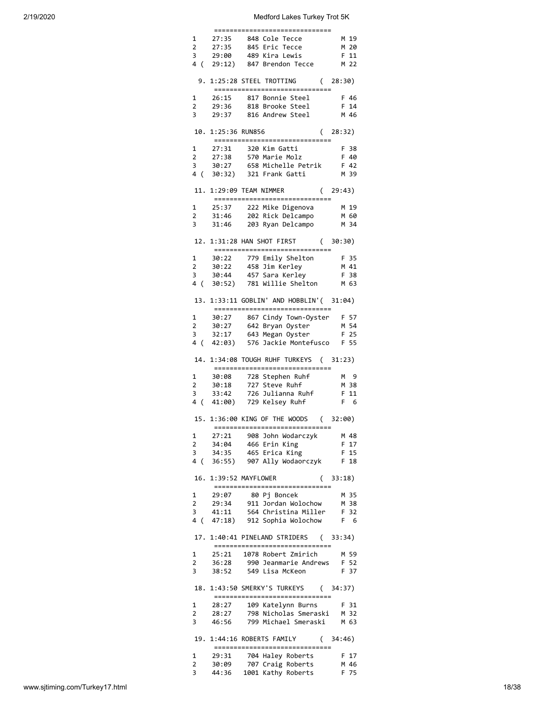| $\mathbf{1}$            |                     | 27:35 848 Cole Tecce                                                                                                                | M 19         |
|-------------------------|---------------------|-------------------------------------------------------------------------------------------------------------------------------------|--------------|
| $\overline{2}$          |                     | 27:35     845 Eric Tecce<br>29:00    489 Kira Lewis                                                                                 | M 20         |
| 3                       | 29:00               |                                                                                                                                     | F 11         |
|                         |                     | 4 (29:12) 847 Brendon Tecce M 22                                                                                                    |              |
|                         |                     | 9. 1:25:28 STEEL TROTTING (28:30)<br>================================                                                               |              |
| $\mathbf{1}$            |                     | 26:15 817 Bonnie Steel                                                                                                              | F 46         |
| $\overline{2}$          |                     | 29:36 818 Brooke Steel                                                                                                              | F 14         |
| $\overline{3}$          |                     | 29:37 816 Andrew Steel                                                                                                              | M 46         |
|                         |                     | 10. 1:25:36 RUN856<br>_________________________________                                                                             | (28:32)      |
| $\mathbf{1}$            | 27:31               |                                                                                                                                     | F 38         |
| $\overline{2}$          | 27:38               | 320 Kim Gatti<br>570 Marie Molz                                                                                                     | F 40         |
| $\overline{\mathbf{3}}$ |                     | 30:27 658 Michelle Petrik F 42                                                                                                      |              |
| 4 (                     |                     | 30:32) 321 Frank Gatti                                                                                                              | M 39         |
|                         |                     | 11. 1:29:09 TEAM NIMMER (29:43)<br>_________________________________                                                                |              |
|                         |                     | 1 25:37 222 Mike Digenova M 19                                                                                                      |              |
|                         |                     | 2 31:46 202 Rick Delcampo M 60<br>3 31:46 203 Ryan Delcampo M 34                                                                    |              |
|                         |                     |                                                                                                                                     |              |
|                         |                     | 12. 1:31:28 HAN SHOT FIRST (30:30)<br>_________________________________                                                             |              |
|                         |                     |                                                                                                                                     | F 35         |
|                         |                     |                                                                                                                                     | M 41         |
|                         |                     | 30:22 779 Emily Shelton<br>2 30:22 458 Jim Kerley<br>3 30:44 457 Sara Kerley<br>4 ( 30:52) 781 Willie Shelton                       | F 38         |
|                         |                     |                                                                                                                                     | M 63         |
|                         |                     | 13. 1:33:11 GOBLIN' AND HOBBLIN'( 31:04)<br>------------------------------                                                          |              |
| $1 \quad$               | 30:27               | 867 Cindy Town-Oyster F 57                                                                                                          |              |
| $2 \rightarrow$         |                     | 30:27 867 Cinay Town-Oyster F 57<br>30:27 642 Bryan Oyster M 54<br>32:17 643 Megan Oyster F 25<br>42:03) 576 Jackie Montefusco F 55 |              |
| 3                       |                     |                                                                                                                                     |              |
| 4 (                     |                     |                                                                                                                                     |              |
|                         |                     |                                                                                                                                     |              |
|                         |                     | 14. 1:34:08 TOUGH RUHF TURKEYS ( 31:23)<br>_________________________________                                                        |              |
| $\mathbf{1}$            |                     |                                                                                                                                     | M 9          |
| $\overline{2}$          |                     | 30:08 728 Stephen Ruhf<br>30:18 727 Steve Ruhf                                                                                      | M 38         |
| 3                       |                     |                                                                                                                                     | F 11         |
| 4 (                     |                     | 33:42     726 Julianna Ruhf<br>41:00)    729 Kelsey Ruhf                                                                            | F 6          |
|                         |                     | 15. 1:36:00 KING OF THE WOODS<br>=============================                                                                      | (32:00)      |
| 1                       |                     |                                                                                                                                     | M 48         |
| $\overline{2}$          |                     | 27:21 908 John Wodarczyk<br>34:04 466 Erin King                                                                                     | F 17         |
| 3                       |                     | 34:35 465 Erica King                                                                                                                | F 15         |
| 4 (                     |                     | 36:55) 907 Ally Wodaorczyk                                                                                                          | F 18         |
|                         | $=$ $=$<br>======== | 16. 1:39:52 MAYFLOWER                                                                                                               | (33:18)      |
| 1                       | 29:07               | 80 Pj Boncek                                                                                                                        | M 35         |
| 2                       | 29:34               | 911 Jordan Wolochow                                                                                                                 | M 38         |
| 3                       |                     | 41:11  564 Christina Miller  F 32                                                                                                   |              |
| 4 (                     |                     | 47:18) 912 Sophia Wolochow<br>17. 1:40:41 PINELAND STRIDERS (33:34)                                                                 | F 6          |
|                         |                     | ------------------------------                                                                                                      |              |
| $\mathbf{1}$            |                     | 25:21 1078 Robert Zmirich                                                                                                           | M 59         |
| 2                       | 36:28               | 990 Jeanmarie Andrews                                                                                                               | F 52         |
| $\overline{\mathbf{3}}$ |                     | 38:52   549   Lisa McKeon                                                                                                           | F 37         |
|                         |                     | 18. 1:43:50 SMERKY'S TURKEYS (34:37)<br>------------------------------                                                              |              |
| $\mathbf 1$             | 28:27               | 109 Katelynn Burns                                                                                                                  | F 31         |
| 2                       | 28:27               | 798 Nicholas Smeraski M 32                                                                                                          |              |
| 3                       |                     | 46:56 799 Michael Smeraski M 63                                                                                                     |              |
|                         |                     | 19. 1:44:16 ROBERTS FAMILY<br>_________________________________                                                                     | (34:46)      |
| 1                       | 29:31               | 704 Haley Roberts                                                                                                                   | F 17         |
| 2<br>3                  | 30:09               | 707 Craig Roberts<br>44:36  1001 Kathy Roberts                                                                                      | M 46<br>F 75 |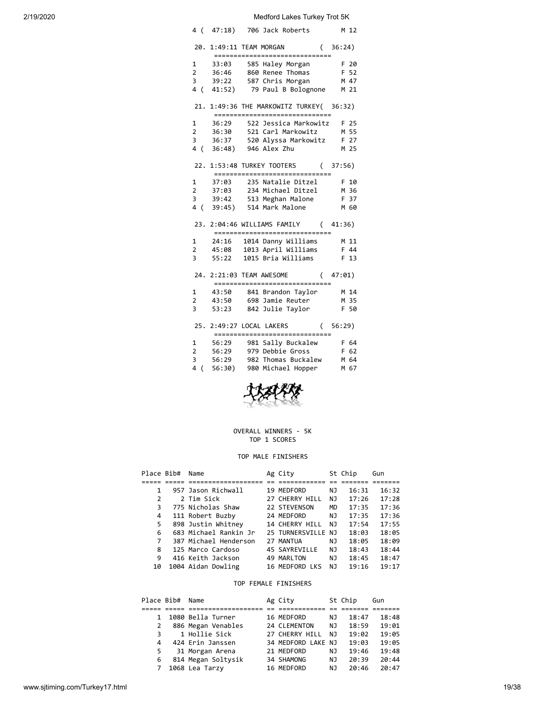| 20. 1:49:11 TEAM MORGAN (36:24)<br>==============================                    |      |
|--------------------------------------------------------------------------------------|------|
| 1                                                                                    | F 20 |
| 33:03     585 Haley Morgan<br>36:46     860 Renee Thomas<br>$F$ 52<br>$\overline{2}$ |      |
| 3 39:22 587 Chris Morgan<br>M 47                                                     |      |
| 4 (41:52) 79 Paul B Bolognone M 21                                                   |      |
| 21. 1:49:36 THE MARKOWITZ TURKEY( 36:32)<br>------------------------------           |      |
| 1 36:29<br>522 Jessica Markowitz F 25                                                |      |
| 2 36:30 521 Carl Markowitz M 55                                                      |      |
| 3 36:37 520 Alyssa Markowitz F 27                                                    |      |
| 4 (36:48) 946 Alex Zhu M 25                                                          |      |
| 22. 1:53:48 TURKEY TOOTERS (37:56)<br>_________________________________              |      |
| 1 37:03 235 Natalie Ditzel                                                           | F 10 |
| 2 37:03 234 Michael Ditzel M 36                                                      |      |
| 3 39:42 513 Meghan Malone F 37                                                       |      |
| 4 ( 39:45) 514 Mark Malone                                                           | M 60 |
| 23. 2:04:46 WILLIAMS FAMILY (41:36)<br>_________________________________             |      |
|                                                                                      |      |
| 2 45:08 1013 April Williams F 44                                                     |      |
| 3 <sup>7</sup><br>55:22 1015 Bria Williams                                           | F 13 |
| 24. 2:21:03 TEAM AWESOME (47:01)<br>__________________________________               |      |
| 1 43:50 841 Brandon Taylor M 14                                                      |      |
| 2 43:50 698 Jamie Reuter M 35                                                        |      |
| 3 53:23 842 Julie Taylor                                                             | F 50 |
| 25. 2:49:27 LOCAL LAKERS (56:29)<br>------------------------------                   |      |
| 1 56:29 981 Sally Buckalew F 64                                                      |      |
| 2   56:29   979   Debbie Gross<br>F 62                                               |      |
| 3<br>56:29 982 Thomas Buckalew M 64                                                  |      |
| $\overline{4}$<br>980 Michael Hopper<br>56:30)<br>$\overline{(\ }$                   | M 67 |



#### OVERALL WINNERS - 5K TOP 1 SCORES

#### TOP MALE FINISHERS

| Place Bib# | Name                  | Ag City            |           | St Chip | Gun   |
|------------|-----------------------|--------------------|-----------|---------|-------|
|            |                       |                    |           |         |       |
| 1          | 957 Jason Richwall    | 19 MEDFORD         | ΝJ        | 16:31   | 16:32 |
| 2          | 2 Tim Sick            | 27 CHERRY HILL     | ΝJ        | 17:26   | 17:28 |
| 3          | 775 Nicholas Shaw     | 22 STEVENSON       | <b>MD</b> | 17:35   | 17:36 |
| 4          | 111 Robert Buzby      | 24 MEDFORD         | NJ        | 17:35   | 17:36 |
| 5          | 898 Justin Whitney    | 14 CHERRY HILL     | NJ        | 17:54   | 17:55 |
| 6          | 683 Michael Rankin Jr | 25 TURNERSVILLE NJ |           | 18:03   | 18:05 |
| 7          | 387 Michael Henderson | 27 MANTUA          | NJ.       | 18:05   | 18:09 |
| 8          | 125 Marco Cardoso     | 45 SAYREVILLE      | NJ        | 18:43   | 18:44 |
| 9          | 416 Keith Jackson     | 49 MARLTON         | NJ        | 18:45   | 18:47 |
| 10         | 1004 Aidan Dowling    | 16 MEDFORD LKS     | NJ        | 19:16   | 19:17 |

#### TOP FEMALE FINISHERS

| Place Bib#     | Name               | Ag City            |     | St Chip | Gun   |  |
|----------------|--------------------|--------------------|-----|---------|-------|--|
|                |                    |                    |     |         |       |  |
|                | 1080 Bella Turner  | 16 MEDFORD         | NJ  | 18:47   | 18:48 |  |
| 2              | 886 Megan Venables | 24 CLEMENTON       | NJ  | 18:59   | 19:01 |  |
| 3              | 1 Hollie Sick      | 27 CHERRY HILL     | N J | 19:02   | 19:05 |  |
| $\overline{4}$ | 424 Erin Janssen   | 34 MEDFORD LAKE NJ |     | 19:03   | 19:05 |  |
| 5.             | 31 Morgan Arena    | 21 MEDFORD         | NJ  | 19:46   | 19:48 |  |
| 6              | 814 Megan Soltysik | 34 SHAMONG         | NJ  | 20:39   | 20:44 |  |
| 7              | 1068 Lea Tarzy     | 16 MEDFORD         | NJ  | 20:46   | 20:47 |  |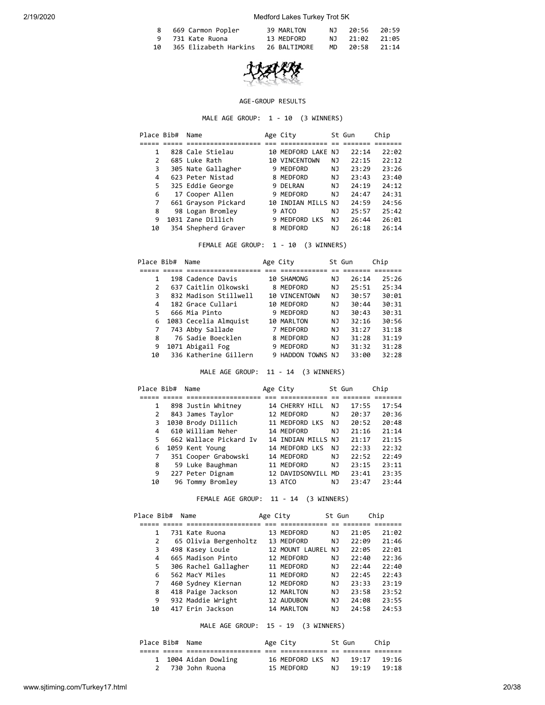|      | 8 669 Carmon Popler   | 39 MARLTON   | NJ 20:56 20:59 |  |
|------|-----------------------|--------------|----------------|--|
|      | 9 731 Kate Ruona      | 13 MEDFORD   | NJ 21:02 21:05 |  |
| 10 เ | 365 Elizabeth Harkins | 26 BALTIMORE | MD 20:58 21:14 |  |



#### AGE-GROUP RESULTS

MALE AGE GROUP: 1 - 10 (3 WINNERS)

| Place Bib# | Name                | Age City           |    | St Gun | Chip  |
|------------|---------------------|--------------------|----|--------|-------|
|            |                     |                    |    |        |       |
|            | 828 Cale Stielau    | 10 MEDFORD LAKE NJ |    | 22:14  | 22:02 |
| 2          | 685 Luke Rath       | 10 VINCENTOWN      | ΝJ | 22:15  | 22:12 |
| 3          | 305 Nate Gallagher  | 9 MEDFORD          | ΝJ | 23:29  | 23:26 |
| 4          | 623 Peter Nistad    | 8 MEDFORD          | NJ | 23:43  | 23:40 |
| 5          | 325 Eddie George    | 9 DELRAN           | ΝJ | 24:19  | 24:12 |
| 6          | 17 Cooper Allen     | 9 MEDFORD          | ΝJ | 24:47  | 24:31 |
| 7          | 661 Grayson Pickard | 10 INDIAN MILLS NJ |    | 24:59  | 24:56 |
| 8          | 98 Logan Bromley    | 9 ATCO             | NJ | 25:57  | 25:42 |
| 9          | 1031 Zane Dillich   | 9 MEDFORD LKS      | NJ | 26:44  | 26:01 |
| 10         | 354 Shepherd Graver | 8 MEDFORD          | ΝJ | 26:18  | 26:14 |

FEMALE AGE GROUP: 1 - 10 (3 WINNERS)

| Place Bib#    | Name                  | Age City       |    | St Gun | Chip  |
|---------------|-----------------------|----------------|----|--------|-------|
|               |                       |                |    |        |       |
|               | 198 Cadence Davis     | 10 SHAMONG     | ΝJ | 26:14  | 25:26 |
| $\mathcal{P}$ | 637 Caitlin Olkowski  | 8 MEDFORD      | ΝJ | 25:51  | 25:34 |
| 3             | 832 Madison Stillwell | 10 VINCENTOWN  | NJ | 30:57  | 30:01 |
| 4             | 182 Grace Cullari     | 10 MEDFORD     | ΝJ | 30:44  | 30:31 |
| 5             | 666 Mia Pinto         | 9 MEDFORD      | ΝJ | 30:43  | 30:31 |
| 6             | 1083 Cecelia Almquist | 10 MARLTON     | NJ | 32:16  | 30:56 |
|               | 743 Abby Sallade      | 7 MEDFORD      | ΝJ | 31:27  | 31:18 |
| 8             | 76 Sadie Boecklen     | 8 MEDFORD      | ΝJ | 31:28  | 31:19 |
| 9             | 1071 Abigail Fog      | 9 MEDFORD      | ΝJ | 31:32  | 31:28 |
| 10            | 336 Katherine Gillern | 9 HADDON TOWNS | N٦ | 33:00  | 32:28 |

MALE AGE GROUP: 11 - 14 (3 WINNERS)

| Place Bib# | Name                   | Age City        |           | St Gun | Chip  |
|------------|------------------------|-----------------|-----------|--------|-------|
|            |                        |                 |           |        |       |
|            | 898 Justin Whitney     | 14 CHERRY HILL  | ΝJ        | 17:55  | 17:54 |
| 2          | 843 James Taylor       | 12 MEDFORD      | ΝJ        | 20:37  | 20:36 |
| 3          | 1030 Brody Dillich     | 11 MEDFORD LKS  | ΝJ        | 20:52  | 20:48 |
| 4          | 610 William Neher      | 14 MEDFORD      | ΝJ        | 21:16  | 21:14 |
| 5.         | 662 Wallace Pickard Iv | 14 INDIAN MILLS | N J       | 21:17  | 21:15 |
| 6          | 1059 Kent Young        | 14 MEDFORD LKS  | ΝJ        | 22:33  | 22:32 |
|            | 351 Cooper Grabowski   | 14 MEDFORD      | ΝJ        | 22:52  | 22:49 |
| 8          | 59 Luke Baughman       | 11 MEDFORD      | ΝJ        | 23:15  | 23:11 |
| 9          | 227 Peter Dignam       | 12 DAVIDSONVILL | <b>MD</b> | 23:41  | 23:35 |
| 10         | 96 Tommy Bromlev       | 13 ATCO         | ΝJ        | 23:47  | 23:44 |

FEMALE AGE GROUP: 11 - 14 (3 WINNERS)

| Place Bib# |   | Name                  | Age City |                 | St Gun | Chip  |       |  |
|------------|---|-----------------------|----------|-----------------|--------|-------|-------|--|
|            |   |                       |          |                 |        |       |       |  |
|            |   | 731 Kate Ruona        |          | 13 MEDFORD      | ΝJ     | 21:05 | 21:02 |  |
|            | 2 | 65 Olivia Bergenholtz |          | 13 MEDFORD      | ΝJ     | 22:09 | 21:46 |  |
|            | 3 | 498 Kasey Louie       |          | 12 MOUNT LAUREL | ΝJ     | 22:05 | 22:01 |  |
|            | 4 | 665 Madison Pinto     |          | 12 MEDFORD      | ΝJ     | 22:40 | 22:36 |  |
|            | 5 | 306 Rachel Gallagher  |          | 11 MEDFORD      | ΝJ     | 22:44 | 22:40 |  |
|            | 6 | 562 MacY Miles        |          | 11 MEDFORD      | ΝJ     | 22:45 | 22:43 |  |
|            | 7 | 460 Sydney Kiernan    |          | 12 MEDFORD      | ΝJ     | 23:33 | 23:19 |  |
|            | 8 | 418 Paige Jackson     |          | 12 MARLTON      | ΝJ     | 23:58 | 23:52 |  |
|            | 9 | 932 Maddie Wright     |          | 12 AUDUBON      | ΝJ     | 24:08 | 23:55 |  |
| 10         |   | 417 Erin Jackson      |          | 14 MARLTON      | ΝJ     | 24:58 | 24:53 |  |
|            |   |                       |          |                 |        |       |       |  |

MALE AGE GROUP: 15 - 19 (3 WINNERS)

| Place Bib# Name |                      | Age City          |     | St Gun | Chip  |  |
|-----------------|----------------------|-------------------|-----|--------|-------|--|
|                 |                      |                   |     |        |       |  |
|                 | 1 1004 Aidan Dowling | 16 MEDFORD LKS NJ |     | 19:17  | 19:16 |  |
|                 | 2 730 John Ruona     | 15 MEDFORD        | N T | 19:19  | 19:18 |  |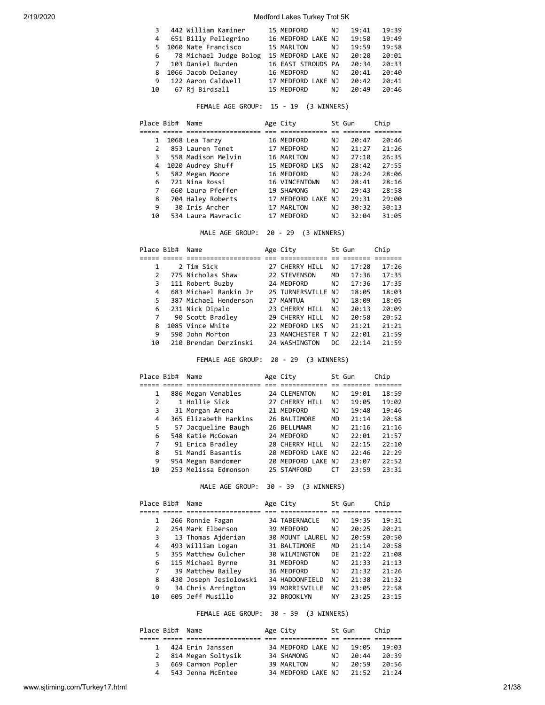| 3           | 442 William Kaminer      | 15 MEDFORD         | NJ. | 19:41 | 19:39 |
|-------------|--------------------------|--------------------|-----|-------|-------|
| 4           | 651 Billy Pellegrino     | 16 MEDFORD LAKE NJ |     | 19:50 | 19:49 |
|             | 5 1060 Nate Francisco    | 15 MARLTON         | NJ. | 19:59 | 19:58 |
|             | 6 78 Michael Judge Bolog | 15 MEDFORD LAKE NJ |     | 20:20 | 20:01 |
| $7^{\circ}$ | 103 Daniel Burden        | 16 EAST STROUDS PA |     | 20:34 | 20:33 |
|             | 8 1066 Jacob Delaney     | 16 MEDFORD         | NJ. | 20:41 | 20:40 |
| 9           | 122 Aaron Caldwell       | 17 MEDFORD LAKE NJ |     | 20:42 | 20:41 |
| 10          | 67 Ri Birdsall           | 15 MEDFORD         | NJ. | 20:49 | 20:46 |

FEMALE AGE GROUP: 15 - 19 (3 WINNERS)

| Place Bib# | Name               | Age City           |     | St Gun | Chip  |
|------------|--------------------|--------------------|-----|--------|-------|
|            |                    |                    |     |        |       |
| 1          | 1068 Lea Tarzy     | 16 MEDFORD         | NJ  | 20:47  | 20:46 |
| 2          | 853 Lauren Tenet   | 17 MEDFORD         | NJ  | 21:27  | 21:26 |
| 3          | 558 Madison Melvin | 16 MARLTON         | NJ  | 27:10  | 26:35 |
| 4          | 1020 Audrey Shuff  | 15 MEDFORD LKS     | NJ  | 28:42  | 27:55 |
| 5          | 582 Megan Moore    | 16 MEDFORD         | NJ  | 28:24  | 28:06 |
| 6          | 721 Nina Rossi     | 16 VINCENTOWN      | NJ  | 28:41  | 28:16 |
| 7          | 660 Laura Pfeffer  | 19 SHAMONG         | NJ  | 79:43  | 28:58 |
| 8          | 704 Haley Roberts  | 17 MEDFORD LAKE NJ |     | 29:31  | 29:00 |
| 9          | 30 Iris Archer     | 17 MARLTON         | NJ. | 30:32  | 30:13 |
| 10         | 534 Laura Mayracic | 17 MEDFORD         | ΝJ  | 32:04  | 31:05 |

MALE AGE GROUP: 20 - 29 (3 WINNERS)

| Place Bib# | Name                  | Age City           |           | St Gun | Chip  |
|------------|-----------------------|--------------------|-----------|--------|-------|
|            |                       |                    |           |        |       |
|            | 2 Tim Sick            | 27 CHERRY HILL     | NJ        | 17:28  | 17:26 |
| 2          | 775 Nicholas Shaw     | 22 STEVENSON       | <b>MD</b> | 17:36  | 17:35 |
| 3          | 111 Robert Buzby      | 24 MEDFORD         | ΝJ        | 17:36  | 17:35 |
| 4          | 683 Michael Rankin Jr | 25 TURNERSVILLE NJ |           | 18:05  | 18:03 |
| 5          | 387 Michael Henderson | 27 MANTUA          | NJ.       | 18:09  | 18:05 |
| 6          | 231 Nick Dipalo       | 23 CHERRY HILL     | NJ        | 20:13  | 20:09 |
| 7          | 90 Scott Bradley      | 29 CHERRY HILL     | NJ.       | 20:58  | 20:52 |
| 8          | 1085 Vince White      | 22 MEDFORD LKS     | ΝJ        | 21:21  | 21:21 |
| 9          | 590 John Morton       | 23 MANCHESTER T NJ |           | 22:01  | 21:59 |
| 10         | 210 Brendan Derzinski | 24 WASHINGTON      | DC        | 22:14  | 21:59 |

FEMALE AGE GROUP: 20 - 29 (3 WINNERS)

| Place Bib# | Name                  | Age City           |           | St Gun | Chip  |
|------------|-----------------------|--------------------|-----------|--------|-------|
|            |                       |                    |           |        |       |
| 1          | 886 Megan Venables    | 24 CLEMENTON       | ΝJ        | 19:01  | 18:59 |
| 2          | 1 Hollie Sick         | 27 CHERRY HILL     | NJ        | 19:05  | 19:02 |
| 3          | 31 Morgan Arena       | 21 MEDFORD         | ΝJ        | 19:48  | 19:46 |
| 4          | 365 Elizabeth Harkins | 26 BALTIMORE       | <b>MD</b> | 21:14  | 20:58 |
| 5          | 57 Jacqueline Baugh   | 26 BELLMAWR        | ΝJ        | 21:16  | 21:16 |
| 6          | 548 Katie McGowan     | 24 MEDFORD         | ΝJ        | 22:01  | 21:57 |
| 7          | 91 Erica Bradley      | 28 CHERRY HILL     | NJ        | 22:15  | 22:10 |
| 8          | 51 Mandi Basantis     | 20 MEDFORD LAKE NJ |           | 22:46  | 22:29 |
| 9          | 954 Megan Bandomer    | 20 MEDFORD LAKE NJ |           | 23:07  | 22:52 |
| 10         | 253 Melissa Edmonson  | 25 STAMFORD        | CТ        | 23:59  | 23:31 |

MALE AGE GROUP: 30 - 39 (3 WINNERS)

|               | Place Bib# | Name                   | Age City             |           | St Gun | Chip  |
|---------------|------------|------------------------|----------------------|-----------|--------|-------|
|               |            |                        |                      |           |        |       |
| 1             |            | 266 Ronnie Fagan       | 34 TABERNACLE        | NJ        | 19:35  | 19:31 |
| $\mathcal{P}$ |            | 254 Mark Elberson      | 39 MEDFORD           | NJ        | 20:25  | 20:21 |
| 3             |            | 13 Thomas Ajderian     | 30 MOUNT LAUREL      | NJ        | 20:59  | 20:50 |
| 4             |            | 493 William Logan      | 31 BALTIMORE         | MD        | 21:14  | 20:58 |
| 5             |            | 355 Matthew Gulcher    | <b>30 WILMINGTON</b> | DF        | 21:22  | 21:08 |
| 6             |            | 115 Michael Byrne      | 31 MEDFORD           | NJ        | 21:33  | 21:13 |
| 7             |            | 39 Matthew Bailey      | 36 MEDFORD           | NJ        | 21:32  | 21:26 |
| 8             |            | 430 Joseph Jesiolowski | 34 HADDONFIELD       | NJ        | 21:38  | 21:32 |
| 9             |            | 34 Chris Arrington     | 39 MORRISVILLE       | <b>NC</b> | 23:05  | 22:58 |
| 10            |            | 605 Jeff Musillo       | 32 BROOKLYN          | NY        | 23:25  | 23:15 |

FEMALE AGE GROUP: 30 - 39 (3 WINNERS)

| Place Bib# Name |                    | Age City           |     | St Gun | Chip  |  |
|-----------------|--------------------|--------------------|-----|--------|-------|--|
|                 |                    |                    |     |        |       |  |
|                 | 424 Erin Janssen   | 34 MEDFORD LAKE NJ |     | 19:05  | 19:03 |  |
|                 | 814 Megan Soltysik | 34 SHAMONG         | N J | 20:44  | 20:39 |  |
| 3               | 669 Carmon Popler  | 39 MARLTON         | N J | 20:59  | 20:56 |  |
| 4               | 543 Jenna McEntee  | 34 MEDFORD LAKE NJ |     | 21:52  | 21:24 |  |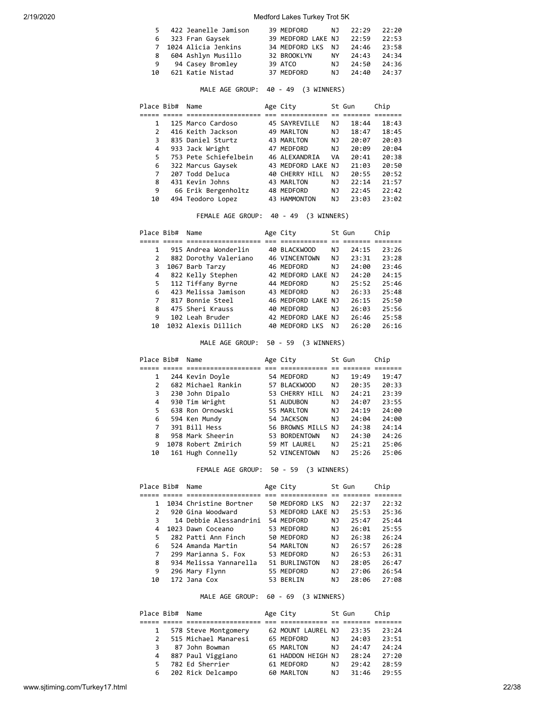|    | 5 422 Jeanelle Jamison | 39 MEDFORD               | NJ. | 22:29 | 22:20 |
|----|------------------------|--------------------------|-----|-------|-------|
|    | 6 323 Fran Gaysek      | 39 MEDFORD LAKE NJ 22:59 |     |       | 22:53 |
|    | 7 1024 Alicia Jenkins  | 34 MEDFORD LKS NJ 24:46  |     |       | 23:58 |
| 8  | 604 Ashlyn Musillo     | 32 BROOKLYN              | NY  | 24:43 | 24:34 |
| 9  | 94 Casey Bromley       | 39 ATCO                  | NJ. | 24:50 | 24:36 |
| 10 | 621 Katie Nistad       | 37 MEDFORD               | N J | 24:40 | 24:37 |

MALE AGE GROUP: 40 - 49 (3 WINNERS)

| Place Bib#    | Name                  | Age City           |     | St Gun | Chip  |
|---------------|-----------------------|--------------------|-----|--------|-------|
|               |                       |                    |     |        |       |
|               | 125 Marco Cardoso     | 45 SAYREVILLE      | NJ  | 18:44  | 18:43 |
| $\mathcal{P}$ | 416 Keith Jackson     | 49 MARLTON         | NJ  | 18:47  | 18:45 |
| 3             | 835 Daniel Sturtz     | 43 MARLTON         | NJ  | 20:07  | 20:03 |
| 4             | 933 Jack Wright       | 47 MEDFORD         | NJ  | 20:09  | 20:04 |
| 5             | 753 Pete Schiefelbein | 46 ALEXANDRIA      | VA  | 20:41  | 20:38 |
| 6             | 322 Marcus Gaysek     | 43 MEDFORD LAKE NJ |     | 21:03  | 20:50 |
| 7             | 207 Todd Deluca       | 40 CHERRY HILL     | NJ. | 20:55  | 20:52 |
| 8             | 431 Kevin Johns       | 43 MARLTON         | ΝJ  | 22:14  | 21:57 |
| 9             | 66 Erik Bergenholtz   | 48 MEDFORD         | ΝJ  | 22:45  | 22:42 |
| 10            | 494 Teodoro Lopez     | 43 HAMMONTON       | NJ  | 23:03  | 23:02 |

FEMALE AGE GROUP: 40 - 49 (3 WINNERS)

| Place Bib# | Name                  | Age City             |     | St Gun | Chip  |  |
|------------|-----------------------|----------------------|-----|--------|-------|--|
|            |                       |                      |     |        |       |  |
|            | 915 Andrea Wonderlin  | 40 BLACKWOOD         | ΝJ  | 24:15  | 23:26 |  |
| 2          | 882 Dorothy Valeriano | <b>46 VINCENTOWN</b> | ΝJ  | 23:31  | 23:28 |  |
| 3          | 1067 Barb Tarzy       | 46 MEDFORD           | ΝJ  | 24:00  | 23:46 |  |
| 4          | 822 Kelly Stephen     | 42 MEDFORD LAKE NJ   |     | 24:20  | 24:15 |  |
| 5          | 112 Tiffany Byrne     | 44 MEDFORD           | NJ. | 25:52  | 25:46 |  |
| 6          | 423 Melissa Jamison   | 43 MEDFORD           | NJ  | 26:33  | 25:48 |  |
| 7          | 817 Bonnie Steel      | 46 MEDFORD LAKE NJ   |     | 26:15  | 25:50 |  |
| 8          | 475 Sheri Krauss      | 40 MEDFORD           | NJ  | 26:03  | 25:56 |  |
| 9          | 102 Leah Bruder       | 42 MEDFORD LAKE NJ   |     | 26:46  | 25:58 |  |
| 10         | 1032 Alexis Dillich   | 40 MEDFORD LKS       | NJ  | 26:20  | 26:16 |  |
|            |                       |                      |     |        |       |  |

MALE AGE GROUP: 50 - 59 (3 WINNERS)

|    | Place Bib# | Name                | Age City           |    | St Gun | Chip  |
|----|------------|---------------------|--------------------|----|--------|-------|
|    |            |                     |                    |    |        |       |
| 1  |            | 244 Kevin Doyle     | 54 MEDFORD         | ΝJ | 19:49  | 19:47 |
|    | 2          | 682 Michael Rankin  | 57 BLACKWOOD       | ΝJ | 20:35  | 20:33 |
|    | 3          | 230 John Dipalo     | 53 CHERRY HILL     | ΝJ | 24:21  | 23:39 |
| 4  |            | 930 Tim Wright      | 51 AUDUBON         | ΝJ | 24:07  | 23:55 |
| 5  |            | 638 Ron Ornowski    | 55 MARLTON         | ΝJ | 24:19  | 24:00 |
| 6  |            | 594 Ken Mundy       | 54 JACKSON         | ΝJ | 24:04  | 24:00 |
|    | 7          | 391 Bill Hess       | 56 BROWNS MILLS NJ |    | 24:38  | 24:14 |
| 8  |            | 958 Mark Sheerin    | 53 BORDENTOWN      | ΝJ | 24:30  | 24:26 |
| 9  |            | 1078 Robert Zmirich | 59 MT LAUREL       | ΝJ | 25:21  | 25:06 |
| 10 |            | 161 Hugh Connelly   | 52 VINCENTOWN      | ΝJ | 25:26  | 25:06 |

FEMALE AGE GROUP: 50 - 59 (3 WINNERS)

| 22:32 |
|-------|
|       |
|       |
| 25:36 |
| 25:44 |
| 25:55 |
| 26:24 |
| 26:28 |
| 26:31 |
| 26:47 |
| 26:54 |
| 27:08 |
|       |

MALE AGE GROUP: 60 - 69 (3 WINNERS)

| Place Bib#    | Name                 | Age City           |     | St Gun | Chip  |
|---------------|----------------------|--------------------|-----|--------|-------|
|               |                      |                    |     |        |       |
| $\mathbf{1}$  | 578 Steve Montgomery | 62 MOUNT LAUREL NJ |     | 23:35  | 23:24 |
| $\mathcal{P}$ | 515 Michael Manaresi | 65 MEDFORD         | NJ. | 24:03  | 23:51 |
| 3             | 87 John Bowman       | 65 MARLTON         | NJ  | 74:47  | 24:24 |
| 4             | 887 Paul Viggiano    | 61 HADDON HEIGH NJ |     | 28:24  | 27:20 |
| 5             | 782 Ed Sherrier      | 61 MEDFORD         | NJ  | 79:42  | 28:59 |
| 6             | 202 Rick Delcampo    | 60 MARLTON         | ΝJ  | 31:46  | 29:55 |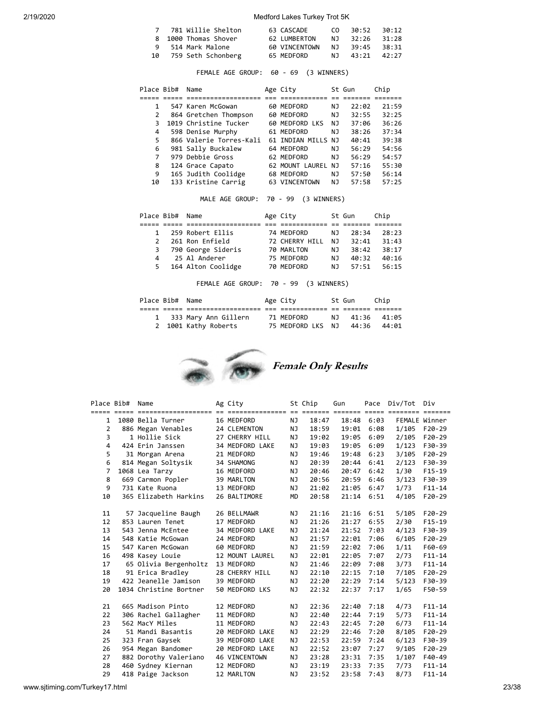| 7 781 Willie Shelton  | 63 CASCADE    | CO. | 30:52 30:12    |  |
|-----------------------|---------------|-----|----------------|--|
| 8 1000 Thomas Shover  | 62 LUMBERTON  |     | NJ 32:26 31:28 |  |
| 9 514 Mark Malone     | 60 VINCENTOWN |     | NJ 39:45 38:31 |  |
| 10 759 Seth Schonberg | 65 MEDFORD    |     | NJ 43:21 42:27 |  |

FEMALE AGE GROUP: 60 - 69 (3 WINNERS)

| Place Bib# | Name                    | Age City           |     | St Gun | Chip  |
|------------|-------------------------|--------------------|-----|--------|-------|
|            |                         |                    |     |        |       |
| 1          | 547 Karen McGowan       | 60 MEDFORD         | NJ  | 22:02  | 21:59 |
| 2          | 864 Gretchen Thompson   | 60 MEDFORD         | NJ  | 32:55  | 32:25 |
| 3          | 1019 Christine Tucker   | 60 MEDFORD LKS     | NJ  | 37:06  | 36:26 |
| 4          | 598 Denise Murphy       | 61 MEDFORD         | NJ. | 38:26  | 37:34 |
| 5          | 866 Valerie Torres-Kali | 61 TNDTAN MTIIS    | N٦  | 40:41  | 39:38 |
| 6          | 981 Sally Buckalew      | 64 MEDFORD         | NJ  | 56:29  | 54:56 |
|            | 979 Debbie Gross        | 62 MEDFORD         | NJ  | 56:29  | 54:57 |
| 8          | 124 Grace Capato        | 62 MOUNT LAUREL NJ |     | 57:16  | 55:30 |
| 9          | 165 Judith Coolidge     | 68 MEDFORD         | NJ  | 57:50  | 56:14 |
| 10         | 133 Kristine Carrig     | 63 VINCENTOWN      | NJ  | 57:58  | 57:25 |

MALE AGE GROUP: 70 - 99 (3 WINNERS)

|              | Place Bib# Name |                      | Age City       |     | St Gun | Chip  |
|--------------|-----------------|----------------------|----------------|-----|--------|-------|
|              |                 |                      |                |     |        |       |
| $\mathbf{1}$ |                 | 259 Robert Ellis     | 74 MEDFORD     | NJ. | 28:34  | 28:23 |
|              |                 | 261 Ron Enfield      | 72 CHERRY HILL | N J | 32:41  | 31:43 |
|              |                 | 3 790 George Sideris | 70 MARLTON     | NJ. | 38:42  | 38:17 |
| 4            |                 | 25 Al Anderer        | 75 MEDFORD     | NJ. | 40:32  | 40:16 |
| 5.           |                 | 164 Alton Coolidge   | 70 MEDFORD     | NJ. | 57:51  | 56:15 |

FEMALE AGE GROUP: 70 - 99 (3 WINNERS)

| Place Bib# Name |                        | Age City          | St Gun   | Chip  |  |
|-----------------|------------------------|-------------------|----------|-------|--|
|                 |                        |                   |          |       |  |
|                 | 1 333 Mary Ann Gillern | 71 MEDFORD        | NT 41:36 | 41:05 |  |
|                 | 2 1001 Kathy Roberts   | 75 MEDFORD LKS NJ | 44:36    | 44:01 |  |



| Place Bib#     | Name                   | Ag City              |           | St Chip | Gun   |      | Pace Div/Tot Div |            |
|----------------|------------------------|----------------------|-----------|---------|-------|------|------------------|------------|
| 1              | 1080 Bella Turner      | 16 MEDFORD           | NJ        | 18:47   | 18:48 | 6:03 | FEMALE Winner    |            |
| $\overline{2}$ | 886 Megan Venables     | 24 CLEMENTON         | ΝJ        | 18:59   | 19:01 | 6:08 | 1/105            | $F20-29$   |
| 3              | 1 Hollie Sick          | 27 CHERRY HILL       | NJ        | 19:02   | 19:05 | 6:09 | 2/105            | $F20-29$   |
| 4              | 424 Erin Janssen       | 34 MEDFORD LAKE      | NJ        | 19:03   | 19:05 | 6:09 | 1/123            | F30-39     |
| 5              | 31 Morgan Arena        | 21 MEDFORD           | ΝJ        | 19:46   | 19:48 | 6:23 | 3/105            | $F20-29$   |
| 6              | 814 Megan Soltysik     | 34 SHAMONG           | NJ.       | 20:39   | 20:44 | 6:41 | 2/123            | F30-39     |
| 7              | 1068 Lea Tarzy         | 16 MEDFORD           | NJ        | 20:46   | 20:47 | 6:42 | 1/30             | $F15-19$   |
| 8              | 669 Carmon Popler      | 39 MARLTON           | NJ        | 20:56   | 20:59 | 6:46 | 3/123            | F30-39     |
| 9              | 731 Kate Ruona         | 13 MEDFORD           | NJ        | 21:02   | 21:05 | 6:47 | 1/73             | $F11 - 14$ |
| 10             | 365 Elizabeth Harkins  | 26 BALTIMORE         | <b>MD</b> | 20:58   | 21:14 | 6:51 | 4/105            | $F20-29$   |
|                |                        |                      |           |         |       |      |                  |            |
| 11             | 57 Jacqueline Baugh    | 26 BELLMAWR          | ΝJ        | 21:16   | 21:16 | 6:51 | 5/105            | $F20-29$   |
| 12             | 853 Lauren Tenet       | 17 MEDFORD           | NJ        | 21:26   | 21:27 | 6:55 | 2/30             | $F15-19$   |
| 13             | 543 Jenna McEntee      | 34 MEDFORD LAKE      | NJ        | 21:24   | 21:52 | 7:03 | 4/123            | F30-39     |
| 14             | 548 Katie McGowan      | 24 MEDFORD           | NJ        | 21:57   | 22:01 | 7:06 | 6/105            | $F20-29$   |
| 15             | 547 Karen McGowan      | 60 MEDFORD           | NJ        | 21:59   | 22:02 | 7:06 | 1/11             | F60-69     |
| 16             | 498 Kasey Louie        | 12 MOUNT LAUREL      | ΝJ        | 22:01   | 22:05 | 7:07 | 2/73             | $F11 - 14$ |
| 17             | 65 Olivia Bergenholtz  | 13 MEDFORD           | NJ        | 21:46   | 22:09 | 7:08 | 3/73             | $F11 - 14$ |
| 18             | 91 Erica Bradley       | 28 CHERRY HILL       | NJ        | 22:10   | 22:15 | 7:10 | 7/105            | $F20-29$   |
| 19             | 422 Jeanelle Jamison   | 39 MEDFORD           | NJ        | 22:20   | 22:29 | 7:14 | 5/123            | F30-39     |
| 20             | 1034 Christine Bortner | 50 MEDFORD LKS       | NJ        | 22:32   | 22:37 | 7:17 | 1/65             | F50-59     |
|                |                        |                      |           |         |       |      |                  |            |
| 21             | 665 Madison Pinto      | 12 MEDFORD           | NJ        | 22:36   | 22:40 | 7:18 | 4/73             | $F11 - 14$ |
| 22             | 306 Rachel Gallagher   | 11 MEDFORD           | ΝJ        | 22:40   | 22:44 | 7:19 | 5/73             | $F11 - 14$ |
| 23             | 562 MacY Miles         | 11 MEDFORD           | ΝJ        | 22:43   | 22:45 | 7:20 | 6/73             | $F11 - 14$ |
| 24             | 51 Mandi Basantis      | 20 MEDFORD LAKE      | NJ        | 22:29   | 22:46 | 7:20 | 8/105            | $F20-29$   |
| 25             | 323 Fran Gaysek        | 39 MEDFORD LAKE      | ΝJ        | 22:53   | 22:59 | 7:24 | 6/123            | F30-39     |
| 26             | 954 Megan Bandomer     | 20 MEDFORD LAKE      | ΝJ        | 22:52   | 23:07 | 7:27 | 9/105            | $F20-29$   |
| 27             | 882 Dorothy Valeriano  | <b>46 VINCENTOWN</b> | ΝJ        | 23:28   | 23:31 | 7:35 | 1/107            | F40-49     |
| 28             | 460 Sydney Kiernan     | 12 MEDFORD           | <b>NJ</b> | 23:19   | 23:33 | 7:35 | 7/73             | $F11 - 14$ |
| 29             | 418 Paige Jackson      | 12 MARLTON           | NJ        | 23:52   | 23:58 | 7:43 | 8/73             | $F11 - 14$ |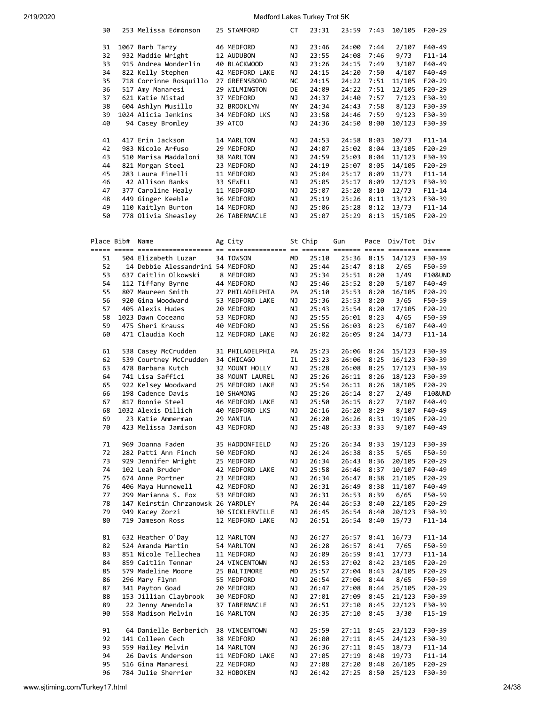| 30         | 253 Melissa Edmonson               | 25 STAMFORD     | СT | 23:31   | 23:59      | 7:43 | 10/105       | F20-29           |
|------------|------------------------------------|-----------------|----|---------|------------|------|--------------|------------------|
| 31         | 1067 Barb Tarzy                    | 46 MEDFORD      | ΝJ | 23:46   | 24:00      | 7:44 | 2/107        | F40-49           |
| 32         | 932 Maddie Wright                  | 12 AUDUBON      | ΝJ | 23:55   | 24:08      | 7:46 | 9/73         | $F11 - 14$       |
| 33         | 915 Andrea Wonderlin               | 40 BLACKWOOD    | ΝJ | 23:26   | 24:15      | 7:49 | 3/107        | F40-49           |
| 34         |                                    |                 |    | 24:15   |            |      |              | F40-49           |
|            | 822 Kelly Stephen                  | 42 MEDFORD LAKE | ΝJ |         | 24:20      | 7:50 | 4/107        |                  |
| 35         | 718 Corrinne Rosquillo             | 27 GREENSBORO   | NС | 24:15   | 24:22      | 7:51 | 11/105       | $F20-29$         |
| 36         | 517 Amy Manaresi                   | 29 WILMINGTON   | DE | 24:09   | 24:22      | 7:51 | 12/105       | $F20-29$         |
| 37         | 621 Katie Nistad                   | 37 MEDFORD      | ΝJ | 24:37   | 24:40      | 7:57 | 7/123        | F30-39           |
| 38         | 604 Ashlyn Musillo                 | 32 BROOKLYN     | ΝY | 24:34   | 24:43      | 7:58 | 8/123        | F30-39           |
| 39         | 1024 Alicia Jenkins                | 34 MEDFORD LKS  | ΝJ | 23:58   | 24:46      | 7:59 | 9/123        | F30-39           |
| 40         | 94 Casey Bromley                   | 39 ATCO         | ΝJ | 24:36   | 24:50      | 8:00 | 10/123       | F30-39           |
|            |                                    |                 |    |         |            |      |              |                  |
| 41         | 417 Erin Jackson                   | 14 MARLTON      | ΝJ | 24:53   | 24:58      | 8:03 | 10/73        | F11-14           |
| 42         | 983 Nicole Arfuso                  | 29 MEDFORD      | ΝJ | 24:07   | 25:02      | 8:04 | 13/105       | F20-29           |
| 43         | 510 Marisa Maddaloni               | 38 MARLTON      | ΝJ | 24:59   | 25:03      | 8:04 | 11/123       | F30-39           |
| 44         | 821 Morgan Steel                   | 23 MEDFORD      | ΝJ | 24:19   | 25:07      | 8:05 | 14/105       | $F20-29$         |
| 45         | 283 Laura Finelli                  | 11 MEDFORD      | ΝJ | 25:04   | 25:17      | 8:09 | 11/73        | $F11 - 14$       |
| 46         | 42 Allison Banks                   | 33 SEWELL       | ΝJ | 25:05   | 25:17      | 8:09 | 12/123       | F30-39           |
| 47         | 377 Caroline Healy                 | 11 MEDFORD      | ΝJ | 25:07   | 25:20      | 8:10 | 12/73        | $F11 - 14$       |
| 48         | 449 Ginger Keeble                  | 36 MEDFORD      | ΝJ | 25:19   | 25:26      | 8:11 | 13/123       | F30-39           |
| 49         | 110 Kaitlyn Burton                 | 14 MEDFORD      | ΝJ | 25:06   | 25:28      | 8:12 | 13/73        | $F11 - 14$       |
| 50         | 778 Olivia Sheasley                | 26 TABERNACLE   | ΝJ | 25:07   | 25:29      | 8:13 | 15/105       | F20-29           |
|            |                                    |                 |    |         |            |      |              |                  |
|            |                                    |                 |    |         |            |      |              |                  |
| Place Bib# | Name                               | Ag City         |    | St Chip | Gun        |      | Pace Div/Tot | Div              |
|            |                                    |                 |    |         |            |      |              |                  |
| 51         | 504 Elizabeth Luzar                | 34 TOWSON       | МD | 25:10   | 25:36      | 8:15 | 14/123       | F30-39           |
| 52         | 14 Debbie Alessandrini 54 MEDFORD  |                 | ΝJ | 25:44   | 25:47      | 8:18 | 2/65         | F50-59           |
| 53         | 637 Caitlin Olkowski               | 8 MEDFORD       | ΝJ | 25:34   | 25:51      | 8:20 | 1/49         | F10&UND          |
| 54         | 112 Tiffany Byrne                  | 44 MEDFORD      | ΝJ | 25:46   | 25:52      | 8:20 | 5/107        | F40-49           |
| 55         | 807 Maureen Smith                  | 27 PHILADELPHIA | PA | 25:10   | 25:53      | 8:20 | 16/105       | $F20-29$         |
| 56         | 920 Gina Woodward                  | 53 MEDFORD LAKE | ΝJ | 25:36   | 25:53      | 8:20 | 3/65         | F50-59           |
| 57         | 405 Alexis Hudes                   | 20 MEDFORD      | ΝJ | 25:43   | 25:54      | 8:20 | 17/105       | F20-29           |
| 58         | 1023 Dawn Coceano                  | 53 MEDFORD      | ΝJ | 25:55   | 26:01      | 8:23 | 4/65         | F50-59           |
| 59         | 475 Sheri Krauss                   | 40 MEDFORD      | ΝJ | 25:56   | 26:03      | 8:23 | 6/107        | F40-49           |
| 60         | 471 Claudia Koch                   | 12 MEDFORD LAKE | ΝJ | 26:02   | 26:05      | 8:24 | 14/73        | $F11 - 14$       |
|            |                                    |                 |    |         |            |      |              |                  |
| 61         | 538 Casey McCrudden                | 31 PHILADELPHIA | PA | 25:23   | 26:06      | 8:24 | 15/123       | F30-39           |
| 62         | 539 Courtney McCrudden             | 34 CHICAGO      | IL | 25:23   | 26:06      | 8:25 | 16/123       | F30-39           |
| 63         | 478 Barbara Kutch                  | 32 MOUNT HOLLY  | ΝJ | 25:28   | 26:08      | 8:25 | 17/123       | F30-39           |
| 64         | 741 Lisa Saffici                   | 38 MOUNT LAUREL | ΝJ | 25:26   | 26:11      | 8:26 | 18/123       | F30-39           |
| 65         | 922 Kelsey Woodward                | 25 MEDFORD LAKE | ΝJ | 25:54   | 26:11      | 8:26 | 18/105       | F20-29           |
| 66         | 198 Cadence Davis                  | 10 SHAMONG      | ΝJ | 25:26   | 26:14      | 8:27 | 2/49         | F10&UND          |
| 67         |                                    | 46 MEDFORD LAKE |    |         | 26:15      |      |              |                  |
|            | 817 Bonnie Steel                   |                 | ΝJ | 25:50   |            | 8:27 | 7/107        | F40-49<br>F40-49 |
| 68         | 1032 Alexis Dillich                | 40 MEDFORD LKS  | ΝJ | 26:16   | 26:20      | 8:29 | 8/107        |                  |
| 69         | 23 Katie Ammerman                  | 29 MANTUA       | ΝJ | 26:20   | 26:26 8:31 |      | 19/105       | $F20-29$         |
| 70         | 423 Melissa Jamison                | 43 MEDFORD      | ΝJ | 25:48   | 26:33      | 8:33 | 9/107        | F40-49           |
|            |                                    |                 |    |         |            |      |              |                  |
| 71         | 969 Joanna Faden                   | 35 HADDONFIELD  | ΝJ | 25:26   | 26:34      | 8:33 | 19/123       | F30-39           |
| 72         | 282 Patti Ann Finch                | 50 MEDFORD      | ΝJ | 26:24   | 26:38      | 8:35 | 5/65         | F50-59           |
| 73         | 929 Jennifer Wright                | 25 MEDFORD      | ΝJ | 26:34   | 26:43      | 8:36 | 20/105       | F20-29           |
| 74         | 102 Leah Bruder                    | 42 MEDFORD LAKE | ΝJ | 25:58   | 26:46      | 8:37 | 10/107       | F40-49           |
| 75         | 674 Anne Portner                   | 23 MEDFORD      | ΝJ | 26:34   | 26:47      | 8:38 | 21/105       | F20-29           |
| 76         | 406 Maya Hunnewell                 | 42 MEDFORD      | ΝJ | 26:31   | 26:49      | 8:38 | 11/107       | F40-49           |
| 77         | 299 Marianna S. Fox                | 53 MEDFORD      | ΝJ | 26:31   | 26:53      | 8:39 | 6/65         | F50-59           |
| 78         | 147 Keirstin Chrzanowsk 26 YARDLEY |                 | PA | 26:44   | 26:53      | 8:40 | 22/105       | F20-29           |
| 79         | 949 Kacey Zorzi                    | 30 SICKLERVILLE | ΝJ | 26:45   | 26:54      | 8:40 | 20/123       | F30-39           |
| 80         | 719 Jameson Ross                   | 12 MEDFORD LAKE | ΝJ | 26:51   | 26:54      | 8:40 | 15/73        | $F11 - 14$       |
|            |                                    |                 |    |         |            |      |              |                  |
| 81         | 632 Heather O'Day                  | 12 MARLTON      | ΝJ | 26:27   | 26:57      | 8:41 | 16/73        | $F11 - 14$       |
| 82         | 524 Amanda Martin                  | 54 MARLTON      | ΝJ | 26:28   | 26:57      | 8:41 | 7/65         | F50-59           |
| 83         | 851 Nicole Tellechea               | 11 MEDFORD      | ΝJ | 26:09   | 26:59      | 8:41 | 17/73        | F11-14           |
| 84         | 859 Caitlin Tennar                 | 24 VINCENTOWN   | ΝJ | 26:53   | 27:02      | 8:42 | 23/105       | F20-29           |
| 85         | 579 Madeline Moore                 | 25 BALTIMORE    | МD | 25:57   | 27:04      | 8:43 | 24/105       | F20-29           |
| 86         | 296 Mary Flynn                     | 55 MEDFORD      | ΝJ | 26:54   | 27:06      | 8:44 | 8/65         | F50-59           |
| 87         | 341 Payton Goad                    | 20 MEDFORD      | ΝJ | 26:47   | 27:08      | 8:44 | 25/105       | F20-29           |
| 88         | 153 Jillian Claybrook              | 30 MEDFORD      | ΝJ | 27:01   | 27:09      | 8:45 | 21/123       | F30-39           |
| 89         | 22 Jenny Amendola                  | 37 TABERNACLE   | ΝJ | 26:51   | 27:10      | 8:45 | 22/123       | F30-39           |
| 90         | 558 Madison Melvin                 | 16 MARLTON      | ΝJ | 26:35   | 27:10      | 8:45 | 3/30         | F15-19           |
|            |                                    |                 |    |         |            |      |              |                  |
| 91         | 64 Danielle Berberich              | 38 VINCENTOWN   | ΝJ | 25:59   | 27:11      | 8:45 | 23/123       | F30-39           |
| 92         | 141 Colleen Cech                   | 38 MEDFORD      | ΝJ | 26:00   | 27:11      | 8:45 | 24/123       | F30-39           |
| 93         | 559 Hailey Melvin                  | 14 MARLTON      | ΝJ | 26:36   | 27:11      | 8:45 | 18/73        | $F11 - 14$       |
| 94         | 26 Davis Anderson                  | 11 MEDFORD LAKE | ΝJ | 27:05   | 27:19      | 8:48 | 19/73        | F11-14           |
| 95         | 516 Gina Manaresi                  | 22 MEDFORD      | ΝJ | 27:08   | 27:20      | 8:48 | 26/105       | F20-29           |
| 96         | 784 Julie Sherrier                 | 32 HOBOKEN      | ΝJ | 26:42   | 27:25      | 8:50 | 25/123       | F30-39           |
|            |                                    |                 |    |         |            |      |              |                  |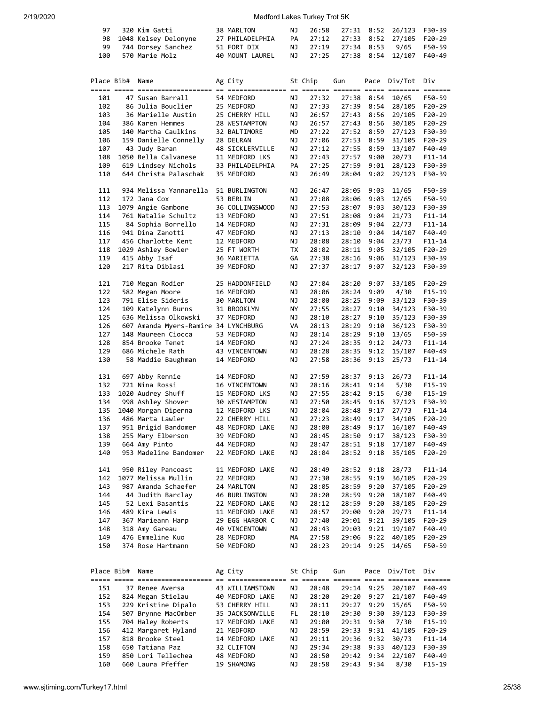| 97 - 320 Kim Gatti      | 38 MARLTON      |  |  | NJ 26:58 27:31 8:52 26/123 F30-39 |  |
|-------------------------|-----------------|--|--|-----------------------------------|--|
| 98 1048 Kelsey Delonyne | 27 PHILADELPHIA |  |  | PA 27:12 27:33 8:52 27/105 F20-29 |  |
| 99 744 Dorsey Sanchez   | 51 FORT DIX     |  |  | NJ 27:19 27:34 8:53 9/65 F50-59   |  |
| 100 570 Marie Molz      | 40 MOUNT LAUREL |  |  | NJ 27:25 27:38 8:54 12/107 F40-49 |  |

| Place Bib# | Name                                 | Ag City         |    | St Chip | Gun            |            | Pace Div/Tot | Div        |
|------------|--------------------------------------|-----------------|----|---------|----------------|------------|--------------|------------|
|            |                                      |                 |    |         |                |            |              |            |
| 101        | 47 Susan Barrall                     | 54 MEDFORD      | ΝJ | 27:32   |                | 27:38 8:54 | 10/65        | F50-59     |
| 102        | 86 Julia Bouclier                    | 25 MEDFORD      | ΝJ | 27:33   | 27:39          | 8:54       | 28/105       | $F20-29$   |
| 103        | 36 Marielle Austin                   | 25 CHERRY HILL  | ΝJ | 26:57   | 27:43          | 8:56       | 29/105       | $F20-29$   |
| 104        | 386 Karen Hemmes                     | 28 WESTAMPTON   | ΝJ | 26:57   | 27:43          | 8:56       | 30/105       | $F20-29$   |
| 105        | 140 Martha Caulkins                  | 32 BALTIMORE    | MD | 27:22   | 27:52          | 8:59       | 27/123       | F30-39     |
| 106        | 159 Danielle Connelly                | 28 DELRAN       | ΝJ | 27:06   | 27:53          | 8:59       | 31/105       | $F20-29$   |
| 107        | 43 Judy Baran                        | 48 SICKLERVILLE | ΝJ | 27:12   | 27:55          | 8:59       | 13/107       | F40-49     |
| 108        | 1050 Bella Calvanese                 | 11 MEDFORD LKS  | ΝJ | 27:43   | 27:57          | 9:00       | 20/73        | F11-14     |
| 109        | 619 Lindsey Nichols                  | 33 PHILADELPHIA | PA | 27:25   | 27:59          | 9:01       | 28/123       | F30-39     |
| 110        | 644 Christa Palaschak                | 35 MEDFORD      | ΝJ | 26:49   | 28:04          | 9:02       | 29/123       | F30-39     |
|            |                                      |                 |    |         |                |            |              |            |
| 111        | 934 Melissa Yannarella               | 51 BURLINGTON   | ΝJ | 26:47   | 28:05          | 9:03       | 11/65        | F50-59     |
| 112        | 172 Jana Cox                         | 53 BERLIN       | ΝJ | 27:08   | 28:06          | 9:03       | 12/65        | F50-59     |
| 113        | 1079 Angie Gambone                   | 36 COLLINGSWOOD | ΝJ | 27:53   | 28:07          | 9:03       | 30/123       | F30-39     |
| 114        | 761 Natalie Schultz                  | 13 MEDFORD      | ΝJ | 27:51   | 28:08          | 9:04       | 21/73        | $F11 - 14$ |
| 115        | 84 Sophia Borrello                   | 14 MEDFORD      | ΝJ | 27:31   | 28:09          | 9:04       | 22/73        | F11-14     |
| 116        | 941 Dina Zanotti                     | 47 MEDFORD      | ΝJ | 27:13   | 28:10          | 9:04       | 14/107       | F40-49     |
| 117        | 456 Charlotte Kent                   | 12 MEDFORD      | ΝJ | 28:08   | 28:10          | 9:04       | 23/73        | $F11 - 14$ |
| 118        | 1029 Ashley Bowler                   | 25 FT WORTH     | ТX | 28:02   | 28:11          | 9:05       | 32/105       | $F20-29$   |
| 119        | 415 Abby Isaf                        | 36 MARIETTA     | GА | 27:38   | 28:16          | 9:06       | 31/123       | F30-39     |
| 120        | 217 Rita Diblasi                     | 39 MEDFORD      | ΝJ | 27:37   | 28:17          | 9:07       | 32/123       | F30-39     |
|            |                                      |                 |    |         |                |            |              |            |
| 121        | 710 Megan Rodier                     | 25 HADDONFIELD  | ΝJ | 27:04   | 28:20          | 9:07       | 33/105       | $F20-29$   |
| 122        | 582 Megan Moore                      | 16 MEDFORD      | ΝJ | 28:06   | 28:24          | 9:09       | 4/30         | $F15 - 19$ |
| 123        | 791 Elise Sideris                    | 30 MARLTON      | ΝJ | 28:00   | 28:25          | 9:09       | 33/123       | F30-39     |
| 124        | 109 Katelynn Burns                   | 31 BROOKLYN     | ΝY | 27:55   | 28:27          | 9:10       | 34/123       | F30-39     |
| 125        | 636 Melissa Olkowski                 | 37 MEDFORD      | ΝJ | 28:10   | 28:27          | 9:10       | 35/123       | F30-39     |
| 126        | 607 Amanda Myers-Ramire 34 LYNCHBURG |                 | VA | 28:13   | 28:29          | 9:10       | 36/123       | F30-39     |
| 127        | 148 Maureen Ciocca                   | 53 MEDFORD      | ΝJ | 28:14   | 28:29          | 9:10       | 13/65        | F50-59     |
| 128        | 854 Brooke Tenet                     | 14 MEDFORD      | ΝJ | 27:24   | 28:35          | 9:12       | 24/73        | F11-14     |
| 129        | 686 Michele Rath                     | 43 VINCENTOWN   | ΝJ | 28:28   | 28:35          | 9:12       | 15/107       | F40-49     |
| 130        | 58 Maddie Baughman                   | 14 MEDFORD      | ΝJ | 27:58   | 28:36          | 9:13       | 25/73        | F11-14     |
| 131        | 697 Abby Rennie                      | 14 MEDFORD      | ΝJ | 27:59   | 28:37          | 9:13       | 26/73        | F11-14     |
| 132        | 721 Nina Rossi                       | 16 VINCENTOWN   | ΝJ | 28:16   | 28:41          | 9:14       | 5/30         | F15-19     |
| 133        | 1020 Audrey Shuff                    | 15 MEDFORD LKS  | ΝJ | 27:55   | 28:42          | 9:15       | 6/30         | $F15-19$   |
| 134        | 998 Ashley Shover                    | 30 WESTAMPTON   | ΝJ | 27:50   | 28:45          | 9:16       | 37/123       | F30-39     |
| 135        | 1040 Morgan Diperna                  | 12 MEDFORD LKS  | ΝJ | 28:04   | 28:48          | 9:17       | 27/73        | $F11 - 14$ |
| 136        | 486 Marta Lawler                     | 22 CHERRY HILL  | ΝJ | 27:23   | 28:49          | 9:17       | 34/105       | $F20-29$   |
| 137        | 951 Brigid Bandomer                  | 48 MEDFORD LAKE | ΝJ | 28:00   | 28:49          | 9:17       | 16/107       | F40-49     |
| 138        | 255 Mary Elberson                    | 39 MEDFORD      | ΝJ | 28:45   | 28:50          | 9:17       | 38/123       | F30-39     |
| 139        | 664 Amy Pinto                        | 44 MEDFORD      | ΝJ | 28:47   | 28:51          | 9:18       | 17/107       | F40-49     |
| 140        | 953 Madeline Bandomer                | 22 MEDFORD LAKE | ΝJ | 28:04   | 28:52          | 9:18       | 35/105       | F20-29     |
|            |                                      |                 |    |         |                |            |              |            |
| 141        | 950 Riley Pancoast                   | 11 MEDFORD LAKE | ΝJ | 28:49   | 28:52          | 9:18       | 28/73        | $F11 - 14$ |
| 142        | 1077 Melissa Mullin                  | 22 MEDFORD      | ΝJ | 27:30   |                | 9:19       | 36/105       | F20-29     |
| 143        | 987 Amanda Schaefer                  | 24 MARLTON      | ΝJ | 28:05   | 28:55<br>28:59 | 9:20       | 37/105       | F20-29     |
| 144        | 44 Judith Barclay                    | 46 BURLINGTON   | ΝJ | 28:20   | 28:59          | 9:20       | 18/107       | F40-49     |
| 145        | 52 Lexi Basantis                     | 22 MEDFORD LAKE | ΝJ | 28:12   | 28:59          | 9:20       | 38/105       | F20-29     |
| 146        | 489 Kira Lewis                       | 11 MEDFORD LAKE | ΝJ | 28:57   | 29:00          | 9:20       | 29/73        | F11-14     |
| 147        | 367 Marieann Harp                    | 29 EGG HARBOR C | ΝJ | 27:40   | 29:01          | 9:21       | 39/105       | F20-29     |
| 148        | 318 Amy Gareau                       | 40 VINCENTOWN   | ΝJ | 28:43   | 29:03          | 9:21       | 19/107       | F40-49     |
| 149        | 476 Emmeline Kuo                     | 28 MEDFORD      | МA | 27:58   | 29:06          | 9:22       | 40/105       | F20-29     |
| 150        | 374 Rose Hartmann                    | 50 MEDFORD      | ΝJ | 28:23   | 29:14          | 9:25       | 14/65        | F50-59     |
|            |                                      |                 |    |         |                |            |              |            |
|            |                                      |                 |    |         |                |            |              |            |
| Place Bib# | Name                                 | Ag City         |    | St Chip | Gun            |            | Pace Div/Tot | Div        |
|            |                                      |                 |    |         |                |            |              |            |
| 151        | 37 Renee Aversa                      | 43 WILLIAMSTOWN | ΝJ | 28:48   |                | 29:14 9:25 | 20/107       | F40-49     |
| 152        | 824 Megan Stielau                    | 40 MEDFORD LAKE | ΝJ | 28:20   | 29:20          | 9:27       | 21/107       | F40-49     |
| 153        | 229 Kristine Dipalo                  | 53 CHERRY HILL  | ΝJ | 28:11   | 29:27          | 9:29       | 15/65        | F50-59     |
| 154        | 507 Brynne MacOmber                  | 35 JACKSONVILLE | FL | 28:10   | 29:30          | 9:30       | 39/123       | F30-39     |
| 155        | 704 Haley Roberts                    | 17 MEDFORD LAKE | ΝJ | 29:00   | 29:31          | 9:30       | 7/30         | F15-19     |
| 156        | 412 Margaret Hyland                  | 21 MEDFORD      | ΝJ | 28:59   | 29:33          | 9:31       | 41/105       | F20-29     |
| 157        | 818 Brooke Steel                     | 14 MEDFORD LAKE | ΝJ | 29:11   | 29:36          | 9:32       | 30/73        | F11-14     |
| 158        | 650 Tatiana Paz                      | 32 CLIFTON      | ΝJ | 29:34   |                | 29:38 9:33 | 40/123       | F30-39     |
|            |                                      |                 |    |         |                |            |              |            |

 159 850 Lori Tellechea 48 MEDFORD NJ 28:50 29:42 9:34 22/107 F40-49 160 660 Laura Pfeffer 19 SHAMONG NJ 28:58 29:43 9:34 8/30 F15-19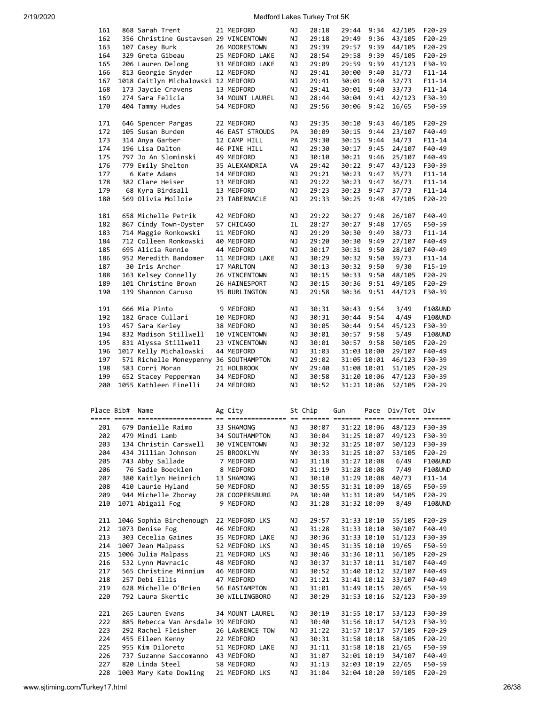| 9:36<br>162<br>356 Christine Gustavsen 29 VINCENTOWN<br>ΝJ<br>29:18<br>29:49<br>43/105<br>$F20-29$<br>29:39<br>163<br>107 Casey Burk<br>26 MOORESTOWN<br>ΝJ<br>29:57<br>9:39<br>44/105<br>F20-29<br>164<br>45/105<br>F20-29<br>329 Greta Gibeau<br>25 MEDFORD LAKE<br>ΝJ<br>28:54<br>29:58<br>9:39<br>165<br>206 Lauren Delong<br>33 MEDFORD LAKE<br>ΝJ<br>29:09<br>29:59<br>9:39<br>41/123<br>F30-39<br>813 Georgie Snyder<br>29:41<br>31/73<br>166<br>12 MEDFORD<br>ΝJ<br>30:00<br>9:40<br>$F11 - 14$<br>167<br>1018 Caitlyn Michalowski 12 MEDFORD<br>29:41<br>ΝJ<br>30:01<br>9:40<br>32/73<br>$F11 - 14$<br>173 Jaycie Cravens<br>168<br>13 MEDFORD<br>ΝJ<br>29:41<br>30:01<br>9:40<br>33/73<br>$F11 - 14$<br>169<br>274 Sara Felicia<br>34 MOUNT LAUREL<br>ΝJ<br>28:44<br>30:04<br>9:41<br>42/123<br>F30-39<br>170<br>29:56<br>F50-59<br>404 Tammy Hudes<br>54 MEDFORD<br>ΝJ<br>30:06<br>9:42<br>16/65<br>F20-29<br>171<br>646 Spencer Pargas<br>22 MEDFORD<br>ΝJ<br>29:35<br>30:10<br>9:43<br>46/105<br>105 Susan Burden<br>172<br>46 EAST STROUDS<br>PA<br>30:09<br>30:15<br>9:44<br>23/107<br>F40-49<br>314 Anya Garber<br>173<br>12 CAMP HILL<br>PA<br>29:30<br>30:15<br>9:44<br>34/73<br>$F11 - 14$<br>196 Lisa Dalton<br>46 PINE HILL<br>F40-49<br>174<br>ΝJ<br>29:30<br>30:17<br>9:45<br>24/107<br>797 Jo An Slominski<br>175<br>49 MEDFORD<br>ΝJ<br>30:10<br>30:21<br>9:46<br>25/107<br>F40-49<br>779 Emily Shelton<br>176<br>35 ALEXANDRIA<br>VA<br>29:42<br>30:22<br>9:47<br>43/123<br>F30-39<br>177<br>6 Kate Adams<br>14 MEDFORD<br>ΝJ<br>29:21<br>30:23<br>9:47<br>35/73<br>$F11 - 14$<br>178<br>382 Clare Heiser<br>13 MEDFORD<br>ΝJ<br>29:22<br>30:23<br>9:47<br>36/73<br>$F11 - 14$<br>179<br>68 Kyra Birdsall<br>13 MEDFORD<br>ΝJ<br>29:23<br>30:23<br>9:47<br>37/73<br>$F11 - 14$<br>569 Olivia Molloie<br>180<br>23 TABERNACLE<br>ΝJ<br>29:33<br>30:25<br>9:48<br>47/105<br>F20-29<br>658 Michelle Petrik<br>F40-49<br>181<br>42 MEDFORD<br>29:22<br>30:27<br>9:48<br>26/107<br>ΝJ<br>F50-59<br>182<br>867 Cindy Town-Oyster<br>57 CHICAGO<br>IL<br>28:27<br>30:27<br>9:48<br>17/65<br>714 Maggie Ronkowski<br>29:29<br>183<br>11 MEDFORD<br>ΝJ<br>30:30<br>9:49<br>38/73<br>$F11 - 14$<br>712 Colleen Ronkowski<br>29:20<br>27/107<br>F40-49<br>184<br>40 MEDFORD<br>ΝJ<br>30:30<br>9:49<br>695 Alicia Rennie<br>30:17<br>F40-49<br>185<br>44 MEDFORD<br>ΝJ<br>30:31<br>9:50<br>28/107<br>186<br>952 Meredith Bandomer<br>11 MEDFORD LAKE<br>ΝJ<br>30:29<br>30:32<br>9:50<br>39/73<br>$F11 - 14$<br>9/30<br>187<br>30 Iris Archer<br>17 MARLTON<br>ΝJ<br>30:13<br>30:32<br>9:50<br>$F15-19$<br>F20-29<br>188<br>163 Kelsey Connelly<br>26 VINCENTOWN<br>ΝJ<br>30:15<br>30:33<br>9:50<br>48/105<br>189<br>101 Christine Brown<br>26 HAINESPORT<br>ΝJ<br>30:15<br>30:36<br>9:51<br>49/105<br>F20-29<br>139 Shannon Caruso<br>29:58<br>44/123<br>190<br>35 BURLINGTON<br>ΝJ<br>30:36<br>9:51<br>F30-39<br>666 Mia Pinto<br>191<br>9 MEDFORD<br>30:31<br>9:54<br>3/49<br>F10&UND<br>ΝJ<br>30:43<br>182 Grace Cullari<br>4/49<br>F10&UND<br>192<br>10 MEDFORD<br>ΝJ<br>30:31<br>30:44<br>9:54<br>457 Sara Kerley<br>193<br>38 MEDFORD<br>ΝJ<br>30:05<br>30:44<br>9:54<br>45/123<br>F30-39<br>832 Madison Stillwell<br>9:58<br>194<br>10 VINCENTOWN<br>ΝJ<br>30:01<br>30:57<br>5/49<br>F10&UND<br>831 Alyssa Stillwell<br>195<br>23 VINCENTOWN<br>ΝJ<br>30:01<br>30:57<br>9:58<br>50/105<br>F20-29<br>1017 Kelly Michalowski<br>F40-49<br>196<br>44 MEDFORD<br>ΝJ<br>31:03<br>31:03 10:00<br>29/107<br>31:05 10:01<br>197<br>571 Richelle Moneypenny 36 SOUTHAMPTON<br>ΝJ<br>29:02<br>46/123<br>F30-39<br>198<br>583 Corri Moran<br>21 HOLBROOK<br>ΝY<br>29:40<br>31:08 10:01<br>51/105<br>$F20-29$<br>199<br>652 Stacey Pepperman<br>34 MEDFORD<br>ΝJ<br>30:58<br>31:20 10:06<br>47/123<br>F30-39<br>1055 Kathleen Finelli<br>200<br>24 MEDFORD<br>ΝJ<br>30:52<br>31:21 10:06<br>52/105<br>F20-29<br>Place Bib#<br>Ag City<br>St Chip<br>Pace Div/Tot<br>Name<br>Gun<br>Div<br>679 Danielle Raimo<br>30:07<br>31:22 10:06<br>48/123<br>201<br>33 SHAMONG<br>ΝJ<br>F30-39<br>202<br>479 Mindi Lamb<br>34 SOUTHAMPTON<br>ΝJ<br>30:04<br>31:25 10:07<br>49/123<br>F30-39<br>203<br>134 Christin Carswell<br>ΝJ<br>30:32<br>50/123<br>F30-39<br>30 VINCENTOWN<br>31:25 10:07<br>204<br>434 Jillian Johnson<br>25 BROOKLYN<br>ΝY<br>30:33<br>31:25 10:07<br>53/105<br>F20-29<br>205<br>743 Abby Sallade<br>7 MEDFORD<br>31:18<br>6/49<br>F10&UND<br>ΝJ<br>31:27 10:08<br>206<br>76 Sadie Boecklen<br>8 MEDFORD<br>ΝJ<br>31:19<br>31:28 10:08<br>7/49<br>F10&UND<br>40/73<br>207<br>380 Kaitlyn Heinrich<br>13 SHAMONG<br>ΝJ<br>30:10<br>31:29 10:08<br>$F11 - 14$<br>208<br>410 Laurie Hyland<br>ΝJ<br>30:55<br>31:31 10:09<br>18/65<br>F50-59<br>50 MEDFORD<br>209<br>944 Michelle Zboray<br>28 COOPERSBURG<br>PA<br>30:40<br>31:31 10:09<br>54/105<br>F20-29<br>210<br>1071 Abigail Fog<br>9 MEDFORD<br>ΝJ<br>31:28<br>31:32 10:09<br>8/49<br>F10&UND<br>211<br>1046 Sophia Birchenough<br>22 MEDFORD LKS<br>29:57<br>31:33 10:10<br>55/105<br>F20-29<br>ΝJ<br>1073 Denise Fog<br>30/107<br>212<br>46 MEDFORD<br>ΝJ<br>31:28<br>31:33 10:10<br>F40-49<br>213<br>303 Cecelia Gaines<br>ΝJ<br>30:36<br>51/123<br>35 MEDFORD LAKE<br>31:33 10:10<br>F30-39<br>19/65<br>214<br>1007 Jean Malpass<br>52 MEDFORD LKS<br>ΝJ<br>30:45<br>31:35 10:10<br>F50-59<br>215<br>1006 Julia Malpass<br>21 MEDFORD LKS<br>ΝJ<br>30:46<br>31:36 10:11<br>56/105<br>F20-29<br>216<br>532 Lynn Mavracic<br>30:37<br>31:37 10:11<br>31/107<br>F40-49<br>48 MEDFORD<br>ΝJ<br>217<br>565 Christine Minnium<br>46 MEDFORD<br>30:52<br>31:40 10:12<br>32/107<br>F40-49<br>ΝJ<br>33/107<br>218<br>257 Debi Ellis<br>47 MEDFORD<br>ΝJ<br>31:21<br>31:41 10:12<br>F40-49<br>219<br>628 Michelle O'Brien<br>ΝJ<br>31:01<br>20/65<br>F50-59<br>56 EASTAMPTON<br>31:49 10:15<br>220<br>792 Laura Skertic<br>30 WILLINGBORO<br>30:29<br>31:53 10:16<br>52/123<br>F30-39<br>ΝJ<br>221<br>265 Lauren Evans<br>34 MOUNT LAUREL<br>30:19<br>ΝJ<br>31:55 10:17<br>53/123<br>F30-39<br>885 Rebecca Van Arsdale 39 MEDFORD<br>222<br>ΝJ<br>30:40<br>31:56 10:17<br>54/123<br>F30-39<br>223<br>292 Rachel Fleisher<br>26 LAWRENCE TOW<br>ΝJ<br>31:22<br>57/105<br>F20-29<br>31:57 10:17<br>224<br>455 Eileen Kenny<br>ΝJ<br>30:31<br>58/105<br>F20-29<br>22 MEDFORD<br>31:58 10:18<br>955 Kim Diloreto<br>225<br>31:11<br>31:58 10:18<br>21/65<br>F50-59<br>51 MEDFORD LAKE<br>ΝJ<br>226<br>737 Suzanne Saccomanno<br>43 MEDFORD<br>31:07<br>32:01 10:19<br>34/107<br>F40-49<br>ΝJ<br>227<br>820 Linda Steel<br>58 MEDFORD<br>ΝJ<br>31:13<br>32:03 10:19<br>22/65<br>F50-59<br>228<br>1003 Mary Kate Dowling<br>21 MEDFORD LKS<br>ΝJ<br>31:04<br>32:04 10:20<br>59/105<br>F20-29 | 161 | 868 Sarah Trent | 21 MEDFORD | ΝJ | 28:18 | 29:44 | 9:34 | 42/105 | F20-29 |
|-----------------------------------------------------------------------------------------------------------------------------------------------------------------------------------------------------------------------------------------------------------------------------------------------------------------------------------------------------------------------------------------------------------------------------------------------------------------------------------------------------------------------------------------------------------------------------------------------------------------------------------------------------------------------------------------------------------------------------------------------------------------------------------------------------------------------------------------------------------------------------------------------------------------------------------------------------------------------------------------------------------------------------------------------------------------------------------------------------------------------------------------------------------------------------------------------------------------------------------------------------------------------------------------------------------------------------------------------------------------------------------------------------------------------------------------------------------------------------------------------------------------------------------------------------------------------------------------------------------------------------------------------------------------------------------------------------------------------------------------------------------------------------------------------------------------------------------------------------------------------------------------------------------------------------------------------------------------------------------------------------------------------------------------------------------------------------------------------------------------------------------------------------------------------------------------------------------------------------------------------------------------------------------------------------------------------------------------------------------------------------------------------------------------------------------------------------------------------------------------------------------------------------------------------------------------------------------------------------------------------------------------------------------------------------------------------------------------------------------------------------------------------------------------------------------------------------------------------------------------------------------------------------------------------------------------------------------------------------------------------------------------------------------------------------------------------------------------------------------------------------------------------------------------------------------------------------------------------------------------------------------------------------------------------------------------------------------------------------------------------------------------------------------------------------------------------------------------------------------------------------------------------------------------------------------------------------------------------------------------------------------------------------------------------------------------------------------------------------------------------------------------------------------------------------------------------------------------------------------------------------------------------------------------------------------------------------------------------------------------------------------------------------------------------------------------------------------------------------------------------------------------------------------------------------------------------------------------------------------------------------------------------------------------------------------------------------------------------------------------------------------------------------------------------------------------------------------------------------------------------------------------------------------------------------------------------------------------------------------------------------------------------------------------------------------------------------------------------------------------------------------------------------------------------------------------------------------------------------------------------------------------------------------------------------------------------------------------------------------------------------------------------------------------------------------------------------------------------------------------------------------------------------------------------------------------------------------------------------------------------------------------------------------------------------------------------------------------------------------------------------------------------------------------------------------------------------------------------------------------------------------------------------------------------------------------------------------------------------------------------------------------------------------------------------------------------------------------------------------------------------------------------------------------------------------------------------------------------------------------------------------------------------------------------------------------------------------------------------------------------------------------------------------------------------------------------------------------------------------------------------------------------------------------------------------------------------------------------------------------------------------------------------------------------------------------------------------------------------------------------------------------------------------------------------------------------------------------------------------------------------------------------------------------------------------------------------------------------------------------------------------------------------------------------------------------------------------------------------------------------------------|-----|-----------------|------------|----|-------|-------|------|--------|--------|
|                                                                                                                                                                                                                                                                                                                                                                                                                                                                                                                                                                                                                                                                                                                                                                                                                                                                                                                                                                                                                                                                                                                                                                                                                                                                                                                                                                                                                                                                                                                                                                                                                                                                                                                                                                                                                                                                                                                                                                                                                                                                                                                                                                                                                                                                                                                                                                                                                                                                                                                                                                                                                                                                                                                                                                                                                                                                                                                                                                                                                                                                                                                                                                                                                                                                                                                                                                                                                                                                                                                                                                                                                                                                                                                                                                                                                                                                                                                                                                                                                                                                                                                                                                                                                                                                                                                                                                                                                                                                                                                                                                                                                                                                                                                                                                                                                                                                                                                                                                                                                                                                                                                                                                                                                                                                                                                                                                                                                                                                                                                                                                                                                                                                                                                                                                                                                                                                                                                                                                                                                                                                                                                                                                                                                                                                                                                                                                                                                                                                                                                                                                                                                                                                                                                                                           |     |                 |            |    |       |       |      |        |        |
|                                                                                                                                                                                                                                                                                                                                                                                                                                                                                                                                                                                                                                                                                                                                                                                                                                                                                                                                                                                                                                                                                                                                                                                                                                                                                                                                                                                                                                                                                                                                                                                                                                                                                                                                                                                                                                                                                                                                                                                                                                                                                                                                                                                                                                                                                                                                                                                                                                                                                                                                                                                                                                                                                                                                                                                                                                                                                                                                                                                                                                                                                                                                                                                                                                                                                                                                                                                                                                                                                                                                                                                                                                                                                                                                                                                                                                                                                                                                                                                                                                                                                                                                                                                                                                                                                                                                                                                                                                                                                                                                                                                                                                                                                                                                                                                                                                                                                                                                                                                                                                                                                                                                                                                                                                                                                                                                                                                                                                                                                                                                                                                                                                                                                                                                                                                                                                                                                                                                                                                                                                                                                                                                                                                                                                                                                                                                                                                                                                                                                                                                                                                                                                                                                                                                                           |     |                 |            |    |       |       |      |        |        |
|                                                                                                                                                                                                                                                                                                                                                                                                                                                                                                                                                                                                                                                                                                                                                                                                                                                                                                                                                                                                                                                                                                                                                                                                                                                                                                                                                                                                                                                                                                                                                                                                                                                                                                                                                                                                                                                                                                                                                                                                                                                                                                                                                                                                                                                                                                                                                                                                                                                                                                                                                                                                                                                                                                                                                                                                                                                                                                                                                                                                                                                                                                                                                                                                                                                                                                                                                                                                                                                                                                                                                                                                                                                                                                                                                                                                                                                                                                                                                                                                                                                                                                                                                                                                                                                                                                                                                                                                                                                                                                                                                                                                                                                                                                                                                                                                                                                                                                                                                                                                                                                                                                                                                                                                                                                                                                                                                                                                                                                                                                                                                                                                                                                                                                                                                                                                                                                                                                                                                                                                                                                                                                                                                                                                                                                                                                                                                                                                                                                                                                                                                                                                                                                                                                                                                           |     |                 |            |    |       |       |      |        |        |
|                                                                                                                                                                                                                                                                                                                                                                                                                                                                                                                                                                                                                                                                                                                                                                                                                                                                                                                                                                                                                                                                                                                                                                                                                                                                                                                                                                                                                                                                                                                                                                                                                                                                                                                                                                                                                                                                                                                                                                                                                                                                                                                                                                                                                                                                                                                                                                                                                                                                                                                                                                                                                                                                                                                                                                                                                                                                                                                                                                                                                                                                                                                                                                                                                                                                                                                                                                                                                                                                                                                                                                                                                                                                                                                                                                                                                                                                                                                                                                                                                                                                                                                                                                                                                                                                                                                                                                                                                                                                                                                                                                                                                                                                                                                                                                                                                                                                                                                                                                                                                                                                                                                                                                                                                                                                                                                                                                                                                                                                                                                                                                                                                                                                                                                                                                                                                                                                                                                                                                                                                                                                                                                                                                                                                                                                                                                                                                                                                                                                                                                                                                                                                                                                                                                                                           |     |                 |            |    |       |       |      |        |        |
|                                                                                                                                                                                                                                                                                                                                                                                                                                                                                                                                                                                                                                                                                                                                                                                                                                                                                                                                                                                                                                                                                                                                                                                                                                                                                                                                                                                                                                                                                                                                                                                                                                                                                                                                                                                                                                                                                                                                                                                                                                                                                                                                                                                                                                                                                                                                                                                                                                                                                                                                                                                                                                                                                                                                                                                                                                                                                                                                                                                                                                                                                                                                                                                                                                                                                                                                                                                                                                                                                                                                                                                                                                                                                                                                                                                                                                                                                                                                                                                                                                                                                                                                                                                                                                                                                                                                                                                                                                                                                                                                                                                                                                                                                                                                                                                                                                                                                                                                                                                                                                                                                                                                                                                                                                                                                                                                                                                                                                                                                                                                                                                                                                                                                                                                                                                                                                                                                                                                                                                                                                                                                                                                                                                                                                                                                                                                                                                                                                                                                                                                                                                                                                                                                                                                                           |     |                 |            |    |       |       |      |        |        |
|                                                                                                                                                                                                                                                                                                                                                                                                                                                                                                                                                                                                                                                                                                                                                                                                                                                                                                                                                                                                                                                                                                                                                                                                                                                                                                                                                                                                                                                                                                                                                                                                                                                                                                                                                                                                                                                                                                                                                                                                                                                                                                                                                                                                                                                                                                                                                                                                                                                                                                                                                                                                                                                                                                                                                                                                                                                                                                                                                                                                                                                                                                                                                                                                                                                                                                                                                                                                                                                                                                                                                                                                                                                                                                                                                                                                                                                                                                                                                                                                                                                                                                                                                                                                                                                                                                                                                                                                                                                                                                                                                                                                                                                                                                                                                                                                                                                                                                                                                                                                                                                                                                                                                                                                                                                                                                                                                                                                                                                                                                                                                                                                                                                                                                                                                                                                                                                                                                                                                                                                                                                                                                                                                                                                                                                                                                                                                                                                                                                                                                                                                                                                                                                                                                                                                           |     |                 |            |    |       |       |      |        |        |
|                                                                                                                                                                                                                                                                                                                                                                                                                                                                                                                                                                                                                                                                                                                                                                                                                                                                                                                                                                                                                                                                                                                                                                                                                                                                                                                                                                                                                                                                                                                                                                                                                                                                                                                                                                                                                                                                                                                                                                                                                                                                                                                                                                                                                                                                                                                                                                                                                                                                                                                                                                                                                                                                                                                                                                                                                                                                                                                                                                                                                                                                                                                                                                                                                                                                                                                                                                                                                                                                                                                                                                                                                                                                                                                                                                                                                                                                                                                                                                                                                                                                                                                                                                                                                                                                                                                                                                                                                                                                                                                                                                                                                                                                                                                                                                                                                                                                                                                                                                                                                                                                                                                                                                                                                                                                                                                                                                                                                                                                                                                                                                                                                                                                                                                                                                                                                                                                                                                                                                                                                                                                                                                                                                                                                                                                                                                                                                                                                                                                                                                                                                                                                                                                                                                                                           |     |                 |            |    |       |       |      |        |        |
|                                                                                                                                                                                                                                                                                                                                                                                                                                                                                                                                                                                                                                                                                                                                                                                                                                                                                                                                                                                                                                                                                                                                                                                                                                                                                                                                                                                                                                                                                                                                                                                                                                                                                                                                                                                                                                                                                                                                                                                                                                                                                                                                                                                                                                                                                                                                                                                                                                                                                                                                                                                                                                                                                                                                                                                                                                                                                                                                                                                                                                                                                                                                                                                                                                                                                                                                                                                                                                                                                                                                                                                                                                                                                                                                                                                                                                                                                                                                                                                                                                                                                                                                                                                                                                                                                                                                                                                                                                                                                                                                                                                                                                                                                                                                                                                                                                                                                                                                                                                                                                                                                                                                                                                                                                                                                                                                                                                                                                                                                                                                                                                                                                                                                                                                                                                                                                                                                                                                                                                                                                                                                                                                                                                                                                                                                                                                                                                                                                                                                                                                                                                                                                                                                                                                                           |     |                 |            |    |       |       |      |        |        |
|                                                                                                                                                                                                                                                                                                                                                                                                                                                                                                                                                                                                                                                                                                                                                                                                                                                                                                                                                                                                                                                                                                                                                                                                                                                                                                                                                                                                                                                                                                                                                                                                                                                                                                                                                                                                                                                                                                                                                                                                                                                                                                                                                                                                                                                                                                                                                                                                                                                                                                                                                                                                                                                                                                                                                                                                                                                                                                                                                                                                                                                                                                                                                                                                                                                                                                                                                                                                                                                                                                                                                                                                                                                                                                                                                                                                                                                                                                                                                                                                                                                                                                                                                                                                                                                                                                                                                                                                                                                                                                                                                                                                                                                                                                                                                                                                                                                                                                                                                                                                                                                                                                                                                                                                                                                                                                                                                                                                                                                                                                                                                                                                                                                                                                                                                                                                                                                                                                                                                                                                                                                                                                                                                                                                                                                                                                                                                                                                                                                                                                                                                                                                                                                                                                                                                           |     |                 |            |    |       |       |      |        |        |
|                                                                                                                                                                                                                                                                                                                                                                                                                                                                                                                                                                                                                                                                                                                                                                                                                                                                                                                                                                                                                                                                                                                                                                                                                                                                                                                                                                                                                                                                                                                                                                                                                                                                                                                                                                                                                                                                                                                                                                                                                                                                                                                                                                                                                                                                                                                                                                                                                                                                                                                                                                                                                                                                                                                                                                                                                                                                                                                                                                                                                                                                                                                                                                                                                                                                                                                                                                                                                                                                                                                                                                                                                                                                                                                                                                                                                                                                                                                                                                                                                                                                                                                                                                                                                                                                                                                                                                                                                                                                                                                                                                                                                                                                                                                                                                                                                                                                                                                                                                                                                                                                                                                                                                                                                                                                                                                                                                                                                                                                                                                                                                                                                                                                                                                                                                                                                                                                                                                                                                                                                                                                                                                                                                                                                                                                                                                                                                                                                                                                                                                                                                                                                                                                                                                                                           |     |                 |            |    |       |       |      |        |        |
|                                                                                                                                                                                                                                                                                                                                                                                                                                                                                                                                                                                                                                                                                                                                                                                                                                                                                                                                                                                                                                                                                                                                                                                                                                                                                                                                                                                                                                                                                                                                                                                                                                                                                                                                                                                                                                                                                                                                                                                                                                                                                                                                                                                                                                                                                                                                                                                                                                                                                                                                                                                                                                                                                                                                                                                                                                                                                                                                                                                                                                                                                                                                                                                                                                                                                                                                                                                                                                                                                                                                                                                                                                                                                                                                                                                                                                                                                                                                                                                                                                                                                                                                                                                                                                                                                                                                                                                                                                                                                                                                                                                                                                                                                                                                                                                                                                                                                                                                                                                                                                                                                                                                                                                                                                                                                                                                                                                                                                                                                                                                                                                                                                                                                                                                                                                                                                                                                                                                                                                                                                                                                                                                                                                                                                                                                                                                                                                                                                                                                                                                                                                                                                                                                                                                                           |     |                 |            |    |       |       |      |        |        |
|                                                                                                                                                                                                                                                                                                                                                                                                                                                                                                                                                                                                                                                                                                                                                                                                                                                                                                                                                                                                                                                                                                                                                                                                                                                                                                                                                                                                                                                                                                                                                                                                                                                                                                                                                                                                                                                                                                                                                                                                                                                                                                                                                                                                                                                                                                                                                                                                                                                                                                                                                                                                                                                                                                                                                                                                                                                                                                                                                                                                                                                                                                                                                                                                                                                                                                                                                                                                                                                                                                                                                                                                                                                                                                                                                                                                                                                                                                                                                                                                                                                                                                                                                                                                                                                                                                                                                                                                                                                                                                                                                                                                                                                                                                                                                                                                                                                                                                                                                                                                                                                                                                                                                                                                                                                                                                                                                                                                                                                                                                                                                                                                                                                                                                                                                                                                                                                                                                                                                                                                                                                                                                                                                                                                                                                                                                                                                                                                                                                                                                                                                                                                                                                                                                                                                           |     |                 |            |    |       |       |      |        |        |
|                                                                                                                                                                                                                                                                                                                                                                                                                                                                                                                                                                                                                                                                                                                                                                                                                                                                                                                                                                                                                                                                                                                                                                                                                                                                                                                                                                                                                                                                                                                                                                                                                                                                                                                                                                                                                                                                                                                                                                                                                                                                                                                                                                                                                                                                                                                                                                                                                                                                                                                                                                                                                                                                                                                                                                                                                                                                                                                                                                                                                                                                                                                                                                                                                                                                                                                                                                                                                                                                                                                                                                                                                                                                                                                                                                                                                                                                                                                                                                                                                                                                                                                                                                                                                                                                                                                                                                                                                                                                                                                                                                                                                                                                                                                                                                                                                                                                                                                                                                                                                                                                                                                                                                                                                                                                                                                                                                                                                                                                                                                                                                                                                                                                                                                                                                                                                                                                                                                                                                                                                                                                                                                                                                                                                                                                                                                                                                                                                                                                                                                                                                                                                                                                                                                                                           |     |                 |            |    |       |       |      |        |        |
|                                                                                                                                                                                                                                                                                                                                                                                                                                                                                                                                                                                                                                                                                                                                                                                                                                                                                                                                                                                                                                                                                                                                                                                                                                                                                                                                                                                                                                                                                                                                                                                                                                                                                                                                                                                                                                                                                                                                                                                                                                                                                                                                                                                                                                                                                                                                                                                                                                                                                                                                                                                                                                                                                                                                                                                                                                                                                                                                                                                                                                                                                                                                                                                                                                                                                                                                                                                                                                                                                                                                                                                                                                                                                                                                                                                                                                                                                                                                                                                                                                                                                                                                                                                                                                                                                                                                                                                                                                                                                                                                                                                                                                                                                                                                                                                                                                                                                                                                                                                                                                                                                                                                                                                                                                                                                                                                                                                                                                                                                                                                                                                                                                                                                                                                                                                                                                                                                                                                                                                                                                                                                                                                                                                                                                                                                                                                                                                                                                                                                                                                                                                                                                                                                                                                                           |     |                 |            |    |       |       |      |        |        |
|                                                                                                                                                                                                                                                                                                                                                                                                                                                                                                                                                                                                                                                                                                                                                                                                                                                                                                                                                                                                                                                                                                                                                                                                                                                                                                                                                                                                                                                                                                                                                                                                                                                                                                                                                                                                                                                                                                                                                                                                                                                                                                                                                                                                                                                                                                                                                                                                                                                                                                                                                                                                                                                                                                                                                                                                                                                                                                                                                                                                                                                                                                                                                                                                                                                                                                                                                                                                                                                                                                                                                                                                                                                                                                                                                                                                                                                                                                                                                                                                                                                                                                                                                                                                                                                                                                                                                                                                                                                                                                                                                                                                                                                                                                                                                                                                                                                                                                                                                                                                                                                                                                                                                                                                                                                                                                                                                                                                                                                                                                                                                                                                                                                                                                                                                                                                                                                                                                                                                                                                                                                                                                                                                                                                                                                                                                                                                                                                                                                                                                                                                                                                                                                                                                                                                           |     |                 |            |    |       |       |      |        |        |
|                                                                                                                                                                                                                                                                                                                                                                                                                                                                                                                                                                                                                                                                                                                                                                                                                                                                                                                                                                                                                                                                                                                                                                                                                                                                                                                                                                                                                                                                                                                                                                                                                                                                                                                                                                                                                                                                                                                                                                                                                                                                                                                                                                                                                                                                                                                                                                                                                                                                                                                                                                                                                                                                                                                                                                                                                                                                                                                                                                                                                                                                                                                                                                                                                                                                                                                                                                                                                                                                                                                                                                                                                                                                                                                                                                                                                                                                                                                                                                                                                                                                                                                                                                                                                                                                                                                                                                                                                                                                                                                                                                                                                                                                                                                                                                                                                                                                                                                                                                                                                                                                                                                                                                                                                                                                                                                                                                                                                                                                                                                                                                                                                                                                                                                                                                                                                                                                                                                                                                                                                                                                                                                                                                                                                                                                                                                                                                                                                                                                                                                                                                                                                                                                                                                                                           |     |                 |            |    |       |       |      |        |        |
|                                                                                                                                                                                                                                                                                                                                                                                                                                                                                                                                                                                                                                                                                                                                                                                                                                                                                                                                                                                                                                                                                                                                                                                                                                                                                                                                                                                                                                                                                                                                                                                                                                                                                                                                                                                                                                                                                                                                                                                                                                                                                                                                                                                                                                                                                                                                                                                                                                                                                                                                                                                                                                                                                                                                                                                                                                                                                                                                                                                                                                                                                                                                                                                                                                                                                                                                                                                                                                                                                                                                                                                                                                                                                                                                                                                                                                                                                                                                                                                                                                                                                                                                                                                                                                                                                                                                                                                                                                                                                                                                                                                                                                                                                                                                                                                                                                                                                                                                                                                                                                                                                                                                                                                                                                                                                                                                                                                                                                                                                                                                                                                                                                                                                                                                                                                                                                                                                                                                                                                                                                                                                                                                                                                                                                                                                                                                                                                                                                                                                                                                                                                                                                                                                                                                                           |     |                 |            |    |       |       |      |        |        |
|                                                                                                                                                                                                                                                                                                                                                                                                                                                                                                                                                                                                                                                                                                                                                                                                                                                                                                                                                                                                                                                                                                                                                                                                                                                                                                                                                                                                                                                                                                                                                                                                                                                                                                                                                                                                                                                                                                                                                                                                                                                                                                                                                                                                                                                                                                                                                                                                                                                                                                                                                                                                                                                                                                                                                                                                                                                                                                                                                                                                                                                                                                                                                                                                                                                                                                                                                                                                                                                                                                                                                                                                                                                                                                                                                                                                                                                                                                                                                                                                                                                                                                                                                                                                                                                                                                                                                                                                                                                                                                                                                                                                                                                                                                                                                                                                                                                                                                                                                                                                                                                                                                                                                                                                                                                                                                                                                                                                                                                                                                                                                                                                                                                                                                                                                                                                                                                                                                                                                                                                                                                                                                                                                                                                                                                                                                                                                                                                                                                                                                                                                                                                                                                                                                                                                           |     |                 |            |    |       |       |      |        |        |
|                                                                                                                                                                                                                                                                                                                                                                                                                                                                                                                                                                                                                                                                                                                                                                                                                                                                                                                                                                                                                                                                                                                                                                                                                                                                                                                                                                                                                                                                                                                                                                                                                                                                                                                                                                                                                                                                                                                                                                                                                                                                                                                                                                                                                                                                                                                                                                                                                                                                                                                                                                                                                                                                                                                                                                                                                                                                                                                                                                                                                                                                                                                                                                                                                                                                                                                                                                                                                                                                                                                                                                                                                                                                                                                                                                                                                                                                                                                                                                                                                                                                                                                                                                                                                                                                                                                                                                                                                                                                                                                                                                                                                                                                                                                                                                                                                                                                                                                                                                                                                                                                                                                                                                                                                                                                                                                                                                                                                                                                                                                                                                                                                                                                                                                                                                                                                                                                                                                                                                                                                                                                                                                                                                                                                                                                                                                                                                                                                                                                                                                                                                                                                                                                                                                                                           |     |                 |            |    |       |       |      |        |        |
|                                                                                                                                                                                                                                                                                                                                                                                                                                                                                                                                                                                                                                                                                                                                                                                                                                                                                                                                                                                                                                                                                                                                                                                                                                                                                                                                                                                                                                                                                                                                                                                                                                                                                                                                                                                                                                                                                                                                                                                                                                                                                                                                                                                                                                                                                                                                                                                                                                                                                                                                                                                                                                                                                                                                                                                                                                                                                                                                                                                                                                                                                                                                                                                                                                                                                                                                                                                                                                                                                                                                                                                                                                                                                                                                                                                                                                                                                                                                                                                                                                                                                                                                                                                                                                                                                                                                                                                                                                                                                                                                                                                                                                                                                                                                                                                                                                                                                                                                                                                                                                                                                                                                                                                                                                                                                                                                                                                                                                                                                                                                                                                                                                                                                                                                                                                                                                                                                                                                                                                                                                                                                                                                                                                                                                                                                                                                                                                                                                                                                                                                                                                                                                                                                                                                                           |     |                 |            |    |       |       |      |        |        |
|                                                                                                                                                                                                                                                                                                                                                                                                                                                                                                                                                                                                                                                                                                                                                                                                                                                                                                                                                                                                                                                                                                                                                                                                                                                                                                                                                                                                                                                                                                                                                                                                                                                                                                                                                                                                                                                                                                                                                                                                                                                                                                                                                                                                                                                                                                                                                                                                                                                                                                                                                                                                                                                                                                                                                                                                                                                                                                                                                                                                                                                                                                                                                                                                                                                                                                                                                                                                                                                                                                                                                                                                                                                                                                                                                                                                                                                                                                                                                                                                                                                                                                                                                                                                                                                                                                                                                                                                                                                                                                                                                                                                                                                                                                                                                                                                                                                                                                                                                                                                                                                                                                                                                                                                                                                                                                                                                                                                                                                                                                                                                                                                                                                                                                                                                                                                                                                                                                                                                                                                                                                                                                                                                                                                                                                                                                                                                                                                                                                                                                                                                                                                                                                                                                                                                           |     |                 |            |    |       |       |      |        |        |
|                                                                                                                                                                                                                                                                                                                                                                                                                                                                                                                                                                                                                                                                                                                                                                                                                                                                                                                                                                                                                                                                                                                                                                                                                                                                                                                                                                                                                                                                                                                                                                                                                                                                                                                                                                                                                                                                                                                                                                                                                                                                                                                                                                                                                                                                                                                                                                                                                                                                                                                                                                                                                                                                                                                                                                                                                                                                                                                                                                                                                                                                                                                                                                                                                                                                                                                                                                                                                                                                                                                                                                                                                                                                                                                                                                                                                                                                                                                                                                                                                                                                                                                                                                                                                                                                                                                                                                                                                                                                                                                                                                                                                                                                                                                                                                                                                                                                                                                                                                                                                                                                                                                                                                                                                                                                                                                                                                                                                                                                                                                                                                                                                                                                                                                                                                                                                                                                                                                                                                                                                                                                                                                                                                                                                                                                                                                                                                                                                                                                                                                                                                                                                                                                                                                                                           |     |                 |            |    |       |       |      |        |        |
|                                                                                                                                                                                                                                                                                                                                                                                                                                                                                                                                                                                                                                                                                                                                                                                                                                                                                                                                                                                                                                                                                                                                                                                                                                                                                                                                                                                                                                                                                                                                                                                                                                                                                                                                                                                                                                                                                                                                                                                                                                                                                                                                                                                                                                                                                                                                                                                                                                                                                                                                                                                                                                                                                                                                                                                                                                                                                                                                                                                                                                                                                                                                                                                                                                                                                                                                                                                                                                                                                                                                                                                                                                                                                                                                                                                                                                                                                                                                                                                                                                                                                                                                                                                                                                                                                                                                                                                                                                                                                                                                                                                                                                                                                                                                                                                                                                                                                                                                                                                                                                                                                                                                                                                                                                                                                                                                                                                                                                                                                                                                                                                                                                                                                                                                                                                                                                                                                                                                                                                                                                                                                                                                                                                                                                                                                                                                                                                                                                                                                                                                                                                                                                                                                                                                                           |     |                 |            |    |       |       |      |        |        |
|                                                                                                                                                                                                                                                                                                                                                                                                                                                                                                                                                                                                                                                                                                                                                                                                                                                                                                                                                                                                                                                                                                                                                                                                                                                                                                                                                                                                                                                                                                                                                                                                                                                                                                                                                                                                                                                                                                                                                                                                                                                                                                                                                                                                                                                                                                                                                                                                                                                                                                                                                                                                                                                                                                                                                                                                                                                                                                                                                                                                                                                                                                                                                                                                                                                                                                                                                                                                                                                                                                                                                                                                                                                                                                                                                                                                                                                                                                                                                                                                                                                                                                                                                                                                                                                                                                                                                                                                                                                                                                                                                                                                                                                                                                                                                                                                                                                                                                                                                                                                                                                                                                                                                                                                                                                                                                                                                                                                                                                                                                                                                                                                                                                                                                                                                                                                                                                                                                                                                                                                                                                                                                                                                                                                                                                                                                                                                                                                                                                                                                                                                                                                                                                                                                                                                           |     |                 |            |    |       |       |      |        |        |
|                                                                                                                                                                                                                                                                                                                                                                                                                                                                                                                                                                                                                                                                                                                                                                                                                                                                                                                                                                                                                                                                                                                                                                                                                                                                                                                                                                                                                                                                                                                                                                                                                                                                                                                                                                                                                                                                                                                                                                                                                                                                                                                                                                                                                                                                                                                                                                                                                                                                                                                                                                                                                                                                                                                                                                                                                                                                                                                                                                                                                                                                                                                                                                                                                                                                                                                                                                                                                                                                                                                                                                                                                                                                                                                                                                                                                                                                                                                                                                                                                                                                                                                                                                                                                                                                                                                                                                                                                                                                                                                                                                                                                                                                                                                                                                                                                                                                                                                                                                                                                                                                                                                                                                                                                                                                                                                                                                                                                                                                                                                                                                                                                                                                                                                                                                                                                                                                                                                                                                                                                                                                                                                                                                                                                                                                                                                                                                                                                                                                                                                                                                                                                                                                                                                                                           |     |                 |            |    |       |       |      |        |        |
|                                                                                                                                                                                                                                                                                                                                                                                                                                                                                                                                                                                                                                                                                                                                                                                                                                                                                                                                                                                                                                                                                                                                                                                                                                                                                                                                                                                                                                                                                                                                                                                                                                                                                                                                                                                                                                                                                                                                                                                                                                                                                                                                                                                                                                                                                                                                                                                                                                                                                                                                                                                                                                                                                                                                                                                                                                                                                                                                                                                                                                                                                                                                                                                                                                                                                                                                                                                                                                                                                                                                                                                                                                                                                                                                                                                                                                                                                                                                                                                                                                                                                                                                                                                                                                                                                                                                                                                                                                                                                                                                                                                                                                                                                                                                                                                                                                                                                                                                                                                                                                                                                                                                                                                                                                                                                                                                                                                                                                                                                                                                                                                                                                                                                                                                                                                                                                                                                                                                                                                                                                                                                                                                                                                                                                                                                                                                                                                                                                                                                                                                                                                                                                                                                                                                                           |     |                 |            |    |       |       |      |        |        |
|                                                                                                                                                                                                                                                                                                                                                                                                                                                                                                                                                                                                                                                                                                                                                                                                                                                                                                                                                                                                                                                                                                                                                                                                                                                                                                                                                                                                                                                                                                                                                                                                                                                                                                                                                                                                                                                                                                                                                                                                                                                                                                                                                                                                                                                                                                                                                                                                                                                                                                                                                                                                                                                                                                                                                                                                                                                                                                                                                                                                                                                                                                                                                                                                                                                                                                                                                                                                                                                                                                                                                                                                                                                                                                                                                                                                                                                                                                                                                                                                                                                                                                                                                                                                                                                                                                                                                                                                                                                                                                                                                                                                                                                                                                                                                                                                                                                                                                                                                                                                                                                                                                                                                                                                                                                                                                                                                                                                                                                                                                                                                                                                                                                                                                                                                                                                                                                                                                                                                                                                                                                                                                                                                                                                                                                                                                                                                                                                                                                                                                                                                                                                                                                                                                                                                           |     |                 |            |    |       |       |      |        |        |
|                                                                                                                                                                                                                                                                                                                                                                                                                                                                                                                                                                                                                                                                                                                                                                                                                                                                                                                                                                                                                                                                                                                                                                                                                                                                                                                                                                                                                                                                                                                                                                                                                                                                                                                                                                                                                                                                                                                                                                                                                                                                                                                                                                                                                                                                                                                                                                                                                                                                                                                                                                                                                                                                                                                                                                                                                                                                                                                                                                                                                                                                                                                                                                                                                                                                                                                                                                                                                                                                                                                                                                                                                                                                                                                                                                                                                                                                                                                                                                                                                                                                                                                                                                                                                                                                                                                                                                                                                                                                                                                                                                                                                                                                                                                                                                                                                                                                                                                                                                                                                                                                                                                                                                                                                                                                                                                                                                                                                                                                                                                                                                                                                                                                                                                                                                                                                                                                                                                                                                                                                                                                                                                                                                                                                                                                                                                                                                                                                                                                                                                                                                                                                                                                                                                                                           |     |                 |            |    |       |       |      |        |        |
|                                                                                                                                                                                                                                                                                                                                                                                                                                                                                                                                                                                                                                                                                                                                                                                                                                                                                                                                                                                                                                                                                                                                                                                                                                                                                                                                                                                                                                                                                                                                                                                                                                                                                                                                                                                                                                                                                                                                                                                                                                                                                                                                                                                                                                                                                                                                                                                                                                                                                                                                                                                                                                                                                                                                                                                                                                                                                                                                                                                                                                                                                                                                                                                                                                                                                                                                                                                                                                                                                                                                                                                                                                                                                                                                                                                                                                                                                                                                                                                                                                                                                                                                                                                                                                                                                                                                                                                                                                                                                                                                                                                                                                                                                                                                                                                                                                                                                                                                                                                                                                                                                                                                                                                                                                                                                                                                                                                                                                                                                                                                                                                                                                                                                                                                                                                                                                                                                                                                                                                                                                                                                                                                                                                                                                                                                                                                                                                                                                                                                                                                                                                                                                                                                                                                                           |     |                 |            |    |       |       |      |        |        |
|                                                                                                                                                                                                                                                                                                                                                                                                                                                                                                                                                                                                                                                                                                                                                                                                                                                                                                                                                                                                                                                                                                                                                                                                                                                                                                                                                                                                                                                                                                                                                                                                                                                                                                                                                                                                                                                                                                                                                                                                                                                                                                                                                                                                                                                                                                                                                                                                                                                                                                                                                                                                                                                                                                                                                                                                                                                                                                                                                                                                                                                                                                                                                                                                                                                                                                                                                                                                                                                                                                                                                                                                                                                                                                                                                                                                                                                                                                                                                                                                                                                                                                                                                                                                                                                                                                                                                                                                                                                                                                                                                                                                                                                                                                                                                                                                                                                                                                                                                                                                                                                                                                                                                                                                                                                                                                                                                                                                                                                                                                                                                                                                                                                                                                                                                                                                                                                                                                                                                                                                                                                                                                                                                                                                                                                                                                                                                                                                                                                                                                                                                                                                                                                                                                                                                           |     |                 |            |    |       |       |      |        |        |
|                                                                                                                                                                                                                                                                                                                                                                                                                                                                                                                                                                                                                                                                                                                                                                                                                                                                                                                                                                                                                                                                                                                                                                                                                                                                                                                                                                                                                                                                                                                                                                                                                                                                                                                                                                                                                                                                                                                                                                                                                                                                                                                                                                                                                                                                                                                                                                                                                                                                                                                                                                                                                                                                                                                                                                                                                                                                                                                                                                                                                                                                                                                                                                                                                                                                                                                                                                                                                                                                                                                                                                                                                                                                                                                                                                                                                                                                                                                                                                                                                                                                                                                                                                                                                                                                                                                                                                                                                                                                                                                                                                                                                                                                                                                                                                                                                                                                                                                                                                                                                                                                                                                                                                                                                                                                                                                                                                                                                                                                                                                                                                                                                                                                                                                                                                                                                                                                                                                                                                                                                                                                                                                                                                                                                                                                                                                                                                                                                                                                                                                                                                                                                                                                                                                                                           |     |                 |            |    |       |       |      |        |        |
|                                                                                                                                                                                                                                                                                                                                                                                                                                                                                                                                                                                                                                                                                                                                                                                                                                                                                                                                                                                                                                                                                                                                                                                                                                                                                                                                                                                                                                                                                                                                                                                                                                                                                                                                                                                                                                                                                                                                                                                                                                                                                                                                                                                                                                                                                                                                                                                                                                                                                                                                                                                                                                                                                                                                                                                                                                                                                                                                                                                                                                                                                                                                                                                                                                                                                                                                                                                                                                                                                                                                                                                                                                                                                                                                                                                                                                                                                                                                                                                                                                                                                                                                                                                                                                                                                                                                                                                                                                                                                                                                                                                                                                                                                                                                                                                                                                                                                                                                                                                                                                                                                                                                                                                                                                                                                                                                                                                                                                                                                                                                                                                                                                                                                                                                                                                                                                                                                                                                                                                                                                                                                                                                                                                                                                                                                                                                                                                                                                                                                                                                                                                                                                                                                                                                                           |     |                 |            |    |       |       |      |        |        |
|                                                                                                                                                                                                                                                                                                                                                                                                                                                                                                                                                                                                                                                                                                                                                                                                                                                                                                                                                                                                                                                                                                                                                                                                                                                                                                                                                                                                                                                                                                                                                                                                                                                                                                                                                                                                                                                                                                                                                                                                                                                                                                                                                                                                                                                                                                                                                                                                                                                                                                                                                                                                                                                                                                                                                                                                                                                                                                                                                                                                                                                                                                                                                                                                                                                                                                                                                                                                                                                                                                                                                                                                                                                                                                                                                                                                                                                                                                                                                                                                                                                                                                                                                                                                                                                                                                                                                                                                                                                                                                                                                                                                                                                                                                                                                                                                                                                                                                                                                                                                                                                                                                                                                                                                                                                                                                                                                                                                                                                                                                                                                                                                                                                                                                                                                                                                                                                                                                                                                                                                                                                                                                                                                                                                                                                                                                                                                                                                                                                                                                                                                                                                                                                                                                                                                           |     |                 |            |    |       |       |      |        |        |
|                                                                                                                                                                                                                                                                                                                                                                                                                                                                                                                                                                                                                                                                                                                                                                                                                                                                                                                                                                                                                                                                                                                                                                                                                                                                                                                                                                                                                                                                                                                                                                                                                                                                                                                                                                                                                                                                                                                                                                                                                                                                                                                                                                                                                                                                                                                                                                                                                                                                                                                                                                                                                                                                                                                                                                                                                                                                                                                                                                                                                                                                                                                                                                                                                                                                                                                                                                                                                                                                                                                                                                                                                                                                                                                                                                                                                                                                                                                                                                                                                                                                                                                                                                                                                                                                                                                                                                                                                                                                                                                                                                                                                                                                                                                                                                                                                                                                                                                                                                                                                                                                                                                                                                                                                                                                                                                                                                                                                                                                                                                                                                                                                                                                                                                                                                                                                                                                                                                                                                                                                                                                                                                                                                                                                                                                                                                                                                                                                                                                                                                                                                                                                                                                                                                                                           |     |                 |            |    |       |       |      |        |        |
|                                                                                                                                                                                                                                                                                                                                                                                                                                                                                                                                                                                                                                                                                                                                                                                                                                                                                                                                                                                                                                                                                                                                                                                                                                                                                                                                                                                                                                                                                                                                                                                                                                                                                                                                                                                                                                                                                                                                                                                                                                                                                                                                                                                                                                                                                                                                                                                                                                                                                                                                                                                                                                                                                                                                                                                                                                                                                                                                                                                                                                                                                                                                                                                                                                                                                                                                                                                                                                                                                                                                                                                                                                                                                                                                                                                                                                                                                                                                                                                                                                                                                                                                                                                                                                                                                                                                                                                                                                                                                                                                                                                                                                                                                                                                                                                                                                                                                                                                                                                                                                                                                                                                                                                                                                                                                                                                                                                                                                                                                                                                                                                                                                                                                                                                                                                                                                                                                                                                                                                                                                                                                                                                                                                                                                                                                                                                                                                                                                                                                                                                                                                                                                                                                                                                                           |     |                 |            |    |       |       |      |        |        |
|                                                                                                                                                                                                                                                                                                                                                                                                                                                                                                                                                                                                                                                                                                                                                                                                                                                                                                                                                                                                                                                                                                                                                                                                                                                                                                                                                                                                                                                                                                                                                                                                                                                                                                                                                                                                                                                                                                                                                                                                                                                                                                                                                                                                                                                                                                                                                                                                                                                                                                                                                                                                                                                                                                                                                                                                                                                                                                                                                                                                                                                                                                                                                                                                                                                                                                                                                                                                                                                                                                                                                                                                                                                                                                                                                                                                                                                                                                                                                                                                                                                                                                                                                                                                                                                                                                                                                                                                                                                                                                                                                                                                                                                                                                                                                                                                                                                                                                                                                                                                                                                                                                                                                                                                                                                                                                                                                                                                                                                                                                                                                                                                                                                                                                                                                                                                                                                                                                                                                                                                                                                                                                                                                                                                                                                                                                                                                                                                                                                                                                                                                                                                                                                                                                                                                           |     |                 |            |    |       |       |      |        |        |
|                                                                                                                                                                                                                                                                                                                                                                                                                                                                                                                                                                                                                                                                                                                                                                                                                                                                                                                                                                                                                                                                                                                                                                                                                                                                                                                                                                                                                                                                                                                                                                                                                                                                                                                                                                                                                                                                                                                                                                                                                                                                                                                                                                                                                                                                                                                                                                                                                                                                                                                                                                                                                                                                                                                                                                                                                                                                                                                                                                                                                                                                                                                                                                                                                                                                                                                                                                                                                                                                                                                                                                                                                                                                                                                                                                                                                                                                                                                                                                                                                                                                                                                                                                                                                                                                                                                                                                                                                                                                                                                                                                                                                                                                                                                                                                                                                                                                                                                                                                                                                                                                                                                                                                                                                                                                                                                                                                                                                                                                                                                                                                                                                                                                                                                                                                                                                                                                                                                                                                                                                                                                                                                                                                                                                                                                                                                                                                                                                                                                                                                                                                                                                                                                                                                                                           |     |                 |            |    |       |       |      |        |        |
|                                                                                                                                                                                                                                                                                                                                                                                                                                                                                                                                                                                                                                                                                                                                                                                                                                                                                                                                                                                                                                                                                                                                                                                                                                                                                                                                                                                                                                                                                                                                                                                                                                                                                                                                                                                                                                                                                                                                                                                                                                                                                                                                                                                                                                                                                                                                                                                                                                                                                                                                                                                                                                                                                                                                                                                                                                                                                                                                                                                                                                                                                                                                                                                                                                                                                                                                                                                                                                                                                                                                                                                                                                                                                                                                                                                                                                                                                                                                                                                                                                                                                                                                                                                                                                                                                                                                                                                                                                                                                                                                                                                                                                                                                                                                                                                                                                                                                                                                                                                                                                                                                                                                                                                                                                                                                                                                                                                                                                                                                                                                                                                                                                                                                                                                                                                                                                                                                                                                                                                                                                                                                                                                                                                                                                                                                                                                                                                                                                                                                                                                                                                                                                                                                                                                                           |     |                 |            |    |       |       |      |        |        |
|                                                                                                                                                                                                                                                                                                                                                                                                                                                                                                                                                                                                                                                                                                                                                                                                                                                                                                                                                                                                                                                                                                                                                                                                                                                                                                                                                                                                                                                                                                                                                                                                                                                                                                                                                                                                                                                                                                                                                                                                                                                                                                                                                                                                                                                                                                                                                                                                                                                                                                                                                                                                                                                                                                                                                                                                                                                                                                                                                                                                                                                                                                                                                                                                                                                                                                                                                                                                                                                                                                                                                                                                                                                                                                                                                                                                                                                                                                                                                                                                                                                                                                                                                                                                                                                                                                                                                                                                                                                                                                                                                                                                                                                                                                                                                                                                                                                                                                                                                                                                                                                                                                                                                                                                                                                                                                                                                                                                                                                                                                                                                                                                                                                                                                                                                                                                                                                                                                                                                                                                                                                                                                                                                                                                                                                                                                                                                                                                                                                                                                                                                                                                                                                                                                                                                           |     |                 |            |    |       |       |      |        |        |
|                                                                                                                                                                                                                                                                                                                                                                                                                                                                                                                                                                                                                                                                                                                                                                                                                                                                                                                                                                                                                                                                                                                                                                                                                                                                                                                                                                                                                                                                                                                                                                                                                                                                                                                                                                                                                                                                                                                                                                                                                                                                                                                                                                                                                                                                                                                                                                                                                                                                                                                                                                                                                                                                                                                                                                                                                                                                                                                                                                                                                                                                                                                                                                                                                                                                                                                                                                                                                                                                                                                                                                                                                                                                                                                                                                                                                                                                                                                                                                                                                                                                                                                                                                                                                                                                                                                                                                                                                                                                                                                                                                                                                                                                                                                                                                                                                                                                                                                                                                                                                                                                                                                                                                                                                                                                                                                                                                                                                                                                                                                                                                                                                                                                                                                                                                                                                                                                                                                                                                                                                                                                                                                                                                                                                                                                                                                                                                                                                                                                                                                                                                                                                                                                                                                                                           |     |                 |            |    |       |       |      |        |        |
|                                                                                                                                                                                                                                                                                                                                                                                                                                                                                                                                                                                                                                                                                                                                                                                                                                                                                                                                                                                                                                                                                                                                                                                                                                                                                                                                                                                                                                                                                                                                                                                                                                                                                                                                                                                                                                                                                                                                                                                                                                                                                                                                                                                                                                                                                                                                                                                                                                                                                                                                                                                                                                                                                                                                                                                                                                                                                                                                                                                                                                                                                                                                                                                                                                                                                                                                                                                                                                                                                                                                                                                                                                                                                                                                                                                                                                                                                                                                                                                                                                                                                                                                                                                                                                                                                                                                                                                                                                                                                                                                                                                                                                                                                                                                                                                                                                                                                                                                                                                                                                                                                                                                                                                                                                                                                                                                                                                                                                                                                                                                                                                                                                                                                                                                                                                                                                                                                                                                                                                                                                                                                                                                                                                                                                                                                                                                                                                                                                                                                                                                                                                                                                                                                                                                                           |     |                 |            |    |       |       |      |        |        |
|                                                                                                                                                                                                                                                                                                                                                                                                                                                                                                                                                                                                                                                                                                                                                                                                                                                                                                                                                                                                                                                                                                                                                                                                                                                                                                                                                                                                                                                                                                                                                                                                                                                                                                                                                                                                                                                                                                                                                                                                                                                                                                                                                                                                                                                                                                                                                                                                                                                                                                                                                                                                                                                                                                                                                                                                                                                                                                                                                                                                                                                                                                                                                                                                                                                                                                                                                                                                                                                                                                                                                                                                                                                                                                                                                                                                                                                                                                                                                                                                                                                                                                                                                                                                                                                                                                                                                                                                                                                                                                                                                                                                                                                                                                                                                                                                                                                                                                                                                                                                                                                                                                                                                                                                                                                                                                                                                                                                                                                                                                                                                                                                                                                                                                                                                                                                                                                                                                                                                                                                                                                                                                                                                                                                                                                                                                                                                                                                                                                                                                                                                                                                                                                                                                                                                           |     |                 |            |    |       |       |      |        |        |
|                                                                                                                                                                                                                                                                                                                                                                                                                                                                                                                                                                                                                                                                                                                                                                                                                                                                                                                                                                                                                                                                                                                                                                                                                                                                                                                                                                                                                                                                                                                                                                                                                                                                                                                                                                                                                                                                                                                                                                                                                                                                                                                                                                                                                                                                                                                                                                                                                                                                                                                                                                                                                                                                                                                                                                                                                                                                                                                                                                                                                                                                                                                                                                                                                                                                                                                                                                                                                                                                                                                                                                                                                                                                                                                                                                                                                                                                                                                                                                                                                                                                                                                                                                                                                                                                                                                                                                                                                                                                                                                                                                                                                                                                                                                                                                                                                                                                                                                                                                                                                                                                                                                                                                                                                                                                                                                                                                                                                                                                                                                                                                                                                                                                                                                                                                                                                                                                                                                                                                                                                                                                                                                                                                                                                                                                                                                                                                                                                                                                                                                                                                                                                                                                                                                                                           |     |                 |            |    |       |       |      |        |        |
|                                                                                                                                                                                                                                                                                                                                                                                                                                                                                                                                                                                                                                                                                                                                                                                                                                                                                                                                                                                                                                                                                                                                                                                                                                                                                                                                                                                                                                                                                                                                                                                                                                                                                                                                                                                                                                                                                                                                                                                                                                                                                                                                                                                                                                                                                                                                                                                                                                                                                                                                                                                                                                                                                                                                                                                                                                                                                                                                                                                                                                                                                                                                                                                                                                                                                                                                                                                                                                                                                                                                                                                                                                                                                                                                                                                                                                                                                                                                                                                                                                                                                                                                                                                                                                                                                                                                                                                                                                                                                                                                                                                                                                                                                                                                                                                                                                                                                                                                                                                                                                                                                                                                                                                                                                                                                                                                                                                                                                                                                                                                                                                                                                                                                                                                                                                                                                                                                                                                                                                                                                                                                                                                                                                                                                                                                                                                                                                                                                                                                                                                                                                                                                                                                                                                                           |     |                 |            |    |       |       |      |        |        |
|                                                                                                                                                                                                                                                                                                                                                                                                                                                                                                                                                                                                                                                                                                                                                                                                                                                                                                                                                                                                                                                                                                                                                                                                                                                                                                                                                                                                                                                                                                                                                                                                                                                                                                                                                                                                                                                                                                                                                                                                                                                                                                                                                                                                                                                                                                                                                                                                                                                                                                                                                                                                                                                                                                                                                                                                                                                                                                                                                                                                                                                                                                                                                                                                                                                                                                                                                                                                                                                                                                                                                                                                                                                                                                                                                                                                                                                                                                                                                                                                                                                                                                                                                                                                                                                                                                                                                                                                                                                                                                                                                                                                                                                                                                                                                                                                                                                                                                                                                                                                                                                                                                                                                                                                                                                                                                                                                                                                                                                                                                                                                                                                                                                                                                                                                                                                                                                                                                                                                                                                                                                                                                                                                                                                                                                                                                                                                                                                                                                                                                                                                                                                                                                                                                                                                           |     |                 |            |    |       |       |      |        |        |
|                                                                                                                                                                                                                                                                                                                                                                                                                                                                                                                                                                                                                                                                                                                                                                                                                                                                                                                                                                                                                                                                                                                                                                                                                                                                                                                                                                                                                                                                                                                                                                                                                                                                                                                                                                                                                                                                                                                                                                                                                                                                                                                                                                                                                                                                                                                                                                                                                                                                                                                                                                                                                                                                                                                                                                                                                                                                                                                                                                                                                                                                                                                                                                                                                                                                                                                                                                                                                                                                                                                                                                                                                                                                                                                                                                                                                                                                                                                                                                                                                                                                                                                                                                                                                                                                                                                                                                                                                                                                                                                                                                                                                                                                                                                                                                                                                                                                                                                                                                                                                                                                                                                                                                                                                                                                                                                                                                                                                                                                                                                                                                                                                                                                                                                                                                                                                                                                                                                                                                                                                                                                                                                                                                                                                                                                                                                                                                                                                                                                                                                                                                                                                                                                                                                                                           |     |                 |            |    |       |       |      |        |        |
|                                                                                                                                                                                                                                                                                                                                                                                                                                                                                                                                                                                                                                                                                                                                                                                                                                                                                                                                                                                                                                                                                                                                                                                                                                                                                                                                                                                                                                                                                                                                                                                                                                                                                                                                                                                                                                                                                                                                                                                                                                                                                                                                                                                                                                                                                                                                                                                                                                                                                                                                                                                                                                                                                                                                                                                                                                                                                                                                                                                                                                                                                                                                                                                                                                                                                                                                                                                                                                                                                                                                                                                                                                                                                                                                                                                                                                                                                                                                                                                                                                                                                                                                                                                                                                                                                                                                                                                                                                                                                                                                                                                                                                                                                                                                                                                                                                                                                                                                                                                                                                                                                                                                                                                                                                                                                                                                                                                                                                                                                                                                                                                                                                                                                                                                                                                                                                                                                                                                                                                                                                                                                                                                                                                                                                                                                                                                                                                                                                                                                                                                                                                                                                                                                                                                                           |     |                 |            |    |       |       |      |        |        |
|                                                                                                                                                                                                                                                                                                                                                                                                                                                                                                                                                                                                                                                                                                                                                                                                                                                                                                                                                                                                                                                                                                                                                                                                                                                                                                                                                                                                                                                                                                                                                                                                                                                                                                                                                                                                                                                                                                                                                                                                                                                                                                                                                                                                                                                                                                                                                                                                                                                                                                                                                                                                                                                                                                                                                                                                                                                                                                                                                                                                                                                                                                                                                                                                                                                                                                                                                                                                                                                                                                                                                                                                                                                                                                                                                                                                                                                                                                                                                                                                                                                                                                                                                                                                                                                                                                                                                                                                                                                                                                                                                                                                                                                                                                                                                                                                                                                                                                                                                                                                                                                                                                                                                                                                                                                                                                                                                                                                                                                                                                                                                                                                                                                                                                                                                                                                                                                                                                                                                                                                                                                                                                                                                                                                                                                                                                                                                                                                                                                                                                                                                                                                                                                                                                                                                           |     |                 |            |    |       |       |      |        |        |
|                                                                                                                                                                                                                                                                                                                                                                                                                                                                                                                                                                                                                                                                                                                                                                                                                                                                                                                                                                                                                                                                                                                                                                                                                                                                                                                                                                                                                                                                                                                                                                                                                                                                                                                                                                                                                                                                                                                                                                                                                                                                                                                                                                                                                                                                                                                                                                                                                                                                                                                                                                                                                                                                                                                                                                                                                                                                                                                                                                                                                                                                                                                                                                                                                                                                                                                                                                                                                                                                                                                                                                                                                                                                                                                                                                                                                                                                                                                                                                                                                                                                                                                                                                                                                                                                                                                                                                                                                                                                                                                                                                                                                                                                                                                                                                                                                                                                                                                                                                                                                                                                                                                                                                                                                                                                                                                                                                                                                                                                                                                                                                                                                                                                                                                                                                                                                                                                                                                                                                                                                                                                                                                                                                                                                                                                                                                                                                                                                                                                                                                                                                                                                                                                                                                                                           |     |                 |            |    |       |       |      |        |        |
|                                                                                                                                                                                                                                                                                                                                                                                                                                                                                                                                                                                                                                                                                                                                                                                                                                                                                                                                                                                                                                                                                                                                                                                                                                                                                                                                                                                                                                                                                                                                                                                                                                                                                                                                                                                                                                                                                                                                                                                                                                                                                                                                                                                                                                                                                                                                                                                                                                                                                                                                                                                                                                                                                                                                                                                                                                                                                                                                                                                                                                                                                                                                                                                                                                                                                                                                                                                                                                                                                                                                                                                                                                                                                                                                                                                                                                                                                                                                                                                                                                                                                                                                                                                                                                                                                                                                                                                                                                                                                                                                                                                                                                                                                                                                                                                                                                                                                                                                                                                                                                                                                                                                                                                                                                                                                                                                                                                                                                                                                                                                                                                                                                                                                                                                                                                                                                                                                                                                                                                                                                                                                                                                                                                                                                                                                                                                                                                                                                                                                                                                                                                                                                                                                                                                                           |     |                 |            |    |       |       |      |        |        |
|                                                                                                                                                                                                                                                                                                                                                                                                                                                                                                                                                                                                                                                                                                                                                                                                                                                                                                                                                                                                                                                                                                                                                                                                                                                                                                                                                                                                                                                                                                                                                                                                                                                                                                                                                                                                                                                                                                                                                                                                                                                                                                                                                                                                                                                                                                                                                                                                                                                                                                                                                                                                                                                                                                                                                                                                                                                                                                                                                                                                                                                                                                                                                                                                                                                                                                                                                                                                                                                                                                                                                                                                                                                                                                                                                                                                                                                                                                                                                                                                                                                                                                                                                                                                                                                                                                                                                                                                                                                                                                                                                                                                                                                                                                                                                                                                                                                                                                                                                                                                                                                                                                                                                                                                                                                                                                                                                                                                                                                                                                                                                                                                                                                                                                                                                                                                                                                                                                                                                                                                                                                                                                                                                                                                                                                                                                                                                                                                                                                                                                                                                                                                                                                                                                                                                           |     |                 |            |    |       |       |      |        |        |
|                                                                                                                                                                                                                                                                                                                                                                                                                                                                                                                                                                                                                                                                                                                                                                                                                                                                                                                                                                                                                                                                                                                                                                                                                                                                                                                                                                                                                                                                                                                                                                                                                                                                                                                                                                                                                                                                                                                                                                                                                                                                                                                                                                                                                                                                                                                                                                                                                                                                                                                                                                                                                                                                                                                                                                                                                                                                                                                                                                                                                                                                                                                                                                                                                                                                                                                                                                                                                                                                                                                                                                                                                                                                                                                                                                                                                                                                                                                                                                                                                                                                                                                                                                                                                                                                                                                                                                                                                                                                                                                                                                                                                                                                                                                                                                                                                                                                                                                                                                                                                                                                                                                                                                                                                                                                                                                                                                                                                                                                                                                                                                                                                                                                                                                                                                                                                                                                                                                                                                                                                                                                                                                                                                                                                                                                                                                                                                                                                                                                                                                                                                                                                                                                                                                                                           |     |                 |            |    |       |       |      |        |        |
|                                                                                                                                                                                                                                                                                                                                                                                                                                                                                                                                                                                                                                                                                                                                                                                                                                                                                                                                                                                                                                                                                                                                                                                                                                                                                                                                                                                                                                                                                                                                                                                                                                                                                                                                                                                                                                                                                                                                                                                                                                                                                                                                                                                                                                                                                                                                                                                                                                                                                                                                                                                                                                                                                                                                                                                                                                                                                                                                                                                                                                                                                                                                                                                                                                                                                                                                                                                                                                                                                                                                                                                                                                                                                                                                                                                                                                                                                                                                                                                                                                                                                                                                                                                                                                                                                                                                                                                                                                                                                                                                                                                                                                                                                                                                                                                                                                                                                                                                                                                                                                                                                                                                                                                                                                                                                                                                                                                                                                                                                                                                                                                                                                                                                                                                                                                                                                                                                                                                                                                                                                                                                                                                                                                                                                                                                                                                                                                                                                                                                                                                                                                                                                                                                                                                                           |     |                 |            |    |       |       |      |        |        |
|                                                                                                                                                                                                                                                                                                                                                                                                                                                                                                                                                                                                                                                                                                                                                                                                                                                                                                                                                                                                                                                                                                                                                                                                                                                                                                                                                                                                                                                                                                                                                                                                                                                                                                                                                                                                                                                                                                                                                                                                                                                                                                                                                                                                                                                                                                                                                                                                                                                                                                                                                                                                                                                                                                                                                                                                                                                                                                                                                                                                                                                                                                                                                                                                                                                                                                                                                                                                                                                                                                                                                                                                                                                                                                                                                                                                                                                                                                                                                                                                                                                                                                                                                                                                                                                                                                                                                                                                                                                                                                                                                                                                                                                                                                                                                                                                                                                                                                                                                                                                                                                                                                                                                                                                                                                                                                                                                                                                                                                                                                                                                                                                                                                                                                                                                                                                                                                                                                                                                                                                                                                                                                                                                                                                                                                                                                                                                                                                                                                                                                                                                                                                                                                                                                                                                           |     |                 |            |    |       |       |      |        |        |
|                                                                                                                                                                                                                                                                                                                                                                                                                                                                                                                                                                                                                                                                                                                                                                                                                                                                                                                                                                                                                                                                                                                                                                                                                                                                                                                                                                                                                                                                                                                                                                                                                                                                                                                                                                                                                                                                                                                                                                                                                                                                                                                                                                                                                                                                                                                                                                                                                                                                                                                                                                                                                                                                                                                                                                                                                                                                                                                                                                                                                                                                                                                                                                                                                                                                                                                                                                                                                                                                                                                                                                                                                                                                                                                                                                                                                                                                                                                                                                                                                                                                                                                                                                                                                                                                                                                                                                                                                                                                                                                                                                                                                                                                                                                                                                                                                                                                                                                                                                                                                                                                                                                                                                                                                                                                                                                                                                                                                                                                                                                                                                                                                                                                                                                                                                                                                                                                                                                                                                                                                                                                                                                                                                                                                                                                                                                                                                                                                                                                                                                                                                                                                                                                                                                                                           |     |                 |            |    |       |       |      |        |        |
|                                                                                                                                                                                                                                                                                                                                                                                                                                                                                                                                                                                                                                                                                                                                                                                                                                                                                                                                                                                                                                                                                                                                                                                                                                                                                                                                                                                                                                                                                                                                                                                                                                                                                                                                                                                                                                                                                                                                                                                                                                                                                                                                                                                                                                                                                                                                                                                                                                                                                                                                                                                                                                                                                                                                                                                                                                                                                                                                                                                                                                                                                                                                                                                                                                                                                                                                                                                                                                                                                                                                                                                                                                                                                                                                                                                                                                                                                                                                                                                                                                                                                                                                                                                                                                                                                                                                                                                                                                                                                                                                                                                                                                                                                                                                                                                                                                                                                                                                                                                                                                                                                                                                                                                                                                                                                                                                                                                                                                                                                                                                                                                                                                                                                                                                                                                                                                                                                                                                                                                                                                                                                                                                                                                                                                                                                                                                                                                                                                                                                                                                                                                                                                                                                                                                                           |     |                 |            |    |       |       |      |        |        |
|                                                                                                                                                                                                                                                                                                                                                                                                                                                                                                                                                                                                                                                                                                                                                                                                                                                                                                                                                                                                                                                                                                                                                                                                                                                                                                                                                                                                                                                                                                                                                                                                                                                                                                                                                                                                                                                                                                                                                                                                                                                                                                                                                                                                                                                                                                                                                                                                                                                                                                                                                                                                                                                                                                                                                                                                                                                                                                                                                                                                                                                                                                                                                                                                                                                                                                                                                                                                                                                                                                                                                                                                                                                                                                                                                                                                                                                                                                                                                                                                                                                                                                                                                                                                                                                                                                                                                                                                                                                                                                                                                                                                                                                                                                                                                                                                                                                                                                                                                                                                                                                                                                                                                                                                                                                                                                                                                                                                                                                                                                                                                                                                                                                                                                                                                                                                                                                                                                                                                                                                                                                                                                                                                                                                                                                                                                                                                                                                                                                                                                                                                                                                                                                                                                                                                           |     |                 |            |    |       |       |      |        |        |
|                                                                                                                                                                                                                                                                                                                                                                                                                                                                                                                                                                                                                                                                                                                                                                                                                                                                                                                                                                                                                                                                                                                                                                                                                                                                                                                                                                                                                                                                                                                                                                                                                                                                                                                                                                                                                                                                                                                                                                                                                                                                                                                                                                                                                                                                                                                                                                                                                                                                                                                                                                                                                                                                                                                                                                                                                                                                                                                                                                                                                                                                                                                                                                                                                                                                                                                                                                                                                                                                                                                                                                                                                                                                                                                                                                                                                                                                                                                                                                                                                                                                                                                                                                                                                                                                                                                                                                                                                                                                                                                                                                                                                                                                                                                                                                                                                                                                                                                                                                                                                                                                                                                                                                                                                                                                                                                                                                                                                                                                                                                                                                                                                                                                                                                                                                                                                                                                                                                                                                                                                                                                                                                                                                                                                                                                                                                                                                                                                                                                                                                                                                                                                                                                                                                                                           |     |                 |            |    |       |       |      |        |        |
|                                                                                                                                                                                                                                                                                                                                                                                                                                                                                                                                                                                                                                                                                                                                                                                                                                                                                                                                                                                                                                                                                                                                                                                                                                                                                                                                                                                                                                                                                                                                                                                                                                                                                                                                                                                                                                                                                                                                                                                                                                                                                                                                                                                                                                                                                                                                                                                                                                                                                                                                                                                                                                                                                                                                                                                                                                                                                                                                                                                                                                                                                                                                                                                                                                                                                                                                                                                                                                                                                                                                                                                                                                                                                                                                                                                                                                                                                                                                                                                                                                                                                                                                                                                                                                                                                                                                                                                                                                                                                                                                                                                                                                                                                                                                                                                                                                                                                                                                                                                                                                                                                                                                                                                                                                                                                                                                                                                                                                                                                                                                                                                                                                                                                                                                                                                                                                                                                                                                                                                                                                                                                                                                                                                                                                                                                                                                                                                                                                                                                                                                                                                                                                                                                                                                                           |     |                 |            |    |       |       |      |        |        |
|                                                                                                                                                                                                                                                                                                                                                                                                                                                                                                                                                                                                                                                                                                                                                                                                                                                                                                                                                                                                                                                                                                                                                                                                                                                                                                                                                                                                                                                                                                                                                                                                                                                                                                                                                                                                                                                                                                                                                                                                                                                                                                                                                                                                                                                                                                                                                                                                                                                                                                                                                                                                                                                                                                                                                                                                                                                                                                                                                                                                                                                                                                                                                                                                                                                                                                                                                                                                                                                                                                                                                                                                                                                                                                                                                                                                                                                                                                                                                                                                                                                                                                                                                                                                                                                                                                                                                                                                                                                                                                                                                                                                                                                                                                                                                                                                                                                                                                                                                                                                                                                                                                                                                                                                                                                                                                                                                                                                                                                                                                                                                                                                                                                                                                                                                                                                                                                                                                                                                                                                                                                                                                                                                                                                                                                                                                                                                                                                                                                                                                                                                                                                                                                                                                                                                           |     |                 |            |    |       |       |      |        |        |
|                                                                                                                                                                                                                                                                                                                                                                                                                                                                                                                                                                                                                                                                                                                                                                                                                                                                                                                                                                                                                                                                                                                                                                                                                                                                                                                                                                                                                                                                                                                                                                                                                                                                                                                                                                                                                                                                                                                                                                                                                                                                                                                                                                                                                                                                                                                                                                                                                                                                                                                                                                                                                                                                                                                                                                                                                                                                                                                                                                                                                                                                                                                                                                                                                                                                                                                                                                                                                                                                                                                                                                                                                                                                                                                                                                                                                                                                                                                                                                                                                                                                                                                                                                                                                                                                                                                                                                                                                                                                                                                                                                                                                                                                                                                                                                                                                                                                                                                                                                                                                                                                                                                                                                                                                                                                                                                                                                                                                                                                                                                                                                                                                                                                                                                                                                                                                                                                                                                                                                                                                                                                                                                                                                                                                                                                                                                                                                                                                                                                                                                                                                                                                                                                                                                                                           |     |                 |            |    |       |       |      |        |        |
|                                                                                                                                                                                                                                                                                                                                                                                                                                                                                                                                                                                                                                                                                                                                                                                                                                                                                                                                                                                                                                                                                                                                                                                                                                                                                                                                                                                                                                                                                                                                                                                                                                                                                                                                                                                                                                                                                                                                                                                                                                                                                                                                                                                                                                                                                                                                                                                                                                                                                                                                                                                                                                                                                                                                                                                                                                                                                                                                                                                                                                                                                                                                                                                                                                                                                                                                                                                                                                                                                                                                                                                                                                                                                                                                                                                                                                                                                                                                                                                                                                                                                                                                                                                                                                                                                                                                                                                                                                                                                                                                                                                                                                                                                                                                                                                                                                                                                                                                                                                                                                                                                                                                                                                                                                                                                                                                                                                                                                                                                                                                                                                                                                                                                                                                                                                                                                                                                                                                                                                                                                                                                                                                                                                                                                                                                                                                                                                                                                                                                                                                                                                                                                                                                                                                                           |     |                 |            |    |       |       |      |        |        |
|                                                                                                                                                                                                                                                                                                                                                                                                                                                                                                                                                                                                                                                                                                                                                                                                                                                                                                                                                                                                                                                                                                                                                                                                                                                                                                                                                                                                                                                                                                                                                                                                                                                                                                                                                                                                                                                                                                                                                                                                                                                                                                                                                                                                                                                                                                                                                                                                                                                                                                                                                                                                                                                                                                                                                                                                                                                                                                                                                                                                                                                                                                                                                                                                                                                                                                                                                                                                                                                                                                                                                                                                                                                                                                                                                                                                                                                                                                                                                                                                                                                                                                                                                                                                                                                                                                                                                                                                                                                                                                                                                                                                                                                                                                                                                                                                                                                                                                                                                                                                                                                                                                                                                                                                                                                                                                                                                                                                                                                                                                                                                                                                                                                                                                                                                                                                                                                                                                                                                                                                                                                                                                                                                                                                                                                                                                                                                                                                                                                                                                                                                                                                                                                                                                                                                           |     |                 |            |    |       |       |      |        |        |
|                                                                                                                                                                                                                                                                                                                                                                                                                                                                                                                                                                                                                                                                                                                                                                                                                                                                                                                                                                                                                                                                                                                                                                                                                                                                                                                                                                                                                                                                                                                                                                                                                                                                                                                                                                                                                                                                                                                                                                                                                                                                                                                                                                                                                                                                                                                                                                                                                                                                                                                                                                                                                                                                                                                                                                                                                                                                                                                                                                                                                                                                                                                                                                                                                                                                                                                                                                                                                                                                                                                                                                                                                                                                                                                                                                                                                                                                                                                                                                                                                                                                                                                                                                                                                                                                                                                                                                                                                                                                                                                                                                                                                                                                                                                                                                                                                                                                                                                                                                                                                                                                                                                                                                                                                                                                                                                                                                                                                                                                                                                                                                                                                                                                                                                                                                                                                                                                                                                                                                                                                                                                                                                                                                                                                                                                                                                                                                                                                                                                                                                                                                                                                                                                                                                                                           |     |                 |            |    |       |       |      |        |        |
|                                                                                                                                                                                                                                                                                                                                                                                                                                                                                                                                                                                                                                                                                                                                                                                                                                                                                                                                                                                                                                                                                                                                                                                                                                                                                                                                                                                                                                                                                                                                                                                                                                                                                                                                                                                                                                                                                                                                                                                                                                                                                                                                                                                                                                                                                                                                                                                                                                                                                                                                                                                                                                                                                                                                                                                                                                                                                                                                                                                                                                                                                                                                                                                                                                                                                                                                                                                                                                                                                                                                                                                                                                                                                                                                                                                                                                                                                                                                                                                                                                                                                                                                                                                                                                                                                                                                                                                                                                                                                                                                                                                                                                                                                                                                                                                                                                                                                                                                                                                                                                                                                                                                                                                                                                                                                                                                                                                                                                                                                                                                                                                                                                                                                                                                                                                                                                                                                                                                                                                                                                                                                                                                                                                                                                                                                                                                                                                                                                                                                                                                                                                                                                                                                                                                                           |     |                 |            |    |       |       |      |        |        |
|                                                                                                                                                                                                                                                                                                                                                                                                                                                                                                                                                                                                                                                                                                                                                                                                                                                                                                                                                                                                                                                                                                                                                                                                                                                                                                                                                                                                                                                                                                                                                                                                                                                                                                                                                                                                                                                                                                                                                                                                                                                                                                                                                                                                                                                                                                                                                                                                                                                                                                                                                                                                                                                                                                                                                                                                                                                                                                                                                                                                                                                                                                                                                                                                                                                                                                                                                                                                                                                                                                                                                                                                                                                                                                                                                                                                                                                                                                                                                                                                                                                                                                                                                                                                                                                                                                                                                                                                                                                                                                                                                                                                                                                                                                                                                                                                                                                                                                                                                                                                                                                                                                                                                                                                                                                                                                                                                                                                                                                                                                                                                                                                                                                                                                                                                                                                                                                                                                                                                                                                                                                                                                                                                                                                                                                                                                                                                                                                                                                                                                                                                                                                                                                                                                                                                           |     |                 |            |    |       |       |      |        |        |
|                                                                                                                                                                                                                                                                                                                                                                                                                                                                                                                                                                                                                                                                                                                                                                                                                                                                                                                                                                                                                                                                                                                                                                                                                                                                                                                                                                                                                                                                                                                                                                                                                                                                                                                                                                                                                                                                                                                                                                                                                                                                                                                                                                                                                                                                                                                                                                                                                                                                                                                                                                                                                                                                                                                                                                                                                                                                                                                                                                                                                                                                                                                                                                                                                                                                                                                                                                                                                                                                                                                                                                                                                                                                                                                                                                                                                                                                                                                                                                                                                                                                                                                                                                                                                                                                                                                                                                                                                                                                                                                                                                                                                                                                                                                                                                                                                                                                                                                                                                                                                                                                                                                                                                                                                                                                                                                                                                                                                                                                                                                                                                                                                                                                                                                                                                                                                                                                                                                                                                                                                                                                                                                                                                                                                                                                                                                                                                                                                                                                                                                                                                                                                                                                                                                                                           |     |                 |            |    |       |       |      |        |        |
|                                                                                                                                                                                                                                                                                                                                                                                                                                                                                                                                                                                                                                                                                                                                                                                                                                                                                                                                                                                                                                                                                                                                                                                                                                                                                                                                                                                                                                                                                                                                                                                                                                                                                                                                                                                                                                                                                                                                                                                                                                                                                                                                                                                                                                                                                                                                                                                                                                                                                                                                                                                                                                                                                                                                                                                                                                                                                                                                                                                                                                                                                                                                                                                                                                                                                                                                                                                                                                                                                                                                                                                                                                                                                                                                                                                                                                                                                                                                                                                                                                                                                                                                                                                                                                                                                                                                                                                                                                                                                                                                                                                                                                                                                                                                                                                                                                                                                                                                                                                                                                                                                                                                                                                                                                                                                                                                                                                                                                                                                                                                                                                                                                                                                                                                                                                                                                                                                                                                                                                                                                                                                                                                                                                                                                                                                                                                                                                                                                                                                                                                                                                                                                                                                                                                                           |     |                 |            |    |       |       |      |        |        |
|                                                                                                                                                                                                                                                                                                                                                                                                                                                                                                                                                                                                                                                                                                                                                                                                                                                                                                                                                                                                                                                                                                                                                                                                                                                                                                                                                                                                                                                                                                                                                                                                                                                                                                                                                                                                                                                                                                                                                                                                                                                                                                                                                                                                                                                                                                                                                                                                                                                                                                                                                                                                                                                                                                                                                                                                                                                                                                                                                                                                                                                                                                                                                                                                                                                                                                                                                                                                                                                                                                                                                                                                                                                                                                                                                                                                                                                                                                                                                                                                                                                                                                                                                                                                                                                                                                                                                                                                                                                                                                                                                                                                                                                                                                                                                                                                                                                                                                                                                                                                                                                                                                                                                                                                                                                                                                                                                                                                                                                                                                                                                                                                                                                                                                                                                                                                                                                                                                                                                                                                                                                                                                                                                                                                                                                                                                                                                                                                                                                                                                                                                                                                                                                                                                                                                           |     |                 |            |    |       |       |      |        |        |
|                                                                                                                                                                                                                                                                                                                                                                                                                                                                                                                                                                                                                                                                                                                                                                                                                                                                                                                                                                                                                                                                                                                                                                                                                                                                                                                                                                                                                                                                                                                                                                                                                                                                                                                                                                                                                                                                                                                                                                                                                                                                                                                                                                                                                                                                                                                                                                                                                                                                                                                                                                                                                                                                                                                                                                                                                                                                                                                                                                                                                                                                                                                                                                                                                                                                                                                                                                                                                                                                                                                                                                                                                                                                                                                                                                                                                                                                                                                                                                                                                                                                                                                                                                                                                                                                                                                                                                                                                                                                                                                                                                                                                                                                                                                                                                                                                                                                                                                                                                                                                                                                                                                                                                                                                                                                                                                                                                                                                                                                                                                                                                                                                                                                                                                                                                                                                                                                                                                                                                                                                                                                                                                                                                                                                                                                                                                                                                                                                                                                                                                                                                                                                                                                                                                                                           |     |                 |            |    |       |       |      |        |        |
|                                                                                                                                                                                                                                                                                                                                                                                                                                                                                                                                                                                                                                                                                                                                                                                                                                                                                                                                                                                                                                                                                                                                                                                                                                                                                                                                                                                                                                                                                                                                                                                                                                                                                                                                                                                                                                                                                                                                                                                                                                                                                                                                                                                                                                                                                                                                                                                                                                                                                                                                                                                                                                                                                                                                                                                                                                                                                                                                                                                                                                                                                                                                                                                                                                                                                                                                                                                                                                                                                                                                                                                                                                                                                                                                                                                                                                                                                                                                                                                                                                                                                                                                                                                                                                                                                                                                                                                                                                                                                                                                                                                                                                                                                                                                                                                                                                                                                                                                                                                                                                                                                                                                                                                                                                                                                                                                                                                                                                                                                                                                                                                                                                                                                                                                                                                                                                                                                                                                                                                                                                                                                                                                                                                                                                                                                                                                                                                                                                                                                                                                                                                                                                                                                                                                                           |     |                 |            |    |       |       |      |        |        |
|                                                                                                                                                                                                                                                                                                                                                                                                                                                                                                                                                                                                                                                                                                                                                                                                                                                                                                                                                                                                                                                                                                                                                                                                                                                                                                                                                                                                                                                                                                                                                                                                                                                                                                                                                                                                                                                                                                                                                                                                                                                                                                                                                                                                                                                                                                                                                                                                                                                                                                                                                                                                                                                                                                                                                                                                                                                                                                                                                                                                                                                                                                                                                                                                                                                                                                                                                                                                                                                                                                                                                                                                                                                                                                                                                                                                                                                                                                                                                                                                                                                                                                                                                                                                                                                                                                                                                                                                                                                                                                                                                                                                                                                                                                                                                                                                                                                                                                                                                                                                                                                                                                                                                                                                                                                                                                                                                                                                                                                                                                                                                                                                                                                                                                                                                                                                                                                                                                                                                                                                                                                                                                                                                                                                                                                                                                                                                                                                                                                                                                                                                                                                                                                                                                                                                           |     |                 |            |    |       |       |      |        |        |
|                                                                                                                                                                                                                                                                                                                                                                                                                                                                                                                                                                                                                                                                                                                                                                                                                                                                                                                                                                                                                                                                                                                                                                                                                                                                                                                                                                                                                                                                                                                                                                                                                                                                                                                                                                                                                                                                                                                                                                                                                                                                                                                                                                                                                                                                                                                                                                                                                                                                                                                                                                                                                                                                                                                                                                                                                                                                                                                                                                                                                                                                                                                                                                                                                                                                                                                                                                                                                                                                                                                                                                                                                                                                                                                                                                                                                                                                                                                                                                                                                                                                                                                                                                                                                                                                                                                                                                                                                                                                                                                                                                                                                                                                                                                                                                                                                                                                                                                                                                                                                                                                                                                                                                                                                                                                                                                                                                                                                                                                                                                                                                                                                                                                                                                                                                                                                                                                                                                                                                                                                                                                                                                                                                                                                                                                                                                                                                                                                                                                                                                                                                                                                                                                                                                                                           |     |                 |            |    |       |       |      |        |        |
|                                                                                                                                                                                                                                                                                                                                                                                                                                                                                                                                                                                                                                                                                                                                                                                                                                                                                                                                                                                                                                                                                                                                                                                                                                                                                                                                                                                                                                                                                                                                                                                                                                                                                                                                                                                                                                                                                                                                                                                                                                                                                                                                                                                                                                                                                                                                                                                                                                                                                                                                                                                                                                                                                                                                                                                                                                                                                                                                                                                                                                                                                                                                                                                                                                                                                                                                                                                                                                                                                                                                                                                                                                                                                                                                                                                                                                                                                                                                                                                                                                                                                                                                                                                                                                                                                                                                                                                                                                                                                                                                                                                                                                                                                                                                                                                                                                                                                                                                                                                                                                                                                                                                                                                                                                                                                                                                                                                                                                                                                                                                                                                                                                                                                                                                                                                                                                                                                                                                                                                                                                                                                                                                                                                                                                                                                                                                                                                                                                                                                                                                                                                                                                                                                                                                                           |     |                 |            |    |       |       |      |        |        |
|                                                                                                                                                                                                                                                                                                                                                                                                                                                                                                                                                                                                                                                                                                                                                                                                                                                                                                                                                                                                                                                                                                                                                                                                                                                                                                                                                                                                                                                                                                                                                                                                                                                                                                                                                                                                                                                                                                                                                                                                                                                                                                                                                                                                                                                                                                                                                                                                                                                                                                                                                                                                                                                                                                                                                                                                                                                                                                                                                                                                                                                                                                                                                                                                                                                                                                                                                                                                                                                                                                                                                                                                                                                                                                                                                                                                                                                                                                                                                                                                                                                                                                                                                                                                                                                                                                                                                                                                                                                                                                                                                                                                                                                                                                                                                                                                                                                                                                                                                                                                                                                                                                                                                                                                                                                                                                                                                                                                                                                                                                                                                                                                                                                                                                                                                                                                                                                                                                                                                                                                                                                                                                                                                                                                                                                                                                                                                                                                                                                                                                                                                                                                                                                                                                                                                           |     |                 |            |    |       |       |      |        |        |
|                                                                                                                                                                                                                                                                                                                                                                                                                                                                                                                                                                                                                                                                                                                                                                                                                                                                                                                                                                                                                                                                                                                                                                                                                                                                                                                                                                                                                                                                                                                                                                                                                                                                                                                                                                                                                                                                                                                                                                                                                                                                                                                                                                                                                                                                                                                                                                                                                                                                                                                                                                                                                                                                                                                                                                                                                                                                                                                                                                                                                                                                                                                                                                                                                                                                                                                                                                                                                                                                                                                                                                                                                                                                                                                                                                                                                                                                                                                                                                                                                                                                                                                                                                                                                                                                                                                                                                                                                                                                                                                                                                                                                                                                                                                                                                                                                                                                                                                                                                                                                                                                                                                                                                                                                                                                                                                                                                                                                                                                                                                                                                                                                                                                                                                                                                                                                                                                                                                                                                                                                                                                                                                                                                                                                                                                                                                                                                                                                                                                                                                                                                                                                                                                                                                                                           |     |                 |            |    |       |       |      |        |        |
|                                                                                                                                                                                                                                                                                                                                                                                                                                                                                                                                                                                                                                                                                                                                                                                                                                                                                                                                                                                                                                                                                                                                                                                                                                                                                                                                                                                                                                                                                                                                                                                                                                                                                                                                                                                                                                                                                                                                                                                                                                                                                                                                                                                                                                                                                                                                                                                                                                                                                                                                                                                                                                                                                                                                                                                                                                                                                                                                                                                                                                                                                                                                                                                                                                                                                                                                                                                                                                                                                                                                                                                                                                                                                                                                                                                                                                                                                                                                                                                                                                                                                                                                                                                                                                                                                                                                                                                                                                                                                                                                                                                                                                                                                                                                                                                                                                                                                                                                                                                                                                                                                                                                                                                                                                                                                                                                                                                                                                                                                                                                                                                                                                                                                                                                                                                                                                                                                                                                                                                                                                                                                                                                                                                                                                                                                                                                                                                                                                                                                                                                                                                                                                                                                                                                                           |     |                 |            |    |       |       |      |        |        |
|                                                                                                                                                                                                                                                                                                                                                                                                                                                                                                                                                                                                                                                                                                                                                                                                                                                                                                                                                                                                                                                                                                                                                                                                                                                                                                                                                                                                                                                                                                                                                                                                                                                                                                                                                                                                                                                                                                                                                                                                                                                                                                                                                                                                                                                                                                                                                                                                                                                                                                                                                                                                                                                                                                                                                                                                                                                                                                                                                                                                                                                                                                                                                                                                                                                                                                                                                                                                                                                                                                                                                                                                                                                                                                                                                                                                                                                                                                                                                                                                                                                                                                                                                                                                                                                                                                                                                                                                                                                                                                                                                                                                                                                                                                                                                                                                                                                                                                                                                                                                                                                                                                                                                                                                                                                                                                                                                                                                                                                                                                                                                                                                                                                                                                                                                                                                                                                                                                                                                                                                                                                                                                                                                                                                                                                                                                                                                                                                                                                                                                                                                                                                                                                                                                                                                           |     |                 |            |    |       |       |      |        |        |
|                                                                                                                                                                                                                                                                                                                                                                                                                                                                                                                                                                                                                                                                                                                                                                                                                                                                                                                                                                                                                                                                                                                                                                                                                                                                                                                                                                                                                                                                                                                                                                                                                                                                                                                                                                                                                                                                                                                                                                                                                                                                                                                                                                                                                                                                                                                                                                                                                                                                                                                                                                                                                                                                                                                                                                                                                                                                                                                                                                                                                                                                                                                                                                                                                                                                                                                                                                                                                                                                                                                                                                                                                                                                                                                                                                                                                                                                                                                                                                                                                                                                                                                                                                                                                                                                                                                                                                                                                                                                                                                                                                                                                                                                                                                                                                                                                                                                                                                                                                                                                                                                                                                                                                                                                                                                                                                                                                                                                                                                                                                                                                                                                                                                                                                                                                                                                                                                                                                                                                                                                                                                                                                                                                                                                                                                                                                                                                                                                                                                                                                                                                                                                                                                                                                                                           |     |                 |            |    |       |       |      |        |        |
|                                                                                                                                                                                                                                                                                                                                                                                                                                                                                                                                                                                                                                                                                                                                                                                                                                                                                                                                                                                                                                                                                                                                                                                                                                                                                                                                                                                                                                                                                                                                                                                                                                                                                                                                                                                                                                                                                                                                                                                                                                                                                                                                                                                                                                                                                                                                                                                                                                                                                                                                                                                                                                                                                                                                                                                                                                                                                                                                                                                                                                                                                                                                                                                                                                                                                                                                                                                                                                                                                                                                                                                                                                                                                                                                                                                                                                                                                                                                                                                                                                                                                                                                                                                                                                                                                                                                                                                                                                                                                                                                                                                                                                                                                                                                                                                                                                                                                                                                                                                                                                                                                                                                                                                                                                                                                                                                                                                                                                                                                                                                                                                                                                                                                                                                                                                                                                                                                                                                                                                                                                                                                                                                                                                                                                                                                                                                                                                                                                                                                                                                                                                                                                                                                                                                                           |     |                 |            |    |       |       |      |        |        |
|                                                                                                                                                                                                                                                                                                                                                                                                                                                                                                                                                                                                                                                                                                                                                                                                                                                                                                                                                                                                                                                                                                                                                                                                                                                                                                                                                                                                                                                                                                                                                                                                                                                                                                                                                                                                                                                                                                                                                                                                                                                                                                                                                                                                                                                                                                                                                                                                                                                                                                                                                                                                                                                                                                                                                                                                                                                                                                                                                                                                                                                                                                                                                                                                                                                                                                                                                                                                                                                                                                                                                                                                                                                                                                                                                                                                                                                                                                                                                                                                                                                                                                                                                                                                                                                                                                                                                                                                                                                                                                                                                                                                                                                                                                                                                                                                                                                                                                                                                                                                                                                                                                                                                                                                                                                                                                                                                                                                                                                                                                                                                                                                                                                                                                                                                                                                                                                                                                                                                                                                                                                                                                                                                                                                                                                                                                                                                                                                                                                                                                                                                                                                                                                                                                                                                           |     |                 |            |    |       |       |      |        |        |
|                                                                                                                                                                                                                                                                                                                                                                                                                                                                                                                                                                                                                                                                                                                                                                                                                                                                                                                                                                                                                                                                                                                                                                                                                                                                                                                                                                                                                                                                                                                                                                                                                                                                                                                                                                                                                                                                                                                                                                                                                                                                                                                                                                                                                                                                                                                                                                                                                                                                                                                                                                                                                                                                                                                                                                                                                                                                                                                                                                                                                                                                                                                                                                                                                                                                                                                                                                                                                                                                                                                                                                                                                                                                                                                                                                                                                                                                                                                                                                                                                                                                                                                                                                                                                                                                                                                                                                                                                                                                                                                                                                                                                                                                                                                                                                                                                                                                                                                                                                                                                                                                                                                                                                                                                                                                                                                                                                                                                                                                                                                                                                                                                                                                                                                                                                                                                                                                                                                                                                                                                                                                                                                                                                                                                                                                                                                                                                                                                                                                                                                                                                                                                                                                                                                                                           |     |                 |            |    |       |       |      |        |        |
|                                                                                                                                                                                                                                                                                                                                                                                                                                                                                                                                                                                                                                                                                                                                                                                                                                                                                                                                                                                                                                                                                                                                                                                                                                                                                                                                                                                                                                                                                                                                                                                                                                                                                                                                                                                                                                                                                                                                                                                                                                                                                                                                                                                                                                                                                                                                                                                                                                                                                                                                                                                                                                                                                                                                                                                                                                                                                                                                                                                                                                                                                                                                                                                                                                                                                                                                                                                                                                                                                                                                                                                                                                                                                                                                                                                                                                                                                                                                                                                                                                                                                                                                                                                                                                                                                                                                                                                                                                                                                                                                                                                                                                                                                                                                                                                                                                                                                                                                                                                                                                                                                                                                                                                                                                                                                                                                                                                                                                                                                                                                                                                                                                                                                                                                                                                                                                                                                                                                                                                                                                                                                                                                                                                                                                                                                                                                                                                                                                                                                                                                                                                                                                                                                                                                                           |     |                 |            |    |       |       |      |        |        |
|                                                                                                                                                                                                                                                                                                                                                                                                                                                                                                                                                                                                                                                                                                                                                                                                                                                                                                                                                                                                                                                                                                                                                                                                                                                                                                                                                                                                                                                                                                                                                                                                                                                                                                                                                                                                                                                                                                                                                                                                                                                                                                                                                                                                                                                                                                                                                                                                                                                                                                                                                                                                                                                                                                                                                                                                                                                                                                                                                                                                                                                                                                                                                                                                                                                                                                                                                                                                                                                                                                                                                                                                                                                                                                                                                                                                                                                                                                                                                                                                                                                                                                                                                                                                                                                                                                                                                                                                                                                                                                                                                                                                                                                                                                                                                                                                                                                                                                                                                                                                                                                                                                                                                                                                                                                                                                                                                                                                                                                                                                                                                                                                                                                                                                                                                                                                                                                                                                                                                                                                                                                                                                                                                                                                                                                                                                                                                                                                                                                                                                                                                                                                                                                                                                                                                           |     |                 |            |    |       |       |      |        |        |
|                                                                                                                                                                                                                                                                                                                                                                                                                                                                                                                                                                                                                                                                                                                                                                                                                                                                                                                                                                                                                                                                                                                                                                                                                                                                                                                                                                                                                                                                                                                                                                                                                                                                                                                                                                                                                                                                                                                                                                                                                                                                                                                                                                                                                                                                                                                                                                                                                                                                                                                                                                                                                                                                                                                                                                                                                                                                                                                                                                                                                                                                                                                                                                                                                                                                                                                                                                                                                                                                                                                                                                                                                                                                                                                                                                                                                                                                                                                                                                                                                                                                                                                                                                                                                                                                                                                                                                                                                                                                                                                                                                                                                                                                                                                                                                                                                                                                                                                                                                                                                                                                                                                                                                                                                                                                                                                                                                                                                                                                                                                                                                                                                                                                                                                                                                                                                                                                                                                                                                                                                                                                                                                                                                                                                                                                                                                                                                                                                                                                                                                                                                                                                                                                                                                                                           |     |                 |            |    |       |       |      |        |        |
|                                                                                                                                                                                                                                                                                                                                                                                                                                                                                                                                                                                                                                                                                                                                                                                                                                                                                                                                                                                                                                                                                                                                                                                                                                                                                                                                                                                                                                                                                                                                                                                                                                                                                                                                                                                                                                                                                                                                                                                                                                                                                                                                                                                                                                                                                                                                                                                                                                                                                                                                                                                                                                                                                                                                                                                                                                                                                                                                                                                                                                                                                                                                                                                                                                                                                                                                                                                                                                                                                                                                                                                                                                                                                                                                                                                                                                                                                                                                                                                                                                                                                                                                                                                                                                                                                                                                                                                                                                                                                                                                                                                                                                                                                                                                                                                                                                                                                                                                                                                                                                                                                                                                                                                                                                                                                                                                                                                                                                                                                                                                                                                                                                                                                                                                                                                                                                                                                                                                                                                                                                                                                                                                                                                                                                                                                                                                                                                                                                                                                                                                                                                                                                                                                                                                                           |     |                 |            |    |       |       |      |        |        |
|                                                                                                                                                                                                                                                                                                                                                                                                                                                                                                                                                                                                                                                                                                                                                                                                                                                                                                                                                                                                                                                                                                                                                                                                                                                                                                                                                                                                                                                                                                                                                                                                                                                                                                                                                                                                                                                                                                                                                                                                                                                                                                                                                                                                                                                                                                                                                                                                                                                                                                                                                                                                                                                                                                                                                                                                                                                                                                                                                                                                                                                                                                                                                                                                                                                                                                                                                                                                                                                                                                                                                                                                                                                                                                                                                                                                                                                                                                                                                                                                                                                                                                                                                                                                                                                                                                                                                                                                                                                                                                                                                                                                                                                                                                                                                                                                                                                                                                                                                                                                                                                                                                                                                                                                                                                                                                                                                                                                                                                                                                                                                                                                                                                                                                                                                                                                                                                                                                                                                                                                                                                                                                                                                                                                                                                                                                                                                                                                                                                                                                                                                                                                                                                                                                                                                           |     |                 |            |    |       |       |      |        |        |
|                                                                                                                                                                                                                                                                                                                                                                                                                                                                                                                                                                                                                                                                                                                                                                                                                                                                                                                                                                                                                                                                                                                                                                                                                                                                                                                                                                                                                                                                                                                                                                                                                                                                                                                                                                                                                                                                                                                                                                                                                                                                                                                                                                                                                                                                                                                                                                                                                                                                                                                                                                                                                                                                                                                                                                                                                                                                                                                                                                                                                                                                                                                                                                                                                                                                                                                                                                                                                                                                                                                                                                                                                                                                                                                                                                                                                                                                                                                                                                                                                                                                                                                                                                                                                                                                                                                                                                                                                                                                                                                                                                                                                                                                                                                                                                                                                                                                                                                                                                                                                                                                                                                                                                                                                                                                                                                                                                                                                                                                                                                                                                                                                                                                                                                                                                                                                                                                                                                                                                                                                                                                                                                                                                                                                                                                                                                                                                                                                                                                                                                                                                                                                                                                                                                                                           |     |                 |            |    |       |       |      |        |        |
|                                                                                                                                                                                                                                                                                                                                                                                                                                                                                                                                                                                                                                                                                                                                                                                                                                                                                                                                                                                                                                                                                                                                                                                                                                                                                                                                                                                                                                                                                                                                                                                                                                                                                                                                                                                                                                                                                                                                                                                                                                                                                                                                                                                                                                                                                                                                                                                                                                                                                                                                                                                                                                                                                                                                                                                                                                                                                                                                                                                                                                                                                                                                                                                                                                                                                                                                                                                                                                                                                                                                                                                                                                                                                                                                                                                                                                                                                                                                                                                                                                                                                                                                                                                                                                                                                                                                                                                                                                                                                                                                                                                                                                                                                                                                                                                                                                                                                                                                                                                                                                                                                                                                                                                                                                                                                                                                                                                                                                                                                                                                                                                                                                                                                                                                                                                                                                                                                                                                                                                                                                                                                                                                                                                                                                                                                                                                                                                                                                                                                                                                                                                                                                                                                                                                                           |     |                 |            |    |       |       |      |        |        |
|                                                                                                                                                                                                                                                                                                                                                                                                                                                                                                                                                                                                                                                                                                                                                                                                                                                                                                                                                                                                                                                                                                                                                                                                                                                                                                                                                                                                                                                                                                                                                                                                                                                                                                                                                                                                                                                                                                                                                                                                                                                                                                                                                                                                                                                                                                                                                                                                                                                                                                                                                                                                                                                                                                                                                                                                                                                                                                                                                                                                                                                                                                                                                                                                                                                                                                                                                                                                                                                                                                                                                                                                                                                                                                                                                                                                                                                                                                                                                                                                                                                                                                                                                                                                                                                                                                                                                                                                                                                                                                                                                                                                                                                                                                                                                                                                                                                                                                                                                                                                                                                                                                                                                                                                                                                                                                                                                                                                                                                                                                                                                                                                                                                                                                                                                                                                                                                                                                                                                                                                                                                                                                                                                                                                                                                                                                                                                                                                                                                                                                                                                                                                                                                                                                                                                           |     |                 |            |    |       |       |      |        |        |
|                                                                                                                                                                                                                                                                                                                                                                                                                                                                                                                                                                                                                                                                                                                                                                                                                                                                                                                                                                                                                                                                                                                                                                                                                                                                                                                                                                                                                                                                                                                                                                                                                                                                                                                                                                                                                                                                                                                                                                                                                                                                                                                                                                                                                                                                                                                                                                                                                                                                                                                                                                                                                                                                                                                                                                                                                                                                                                                                                                                                                                                                                                                                                                                                                                                                                                                                                                                                                                                                                                                                                                                                                                                                                                                                                                                                                                                                                                                                                                                                                                                                                                                                                                                                                                                                                                                                                                                                                                                                                                                                                                                                                                                                                                                                                                                                                                                                                                                                                                                                                                                                                                                                                                                                                                                                                                                                                                                                                                                                                                                                                                                                                                                                                                                                                                                                                                                                                                                                                                                                                                                                                                                                                                                                                                                                                                                                                                                                                                                                                                                                                                                                                                                                                                                                                           |     |                 |            |    |       |       |      |        |        |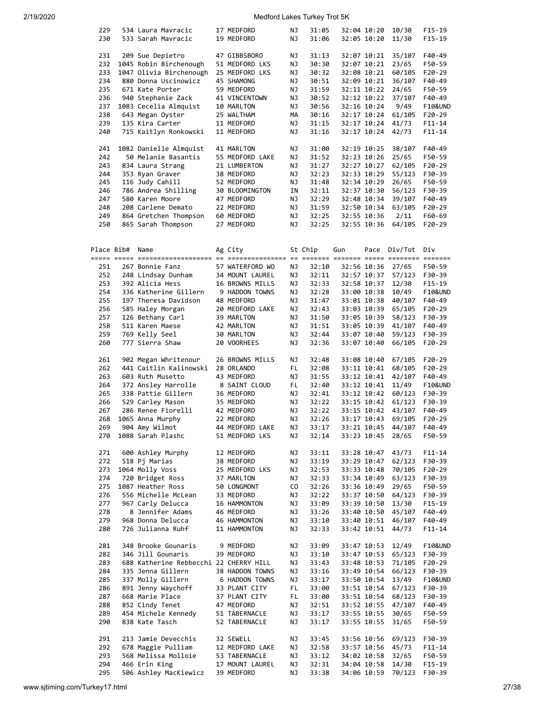| 229<br>230 | 534 Laura Mavracic<br>533 Sarah Mavracic | 17 MEDFORD<br>19 MEDFORD      | ΝJ<br>ΝJ | 31:05<br>31:06 |             | 32:04 10:20<br>32:05 10:20 | 10/30<br>11/30  | $F15-19$<br>$F15-19$ |
|------------|------------------------------------------|-------------------------------|----------|----------------|-------------|----------------------------|-----------------|----------------------|
|            |                                          |                               |          |                |             |                            |                 |                      |
| 231        | 209 Sue Depietro                         | 47 GIBBSBORO                  | ΝJ       | 31:13          |             | 32:07 10:21                | 35/107          | F40-49               |
| 232        | 1045 Robin Birchenough                   | 51 MEDFORD LKS                | ΝJ       | 30:30          |             | 32:07 10:21                | 23/65           | F50-59               |
| 233        | 1047 Olivia Birchenough                  | 25 MEDFORD LKS                | ΝJ       | 30:32          |             | 32:08 10:21                | 60/105          | F20-29               |
| 234        | 880 Donna Uscinowicz                     | 45 SHAMONG                    | ΝJ       | 30:51          |             | 32:09 10:21                | 36/107          | F40-49               |
| 235        | 671 Kate Porter                          | 59 MEDFORD                    | ΝJ       | 31:59          |             | 32:11 10:22                | 24/65           | F50-59               |
| 236        |                                          |                               |          | 30:52          |             |                            | 37/107          | F40-49               |
|            | 940 Stephanie Zack                       | 41 VINCENTOWN                 | ΝJ       |                |             | 32:12 10:22                |                 |                      |
| 237        | 1083 Cecelia Almquist                    | 10 MARLTON                    | ΝJ       | 30:56          |             | 32:16 10:24                | 9/49            | F10&UND              |
| 238        | 643 Megan Oyster                         | 25 WALTHAM                    | MА       | 30:16          |             | 32:17 10:24                | 61/105          | $F20-29$             |
| 239        | 135 Kira Carter                          | 11 MEDFORD                    | ΝJ       | 31:15          |             | 32:17 10:24                | 41/73           | $F11 - 14$           |
| 240        | 715 Kaitlyn Ronkowski                    | 11 MEDFORD                    | ΝJ       | 31:16          |             | 32:17 10:24                | 42/73           | $F11 - 14$           |
|            |                                          |                               |          |                |             |                            |                 |                      |
| 241        | 1082 Danielle Almquist                   | 41 MARLTON                    | ΝJ       | 31:00          | 32:19 10:25 |                            | 38/107          | F40-49               |
| 242        | 50 Melanie Basantis                      | 55 MEDFORD LAKE               | ΝJ       | 31:52          |             | 32:23 10:26                | 25/65           | F50-59               |
|            |                                          |                               |          |                |             |                            |                 |                      |
| 243        | 834 Laura Strang                         | 21 LUMBERTON                  | ΝJ       | 31:27          |             | 32:27 10:27                | 62/105          | $F20-29$             |
| 244        | 353 Ryan Graver                          | 38 MEDFORD                    | ΝJ       | 32:23          |             | 32:33 10:29                | 55/123          | F30-39               |
| 245        | 116 Judy Cahill                          | 52 MEDFORD                    | ΝJ       | 31:48          |             | 32:34 10:29                | 26/65           | F50-59               |
| 246        | 786 Andrea Shilling                      | 30 BLOOMINGTON                | ΙN       | 32:11          |             | 32:37 10:30                | 56/123          | F30-39               |
| 247        | 580 Karen Moore                          | 47 MEDFORD                    | ΝJ       | 32:29          |             | 32:48 10:34                | 39/107          | F40-49               |
| 248        | 208 Carlene Demato                       | 22 MEDFORD                    | ΝJ       | 31:59          |             | 32:50 10:34                | 63/105          | F20-29               |
| 249        | 864 Gretchen Thompson                    | 60 MEDFORD                    | ΝJ       | 32:25          |             | 32:55 10:36                | 2/11            | F60-69               |
|            |                                          | 27 MEDFORD                    |          |                |             |                            |                 |                      |
| 250        | 865 Sarah Thompson                       |                               | ΝJ       | 32:25          |             | 32:55 10:36                | 64/105          | $F20-29$             |
|            |                                          |                               |          |                |             |                            |                 |                      |
|            |                                          |                               |          |                |             |                            |                 |                      |
| Place Bib# | Name                                     | Ag City                       |          | St Chip        | Gun         | Pace                       | Div/Tot         | Div                  |
|            |                                          |                               |          |                |             |                            |                 |                      |
| 251        | 267 Bonnie Fanz                          | 57 WATERFORD WO               | ΝJ       | 32:10          |             | 32:56 10:36                | 27/65           | F50-59               |
| 252        | 248 Lindsay Dunham                       | 34 MOUNT LAUREL               | ΝJ       | 32:11          |             | 32:57 10:37                | 57/123          | F30-39               |
| 253        | 392 Alicia Hess                          |                               | ΝJ       | 32:33          |             |                            | 12/30           | $F15-19$             |
|            |                                          | 16 BROWNS MILLS               |          |                |             | 32:58 10:37                |                 |                      |
| 254        | 336 Katherine Gillern                    | 9 HADDON TOWNS                | ΝJ       | 32:28          |             | 33:00 10:38                | 10/49           | F10&UND              |
| 255        | 197 Theresa Davidson                     | 48 MEDFORD                    | ΝJ       | 31:47          |             | 33:01 10:38                | 40/107          | F40-49               |
| 256        | 585 Haley Morgan                         | 20 MEDFORD LAKE               | ΝJ       | 32:43          |             | 33:03 10:39                | 65/105          | F20-29               |
| 257        | 126 Bethany Carl                         | 39 MARLTON                    | ΝJ       | 31:50          |             | 33:05 10:39                | 58/123          | F30-39               |
| 258        | 511 Karen Maese                          | 42 MARLTON                    | ΝJ       | 31:51          |             | 33:05 10:39                | 41/107          | F40-49               |
| 259        | 769 Kelly Seel                           | 30 MARLTON                    | ΝJ       | 32:44          |             | 33:07 10:40                | 59/123          | F30-39               |
|            | 777 Sierra Shaw                          |                               |          |                |             |                            |                 |                      |
| 260        |                                          | 20 VOORHEES                   | ΝJ       | 32:36          |             | 33:07 10:40                | 66/105          | $F20-29$             |
|            |                                          |                               |          |                |             |                            |                 |                      |
| 261        | 902 Megan Whritenour                     | 26 BROWNS MILLS               | ΝJ       | 32:48          |             | 33:08 10:40                | 67/105          | F20-29               |
| 262        | 441 Caitlin Kalinowski                   | 28 ORLANDO                    | FL       | 32:08          |             | 33:11 10:41                | 68/105          | F20-29               |
| 263        | 603 Ruth Musetto                         | 43 MEDFORD                    | ΝJ       | 31:55          |             | 33:12 10:41                | 42/107          | F40-49               |
| 264        | 372 Ansley Harrolle                      | 8 SAINT CLOUD                 | FL       | 32:40          |             | 33:12 10:41                | 11/49           | F10&UND              |
| 265        | 338 Pattie Gillern                       | 36 MEDFORD                    | ΝJ       | 32:41          |             | 33:12 10:42                | 60/123          | F30-39               |
| 266        | 529 Carley Mason                         | 35 MEDFORD                    | ΝJ       | 32:22          |             | 33:15 10:42                | 61/123          | F30-39               |
| 267        | 286 Renee Fiorelli                       | 42 MEDFORD                    | ΝJ       | 32:22          |             | 33:15 10:42                | 43/107          | F40-49               |
|            |                                          |                               |          |                |             |                            |                 |                      |
| 268        | 1065 Anna Murphy                         | 22 MEDFORD                    | ΝJ       | 32:26          |             | 33:17 10:43                | 69/105          | $F20-29$             |
| 269        | 904 Amy Wilmot                           | 44 MEDFORD LAKE               | ΝJ       | 33:17          | 33:21 10:45 |                            | 44/107          | F40-49               |
| 270        | 1088 Sarah Plashc                        | 51 MEDFORD LKS                | ΝJ       | 32:14          |             | 33:23 10:45                | 28/65           | F50-59               |
|            |                                          |                               |          |                |             |                            |                 |                      |
| 271        | 600 Ashley Murphy                        | 12 MEDFORD                    | ΝJ       | 33:11          |             | 33:28 10:47                | 43/73           | $F11 - 14$           |
| 272        | 518 Pj Marias                            | 38 MEDFORD                    | ΝJ       | 33:19          |             | 33:29 10:47                | 62/123          | F30-39               |
| 273        | 1064 Molly Voss                          | 25 MEDFORD LKS                | ΝJ       | 32:53          |             | 33:33 10:48                | 70/105          | F20-29               |
|            |                                          |                               |          |                |             |                            |                 |                      |
| 274        | 720 Bridget Ross                         | 37 MARLTON                    | ΝJ       | 32:33          |             | 33:34 10:49                | 63/123          | F30-39               |
| 275        | 1087 Heather Ross                        | 50 LONGMONT                   | CO       | 32:26          |             | 33:36 10:49                | 29/65           | F50-59               |
| 276        | 556 Michelle McLean                      | 33 MEDFORD                    | ΝJ       | 32:22          |             | 33:37 10:50                | 64/123          | F30-39               |
| 277        | 967 Carly Delucca                        | 16 HAMMONTON                  | ΝJ       | 33:09          |             | 33:39 10:50                | 13/30           | $F15-19$             |
| 278        | 8 Jennifer Adams                         | 46 MEDFORD                    | ΝJ       | 33:26          |             | 33:40 10:50                | 45/107          | F40-49               |
| 279        | 968 Donna Delucca                        | 46 HAMMONTON                  | ΝJ       | 33:10          |             | 33:40 10:51                | 46/107          | F40-49               |
| 280        | 726 Julianna Ruhf                        | 11 HAMMONTON                  | ΝJ       | 32:33          |             | 33:42 10:51                | 44/73           | $F11 - 14$           |
|            |                                          |                               |          |                |             |                            |                 |                      |
|            |                                          |                               |          |                |             |                            |                 |                      |
| 281        | 348 Brooke Gounaris                      | 9 MEDFORD                     | ΝJ       | 33:09          |             | 33:47 10:53                | 12/49           | F10&UND              |
| 282        | 346 Jill Gounaris                        | 39 MEDFORD                    | ΝJ       | 33:10          |             | 33:47 10:53                | 65/123          | F30-39               |
| 283        | 688 Katherine Rebbecchi 22 CHERRY HILL   |                               | ΝJ       | 33:43          |             | 33:48 10:53                | 71/105          | F20-29               |
| 284        | 335 Jenna Gillern                        | 38 HADDON TOWNS               | ΝJ       | 33:16          |             | 33:49 10:54                | 66/123          | F30-39               |
| 285        | 337 Molly Gillern                        | 6 HADDON TOWNS                | ΝJ       | 33:17          |             | 33:50 10:54                | 13/49           | F10&UND              |
| 286        | 891 Jenny Waychoff                       | 33 PLANT CITY                 | FL.      | 33:00          |             | 33:51 10:54                | 67/123          | F30-39               |
| 287        | 668 Marie Place                          | 37 PLANT CITY                 | FL.      | 33:00          |             | 33:51 10:54                | 68/123          | F30-39               |
|            |                                          |                               |          |                |             |                            |                 |                      |
| 288        | 852 Cindy Tenet                          | 47 MEDFORD                    | ΝJ       | 32:51          |             | 33:52 10:55                | 47/107          | F40-49               |
| 289        | 454 Michele Kennedy                      | 51 TABERNACLE                 | ΝJ       | 33:17          |             | 33:55 10:55                | 30/65           | F50-59               |
| 290        | 838 Kate Tasch                           | 52 TABERNACLE                 | ΝJ       | 33:17          |             | 33:55 10:55                | 31/65           | F50-59               |
|            |                                          |                               |          |                |             |                            |                 |                      |
| 291        | 213 Jamie Devecchis                      | 32 SEWELL                     | ΝJ       | 33:45          |             | 33:56 10:56                | 69/123          | F30-39               |
| 292        | 678 Maggie Pulliam                       | 12 MEDFORD LAKE               | ΝJ       | 32:58          |             | 33:57 10:56                | 45/73           | F11-14               |
| 293        | 568 Melissa Molloie                      | 53 TABERNACLE                 | ΝJ       | 33:12          |             | 34:02 10:58                | 32/65           | F50-59               |
|            |                                          |                               |          |                |             |                            |                 |                      |
|            |                                          |                               |          |                |             |                            |                 |                      |
| 294<br>295 | 466 Erin King<br>506 Ashley MacKiewicz   | 17 MOUNT LAUREL<br>39 MEDFORD | ΝJ<br>ΝJ | 32:31<br>33:38 |             | 34:04 10:58<br>34:06 10:59 | 14/30<br>70/123 | F15-19<br>F30-39     |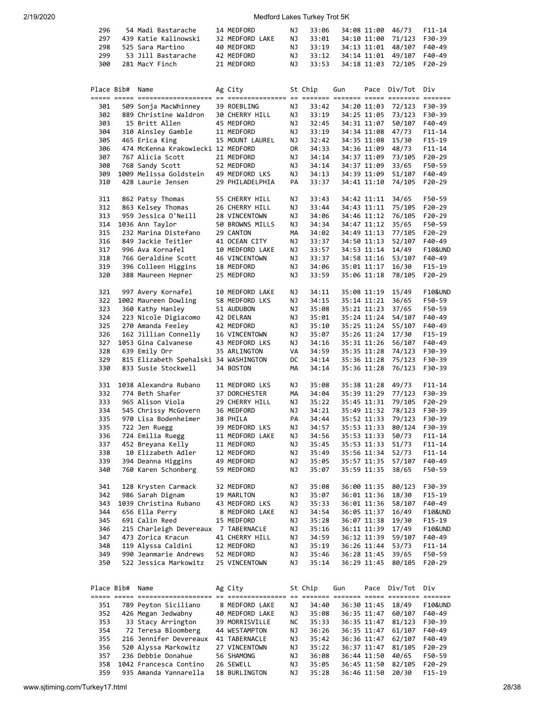| 296 | 54 Madi Bastarache   | 14 MEDFORD      | NJ. | 33:06 | 34:08 11:00 46/73 F11-14  |  |
|-----|----------------------|-----------------|-----|-------|---------------------------|--|
| 297 | 439 Katie Kalinowski | 32 MEDFORD LAKE | NJ. | 33:01 | 34:10 11:00 71/123 F30-39 |  |
| 298 | 525 Sara Martino     | 40 MEDFORD      | NJ. | 33:19 | 34:13 11:01 48/107 F40-49 |  |
| 299 | 53 Jill Bastarache   | 42 MEDFORD      | NJ. | 33:12 | 34:14 11:01 49/107 F40-49 |  |
| 300 | 281 MacY Finch       | 21 MEDFORD      | NJ. | 33:53 | 34:18 11:03 72/105 F20-29 |  |

|            | Place Bib# Name |                                       | Ag City               |    | St Chip | Gun |             | Pace Div/Tot | Div                |
|------------|-----------------|---------------------------------------|-----------------------|----|---------|-----|-------------|--------------|--------------------|
| 301        |                 | 509 Sonja MacWhinney                  | 39 ROEBLING           | ΝJ | 33:42   |     | 34:20 11:03 | 72/123       | F30-39             |
| 302        |                 | 889 Christine Waldron                 | <b>30 CHERRY HILL</b> | ΝJ | 33:19   |     | 34:25 11:05 | 73/123       | F30-39             |
| 303        |                 | 15 Britt Allen                        | 45 MEDFORD            | ΝJ | 32:45   |     | 34:31 11:07 | 50/107       | F40-49             |
| 304        |                 | 310 Ainsley Gamble                    | 11 MEDFORD            | ΝJ | 33:19   |     | 34:34 11:08 | 47/73        | $F11 - 14$         |
| 305        |                 | 465 Erica King                        | 15 MOUNT LAUREL       | ΝJ | 32:42   |     | 34:35 11:08 | 15/30        | $F15-19$           |
| 306        |                 | 474 McKenna Krakowiecki 12 MEDFORD    |                       | 0R | 34:33   |     | 34:36 11:09 | 48/73        | $F11 - 14$         |
| 307        |                 | 767 Alicia Scott                      | 21 MEDFORD            | ΝJ | 34:14   |     | 34:37 11:09 | 73/105       | $F20-29$           |
| 308        |                 | 768 Sandy Scott                       | 52 MEDFORD            | ΝJ | 34:14   |     | 34:37 11:09 | 33/65        | F50-59             |
| 309        |                 | 1009 Melissa Goldstein                | 49 MEDFORD LKS        | ΝJ | 34:13   |     | 34:39 11:09 | 51/107       | F40-49             |
| 310        |                 | 428 Laurie Jensen                     | 29 PHILADELPHIA       | PA | 33:37   |     | 34:41 11:10 | 74/105       | F20-29             |
| 311        |                 | 862 Patsy Thomas                      | 55 CHERRY HILL        | ΝJ | 33:43   |     | 34:42 11:11 | 34/65        | F50-59             |
| 312        |                 | 863 Kelsey Thomas                     | 26 CHERRY HILL        | ΝJ | 33:44   |     | 34:43 11:11 | 75/105       | F20-29             |
| 313        |                 | 959 Jessica O'Neill                   | 28 VINCENTOWN         | ΝJ | 34:06   |     | 34:46 11:12 | 76/105       | F20-29             |
| 314        |                 | 1036 Ann Taylor                       | 50 BROWNS MILLS       | ΝJ | 34:34   |     | 34:47 11:12 | 35/65        | F50-59             |
| 315        |                 | 232 Marina Distefano                  | 29 CANTON             | MА | 34:02   |     | 34:49 11:13 | 77/105       | $F20-29$           |
| 316        |                 | 849 Jackie Teitler                    | 41 OCEAN CITY         | ΝJ | 33:37   |     | 34:50 11:13 | 52/107       | F40-49             |
| 317        |                 | 996 Ava Kornafel                      | 10 MEDFORD LAKE       | ΝJ | 33:57   |     | 34:53 11:14 | 14/49        | F10&UND            |
| 318        |                 | 766 Geraldine Scott                   | 46 VINCENTOWN         | ΝJ | 33:37   |     | 34:58 11:16 | 53/107       | F40-49             |
| 319        |                 | 396 Colleen Higgins                   | 18 MEDFORD            | ΝJ | 34:06   |     | 35:01 11:17 | 16/30        | $F15-19$           |
| 320        |                 | 388 Maureen Hepner                    | 25 MEDFORD            | ΝJ | 33:59   |     | 35:06 11:18 | 78/105       | $F20-29$           |
| 321        |                 | 997 Avery Kornafel                    | 10 MEDFORD LAKE       | ΝJ | 34:11   |     | 35:08 11:19 | 15/49        | F10&UND            |
| 322        |                 | 1002 Maureen Dowling                  | 58 MEDFORD LKS        | ΝJ | 34:15   |     | 35:14 11:21 | 36/65        | F50-59             |
| 323        |                 | 360 Kathy Hanley                      | 51 AUDUBON            | ΝJ | 35:08   |     | 35:21 11:23 | 37/65        | F50-59             |
| 324        |                 | 223 Nicole Digiacomo                  | 42 DELRAN             | ΝJ | 35:01   |     | 35:24 11:24 | 54/107       | F40-49             |
| 325        |                 | 270 Amanda Feeley                     | 42 MEDFORD            | ΝJ | 35:10   |     | 35:25 11:24 | 55/107       | F40-49             |
| 326        |                 | 162 Jillian Connelly                  | 16 VINCENTOWN         | ΝJ | 35:07   |     | 35:26 11:24 | 17/30        | $F15-19$           |
| 327        |                 | 1053 Gina Calvanese                   | 43 MEDFORD LKS        | ΝJ | 34:16   |     | 35:31 11:26 | 56/107       | F40-49             |
| 328        |                 | 639 Emily Orr                         | 35 ARLINGTON          | VA | 34:59   |     | 35:35 11:28 | 74/123       | F30-39             |
| 329        |                 | 815 Elizabeth Spehalski 34 WASHINGTON |                       | DC | 34:14   |     | 35:36 11:28 | 75/123       | F30-39             |
| 330        |                 | 833 Susie Stockwell                   | 34 BOSTON             | МA | 34:14   |     | 35:36 11:28 | 76/123       | F30-39             |
| 331        |                 | 1038 Alexandra Rubano                 | 11 MEDFORD LKS        | ΝJ | 35:08   |     | 35:38 11:28 | 49/73        | $F11 - 14$         |
| 332        |                 | 774 Beth Shafer                       | 37 DORCHESTER         | MА | 34:04   |     | 35:39 11:29 | 77/123       | F30-39             |
| 333        |                 | 965 Alison Viola                      | 29 CHERRY HILL        | ΝJ | 35:22   |     | 35:45 11:31 | 79/105       | $F20-29$           |
| 334        |                 | 545 Chrissy McGovern                  | 36 MEDFORD            | ΝJ | 34:21   |     | 35:49 11:32 | 78/123       | F30-39             |
| 335        |                 | 970 Lisa Bodenheimer                  | 38 PHILA              | PA | 34:44   |     | 35:52 11:33 | 79/123       | F30-39             |
| 335        |                 | 722 Jen Ruegg                         | 39 MEDFORD LKS        | ΝJ | 34:57   |     | 35:53 11:33 | 80/124       | F30-39             |
| 336        |                 | 724 Emilia Ruegg                      | 11 MEDFORD LAKE       | ΝJ | 34:56   |     | 35:53 11:33 | 50/73        | $F11 - 14$         |
| 337        |                 | 452 Breyana Kelly                     | 11 MEDFORD            | ΝJ | 35:45   |     | 35:53 11:33 | 51/73        | $F11 - 14$         |
| 338        |                 | 10 Elizabeth Adler                    | 12 MEDFORD            | ΝJ | 35:49   |     | 35:56 11:34 | 52/73        | $F11 - 14$         |
| 339        |                 | 394 Deanna Higgins                    | 49 MEDFORD            | ΝJ | 35:05   |     | 35:57 11:35 | 57/107       | F40-49             |
| 340        |                 | 760 Karen Schonberg                   | 59 MEDFORD            | ΝJ | 35:07   |     | 35:59 11:35 | 38/65        | F50-59             |
| 341        |                 | 128 Krysten Carmack                   | 32 MEDFORD            | ΝJ | 35:08   |     | 36:00 11:35 | 80/123       | F30-39             |
| 342        |                 | 986 Sarah Dignam                      | 19 MARLTON            | ΝJ | 35:07   |     | 36:01 11:36 | 18/30        | F15-19             |
| 343        |                 | 1039 Christina Rubano                 | 43 MEDFORD LKS        | ΝJ | 35:33   |     | 36:01 11:36 | 58/107       | F40-49             |
| 344        |                 | 656 Ella Perry                        | 8 MEDFORD LAKE        | ΝJ | 34:54   |     | 36:05 11:37 | 16/49        | <b>F10&amp;UND</b> |
| 345        |                 | 691 Calin Reed                        | 15 MEDFORD            | ΝJ | 35:28   |     | 36:07 11:38 | 19/30        | F15-19             |
| 346        |                 | 215 Charleigh Devereaux               | 7 TABERNACLE          | ΝJ | 35:16   |     | 36:11 11:39 | 17/49        | <b>F10&amp;UND</b> |
| 347        |                 | 473 Zorica Kracun                     | 41 CHERRY HILL        | ΝJ | 34:59   |     | 36:12 11:39 | 59/107       | F40-49             |
| 348        |                 | 119 Alyssa Caldini                    | 12 MEDFORD            | ΝJ | 35:19   |     | 36:26 11:44 | 53/73        | F11-14             |
| 349        |                 | 990 Jeanmarie Andrews                 | 52 MEDFORD            | ΝJ | 35:46   |     | 36:28 11:45 | 39/65        | F50-59             |
| 350        |                 | 522 Jessica Markowitz                 | 25 VINCENTOWN         | ΝJ | 35:14   |     | 36:29 11:45 | 80/105       | F20-29             |
|            |                 |                                       |                       |    |         |     |             |              |                    |
| Place Bib# |                 | Name<br>===== ===== ===========       | Ag City               |    | St Chip | Gun | Pace        | Div/Tot      | Div                |
| 351        |                 | 789 Peyton Siciliano                  | 8 MEDFORD LAKE        | ΝJ | 34:40   |     | 36:30 11:45 | 18/49        | F10&UND            |
| 352        |                 | 426 Megan Jedwabny                    | 40 MEDFORD LAKE       | ΝJ | 35:08   |     | 36:35 11:47 | 60/107       | F40-49             |
| 353        |                 | 33 Stacy Arrington                    | 39 MORRISVILLE        | NС | 35:33   |     | 36:35 11:47 | 81/123       | F30-39             |
| 354        |                 | 72 Teresa Bloomberg                   | 44 WESTAMPTON         | ΝJ | 36:26   |     | 36:35 11:47 | 61/107       | F40-49             |
| 355        |                 | 216 Jennifer Devereaux                | 41 TABERNACLE         | ΝJ | 35:42   |     | 36:36 11:47 | 62/107       | F40-49             |
| 356        |                 | 520 Alyssa Markowitz                  | 27 VINCENTOWN         | ΝJ | 35:22   |     | 36:37 11:47 | 81/105       | F20-29             |

357 236 Debbie Donahue 56 SHAMONG NJ 36:08 36:44 11:50 40/65 F50-59<br>358 1042 Francesca Contino 26 SEWELL NJ 35:05 36:45 11:50 82/105 F20-29<br>359 935 Amanda Yannarella 18 BURLINGTON NJ 35:28 36:46 11:50 20/30 F15-19 358 1042 Francesca Contino 26 SEWELL NJ 35:05 36:45 11:50 82/105 F20-29 359 935 Amanda Yannarella 18 BURLINGTON NJ 35:28 36:46 11:50 20/30 F15-19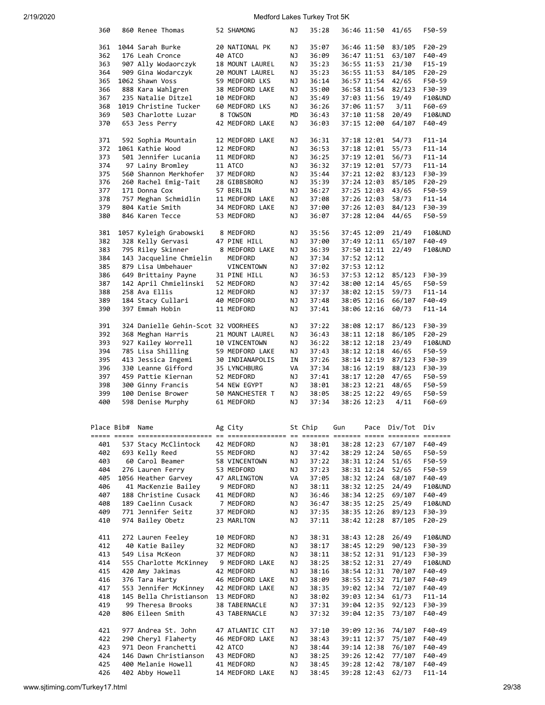| 360        |                 | 860 Renee Thomas                      | 52 SHAMONG                    | ΝJ       | 35:28          |     | 36:46 11:50                | 41/65           | F50-59               |
|------------|-----------------|---------------------------------------|-------------------------------|----------|----------------|-----|----------------------------|-----------------|----------------------|
|            |                 |                                       |                               |          |                |     |                            |                 |                      |
| 361        |                 | 1044 Sarah Burke                      | 20 NATIONAL PK                | ΝJ       | 35:07          |     | 36:46 11:50                | 83/105          | $F20-29$             |
| 362        |                 | 176 Leah Cronce                       | 40 ATCO                       | ΝJ       | 36:09          |     | 36:47 11:51                | 63/107          | F40-49               |
| 363        |                 | 907 Ally Wodaorczyk                   | 18 MOUNT LAUREL               | ΝJ       | 35:23          |     | 36:55 11:53                | 21/30           | $F15-19$             |
| 364        |                 | 909 Gina Wodarczyk                    | 20 MOUNT LAUREL               | ΝJ       | 35:23          |     | 36:55 11:53                | 84/105          | $F20-29$             |
| 365        |                 | 1062 Shawn Voss                       | 59 MEDFORD LKS                | ΝJ       | 36:14          |     | 36:57 11:54                | 42/65           | F50-59               |
| 366        |                 | 888 Kara Wahlgren                     | 38 MEDFORD LAKE               | ΝJ       | 35:00          |     | 36:58 11:54                | 82/123          | F30-39               |
| 367        |                 | 235 Natalie Ditzel                    | 10 MEDFORD                    | ΝJ       | 35:49          |     | 37:03 11:56                | 19/49           | <b>F10&amp;UND</b>   |
|            |                 |                                       |                               |          |                |     |                            |                 |                      |
| 368        |                 | 1019 Christine Tucker                 | 60 MEDFORD LKS                | ΝJ       | 36:26          |     | 37:06 11:57                | 3/11            | F60-69               |
| 369        |                 | 503 Charlotte Luzar                   | 8 TOWSON                      | MD       | 36:43          |     | 37:10 11:58                | 20/49           | <b>F10&amp;UND</b>   |
| 370        |                 | 653 Jess Perry                        | 42 MEDFORD LAKE               | ΝJ       | 36:03          |     | 37:15 12:00                | 64/107          | F40-49               |
| 371        |                 | 592 Sophia Mountain                   | 12 MEDFORD LAKE               | ΝJ       | 36:31          |     | 37:18 12:01                | 54/73           | $F11 - 14$           |
| 372        |                 | 1061 Kathie Wood                      | 12 MEDFORD                    | ΝJ       | 36:53          |     | 37:18 12:01                | 55/73           | $F11 - 14$           |
| 373        |                 | 501 Jennifer Lucania                  | 11 MEDFORD                    | ΝJ       | 36:25          |     | 37:19 12:01                | 56/73           | $F11 - 14$           |
| 374        |                 | 97 Lainy Bromley                      | 11 ATCO                       | ΝJ       | 36:32          |     | 37:19 12:01                | 57/73           | $F11 - 14$           |
|            |                 |                                       |                               |          |                |     |                            |                 |                      |
| 375        |                 | 560 Shannon Merkhofer                 | 37 MEDFORD                    | ΝJ       | 35:44          |     | 37:21 12:02                | 83/123          | F30-39               |
| 376        |                 | 260 Rachel Emig-Tait                  | 28 GIBBSBORO                  | ΝJ       | 35:39          |     | 37:24 12:03                | 85/105          | $F20-29$             |
| 377        |                 | 171 Donna Cox                         | 57 BERLIN                     | ΝJ       | 36:27          |     | 37:25 12:03                | 43/65           | F50-59               |
| 378        |                 | 757 Meghan Schmidlin                  | 11 MEDFORD LAKE               | ΝJ       | 37:08          |     | 37:26 12:03                | 58/73           | $F11 - 14$           |
| 379        |                 | 804 Katie Smith                       | 34 MEDFORD LAKE               | ΝJ       | 37:00          |     | 37:26 12:03                | 84/123          | F30-39               |
| 380        |                 | 846 Karen Tecce                       | 53 MEDFORD                    | ΝJ       | 36:07          |     | 37:28 12:04                | 44/65           | F50-59               |
| 381        |                 |                                       | 8 MEDFORD                     | ΝJ       | 35:56          |     |                            | 21/49           | <b>F10&amp;UND</b>   |
|            |                 | 1057 Kyleigh Grabowski                |                               |          |                |     | 37:45 12:09                |                 |                      |
| 382        |                 | 328 Kelly Gervasi                     | 47 PINE HILL                  | ΝJ       | 37:00          |     | 37:49 12:11                | 65/107          | F40-49               |
| 383        |                 | 795 Riley Skinner                     | 8 MEDFORD LAKE                | ΝJ       | 36:39          |     | 37:50 12:11                | 22/49           | <b>F10&amp;UND</b>   |
| 384        |                 | 143 Jacqueline Chmielin               | MEDFORD                       | ΝJ       | 37:34          |     | 37:52 12:12                |                 |                      |
| 385        |                 | 879 Lisa Umbehauer                    | <b>VINCENTOWN</b>             | ΝJ       | 37:02          |     | 37:53 12:12                |                 |                      |
| 386        |                 | 649 Brittainy Payne                   | 31 PINE HILL                  | ΝJ       | 36:53          |     | 37:53 12:12                | 85/123          | F30-39               |
| 387        |                 | 142 April Chmielinski                 | 52 MEDFORD                    | ΝJ       | 37:42          |     | 38:00 12:14                | 45/65           | F50-59               |
| 388        |                 | 258 Ava Ellis                         |                               |          | 37:37          |     |                            | 59/73           |                      |
|            |                 |                                       | 12 MEDFORD                    | ΝJ       |                |     | 38:02 12:15                |                 | $F11 - 14$           |
| 389        |                 | 184 Stacy Cullari                     | 40 MEDFORD                    | ΝJ       | 37:48          |     | 38:05 12:16                | 66/107          | F40-49               |
| 390        |                 | 397 Emmah Hobin                       | 11 MEDFORD                    | ΝJ       | 37:41          |     | 38:06 12:16                | 60/73           | $F11 - 14$           |
| 391        |                 | 324 Danielle Gehin-Scot 32 VOORHEES   |                               | ΝJ       | 37:22          |     | 38:08 12:17                | 86/123          | F30-39               |
| 392        |                 | 368 Meghan Harris                     | 21 MOUNT LAUREL               | ΝJ       | 36:43          |     | 38:11 12:18                | 86/105          | F20-29               |
| 393        |                 | 927 Kailey Worrell                    | 10 VINCENTOWN                 | ΝJ       | 36:22          |     | 38:12 12:18                | 23/49           | F10&UND              |
| 394        |                 | 785 Lisa Shilling                     | 59 MEDFORD LAKE               | ΝJ       | 37:43          |     | 38:12 12:18                | 46/65           | F50-59               |
|            |                 |                                       |                               |          |                |     |                            |                 |                      |
| 395        |                 | 413 Jessica Ingemi                    | 30 INDIANAPOLIS               | ΙN       | 37:26          |     | 38:14 12:19                | 87/123          | F30-39               |
| 396        |                 | 330 Leanne Gifford                    | 35 LYNCHBURG                  | VA       | 37:34          |     | 38:16 12:19                | 88/123          | F30-39               |
| 397        |                 | 459 Pattie Kiernan                    | 52 MEDFORD                    | ΝJ       | 37:41          |     | 38:17 12:20                | 47/65           | F50-59               |
| 398        |                 | 300 Ginny Francis                     | 54 NEW EGYPT                  | ΝJ       | 38:01          |     | 38:23 12:21                | 48/65           | F50-59               |
| 399        |                 | 100 Denise Brower                     | 50 MANCHESTER T               | ΝJ       | 38:05          |     | 38:25 12:22                | 49/65           | F50-59               |
| 400        |                 |                                       | 61 MEDFORD                    |          | 37:34          |     | 38:26 12:23                | 4/11            | F60-69               |
|            |                 |                                       |                               |          |                |     |                            |                 |                      |
|            |                 | 598 Denise Murphy                     |                               | ΝJ       |                |     |                            |                 |                      |
|            |                 |                                       |                               |          |                |     |                            |                 |                      |
|            | Place Bib# Name |                                       | Ag City                       |          | St Chip        | Gun |                            | Pace Div/Tot    | Div                  |
|            |                 |                                       |                               |          |                |     |                            |                 |                      |
| 401        |                 | 537 Stacy McClintock                  | 42 MEDFORD                    | ΝJ       | 38:01          |     | 38:28 12:23                | 67/107          | F40-49               |
| 402        |                 | 693 Kelly Reed                        | 55 MEDFORD                    | ΝJ       | 37:42          |     | 38:29 12:24                | 50/65           | F50-59               |
| 403        |                 | 60 Carol Beamer                       | 58 VINCENTOWN                 | ΝJ       | 37:22          |     | 38:31 12:24                | 51/65           | F50-59               |
| 404        |                 | 276 Lauren Ferry                      | 53 MEDFORD                    | ΝJ       | 37:23          |     | 38:31 12:24                | 52/65           | F50-59               |
| 405        |                 | 1056 Heather Garvey                   | 47 ARLINGTON                  | VA       | 37:05          |     | 38:32 12:24                | 68/107          | F40-49               |
| 406        |                 | 41 MacKenzie Bailey                   | 9 MEDFORD                     | ΝJ       |                |     | 38:32 12:25                | 24/49           | F10&UND              |
|            |                 |                                       |                               |          | 38:11          |     |                            |                 |                      |
| 407        |                 | 188 Christine Cusack                  | 41 MEDFORD                    | ΝJ       | 36:46          |     | 38:34 12:25                | 69/107          | F40-49               |
| 408        |                 | 189 Caelinn Cusack                    | 7 MEDFORD                     | ΝJ       | 36:47          |     | 38:35 12:25                | 25/49           | F10&UND              |
| 409        |                 | 771 Jennifer Seitz                    | 37 MEDFORD                    | ΝJ       | 37:35          |     | 38:35 12:26                | 89/123          | F30-39               |
| 410        |                 | 974 Bailey Obetz                      | 23 MARLTON                    | ΝJ       | 37:11          |     | 38:42 12:28                | 87/105          | F20-29               |
| 411        |                 | 272 Lauren Feeley                     | 10 MEDFORD                    | ΝJ       | 38:31          |     | 38:43 12:28                | 26/49           | F10&UND              |
| 412        |                 | 40 Katie Bailey                       | 32 MEDFORD                    | ΝJ       | 38:17          |     | 38:45 12:29                | 90/123          | F30-39               |
| 413        |                 | 549 Lisa McKeon                       | 37 MEDFORD                    | ΝJ       | 38:11          |     | 38:52 12:31                | 91/123          | F30-39               |
|            |                 |                                       |                               |          |                |     |                            |                 |                      |
| 414        |                 | 555 Charlotte McKinney                | 9 MEDFORD LAKE                | ΝJ       | 38:25          |     | 38:52 12:31                | 27/49           | F10&UND              |
| 415        |                 | 420 Amy Jakimas                       | 42 MEDFORD                    | ΝJ       | 38:16          |     | 38:54 12:31                | 70/107          | F40-49               |
| 416        |                 | 376 Tara Harty                        | 46 MEDFORD LAKE               | ΝJ       | 38:09          |     | 38:55 12:32                | 71/107          | F40-49               |
| 417        |                 | 553 Jennifer McKinney                 | 42 MEDFORD LAKE               | ΝJ       | 38:35          |     | 39:02 12:34                | 72/107          | F40-49               |
| 418        |                 | 145 Bella Christianson                | 13 MEDFORD                    | ΝJ       | 38:02          |     | 39:03 12:34                | 61/73           | $F11 - 14$           |
| 419        |                 | 99 Theresa Brooks                     | 38 TABERNACLE                 | ΝJ       | 37:31          |     | 39:04 12:35                | 92/123          | F30-39               |
| 420        |                 | 806 Eileen Smith                      | 43 TABERNACLE                 | ΝJ       | 37:32          |     | 39:04 12:35                | 73/107          | F40-49               |
|            |                 |                                       |                               |          |                |     |                            |                 |                      |
| 421        |                 | 977 Andrea St. John                   | 47 ATLANTIC CIT               | ΝJ       | 37:10          |     | 39:09 12:36                | 74/107          | F40-49               |
| 422        |                 | 290 Cheryl Flaherty                   | 46 MEDFORD LAKE               | ΝJ       | 38:43          |     | 39:11 12:37                | 75/107          | F40-49               |
| 423        |                 | 971 Deon Franchetti                   | 42 ATCO                       | ΝJ       | 38:44          |     | 39:14 12:38                | 76/107          | F40-49               |
| 424        |                 | 146 Dawn Christianson                 | 43 MEDFORD                    | ΝJ       | 38:25          |     | 39:26 12:42                | 77/107          | F40-49               |
| 425<br>426 |                 | 400 Melanie Howell<br>402 Abby Howell | 41 MEDFORD<br>14 MEDFORD LAKE | ΝJ<br>ΝJ | 38:45<br>38:45 |     | 39:28 12:42<br>39:28 12:43 | 78/107<br>62/73 | F40-49<br>$F11 - 14$ |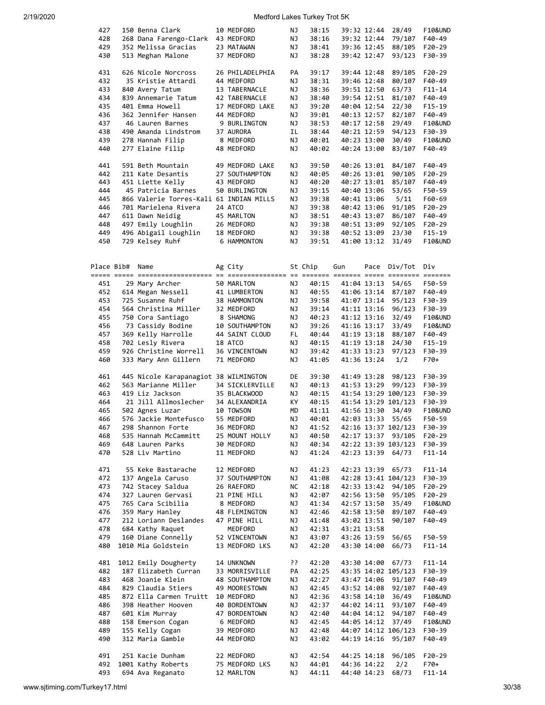|            | 150 Benna Clark                         |                              | ΝJ       | 38:15          |                     | 39:32 12:44                | 28/49               | <b>F10&amp;UND</b> |
|------------|-----------------------------------------|------------------------------|----------|----------------|---------------------|----------------------------|---------------------|--------------------|
| 427        |                                         | 10 MEDFORD                   |          |                |                     |                            |                     |                    |
| 428        | 268 Dana Farengo-Clark 43 MEDFORD       |                              | ΝJ       | 38:16          |                     | 39:32 12:44                | 79/107              | F40-49             |
| 429        | 352 Melissa Gracias                     | 23 MATAWAN                   | ΝJ       | 38:41          |                     | 39:36 12:45                | 88/105              | F20-29             |
| 430        | 513 Meghan Malone                       | 37 MEDFORD                   | ΝJ       | 38:28          |                     | 39:42 12:47                | 93/123              | F30-39             |
|            |                                         |                              |          |                |                     |                            |                     |                    |
| 431        | 626 Nicole Norcross                     | 26 PHILADELPHIA              | PA       | 39:17          |                     | 39:44 12:48                | 89/105              | F20-29             |
|            |                                         |                              |          |                |                     |                            |                     |                    |
| 432        | 35 Kristie Attardi                      | 44 MEDFORD                   | ΝJ       | 38:31          |                     | 39:46 12:48                | 80/107              | F40-49             |
| 433        | 840 Avery Tatum                         | 13 TABERNACLE                | ΝJ       | 38:36          |                     | 39:51 12:50                | 63/73               | $F11 - 14$         |
| 434        | 839 Annemarie Tatum                     | 42 TABERNACLE                | ΝJ       | 38:40          |                     | 39:54 12:51                | 81/107              | F40-49             |
| 435        | 401 Emma Howell                         | 17 MEDFORD LAKE              | ΝJ       | 39:20          |                     | 40:04 12:54                | 22/30               | $F15-19$           |
|            |                                         |                              |          |                |                     |                            |                     |                    |
| 436        | 362 Jennifer Hansen                     | 44 MEDFORD                   | ΝJ       | 39:01          |                     | 40:13 12:57                | 82/107              | F40-49             |
| 437        | 46 Lauren Barnes                        | 9 BURLINGTON                 | ΝJ       | 38:53          |                     | 40:17 12:58                | 29/49               | F10&UND            |
| 438        | 490 Amanda Lindstrom                    | 37 AURORA                    | ΙL       | 38:44          |                     | 40:21 12:59                | 94/123              | F30-39             |
| 439        |                                         | 8 MEDFORD                    |          | 40:01          |                     |                            |                     |                    |
|            | 278 Hannah Filip                        |                              | ΝJ       |                |                     | 40:23 13:00                | 30/49               | <b>F10&amp;UND</b> |
| 440        | 277 Elaine Filip                        | 48 MEDFORD                   | ΝJ       | 40:02          |                     | 40:24 13:00                | 83/107              | F40-49             |
|            |                                         |                              |          |                |                     |                            |                     |                    |
| 441        | 591 Beth Mountain                       | 49 MEDFORD LAKE              | ΝJ       | 39:50          |                     | 40:26 13:01                | 84/107              | F40-49             |
| 442        | 211 Kate Desantis                       | 27 SOUTHAMPTON               | ΝJ       | 40:05          |                     | 40:26 13:01                | 90/105              | $F20-29$           |
|            |                                         |                              |          |                |                     |                            |                     |                    |
| 443        | 451 Liette Kelly                        | 43 MEDFORD                   | ΝJ       | 40:20          |                     | 40:27 13:01                | 85/107              | F40-49             |
| 444        | 45 Patricia Barnes                      | 50 BURLINGTON                | ΝJ       | 39:15          |                     | 40:40 13:06                | 53/65               | F50-59             |
| 445        | 866 Valerie Torres-Kali 61 INDIAN MILLS |                              | ΝJ       | 39:38          |                     | 40:41 13:06                | 5/11                | F60-69             |
|            |                                         |                              |          |                |                     |                            |                     |                    |
| 446        | 701 Marielena Rivera                    | 24 ATCO                      | ΝJ       | 39:38          |                     | 40:42 13:06                | 91/105              | F20-29             |
| 447        | 611 Dawn Neidig                         | 45 MARLTON                   | ΝJ       | 38:51          |                     | 40:43 13:07                | 86/107              | F40-49             |
| 448        | 497 Emily Loughlin                      | 26 MEDFORD                   | ΝJ       | 39:38          |                     | 40:51 13:09                | 92/105              | $F20-29$           |
| 449        | 496 Abigail Loughlin                    | 18 MEDFORD                   | ΝJ       | 39:38          |                     | 40:52 13:09                | 23/30               | $F15-19$           |
|            |                                         |                              |          |                |                     |                            |                     |                    |
| 450        | 729 Kelsey Ruhf                         | 6 HAMMONTON                  | ΝJ       | 39:51          |                     | 41:00 13:12                | 31/49               | <b>F10&amp;UND</b> |
|            |                                         |                              |          |                |                     |                            |                     |                    |
|            |                                         |                              |          |                |                     |                            |                     |                    |
| Place Bib# | Name                                    | Ag City                      |          | St Chip        | Gun                 | Pace                       | Div/Tot             | Div                |
|            |                                         |                              |          |                |                     |                            |                     |                    |
|            |                                         |                              |          |                |                     |                            |                     |                    |
| 451        | 29 Mary Archer                          | 50 MARLTON                   | ΝJ       | 40:15          |                     | 41:04 13:13                | 54/65               | F50-59             |
| 452        | 614 Megan Nessell                       | 41 LUMBERTON                 | ΝJ       | 40:55          |                     | 41:06 13:14                | 87/107              | F40-49             |
|            | 725 Susanne Ruhf                        |                              |          |                |                     |                            |                     |                    |
| 453        |                                         | 38 HAMMONTON                 | ΝJ       | 39:58          |                     | 41:07 13:14                | 95/123              | F30-39             |
| 454        | 564 Christina Miller                    | 32 MEDFORD                   | ΝJ       | 39:14          |                     | 41:11 13:16                | 96/123              | F30-39             |
| 455        | 750 Cora Santiago                       | 8 SHAMONG                    | ΝJ       | 40:23          |                     | 41:12 13:16                | 32/49               | <b>F10&amp;UND</b> |
| 456        | 73 Cassidy Bodine                       | 10 SOUTHAMPTON               | ΝJ       | 39:26          |                     | 41:16 13:17                | 33/49               | F10&UND            |
|            |                                         |                              |          |                |                     |                            |                     |                    |
| 457        | 369 Kelly Harrolle                      | 44 SAINT CLOUD               | FL       | 40:44          |                     | 41:19 13:18                | 88/107              | F40-49             |
| 458        | 702 Lesly Rivera                        | 18 ATCO                      | ΝJ       | 40:15          |                     | 41:19 13:18                | 24/30               | $F15-19$           |
| 459        | 926 Christine Worrell                   | 36 VINCENTOWN                | ΝJ       | 39:42          |                     | 41:33 13:23                | 97/123              | F30-39             |
| 460        | 333 Mary Ann Gillern                    | 71 MEDFORD                   | ΝJ       | 41:05          |                     | 41:36 13:24                | 1/2                 | F70+               |
|            |                                         |                              |          |                |                     |                            |                     |                    |
|            |                                         |                              |          |                |                     |                            |                     |                    |
| 461        | 445 Nicole Karapanagiot 38 WILMINGTON   |                              | DE       | 39:30          |                     | 41:49 13:28                | 98/123              | F30-39             |
| 462        | 563 Marianne Miller                     | 34 SICKLERVILLE              | ΝJ       | 40:13          |                     | 41:53 13:29                | 99/123              | F30-39             |
| 463        | 419 Liz Jackson                         | 35 BLACKWOOD                 | ΝJ       | 40:15          |                     |                            | 41:54 13:29 100/123 | F30-39             |
|            |                                         |                              |          |                |                     |                            |                     |                    |
|            |                                         |                              |          |                |                     |                            |                     |                    |
| 464        | 21 Jill Allmoslecher                    | 34 ALEXANDRIA                | КY       | 40:15          | 41:54 13:29 101/123 |                            |                     | F30-39             |
| 465        | 502 Agnes Luzar                         | 10 TOWSON                    | MD       | 41:11          |                     | 41:56 13:30                | 34/49               | <b>F10&amp;UND</b> |
|            |                                         |                              |          |                |                     |                            |                     |                    |
| 466        | 576 Jackie Montefusco                   | 55 MEDFORD                   | ΝJ       | 40:01          |                     | 42:03 13:33                | 55/65               | F50-59             |
| 467        | 298 Shannon Forte                       | 36 MEDFORD                   | ΝJ       | 41:52          |                     |                            | 42:16 13:37 102/123 | F30-39             |
| 468        | 535 Hannah McCammitt                    | 25 MOUNT HOLLY               | ΝJ       | 40:50          |                     | 42:17 13:37                | 93/105              | F20-29             |
| 469        | 648 Lauren Parks                        | 30 MEDFORD                   | ΝJ       | 40:34          |                     |                            | 42:22 13:39 103/123 | F30-39             |
|            |                                         |                              |          |                |                     |                            |                     |                    |
| 470        | 528 Liv Martino                         | 11 MEDFORD                   | ΝJ       | 41:24          |                     | 42:23 13:39                | 64/73               | $F11 - 14$         |
|            |                                         |                              |          |                |                     |                            |                     |                    |
| 471        | 55 Keke Bastarache                      | 12 MEDFORD                   | ΝJ       | 41:23          |                     | 42:23 13:39                | 65/73               | $F11 - 14$         |
| 472        | 137 Angela Caruso                       | 37 SOUTHAMPTON               | ΝJ       | 41:08          |                     |                            | 42:28 13:41 104/123 | F30-39             |
| 473        |                                         | 26 RAEFORD                   | ΝC       | 42:18          |                     | 42:33 13:42                | 94/105              |                    |
|            | 742 Stacey Saldua                       |                              |          |                |                     |                            |                     | F20-29             |
| 474        | 327 Lauren Gervasi                      | 21 PINE HILL                 | ΝJ       | 42:07          |                     | 42:56 13:50                | 95/105              | F20-29             |
| 475        | 765 Cara Scibilia                       | 8 MEDFORD                    | ΝJ       | 41:34          |                     | 42:57 13:50                | 35/49               | F10&UND            |
| 476        | 359 Mary Hanley                         | 48 FLEMINGTON                | ΝJ       | 42:46          |                     | 42:58 13:50                | 89/107              | F40-49             |
| 477        | 212 Loriann Deslandes                   | 47 PINE HILL                 | ΝJ       |                |                     |                            |                     | F40-49             |
|            |                                         |                              |          | 41:48          |                     | 43:02 13:51                | 90/107              |                    |
| 478        | 684 Kathy Raquet                        | MEDFORD                      | ΝJ       | 42:31          |                     | 43:21 13:58                |                     |                    |
| 479        | 160 Diane Connelly                      | 52 VINCENTOWN                | ΝJ       | 43:07          |                     | 43:26 13:59                | 56/65               | F50-59             |
| 480        | 1010 Mia Goldstein                      | 13 MEDFORD LKS               | ΝJ       | 42:20          |                     | 43:30 14:00                | 66/73               | F11-14             |
|            |                                         |                              |          |                |                     |                            |                     |                    |
|            |                                         |                              |          |                |                     |                            |                     |                    |
| 481        | 1012 Emily Dougherty                    | 14 UNKNOWN                   | יִי      | 42:20          |                     | 43:30 14:00                | 67/73               | F11-14             |
| 482        | 187 Elizabeth Curran                    | 33 MORRISVILLE               | PA       | 42:25          |                     |                            | 43:35 14:02 105/123 | F30-39             |
| 483        | 468 Joanie Klein                        | 48 SOUTHAMPTON               | ΝJ       | 42:27          |                     | 43:47 14:06                | 91/107              | F40-49             |
|            |                                         |                              |          |                |                     |                            |                     |                    |
| 484        | 829 Claudia Stiers                      | 49 MOORESTOWN                | ΝJ       | 42:45          |                     | 43:52 14:08                | 92/107              | F40-49             |
| 485        | 872 Ella Carmen Truitt                  | 10 MEDFORD                   | ΝJ       | 42:36          |                     | 43:58 14:10                | 36/49               | <b>F10&amp;UND</b> |
| 486        | 398 Heather Hooven                      | 40 BORDENTOWN                | ΝJ       | 42:37          |                     | 44:02 14:11                | 93/107              | F40-49             |
| 487        | 601 Kim Murray                          | 47 BORDENTOWN                | ΝJ       | 42:40          |                     | 44:04 14:12                | 94/107              | F40-49             |
|            |                                         |                              |          |                |                     |                            |                     |                    |
| 488        | 158 Emerson Cogan                       | 6 MEDFORD                    | ΝJ       | 42:45          |                     | 44:05 14:12                | 37/49               | F10&UND            |
| 489        | 155 Kelly Cogan                         | 39 MEDFORD                   | ΝJ       | 42:48          |                     |                            | 44:07 14:12 106/123 | F30-39             |
| 490        | 312 Maria Gamble                        | 44 MEDFORD                   | ΝJ       | 43:02          |                     | 44:19 14:16                | 95/107              | F40-49             |
|            |                                         |                              |          |                |                     |                            |                     |                    |
|            |                                         |                              |          |                |                     |                            |                     |                    |
| 491        | 251 Kacie Dunham                        | 22 MEDFORD                   | ΝJ       | 42:54          |                     | 44:25 14:18                | 96/105              | F20-29             |
| 492<br>493 | 1001 Kathy Roberts<br>694 Ava Reganato  | 75 MEDFORD LKS<br>12 MARLTON | ΝJ<br>ΝJ | 44:01<br>44:11 |                     | 44:36 14:22<br>44:40 14:23 | 2/2<br>68/73        | F70+<br>$F11 - 14$ |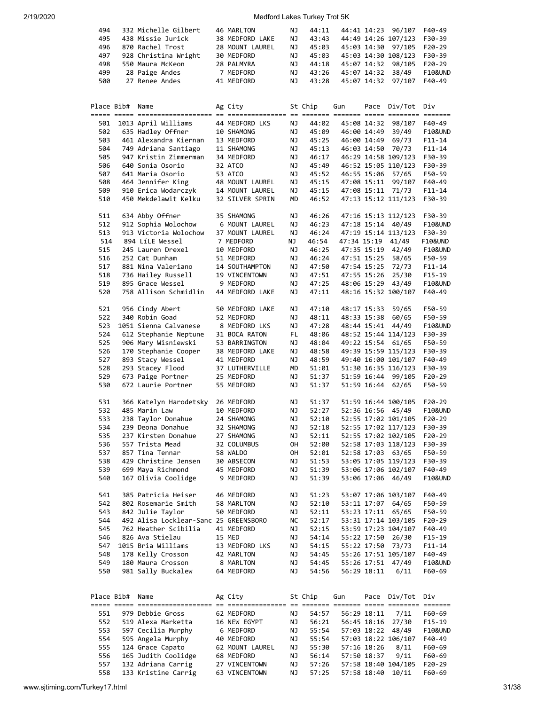| 494        |                 | 332 Michelle Gilbert                      | 46 MARLTON                  | ΝJ       | 44:11          |             | 44:41 14:23 | 96/107                      | F40-49             |
|------------|-----------------|-------------------------------------------|-----------------------------|----------|----------------|-------------|-------------|-----------------------------|--------------------|
| 495        |                 | 438 Missie Jurick                         | 38 MEDFORD LAKE             | ΝJ       | 43:43          |             |             | 44:49 14:26 107/123         | F30-39             |
|            |                 |                                           |                             |          |                |             |             |                             |                    |
| 496        |                 | 870 Rachel Trost                          | 28 MOUNT LAUREL             | ΝJ       | 45:03          |             | 45:03 14:30 | 97/105                      | F20-29             |
| 497        |                 | 928 Christina Wright                      | 30 MEDFORD                  | ΝJ       | 45:03          |             |             | 45:03 14:30 108/123         | F30-39             |
| 498        |                 | 550 Maura McKeon                          | 28 PALMYRA                  | ΝJ       | 44:18          |             | 45:07 14:32 | 98/105                      | $F20-29$           |
| 499        |                 | 28 Paige Andes                            | 7 MEDFORD                   | ΝJ       | 43:26          |             | 45:07 14:32 | 38/49                       | F10&UND            |
| 500        |                 | 27 Renee Andes                            | 41 MEDFORD                  | ΝJ       | 43:28          |             | 45:07 14:32 | 97/107                      | F40-49             |
|            |                 |                                           |                             |          |                |             |             |                             |                    |
|            |                 |                                           |                             |          |                |             |             |                             |                    |
|            |                 |                                           |                             |          |                |             |             |                             |                    |
|            | Place Bib# Name |                                           | Ag City                     |          | St Chip        | Gun         |             | Pace Div/Tot Div            |                    |
|            |                 |                                           |                             |          |                |             |             |                             |                    |
| 501        |                 | 1013 April Williams                       | 44 MEDFORD LKS              | ΝJ       | 44:02          |             | 45:08 14:32 | 98/107                      | F40-49             |
|            |                 |                                           |                             |          |                |             |             |                             |                    |
| 502        |                 | 635 Hadley Offner                         | 10 SHAMONG                  | ΝJ       | 45:09          |             | 46:00 14:49 | 39/49                       | F10&UND            |
| 503        |                 | 461 Alexandra Kiernan                     | 13 MEDFORD                  | ΝJ       | 45:25          |             | 46:00 14:49 | 69/73                       | $F11 - 14$         |
| 504        |                 | 749 Adriana Santiago                      | 11 SHAMONG                  | ΝJ       | 45:13          |             | 46:03 14:50 | 70/73                       | $F11 - 14$         |
| 505        |                 | 947 Kristin Zimmerman                     | 34 MEDFORD                  | ΝJ       | 46:17          |             |             | 46:29 14:58 109/123         | F30-39             |
| 506        |                 | 640 Sonia Osorio                          | 32 ATCO                     | ΝJ       | 45:49          |             |             | 46:52 15:05 110/123         | F30-39             |
|            |                 |                                           |                             |          |                |             |             |                             |                    |
| 507        |                 | 641 Maria Osorio                          | 53 ATCO                     | ΝJ       | 45:52          |             | 46:55 15:06 | 57/65                       | F50-59             |
| 508        |                 | 464 Jennifer King                         | 48 MOUNT LAUREL             | ΝJ       | 45:15          |             | 47:08 15:11 | 99/107                      | F40-49             |
| 509        |                 | 910 Erica Wodarczyk                       | 14 MOUNT LAUREL             | ΝJ       | 45:15          |             | 47:08 15:11 | 71/73                       | $F11 - 14$         |
| 510        |                 | 450 Mekdelawit Kelku                      | 32 SILVER SPRIN             | MD       | 46:52          |             |             | 47:13 15:12 111/123         | F30-39             |
|            |                 |                                           |                             |          |                |             |             |                             |                    |
|            |                 |                                           |                             |          |                |             |             |                             |                    |
| 511        |                 | 634 Abby Offner                           | 35 SHAMONG                  | ΝJ       | 46:26          |             |             | 47:16 15:13 112/123         | F30-39             |
| 512        |                 | 912 Sophia Wolochow                       | 6 MOUNT LAUREL              | ΝJ       | 46:23          |             |             | 47:18 15:14 40/49           | F10&UND            |
| 513        |                 | 913 Victoria Wolochow                     | 37 MOUNT LAUREL             | ΝJ       | 46:24          |             |             | 47:19 15:14 113/123         | F30-39             |
| 514        |                 | 894 LíLE Wessel                           | 7 MEDFORD                   | NJ       | 46:54          |             |             | 47:34 15:19 41/49           | <b>F10&amp;UND</b> |
|            |                 |                                           |                             |          |                |             |             |                             |                    |
| 515        |                 | 245 Lauren Drexel                         | 10 MEDFORD                  | ΝJ       | 46:25          |             |             | 47:35 15:19 42/49           | F10&UND            |
| 516        |                 | 252 Cat Dunham                            | 51 MEDFORD                  | ΝJ       | 46:24          |             | 47:51 15:25 | 58/65                       | F50-59             |
| 517        |                 | 881 Nina Valeriano                        | 14 SOUTHAMPTON              | ΝJ       | 47:50          |             | 47:54 15:25 | 72/73                       | $F11 - 14$         |
| 518        |                 | 736 Hailey Russell                        | 19 VINCENTOWN               | ΝJ       | 47:51          |             | 47:55 15:26 | 25/30                       | $F15-19$           |
|            |                 | 895 Grace Wessel                          | 9 MEDFORD                   |          |                |             |             | 43/49                       |                    |
| 519        |                 |                                           |                             | ΝJ       | 47:25          |             | 48:06 15:29 |                             | F10&UND            |
| 520        |                 | 758 Allison Schmidlin                     | 44 MEDFORD LAKE             | ΝJ       | 47:11          |             |             | 48:16 15:32 100/107         | F40-49             |
|            |                 |                                           |                             |          |                |             |             |                             |                    |
| 521        |                 | 956 Cindy Abert                           | 50 MEDFORD LAKE             | ΝJ       | 47:10          |             | 48:17 15:33 | 59/65                       | F50-59             |
| 522        |                 | 340 Robin Goad                            | 52 MEDFORD                  | ΝJ       | 48:11          |             | 48:33 15:38 | 60/65                       | F50-59             |
|            |                 |                                           |                             |          |                |             |             |                             |                    |
| 523        |                 | 1051 Sienna Calvanese                     | 8 MEDFORD LKS               | ΝJ       | 47:28          |             | 48:44 15:41 | 44/49                       | F10&UND            |
| 524        |                 | 612 Stephanie Neptune                     | 31 BOCA RATON               | FL       | 48:06          |             |             | 48:52 15:44 114/123         | F30-39             |
| 525        |                 | 906 Mary Wisniewski                       | 53 BARRINGTON               | ΝJ       | 48:04          |             |             | 49:22 15:54 61/65           | F50-59             |
| 526        |                 | 170 Stephanie Cooper                      | 38 MEDFORD LAKE             | ΝJ       | 48:58          |             |             | 49:39 15:59 115/123         | F30-39             |
|            |                 |                                           |                             |          |                |             |             |                             |                    |
| 527        |                 | 893 Stacy Wessel                          | 41 MEDFORD                  | ΝJ       | 48:59          |             |             | 49:40 16:00 101/107         | F40-49             |
| 528        |                 | 293 Stacey Flood                          | 37 LUTHERVILLE              | MD       | 51:01          |             |             | 51:30 16:35 116/123         | F30-39             |
| 529        |                 | 673 Paige Portner                         | 25 MEDFORD                  | ΝJ       | 51:37          |             | 51:59 16:44 | 99/105                      | F20-29             |
| 530        |                 | 672 Laurie Portner                        | 55 MEDFORD                  | ΝJ       | 51:37          |             | 51:59 16:44 | 62/65                       | F50-59             |
|            |                 |                                           |                             |          |                |             |             |                             |                    |
|            |                 |                                           |                             |          |                |             |             |                             |                    |
| 531        |                 | 366 Katelyn Harodetsky                    | 26 MEDFORD                  | ΝJ       | 51:37          |             |             | 51:59 16:44 100/105         | F20-29             |
| 532        |                 | 485 Marin Law                             | 10 MEDFORD                  | ΝJ       | 52:27          |             |             | 52:36 16:56 45/49           | F10&UND            |
| 533        |                 | 238 Taylor Donahue                        | 24 SHAMONG                  | ΝJ       | 52:10          |             |             | 52:55 17:02 101/105         | $F20-29$           |
|            |                 |                                           |                             |          |                |             |             |                             |                    |
| 534        |                 | 239 Deona Donahue                         | 32 SHAMONG                  | ΝJ       | 52:18          |             |             | 52:55 17:02 117/123         | F30-39             |
| 535        |                 | 237 Kirsten Donahue                       | 27 SHAMONG                  | ΝJ       | 52:11          |             |             | 52:55 17:02 102/105         | F20-29             |
| 536        |                 | 557 Trista Mead                           | 32 COLUMBUS                 | OH       | 52:00          |             |             | 52:58 17:03 118/123         | F30-39             |
| 537        |                 | 857 Tina Tennar                           | 58 WALDO                    | OH       | 52:01          |             |             | 52:58 17:03 63/65           | F50-59             |
| 538        |                 | 429 Christine Jensen                      | 30 ABSECON                  | ΝJ       | 51:53          |             |             | 53:05 17:05 119/123         | F30-39             |
|            |                 | 699 Maya Richmond                         |                             |          |                |             |             |                             | F40-49             |
| 539        |                 |                                           | 45 MEDFORD                  | ΝJ       | 51:39          |             |             | 53:06 17:06 102/107         |                    |
| 540        |                 | 167 Olivia Coolidge                       | 9 MEDFORD                   | ΝJ       | 51:39          |             |             | 53:06 17:06 46/49           | F10&UND            |
|            |                 |                                           |                             |          |                |             |             |                             |                    |
| 541        |                 | 385 Patricia Heiser                       | 46 MEDFORD                  | ΝJ       | 51:23          |             |             | 53:07 17:06 103/107         | F40-49             |
|            |                 |                                           |                             | ΝJ       |                |             |             | 64/65                       |                    |
| 542        |                 |                                           | 58 MARLTON                  |          |                |             |             |                             | F50-59             |
| 543        |                 | 802 Rosemarie Smith                       |                             |          | 52:10          | 53:11 17:07 |             |                             |                    |
| 544        |                 | 842 Julie Taylor                          | 50 MEDFORD                  | ΝJ       | 52:11          |             | 53:23 17:11 | 65/65                       | F50-59             |
|            |                 | 492 Alisa Locklear-Sanc 25 GREENSBORO     |                             | NС       | 52:17          |             |             | 53:31 17:14 103/105         | F20-29             |
|            |                 | 762 Heather Scibilia                      |                             |          |                |             |             | 53:59 17:23 104/107         |                    |
| 545        |                 |                                           | 41 MEDFORD                  | ΝJ       | 52:15          |             |             |                             | F40-49             |
| 546        |                 | 826 Ava Stielau                           | 15 MED                      | ΝJ       | 54:14          |             | 55:22 17:50 | 26/30                       | F15-19             |
| 547        |                 | 1015 Bria Williams                        | 13 MEDFORD LKS              | ΝJ       | 54:15          |             | 55:22 17:50 | 73/73                       | $F11 - 14$         |
| 548        |                 | 178 Kelly Crosson                         | 42 MARLTON                  | ΝJ       | 54:45          |             |             | 55:26 17:51 105/107         | F40-49             |
| 549        |                 | 180 Maura Crosson                         | 8 MARLTON                   | ΝJ       | 54:45          |             | 55:26 17:51 | 47/49                       | F10&UND            |
|            |                 |                                           |                             |          |                |             |             |                             |                    |
| 550        |                 | 981 Sally Buckalew                        | 64 MEDFORD                  | ΝJ       | 54:56          |             | 56:29 18:11 | 6/11                        | F60-69             |
|            |                 |                                           |                             |          |                |             |             |                             |                    |
|            |                 |                                           |                             |          |                |             |             |                             |                    |
|            | Place Bib# Name |                                           | Ag City                     |          | St Chip        | Gun         |             | Pace Div/Tot                | Div                |
|            |                 |                                           |                             |          |                |             |             |                             |                    |
|            |                 |                                           |                             |          |                |             |             |                             |                    |
| 551        |                 | 979 Debbie Gross                          | 62 MEDFORD                  | ΝJ       | 54:57          |             | 56:29 18:11 | 7/11                        | F60-69             |
| 552        |                 | 519 Alexa Marketta                        | 16 NEW EGYPT                | ΝJ       | 56:21          |             | 56:45 18:16 | 27/30                       | $F15-19$           |
| 553        |                 | 597 Cecilia Murphy                        | 6 MEDFORD                   | ΝJ       | 55:54          |             | 57:03 18:22 | 48/49                       | F10&UND            |
|            |                 |                                           | 40 MEDFORD                  | ΝJ       |                |             |             |                             | F40-49             |
| 554        |                 | 595 Angela Murphy                         |                             |          | 55:54          |             |             | 57:03 18:22 106/107         |                    |
| 555        |                 | 124 Grace Capato                          | 62 MOUNT LAUREL             | ΝJ       | 55:30          |             | 57:16 18:26 | 8/11                        | F60-69             |
| 556<br>557 |                 | 165 Judith Coolidge<br>132 Adriana Carrig | 68 MEDFORD<br>27 VINCENTOWN | ΝJ<br>ΝJ | 56:14<br>57:26 |             | 57:50 18:37 | 9/11<br>57:58 18:40 104/105 | F60-69<br>F20-29   |

558 133 Kristine Carrig 63 VINCENTOWN NJ 57:25 57:58 18:40 10/11 F60-69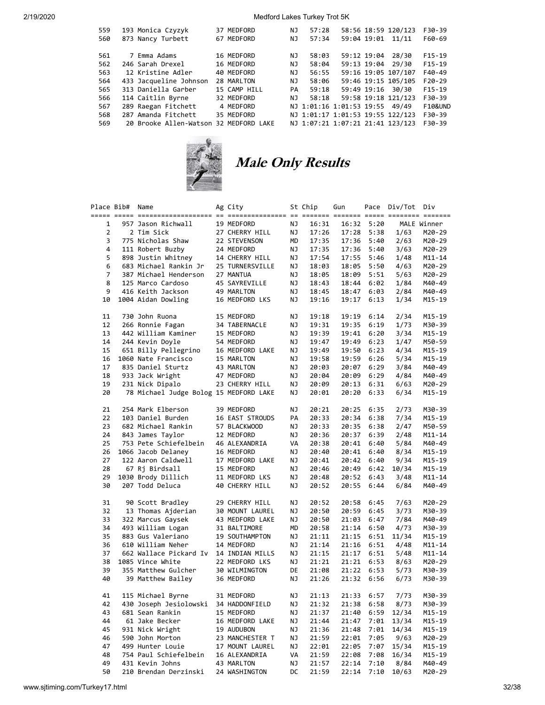| 559 | 193 Monica Czyzyk                      | 37 MEDFORD   | NJ  | 57:28 |                                |             | 58:56 18:59 120/123              | F30-39             |
|-----|----------------------------------------|--------------|-----|-------|--------------------------------|-------------|----------------------------------|--------------------|
| 560 | 873 Nancy Turbett                      | 67 MEDFORD   | ΝJ  | 57:34 |                                | 59:04 19:01 | 11/11                            | F60-69             |
| 561 | 7 Emma Adams                           | 16 MEDFORD   | ΝJ  | 58:03 |                                | 59:12 19:04 | 28/30                            | $F15-19$           |
| 562 | 246 Sarah Drexel                       | 16 MEDFORD   | ΝJ  | 58:04 |                                |             | 59:13 19:04 29/30                | $F15-19$           |
| 563 | 12 Kristine Adler                      | 40 MEDFORD   | ΝJ  | 56:55 |                                |             | 59:16 19:05 107/107              | $F40-49$           |
| 564 | 433 Jacqueline Johnson                 | 28 MARLTON   | ΝJ  | 58:06 |                                |             | 59:46 19:15 105/105              | $F20-29$           |
| 565 | 313 Daniella Garber                    | 15 CAMP HILL | PA  | 59:18 |                                |             | 59:49 19:16 30/30                | $F15-19$           |
| 566 | 114 Caitlin Byrne                      | 32 MEDFORD   | NJ. | 58:18 |                                |             | 59:58 19:18 121/123              | F30-39             |
| 567 | 289 Raegan Fitchett                    | 4 MEDFORD    |     |       | NJ 1:01:16 1:01:53 19:55 49/49 |             |                                  | <b>F10&amp;UND</b> |
| 568 | 287 Amanda Fitchett                    | 35 MEDFORD   |     |       |                                |             | NJ 1:01:17 1:01:53 19:55 122/123 | F30-39             |
| 569 | 20 Brooke Allen-Watson 32 MEDFORD LAKE |              |     |       |                                |             | NJ 1:07:21 1:07:21 21:41 123/123 | F30-39             |



# Male Only Results

|                | Place Bib# | Name                                   | Ag City         |           | St Chip | Gun   |            | Pace Div/Tot | Div         |
|----------------|------------|----------------------------------------|-----------------|-----------|---------|-------|------------|--------------|-------------|
|                |            |                                        |                 |           |         |       |            |              |             |
| 1              |            | 957 Jason Richwall                     | 19 MEDFORD      | ΝJ        | 16:31   |       | 16:32 5:20 |              | MALE Winner |
| $\overline{2}$ |            | 2 Tim Sick                             | 27 CHERRY HILL  | ΝJ        | 17:26   | 17:28 | 5:38       | 1/63         | M20-29      |
| 3              |            | 775 Nicholas Shaw                      | 22 STEVENSON    | MD        | 17:35   |       | 17:36 5:40 | 2/63         | M20-29      |
| 4              |            | 111 Robert Buzby                       | 24 MEDFORD      | ΝJ        | 17:35   |       | 17:36 5:40 | 3/63         | M20-29      |
| 5              |            | 898 Justin Whitney                     | 14 CHERRY HILL  | ΝJ        | 17:54   | 17:55 | 5:46       | 1/48         | $M11 - 14$  |
| 6              |            | 683 Michael Rankin Jr                  | 25 TURNERSVILLE | ΝJ        | 18:03   | 18:05 | 5:50       | 4/63         | M20-29      |
| 7              |            | 387 Michael Henderson                  | 27 MANTUA       | ΝJ        | 18:05   | 18:09 | 5:51       | 5/63         | M20-29      |
| 8              |            | 125 Marco Cardoso                      | 45 SAYREVILLE   | ΝJ        | 18:43   |       | 18:44 6:02 | 1/84         | M40-49      |
| 9              |            | 416 Keith Jackson                      | 49 MARLTON      | ΝJ        | 18:45   | 18:47 | 6:03       | 2/84         | M40-49      |
| 10             |            | 1004 Aidan Dowling                     | 16 MEDFORD LKS  | ΝJ        | 19:16   | 19:17 | 6:13       | 1/34         | M15-19      |
| 11             |            | 730 John Ruona                         | 15 MEDFORD      | ΝJ        | 19:18   | 19:19 | 6:14       | 2/34         | M15-19      |
| 12             |            | 266 Ronnie Fagan                       | 34 TABERNACLE   | ΝJ        | 19:31   | 19:35 | 6:19       | 1/73         | M30-39      |
| 13             |            | 442 William Kaminer                    | 15 MEDFORD      | ΝJ        | 19:39   | 19:41 | 6:20       | 3/34         | M15-19      |
| 14             |            | 244 Kevin Doyle                        | 54 MEDFORD      | ΝJ        | 19:47   | 19:49 | 6:23       | 1/47         | M50-59      |
| 15             |            | 651 Billy Pellegrino                   | 16 MEDFORD LAKE | ΝJ        | 19:49   | 19:50 | 6:23       | 4/34         | M15-19      |
| 16             |            | 1060 Nate Francisco                    | 15 MARLTON      | ΝJ        | 19:58   | 19:59 | 6:26       | 5/34         | M15-19      |
| 17             |            | 835 Daniel Sturtz                      | 43 MARLTON      | ΝJ        | 20:03   | 20:07 | 6:29       | 3/84         | M40-49      |
| 18             |            | 933 Jack Wright                        | 47 MEDFORD      | ΝJ        | 20:04   | 20:09 | 6:29       | 4/84         | M40-49      |
| 19             |            | 231 Nick Dipalo                        | 23 CHERRY HILL  | ΝJ        | 20:09   | 20:13 | 6:31       | 6/63         | M20-29      |
| 20             |            | 78 Michael Judge Bolog 15 MEDFORD LAKE |                 | ΝJ        | 20:01   | 20:20 | 6:33       | 6/34         | M15-19      |
| 21             |            | 254 Mark Elberson                      | 39 MEDFORD      | ΝJ        | 20:21   | 20:25 | 6:35       | 2/73         | M30-39      |
| 22             |            | 103 Daniel Burden                      | 16 EAST STROUDS | PA        | 20:33   | 20:34 | 6:38       | 7/34         | M15-19      |
| 23             |            | 682 Michael Rankin                     | 57 BLACKWOOD    | ΝJ        | 20:33   | 20:35 | 6:38       | 2/47         | M50-59      |
| 24             |            | 843 James Taylor                       | 12 MEDFORD      | ΝJ        | 20:36   | 20:37 | 6:39       | 2/48         | M11-14      |
| 25             |            | 753 Pete Schiefelbein                  | 46 ALEXANDRIA   | VA        | 20:38   | 20:41 | 6:40       | 5/84         | M40-49      |
| 26             |            | 1066 Jacob Delaney                     | 16 MEDFORD      | ΝJ        | 20:40   | 20:41 | 6:40       | 8/34         | M15-19      |
| 27             |            | 122 Aaron Caldwell                     | 17 MEDFORD LAKE | ΝJ        | 20:41   | 20:42 | 6:40       | 9/34         | M15-19      |
| 28             |            | 67 Rj Birdsall                         | 15 MEDFORD      | ΝJ        | 20:46   | 20:49 | 6:42       | 10/34        | M15-19      |
| 29             |            | 1030 Brody Dillich                     | 11 MEDFORD LKS  | ΝJ        | 20:48   | 20:52 | 6:43       | 3/48         | M11-14      |
| 30             |            | 207 Todd Deluca                        | 40 CHERRY HILL  | ΝJ        | 20:52   | 20:55 | 6:44       | 6/84         | M40-49      |
| 31             |            | 90 Scott Bradley                       | 29 CHERRY HILL  | ΝJ        | 20:52   | 20:58 | 6:45       | 7/63         | M20-29      |
| 32             |            | 13 Thomas Ajderian                     | 30 MOUNT LAUREL | ΝJ        | 20:50   | 20:59 | 6:45       | 3/73         | M30-39      |
| 33             |            | 322 Marcus Gaysek                      | 43 MEDFORD LAKE | ΝJ        | 20:50   | 21:03 | 6:47       | 7/84         | M40-49      |
| 34             |            | 493 William Logan                      | 31 BALTIMORE    | MD        | 20:58   | 21:14 | 6:50       | 4/73         | M30-39      |
| 35             |            | 883 Gus Valeriano                      | 19 SOUTHAMPTON  | ΝJ        | 21:11   | 21:15 | 6:51       | 11/34        | M15-19      |
| 36             |            | 610 William Neher                      | 14 MEDFORD      | ΝJ        | 21:14   | 21:16 | 6:51       | 4/48         | M11-14      |
| 37             |            | 662 Wallace Pickard Iv 14 INDIAN MILLS |                 | ΝJ        | 21:15   | 21:17 | 6:51       | 5/48         | M11-14      |
| 38             |            | 1085 Vince White                       | 22 MEDFORD LKS  | ΝJ        | 21:21   | 21:21 | 6:53       | 8/63         | M20-29      |
| 39             |            | 355 Matthew Gulcher                    | 30 WILMINGTON   | DE        | 21:08   | 21:22 | 6:53       | 5/73         | M30-39      |
| 40             |            | 39 Matthew Bailey                      | 36 MEDFORD      | ΝJ        | 21:26   | 21:32 | 6:56       | 6/73         | M30-39      |
| 41             |            | 115 Michael Byrne                      | 31 MEDFORD      | ΝJ        | 21:13   |       | 21:33 6:57 | 7/73         | M30-39      |
| 42             |            | 430 Joseph Jesiolowski 34 HADDONFIELD  |                 | <b>NJ</b> | 21:32   | 21:38 | 6:58       | 8/73         | M30-39      |
| 43             |            | 681 Sean Rankin                        | 15 MEDFORD      | ΝJ        | 21:37   | 21:40 | 6:59       | 12/34        | M15-19      |
| 44             |            | 61 Jake Becker                         | 16 MEDFORD LAKE | ΝJ        | 21:44   | 21:47 | 7:01       | 13/34        | M15-19      |
| 45             |            | 931 Nick Wright                        | 19 AUDUBON      | ΝJ        | 21:36   | 21:48 | 7:01       | 14/34        | M15-19      |
| 46             |            | 590 John Morton                        | 23 MANCHESTER T | ΝJ        | 21:59   | 22:01 | 7:05       | 9/63         | M20-29      |
| 47             |            | 499 Hunter Louie                       | 17 MOUNT LAUREL | ΝJ        | 22:01   | 22:05 | 7:07       | 15/34        | M15-19      |
| 48             |            | 754 Paul Schiefelbein                  | 16 ALEXANDRIA   | VA        | 21:59   | 22:08 | 7:08       | 16/34        | M15-19      |
| 49             |            | 431 Kevin Johns                        | 43 MARLTON      | ΝJ        | 21:57   | 22:14 | 7:10       | 8/84         | M40-49      |
| 50             |            | 210 Brendan Derzinski                  | 24 WASHINGTON   | DC        | 21:59   | 22:14 | 7:10       | 10/63        | M20-29      |
|                |            |                                        |                 |           |         |       |            |              |             |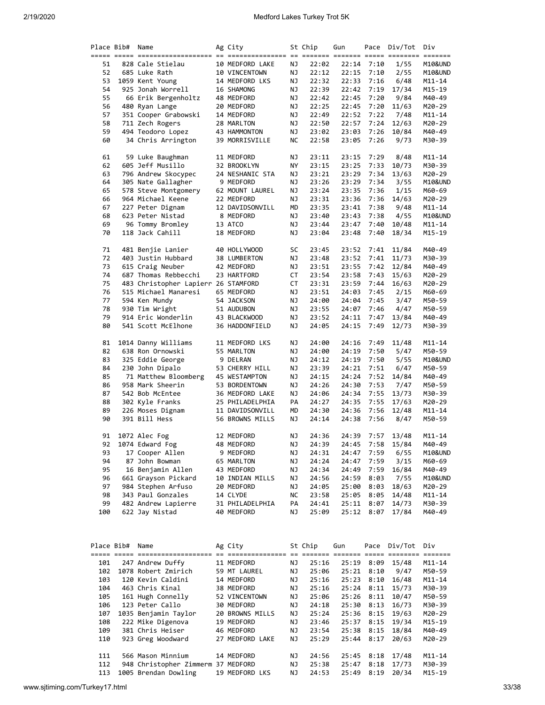| Place Bib# | Name                                | Ag City         |    | St Chip | Gun   |      | Pace Div/Tot | Div        |
|------------|-------------------------------------|-----------------|----|---------|-------|------|--------------|------------|
|            |                                     |                 |    |         |       |      |              |            |
| 51         | 828 Cale Stielau                    | 10 MEDFORD LAKE | ΝJ | 22:02   | 22:14 | 7:10 | 1/55         | M10&UND    |
| 52         | 685 Luke Rath                       | 10 VINCENTOWN   | ΝJ | 22:12   | 22:15 | 7:10 | 2/55         | M10&UND    |
| 53         | 1059 Kent Young                     | 14 MEDFORD LKS  | ΝJ | 22:32   | 22:33 | 7:16 | 6/48         | M11-14     |
| 54         | 925 Jonah Worrell                   | 16 SHAMONG      | ΝJ | 22:39   | 22:42 | 7:19 | 17/34        | M15-19     |
| 55         | 66 Erik Bergenholtz                 | 48 MEDFORD      | ΝJ | 22:42   | 22:45 | 7:20 | 9/84         | M40-49     |
|            |                                     |                 |    |         |       |      |              |            |
| 56         | 480 Ryan Lange                      | 20 MEDFORD      | ΝJ | 22:25   | 22:45 | 7:20 | 11/63        | M20-29     |
| 57         | 351 Cooper Grabowski                | 14 MEDFORD      | ΝJ | 22:49   | 22:52 | 7:22 | 7/48         | $M11 - 14$ |
| 58         | 711 Zech Rogers                     | 28 MARLTON      | ΝJ | 22:50   | 22:57 | 7:24 | 12/63        | M20-29     |
| 59         | 494 Teodoro Lopez                   | 43 HAMMONTON    | ΝJ | 23:02   | 23:03 | 7:26 | 10/84        | M40-49     |
| 60         | 34 Chris Arrington                  | 39 MORRISVILLE  | NС | 22:58   | 23:05 | 7:26 | 9/73         | M30-39     |
|            |                                     |                 |    |         |       |      |              |            |
| 61         | 59 Luke Baughman                    | 11 MEDFORD      | ΝJ | 23:11   | 23:15 | 7:29 | 8/48         | M11-14     |
| 62         | 605 Jeff Musillo                    | 32 BROOKLYN     | ΝY | 23:15   | 23:25 | 7:33 | 10/73        | M30-39     |
| 63         | 796 Andrew Skocypec                 | 24 NESHANIC STA | ΝJ | 23:21   | 23:29 | 7:34 | 13/63        | M20-29     |
| 64         | 305 Nate Gallagher                  | 9 MEDFORD       | ΝJ | 23:26   | 23:29 | 7:34 | 3/55         | M10&UND    |
| 65         | 578 Steve Montgomery                | 62 MOUNT LAUREL | ΝJ | 23:24   | 23:35 | 7:36 | 1/15         | M60-69     |
| 66         | 964 Michael Keene                   | 22 MEDFORD      | ΝJ | 23:31   | 23:36 | 7:36 | 14/63        | M20-29     |
| 67         | 227 Peter Dignam                    | 12 DAVIDSONVILL | MD | 23:35   | 23:41 | 7:38 | 9/48         | M11-14     |
| 68         | 623 Peter Nistad                    | 8 MEDFORD       | ΝJ | 23:40   | 23:43 | 7:38 | 4/55         | M10&UND    |
| 69         | 96 Tommy Bromley                    | 13 ATCO         | ΝJ | 23:44   | 23:47 | 7:40 | 10/48        | M11-14     |
| 70         | 118 Jack Cahill                     | 18 MEDFORD      | ΝJ | 23:04   | 23:48 | 7:40 | 18/34        | M15-19     |
|            |                                     |                 |    |         |       |      |              |            |
| 71         | 481 Benjie Lanier                   | 40 HOLLYWOOD    | SC | 23:45   | 23:52 | 7:41 | 11/84        | M40-49     |
| 72         | 403 Justin Hubbard                  | 38 LUMBERTON    | ΝJ | 23:48   | 23:52 | 7:41 | 11/73        | M30-39     |
| 73         | 615 Craig Neuber                    | 42 MEDFORD      | ΝJ | 23:51   | 23:55 | 7:42 | 12/84        | M40-49     |
| 74         | 687 Thomas Rebbecchi                | 23 HARTFORD     | СT | 23:54   | 23:58 | 7:43 | 15/63        | M20-29     |
| 75         | 483 Christopher Lapierr 26 STAMFORD |                 | СT | 23:31   | 23:59 | 7:44 | 16/63        | M20-29     |
| 76         | 515 Michael Manaresi                | 65 MEDFORD      | ΝJ | 23:51   | 24:03 | 7:45 | 2/15         | M60-69     |
| 77         |                                     |                 | ΝJ |         |       | 7:45 |              |            |
|            | 594 Ken Mundy                       | 54 JACKSON      |    | 24:00   | 24:04 |      | 3/47         | M50-59     |
| 78         | 930 Tim Wright                      | 51 AUDUBON      | ΝJ | 23:55   | 24:07 | 7:46 | 4/47         | M50-59     |
| 79         | 914 Eric Wonderlin                  | 43 BLACKWOOD    | ΝJ | 23:52   | 24:11 | 7:47 | 13/84        | M40-49     |
| 80         | 541 Scott McElhone                  | 36 HADDONFIELD  | ΝJ | 24:05   | 24:15 | 7:49 | 12/73        | M30-39     |
| 81         | 1014 Danny Williams                 | 11 MEDFORD LKS  | ΝJ | 24:00   | 24:16 | 7:49 | 11/48        | $M11 - 14$ |
| 82         | 638 Ron Ornowski                    | 55 MARLTON      | ΝJ | 24:00   | 24:19 | 7:50 | 5/47         | M50-59     |
| 83         | 325 Eddie George                    | 9 DELRAN        | ΝJ | 24:12   | 24:19 | 7:50 | 5/55         | M10&UND    |
| 84         | 230 John Dipalo                     | 53 CHERRY HILL  | ΝJ | 23:39   | 24:21 | 7:51 | 6/47         | M50-59     |
|            |                                     |                 |    |         |       |      |              |            |
| 85         | 71 Matthew Bloomberg                | 45 WESTAMPTON   | ΝJ | 24:15   | 24:24 | 7:52 | 14/84        | M40-49     |
| 86         | 958 Mark Sheerin                    | 53 BORDENTOWN   | ΝJ | 24:26   | 24:30 | 7:53 | 7/47         | M50-59     |
| 87         | 542 Bob McEntee                     | 36 MEDFORD LAKE | ΝJ | 24:06   | 24:34 | 7:55 | 13/73        | M30-39     |
| 88         | 302 Kyle Franks                     | 25 PHILADELPHIA | PA | 24:27   | 24:35 | 7:55 | 17/63        | M20-29     |
| 89         | 226 Moses Dignam                    | 11 DAVIDSONVILL | MD | 24:30   | 24:36 | 7:56 | 12/48        | M11-14     |
| 90         | 391 Bill Hess                       | 56 BROWNS MILLS | ΝJ | 24:14   | 24:38 | 7:56 | 8/47         | M50-59     |
| 91         | 1072 Alec Fog                       | 12 MEDFORD      | ΝJ | 24:36   | 24:39 | 7:57 | 13/48        | M11-14     |
| 92         | 1074 Edward Fog                     | 48 MEDFORD      | NJ | 24:39   | 24:45 | 7:58 | 15/84        | M40-49     |
| 93         | 17 Cooper Allen                     | 9 MEDFORD       |    | 24:31   |       | 7:59 | 6/55         | M10&UND    |
| 94         |                                     |                 | ΝJ |         | 24:47 |      |              |            |
|            | 87 John Bowman                      | 65 MARLTON      | ΝJ | 24:24   | 24:47 | 7:59 | 3/15         | M60-69     |
| 95         | 16 Benjamin Allen                   | 43 MEDFORD      | ΝJ | 24:34   | 24:49 | 7:59 | 16/84        | M40-49     |
| 96         | 661 Grayson Pickard                 | 10 INDIAN MILLS | ΝJ | 24:56   | 24:59 | 8:03 | 7/55         | M10&UND    |
| 97         | 984 Stephen Arfuso                  | 20 MEDFORD      | ΝJ | 24:05   | 25:00 | 8:03 | 18/63        | M20-29     |
| 98         | 343 Paul Gonzales                   | 14 CLYDE        | ΝC | 23:58   | 25:05 | 8:05 | 14/48        | M11-14     |
| 99         | 482 Andrew Lapierre                 | 31 PHILADELPHIA | PA | 24:41   | 25:11 | 8:07 | 14/73        | M30-39     |
| 100        | 622 Jay Nistad                      | 40 MEDFORD      | ΝJ | 25:09   | 25:12 | 8:07 | 17/84        | M40-49     |
|            |                                     |                 |    |         |       |      |              |            |

| Place Bib# | Name                    | Ag City         |     | St Chip | Gun   | Pace | Div/Tot | Div        |
|------------|-------------------------|-----------------|-----|---------|-------|------|---------|------------|
|            |                         |                 |     |         |       |      |         |            |
| 101        | 247 Andrew Duffy        | 11 MEDFORD      | NJ  | 25:16   | 25:19 | 8:09 | 15/48   | $M11 - 14$ |
| 102        | 1078 Robert Zmirich     | 59 MT LAUREL    | ΝJ  | 25:06   | 25:21 | 8:10 | 9/47    | M50-59     |
| 103        | 120 Kevin Caldini       | 14 MEDFORD      | NJ  | 25:16   | 25:23 | 8:10 | 16/48   | $M11 - 14$ |
| 104        | 463 Chris Kinal         | 38 MEDFORD      | NJ  | 25:16   | 25:24 | 8:11 | 15/73   | M30-39     |
| 105        | 161 Hugh Connelly       | 52 VINCENTOWN   | NJ  | 25:06   | 25:26 | 8:11 | 10/47   | M50-59     |
| 106        | 123 Peter Callo         | 30 MEDFORD      | NJ  | 24:18   | 25:30 | 8:13 | 16/73   | M30-39     |
| 107        | 1035 Benjamin Taylor    | 20 BROWNS MILLS | ΝJ  | 25:24   | 25:36 | 8:15 | 19/63   | M20-29     |
| 108        | 222 Mike Digenova       | 19 MEDFORD      | NJ  | 23:46   | 25:37 | 8:15 | 19/34   | M15-19     |
| 109        | 381 Chris Heiser        | 46 MEDFORD      | NJ  | 23:54   | 25:38 | 8:15 | 18/84   | M40-49     |
| 110        | 923 Greg Woodward       | 27 MEDFORD LAKE | NJ  | 25:29   | 25:44 | 8:17 | 20/63   | M20-29     |
|            |                         |                 |     |         |       |      |         |            |
| 111        | 566 Mason Minnium       | 14 MEDFORD      | NJ. | 24:56   | 25:45 | 8:18 | 17/48   | $M11 - 14$ |
| 112        | 948 Christopher Zimmerm | 37 MEDFORD      | ΝJ  | 25:38   | 25:47 | 8:18 | 17/73   | M30-39     |
| 113        | 1005 Brendan Dowling    | 19 MEDFORD LKS  | NJ  | 24:53   | 25:49 | 8:19 | 20/34   | M15-19     |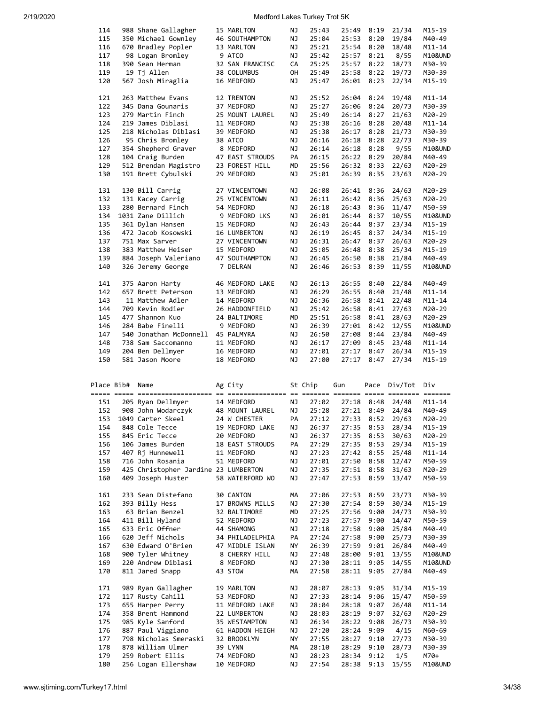| 114        | 988 Shane Gallagher                  | 15 MARLTON      | ΝJ | 25:43   | 25:49 | 8:19       | 21/34   | M15-19     |
|------------|--------------------------------------|-----------------|----|---------|-------|------------|---------|------------|
| 115        | 350 Michael Gownley                  | 46 SOUTHAMPTON  | ΝJ | 25:04   | 25:53 | 8:20       | 19/84   | M40-49     |
| 116        | 670 Bradley Popler                   |                 | ΝJ | 25:21   | 25:54 |            | 18/48   |            |
|            |                                      | 13 MARLTON      |    |         |       | 8:20       |         | M11-14     |
| 117        | 98 Logan Bromley                     | 9 ATCO          | ΝJ | 25:42   | 25:57 | 8:21       | 8/55    | M10&UND    |
| 118        | 390 Sean Herman                      | 32 SAN FRANCISC | СA | 25:25   | 25:57 | 8:22       | 18/73   | M30-39     |
| 119        | 19 Tj Allen                          | 38 COLUMBUS     | OH | 25:49   | 25:58 | 8:22       | 19/73   | M30-39     |
|            |                                      |                 |    |         |       |            |         |            |
| 120        | 567 Josh Miraglia                    | 16 MEDFORD      | ΝJ | 25:47   | 26:01 | 8:23       | 22/34   | M15-19     |
|            |                                      |                 |    |         |       |            |         |            |
| 121        | 263 Matthew Evans                    | 12 TRENTON      | ΝJ | 25:52   | 26:04 | 8:24       | 19/48   | M11-14     |
|            |                                      |                 |    |         |       |            |         |            |
| 122        | 345 Dana Gounaris                    | 37 MEDFORD      | ΝJ | 25:27   | 26:06 | 8:24       | 20/73   | M30-39     |
| 123        | 279 Martin Finch                     | 25 MOUNT LAUREL | ΝJ | 25:49   | 26:14 | 8:27       | 21/63   | M20-29     |
| 124        | 219 James Diblasi                    | 11 MEDFORD      | ΝJ | 25:38   | 26:16 | 8:28       | 20/48   | M11-14     |
|            |                                      |                 |    |         |       |            |         |            |
| 125        | 218 Nicholas Diblasi                 | 39 MEDFORD      | ΝJ | 25:38   | 26:17 | 8:28       | 21/73   | M30-39     |
| 126        | 95 Chris Bromley                     | 38 ATCO         | ΝJ | 26:16   | 26:18 | 8:28       | 22/73   | M30-39     |
| 127        | 354 Shepherd Graver                  | 8 MEDFORD       | ΝJ | 26:14   | 26:18 | 8:28       | 9/55    | M10&UND    |
|            |                                      |                 |    |         |       |            |         |            |
| 128        | 104 Craig Burden                     | 47 EAST STROUDS | PA | 26:15   | 26:22 | 8:29       | 20/84   | M40-49     |
| 129        | 512 Brendan Magistro                 | 23 FOREST HILL  | МD | 25:56   | 26:32 | 8:33       | 22/63   | M20-29     |
| 130        | 191 Brett Cybulski                   | 29 MEDFORD      | ΝJ | 25:01   | 26:39 | 8:35       | 23/63   | M20-29     |
|            |                                      |                 |    |         |       |            |         |            |
|            |                                      |                 |    |         |       |            |         |            |
| 131        | 130 Bill Carrig                      | 27 VINCENTOWN   | ΝJ | 26:08   | 26:41 | 8:36       | 24/63   | M20-29     |
| 132        | 131 Kacey Carrig                     | 25 VINCENTOWN   | ΝJ | 26:11   | 26:42 | 8:36       | 25/63   | M20-29     |
|            |                                      |                 |    |         |       |            |         |            |
| 133        | 280 Bernard Finch                    | 54 MEDFORD      | ΝJ | 26:18   | 26:43 | 8:36       | 11/47   | M50-59     |
| 134        | 1031 Zane Dillich                    | 9 MEDFORD LKS   | ΝJ | 26:01   | 26:44 | 8:37       | 10/55   | M10&UND    |
| 135        | 361 Dylan Hansen                     | 15 MEDFORD      | ΝJ | 26:43   | 26:44 | 8:37       | 23/34   | M15-19     |
|            |                                      |                 |    |         |       |            |         |            |
| 136        | 472 Jacob Kosowski                   | 16 LUMBERTON    | ΝJ | 26:19   | 26:45 | 8:37       | 24/34   | M15-19     |
| 137        | 751 Max Sarver                       | 27 VINCENTOWN   | ΝJ | 26:31   | 26:47 | 8:37       | 26/63   | M20-29     |
| 138        | 383 Matthew Heiser                   | 15 MEDFORD      | ΝJ | 25:05   | 26:48 | 8:38       | 25/34   | M15-19     |
|            |                                      |                 |    |         |       |            |         |            |
| 139        | 884 Joseph Valeriano                 | 47 SOUTHAMPTON  | ΝJ | 26:45   | 26:50 | 8:38       | 21/84   | M40-49     |
| 140        | 326 Jeremy George                    | 7 DELRAN        | ΝJ | 26:46   | 26:53 | 8:39       | 11/55   | M10&UND    |
|            |                                      |                 |    |         |       |            |         |            |
|            |                                      |                 |    |         |       |            |         |            |
| 141        | 375 Aaron Harty                      | 46 MEDFORD LAKE | ΝJ | 26:13   | 26:55 | 8:40       | 22/84   | M40-49     |
| 142        | 657 Brett Peterson                   | 13 MEDFORD      | ΝJ | 26:29   | 26:55 | 8:40       | 21/48   | $M11 - 14$ |
| 143        | 11 Matthew Adler                     | 14 MEDFORD      | ΝJ | 26:36   | 26:58 | 8:41       | 22/48   | M11-14     |
|            |                                      |                 |    |         |       |            |         |            |
| 144        | 709 Kevin Rodier                     | 26 HADDONFIELD  | ΝJ | 25:42   | 26:58 | 8:41       | 27/63   | M20-29     |
| 145        | 477 Shannon Kuo                      | 24 BALTIMORE    | МD | 25:51   | 26:58 | 8:41       | 28/63   | M20-29     |
| 146        | 284 Babe Finelli                     | 9 MEDFORD       | ΝJ | 26:39   | 27:01 | 8:42       | 12/55   | M10&UND    |
|            |                                      |                 |    |         |       |            |         |            |
| 147        | 540 Jonathan McDonnell               | 45 PALMYRA      | ΝJ | 26:50   | 27:08 | 8:44       | 23/84   | M40-49     |
|            |                                      |                 |    |         |       |            |         |            |
| 148        | 738 Sam Saccomanno                   | 11 MEDFORD      | ΝJ | 26:17   | 27:09 | 8:45       | 23/48   | $M11 - 14$ |
|            |                                      |                 |    |         |       |            |         |            |
| 149        | 204 Ben Dellmyer                     | 16 MEDFORD      | ΝJ | 27:01   | 27:17 | 8:47       | 26/34   | M15-19     |
| 150        | 581 Jason Moore                      | 18 MEDFORD      | ΝJ | 27:00   | 27:17 | 8:47       | 27/34   | M15-19     |
|            |                                      |                 |    |         |       |            |         |            |
|            |                                      |                 |    |         |       |            |         |            |
|            |                                      |                 |    |         |       |            |         |            |
| Place Bib# | Name                                 | Ag City         |    | St Chip | Gun   | Pace       | Div/Tot | Div        |
|            |                                      |                 |    |         |       |            |         |            |
| 151        |                                      | 14 MEDFORD      | ΝJ | 27:02   | 27:18 | 8:48       | 24/48   | M11-14     |
|            | 205 Ryan Dellmyer                    |                 |    |         |       |            |         |            |
| 152        | 908 John Wodarczyk                   | 48 MOUNT LAUREL | ΝJ | 25:28   | 27:21 | 8:49       | 24/84   | M40-49     |
| 153        | 1049 Carter Skeel                    | 24 W CHESTER    | PA | 27:12   |       | 27:33 8:52 | 29/63   | M20-29     |
|            |                                      |                 |    | 26:37   |       |            |         | M15-19     |
| 154        | 848 Cole Tecce                       | 19 MEDFORD LAKE | ΝJ |         | 27:35 | 8:53       | 28/34   |            |
| 155        | 845 Eric Tecce                       | 20 MEDFORD      | ΝJ | 26:37   | 27:35 | 8:53       | 30/63   | M20-29     |
| 156        | 106 James Burden                     | 18 EAST STROUDS | PA | 27:29   | 27:35 | 8:53       | 29/34   | M15-19     |
|            |                                      | 11 MEDFORD      |    |         |       |            |         |            |
| 157        | 407 Rj Hunnewell                     |                 | ΝJ | 27:23   | 27:42 | 8:55       | 25/48   | M11-14     |
| 158        | 716 John Rosania                     | 51 MEDFORD      | ΝJ | 27:01   | 27:50 | 8:58       | 12/47   | M50-59     |
| 159        | 425 Christopher Jardine 23 LUMBERTON |                 | ΝJ | 27:35   | 27:51 | 8:58       | 31/63   | M20-29     |
| 160        | 409 Joseph Huster                    | 58 WATERFORD WO | ΝJ | 27:47   | 27:53 | 8:59       | 13/47   | M50-59     |
|            |                                      |                 |    |         |       |            |         |            |
|            |                                      |                 |    |         |       |            |         |            |
| 161        | 233 Sean Distefano                   | 30 CANTON       | МA | 27:06   | 27:53 | 8:59       | 23/73   | M30-39     |
| 162        | 393 Billy Hess                       | 17 BROWNS MILLS | ΝJ | 27:30   | 27:54 | 8:59       | 30/34   | M15-19     |
|            |                                      |                 |    |         |       |            |         |            |
| 163        | 63 Brian Benzel                      | 32 BALTIMORE    | МD | 27:25   | 27:56 | 9:00       | 24/73   | M30-39     |
| 164        | 411 Bill Hyland                      | 52 MEDFORD      | ΝJ | 27:23   | 27:57 | 9:00       | 14/47   | M50-59     |
| 165        | 633 Eric Offner                      | 44 SHAMONG      | ΝJ | 27:18   | 27:58 | 9:00       | 25/84   | M40-49     |
|            |                                      |                 |    |         |       |            |         |            |
| 166        | 620 Jeff Nichols                     | 34 PHILADELPHIA | PA | 27:24   | 27:58 | 9:00       | 25/73   | M30-39     |
| 167        | 630 Edward O'Brien                   | 47 MIDDLE ISLAN | NΥ | 26:39   | 27:59 | 9:01       | 26/84   | M40-49     |
| 168        | 900 Tyler Whitney                    | 8 CHERRY HILL   | ΝJ | 27:48   | 28:00 | 9:01       | 13/55   | M10&UND    |
|            | 220 Andrew Diblasi                   |                 | ΝJ |         | 28:11 | 9:05       | 14/55   | M10&UND    |
| 169        |                                      | 8 MEDFORD       |    | 27:30   |       |            |         |            |
| 170        | 811 Jared Snapp                      | 43 STOW         | МA | 27:58   | 28:11 | 9:05       | 27/84   | M40-49     |
|            |                                      |                 |    |         |       |            |         |            |
|            |                                      |                 |    |         |       |            |         |            |
| 171        | 989 Ryan Gallagher                   | 19 MARLTON      | ΝJ | 28:07   | 28:13 | 9:05       | 31/34   | M15-19     |
| 172        | 117 Rusty Cahill                     | 53 MEDFORD      | ΝJ | 27:33   | 28:14 | 9:06       | 15/47   | M50-59     |
| 173        | 655 Harper Perry                     | 11 MEDFORD LAKE | ΝJ | 28:04   | 28:18 | 9:07       | 26/48   | M11-14     |
| 174        | 358 Brent Hammond                    | 22 LUMBERTON    | ΝJ |         |       | 9:07       | 32/63   |            |
|            |                                      |                 |    | 28:03   | 28:19 |            |         | M20-29     |
| 175        | 985 Kyle Sanford                     | 35 WESTAMPTON   | ΝJ | 26:34   | 28:22 | 9:08       | 26/73   | M30-39     |
| 176        | 887 Paul Viggiano                    | 61 HADDON HEIGH | ΝJ | 27:20   | 28:24 | 9:09       | 4/15    | M60-69     |
| 177        |                                      | 32 BROOKLYN     | NΥ |         |       |            |         |            |
|            | 798 Nicholas Smeraski                |                 |    | 27:55   | 28:27 | 9:10       | 27/73   | M30-39     |
| 178        | 878 William Ulmer                    | 39 LYNN         | МA | 28:10   | 28:29 | 9:10       | 28/73   | M30-39     |
| 179        | 259 Robert Ellis                     | 74 MEDFORD      | ΝJ | 28:23   | 28:34 | 9:12       | 1/5     | M70+       |
| 180        | 256 Logan Ellershaw                  | 10 MEDFORD      | ΝJ | 27:54   | 28:38 | 9:13       | 15/55   | M10&UND    |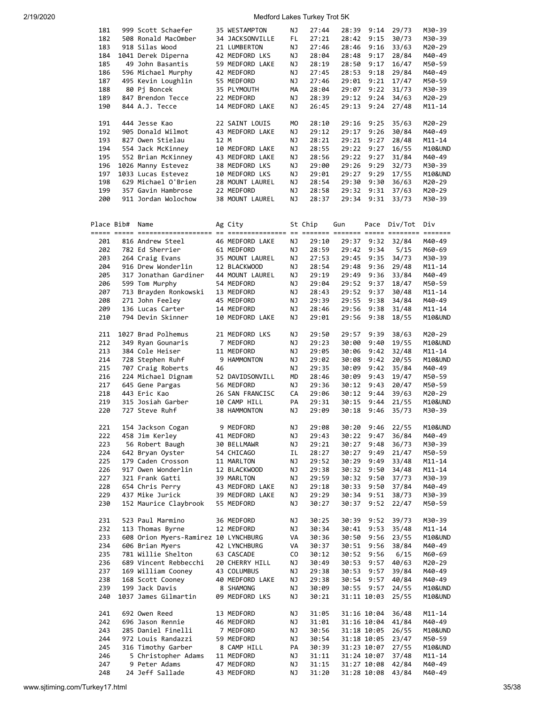| 181 |            | 999 Scott Schaefer                   |      | 35 WESTAMPTON   | ΝJ  | 27:44   | 28:39 | 9:14        | 29/73        | M30-39           |
|-----|------------|--------------------------------------|------|-----------------|-----|---------|-------|-------------|--------------|------------------|
|     |            | 508 Ronald MacOmber                  |      |                 |     | 27:21   |       |             |              |                  |
| 182 |            |                                      |      | 34 JACKSONVILLE | FL. |         | 28:42 | 9:15        | 30/73        | M30-39           |
| 183 |            | 918 Silas Wood                       |      | 21 LUMBERTON    | ΝJ  | 27:46   | 28:46 | 9:16        | 33/63        | M20-29           |
| 184 |            | 1041 Derek Diperna                   |      | 42 MEDFORD LKS  | ΝJ  | 28:04   | 28:48 | 9:17        | 28/84        | M40-49           |
| 185 |            | 49 John Basantis                     |      | 59 MEDFORD LAKE | ΝJ  | 28:19   | 28:50 | 9:17        | 16/47        | M50-59           |
| 186 |            | 596 Michael Murphy                   |      | 42 MEDFORD      | ΝJ  | 27:45   | 28:53 | 9:18        | 29/84        | M40-49           |
| 187 |            | 495 Kevin Loughlin                   |      | 55 MEDFORD      | ΝJ  | 27:46   | 29:01 | 9:21        | 17/47        | M50-59           |
|     |            |                                      |      |                 |     |         |       |             |              |                  |
| 188 |            | 80 Pj Boncek                         |      | 35 PLYMOUTH     | MА  | 28:04   | 29:07 | 9:22        | 31/73        | M30-39           |
| 189 |            | 847 Brendon Tecce                    |      | 22 MEDFORD      | ΝJ  | 28:39   | 29:12 | 9:24        | 34/63        | M20-29           |
| 190 |            | 844 A.J. Tecce                       |      | 14 MEDFORD LAKE | ΝJ  | 26:45   | 29:13 | 9:24        | 27/48        | $M11 - 14$       |
|     |            |                                      |      |                 |     |         |       |             |              |                  |
| 191 |            | 444 Jesse Kao                        |      | 22 SAINT LOUIS  | МO  | 28:10   | 29:16 | 9:25        | 35/63        | M20-29           |
| 192 |            | 905 Donald Wilmot                    |      | 43 MEDFORD LAKE | ΝJ  | 29:12   | 29:17 | 9:26        | 30/84        | M40-49           |
| 193 |            | 827 Owen Stielau                     | 12 M |                 | ΝJ  | 28:21   | 29:21 | 9:27        | 28/48        | $M11 - 14$       |
| 194 |            |                                      |      | 10 MEDFORD LAKE |     |         | 29:22 |             |              | M10&UND          |
|     |            | 554 Jack McKinney                    |      |                 | ΝJ  | 28:55   |       | 9:27        | 16/55        |                  |
| 195 |            | 552 Brian McKinney                   |      | 43 MEDFORD LAKE | ΝJ  | 28:56   | 29:22 | 9:27        | 31/84        | M40-49           |
| 196 |            | 1026 Manny Estevez                   |      | 38 MEDFORD LKS  | ΝJ  | 29:00   | 29:26 | 9:29        | 32/73        | M30-39           |
| 197 |            | 1033 Lucas Estevez                   |      | 10 MEDFORD LKS  | ΝJ  | 29:01   | 29:27 | 9:29        | 17/55        | M10&UND          |
| 198 |            | 629 Michael O'Brien                  |      | 28 MOUNT LAUREL | ΝJ  | 28:54   | 29:30 | 9:30        | 36/63        | M20-29           |
| 199 |            | 357 Gavin Hambrose                   |      | 22 MEDFORD      | ΝJ  | 28:58   | 29:32 | 9:31        | 37/63        | M20-29           |
| 200 |            | 911 Jordan Wolochow                  |      | 38 MOUNT LAUREL | ΝJ  | 28:37   | 29:34 | 9:31        | 33/73        | M30-39           |
|     |            |                                      |      |                 |     |         |       |             |              |                  |
|     |            |                                      |      |                 |     |         |       |             |              |                  |
|     |            |                                      |      |                 |     |         |       |             |              |                  |
|     | Place Bib# | Name                                 |      | Ag City         |     | St Chip | Gun   |             | Pace Div/Tot | Div              |
|     |            |                                      |      |                 |     |         |       |             |              |                  |
| 201 |            | 816 Andrew Steel                     |      | 46 MEDFORD LAKE | ΝJ  | 29:10   | 29:37 | 9:32        | 32/84        | M40-49           |
| 202 |            | 782 Ed Sherrier                      |      | 61 MEDFORD      | ΝJ  | 28:59   | 29:42 | 9:34        | 5/15         | M60-69           |
| 203 |            | 264 Craig Evans                      |      | 35 MOUNT LAUREL | ΝJ  | 27:53   | 29:45 | 9:35        | 34/73        | M30-39           |
| 204 |            | 916 Drew Wonderlin                   |      | 12 BLACKWOOD    | ΝJ  | 28:54   | 29:48 | 9:36        | 29/48        | $M11 - 14$       |
|     |            | 317 Jonathan Gardiner                |      |                 | ΝJ  | 29:19   |       | 9:36        | 33/84        |                  |
| 205 |            |                                      |      | 44 MOUNT LAUREL |     |         | 29:49 |             |              | M40-49           |
| 206 |            | 599 Tom Murphy                       |      | 54 MEDFORD      | ΝJ  | 29:04   | 29:52 | 9:37        | 18/47        | M50-59           |
| 207 |            | 713 Brayden Ronkowski                |      | 13 MEDFORD      | ΝJ  | 28:43   | 29:52 | 9:37        | 30/48        | $M11 - 14$       |
| 208 |            | 271 John Feeley                      |      | 45 MEDFORD      | ΝJ  | 29:39   | 29:55 | 9:38        | 34/84        | M40-49           |
| 209 |            | 136 Lucas Carter                     |      | 14 MEDFORD      | ΝJ  | 28:46   | 29:56 | 9:38        | 31/48        | $M11 - 14$       |
| 210 |            | 794 Devin Skinner                    |      | 10 MEDFORD LAKE | ΝJ  | 29:01   | 29:56 | 9:38        | 18/55        | M10&UND          |
|     |            |                                      |      |                 |     |         |       |             |              |                  |
| 211 |            | 1027 Brad Polhemus                   |      |                 | ΝJ  |         |       |             | 38/63        |                  |
|     |            |                                      |      | 21 MEDFORD LKS  |     | 29:50   | 29:57 | 9:39        |              | M20-29           |
| 212 |            | 349 Ryan Gounaris                    |      | 7 MEDFORD       | ΝJ  | 29:23   | 30:00 | 9:40        | 19/55        | M10&UND          |
| 213 |            | 384 Cole Heiser                      |      | 11 MEDFORD      | ΝJ  | 29:05   | 30:06 | 9:42        | 32/48        | M11-14           |
| 214 |            | 728 Stephen Ruhf                     |      | 9 HAMMONTON     | ΝJ  | 29:02   | 30:08 | 9:42        | 20/55        | M10&UND          |
| 215 |            | 707 Craig Roberts                    | 46   |                 | ΝJ  | 29:35   | 30:09 | 9:42        | 35/84        | M40-49           |
| 216 |            | 224 Michael Dignam                   |      | 52 DAVIDSONVILL | MD  | 28:46   | 30:09 | 9:43        | 19/47        | M50-59           |
| 217 |            | 645 Gene Pargas                      |      | 56 MEDFORD      | ΝJ  | 29:36   | 30:12 | 9:43        | 20/47        | M50-59           |
| 218 |            | 443 Eric Kao                         |      |                 |     |         |       | 9:44        | 39/63        | M20-29           |
|     |            |                                      |      | 26 SAN FRANCISC | СA  | 29:06   | 30:12 |             |              |                  |
| 219 |            | 315 Josiah Garber                    |      | 10 CAMP HILL    | PA  | 29:31   | 30:15 | 9:44        | 21/55        | M10&UND          |
| 220 |            | 727 Steve Ruhf                       |      | 38 HAMMONTON    | ΝJ  | 29:09   | 30:18 | 9:46        | 35/73        | M30-39           |
|     |            |                                      |      |                 |     |         |       |             |              |                  |
| 221 |            | 154 Jackson Cogan                    |      | 9 MEDFORD       | ΝJ  | 29:08   | 30:20 | 9:46        | 22/55        | M10&UND          |
| 222 |            | 458 Jim Kerley                       |      | 41 MEDFORD      | ΝJ  | 29:43   | 30:22 | 9:47        | 36/84        | M40-49           |
| 223 |            | 56 Robert Baugh                      |      | 30 BELLMAWR     | ΝJ  | 29:21   | 30:27 | 9:48        | 36/73        | M30-39           |
| 224 |            | 642 Bryan Oyster                     |      | 54 CHICAGO      | IL  | 28:27   | 30:27 | 9:49        | 21/47        | M50-59           |
|     |            |                                      |      |                 |     |         |       |             |              |                  |
| 225 |            | 179 Caden Crosson                    |      | 11 MARLTON      | ΝJ  | 29:52   | 30:29 | 9:49        | 33/48        | M11-14           |
| 226 |            | 917 Owen Wonderlin                   |      | 12 BLACKWOOD    | ΝJ  | 29:38   | 30:32 | 9:50        | 34/48        | M11-14           |
| 227 |            | 321 Frank Gatti                      |      | 39 MARLTON      | ΝJ  | 29:59   | 30:32 | 9:50        | 37/73        | M30-39           |
| 228 |            | 654 Chris Perry                      |      | 43 MEDFORD LAKE | ΝJ  | 29:18   | 30:33 | 9:50        | 37/84        | M40-49           |
| 229 |            | 437 Mike Jurick                      |      | 39 MEDFORD LAKE | ΝJ  | 29:29   | 30:34 | 9:51        | 38/73        | M30-39           |
| 230 |            | 152 Maurice Claybrook                |      | 55 MEDFORD      | ΝJ  | 30:27   | 30:37 | 9:52        | 22/47        | M50-59           |
|     |            |                                      |      |                 |     |         |       |             |              |                  |
|     |            |                                      |      |                 |     |         |       |             |              |                  |
| 231 |            | 523 Paul Marmino                     |      | 36 MEDFORD      | ΝJ  | 30:25   | 30:39 | 9:52        | 39/73        | M30-39           |
| 232 |            | 113 Thomas Byrne                     |      | 12 MEDFORD      | ΝJ  | 30:34   | 30:41 | 9:53        | 35/48        | M11-14           |
| 233 |            | 608 Orion Myers-Ramirez 10 LYNCHBURG |      |                 | VA  | 30:36   | 30:50 | 9:56        | 23/55        | M10&UND          |
| 234 |            | 606 Brian Myers                      |      | 42 LYNCHBURG    | VA  | 30:37   | 30:51 | 9:56        | 38/84        | M40-49           |
| 235 |            | 781 Willie Shelton                   |      | 63 CASCADE      | CO. | 30:12   | 30:52 | 9:56        | 6/15         | M60-69           |
| 236 |            | 689 Vincent Rebbecchi                |      | 20 CHERRY HILL  | ΝJ  | 30:49   | 30:53 | 9:57        | 40/63        | M20-29           |
| 237 |            | 169 William Cooney                   |      | 43 COLUMBUS     | ΝJ  | 29:38   | 30:53 | 9:57        | 39/84        | M40-49           |
|     |            |                                      |      |                 |     |         |       |             |              |                  |
| 238 |            | 168 Scott Cooney                     |      | 40 MEDFORD LAKE | ΝJ  | 29:38   | 30:54 | 9:57        | 40/84        | M40-49           |
| 239 |            | 199 Jack Davis                       |      | 8 SHAMONG       | ΝJ  | 30:09   | 30:55 | 9:57        | 24/55        | M10&UND          |
| 240 |            | 1037 James Gilmartin                 |      | 09 MEDFORD LKS  | ΝJ  | 30:21   |       | 31:11 10:03 | 25/55        | M10&UND          |
|     |            |                                      |      |                 |     |         |       |             |              |                  |
| 241 |            | 692 Owen Reed                        |      | 13 MEDFORD      | ΝJ  | 31:05   |       | 31:16 10:04 | 36/48        | $M11 - 14$       |
| 242 |            |                                      |      | 46 MEDFORD      | ΝJ  | 31:01   |       | 31:16 10:04 | 41/84        | M40-49           |
|     |            |                                      |      |                 |     |         |       |             |              |                  |
|     |            | 696 Jason Rennie                     |      |                 |     |         |       |             |              |                  |
| 243 |            | 285 Daniel Finelli                   |      | 7 MEDFORD       | ΝJ  | 30:56   |       | 31:18 10:05 | 26/55        | M10&UND          |
| 244 |            | 972 Louis Randazzi                   |      | 59 MEDFORD      | ΝJ  | 30:54   |       | 31:18 10:05 | 23/47        | M50-59           |
| 245 |            | 316 Timothy Garber                   |      | 8 CAMP HILL     | PA  | 30:39   |       | 31:23 10:07 | 27/55        | M10&UND          |
| 246 |            | 5 Christopher Adams                  |      | 11 MEDFORD      | ΝJ  | 31:11   |       | 31:24 10:07 | 37/48        | M11-14           |
| 247 |            | 9 Peter Adams                        |      | 47 MEDFORD      | ΝJ  | 31:15   |       | 31:27 10:08 | 42/84        | M40-49<br>M40-49 |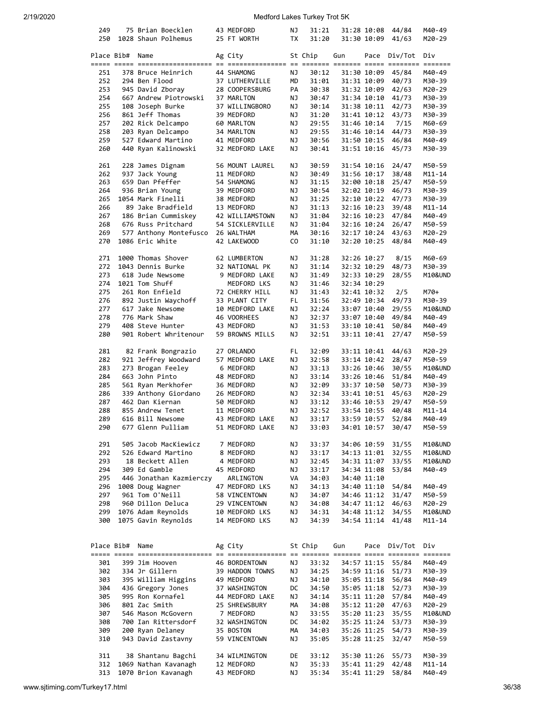| 249        |            | 75 Brian Boecklen       | 43 MEDFORD      | ΝJ        | 31:21   |     | 31:28 10:08     | 44/84        | M40-49     |
|------------|------------|-------------------------|-----------------|-----------|---------|-----|-----------------|--------------|------------|
| 250        |            | 1028 Shaun Polhemus     | 25 FT WORTH     | <b>TX</b> | 31:20   |     | 31:30 10:09     | 41/63        | M20-29     |
|            |            |                         |                 |           |         |     |                 |              |            |
|            | Place Bib# | Name                    | Ag City         |           | St Chip | Gun |                 | Pace Div/Tot | Div        |
|            |            |                         |                 |           |         |     |                 |              |            |
| 251        |            | 378 Bruce Heinrich      | 44 SHAMONG      | ΝJ        | 30:12   |     | 31:30 10:09     | 45/84        | M40-49     |
| 252        |            | 294 Ben Flood           | 37 LUTHERVILLE  | MD        | 31:01   |     | 31:31 10:09     | 40/73        | M30-39     |
| 253        |            | 945 David Zboray        | 28 COOPERSBURG  | PA        | 30:38   |     | 31:32 10:09     | 42/63        | M20-29     |
| 254        |            | 667 Andrew Piotrowski   | 37 MARLTON      | ΝJ        | 30:47   |     | 31:34 10:10     | 41/73        | M30-39     |
| 255        |            | 108 Joseph Burke        | 37 WILLINGBORO  | ΝJ        | 30:14   |     | 31:38 10:11     | 42/73        | M30-39     |
| 256        |            | 861 Jeff Thomas         | 39 MEDFORD      | ΝJ        | 31:20   |     | 31:41 10:12     | 43/73        | M30-39     |
| 257        |            | 202 Rick Delcampo       | 60 MARLTON      | ΝJ        | 29:55   |     | 31:46 10:14     | 7/15         | M60-69     |
| 258        |            | 203 Ryan Delcampo       | 34 MARLTON      | ΝJ        | 29:55   |     | 31:46 10:14     | 44/73        | M30-39     |
| 259        |            | 527 Edward Martino      | 41 MEDFORD      | ΝJ        | 30:56   |     | 31:50 10:15     | 46/84        | M40-49     |
| 260        |            | 440 Ryan Kalinowski     | 32 MEDFORD LAKE | ΝJ        | 30:41   |     | 31:51 10:16     | 45/73        | M30-39     |
|            |            |                         |                 |           |         |     |                 |              |            |
| 261        |            | 228 James Dignam        | 56 MOUNT LAUREL | ΝJ        | 30:59   |     | 31:54 10:16     | 24/47        | M50-59     |
| 262        |            | 937 Jack Young          | 11 MEDFORD      | ΝJ        | 30:49   |     | 31:56 10:17     | 38/48        | $M11 - 14$ |
| 263        |            | 659 Dan Pfeffer         | 54 SHAMONG      | ΝJ        | 31:15   |     | 32:00 10:18     | 25/47        | M50-59     |
| 264        |            | 936 Brian Young         | 39 MEDFORD      | ΝJ        | 30:54   |     | 32:02 10:19     | 46/73        | M30-39     |
| 265        |            | 1054 Mark Finelli       | 38 MEDFORD      | ΝJ        | 31:25   |     | 32:10 10:22     | 47/73        | M30-39     |
| 266        |            | 89 Jake Bradfield       | 13 MEDFORD      | ΝJ        | 31:13   |     | 32:16 10:23     | 39/48        | M11-14     |
| 267        |            | 186 Brian Cummiskey     | 42 WILLIAMSTOWN | ΝJ        | 31:04   |     | $32:16$ $10:23$ | 47/84        | M40-49     |
| 268        |            | 676 Russ Pritchard      | 54 SICKLERVILLE | ΝJ        | 31:04   |     | 32:16 10:24     | 26/47        | M50-59     |
| 269        |            |                         |                 | MА        | 30:16   |     | 32:17 10:24     |              | M20-29     |
|            |            | 577 Anthony Montefusco  | 26 WALTHAM      |           |         |     |                 | 43/63        |            |
| 270        |            | 1086 Eric White         | 42 LAKEWOOD     | CO.       | 31:10   |     | 32:20 10:25     | 48/84        | M40-49     |
|            |            |                         |                 |           |         |     |                 |              |            |
| 271        |            | 1000 Thomas Shover      | 62 LUMBERTON    | ΝJ        | 31:28   |     | 32:26 10:27     | 8/15         | M60-69     |
| 272        |            | 1043 Dennis Burke       | 32 NATIONAL PK  | ΝJ        | 31:14   |     | 32:32 10:29     | 48/73        | M30-39     |
| 273        |            | 618 Jude Newsome        | 9 MEDFORD LAKE  | ΝJ        | 31:49   |     | 32:33 10:29     | 28/55        | M10&UND    |
| 274        |            | 1021 Tom Shuff          | MEDFORD LKS     | ΝJ        | 31:46   |     | 32:34 10:29     |              |            |
| 275        |            | 261 Ron Enfield         | 72 CHERRY HILL  | ΝJ        | 31:43   |     | 32:41 10:32     | 2/5          | M70+       |
| 276        |            | 892 Justin Waychoff     | 33 PLANT CITY   | FL        | 31:56   |     | 32:49 10:34     | 49/73        | M30-39     |
| 277        |            | 617 Jake Newsome        | 10 MEDFORD LAKE | ΝJ        | 32:24   |     | 33:07 10:40     | 29/55        | M10&UND    |
| 278        |            | 776 Mark Shaw           | 46 VOORHEES     | ΝJ        | 32:37   |     | 33:07 10:40     | 49/84        | M40-49     |
| 279        |            | 408 Steve Hunter        | 43 MEDFORD      | ΝJ        | 31:53   |     | 33:10 10:41     | 50/84        | M40-49     |
| 280        |            | 901 Robert Whritenour   | 59 BROWNS MILLS | ΝJ        | 32:51   |     | 33:11 10:41     | 27/47        | M50-59     |
|            |            |                         |                 |           |         |     |                 |              |            |
| 281        |            | 82 Frank Bongrazio      | 27 ORLANDO      | FL        | 32:09   |     | 33:11 10:41     | 44/63        | M20-29     |
| 282        |            | 921 Jeffrey Woodward    | 57 MEDFORD LAKE | ΝJ        | 32:58   |     | 33:14 10:42     | 28/47        | M50-59     |
| 283        |            | 273 Brogan Feeley       | 6 MEDFORD       | ΝJ        | 33:13   |     |                 |              | M10&UND    |
|            |            |                         |                 |           |         |     | 33:26 10:46     | 30/55        |            |
| 284        |            | 663 John Pinto          | 48 MEDFORD      | ΝJ        | 33:14   |     | 33:26 10:46     | 51/84        | M40-49     |
| 285        |            | 561 Ryan Merkhofer      | 36 MEDFORD      | ΝJ        | 32:09   |     | 33:37 10:50     | 50/73        | M30-39     |
| 286        |            | 339 Anthony Giordano    | 26 MEDFORD      | ΝJ        | 32:34   |     | 33:41 10:51     | 45/63        | M20-29     |
| 287        |            | 462 Dan Kiernan         | 50 MEDFORD      | ΝJ        | 33:12   |     | 33:46 10:53     | 29/47        | M50-59     |
| 288        |            | 855 Andrew Tenet        | 11 MEDFORD      | ΝJ        | 32:52   |     | 33:54 10:55     | 40/48        | M11-14     |
| 289        |            | 616 Bill Newsome        | 43 MEDFORD LAKE | ΝJ        | 33:17   |     | 33:59 10:57     | 52/84        | M40-49     |
| 290        |            | 677 Glenn Pulliam       | 51 MEDFORD LAKE | ΝJ        | 33:03   |     | 34:01 10:57     | 30/47        | M50-59     |
|            |            |                         |                 |           |         |     |                 |              |            |
| 291        |            | 505 Jacob MacKiewicz    | 7 MEDFORD       | ΝJ        | 33:37   |     | 34:06 10:59     | 31/55        | M10&UND    |
| 292        |            | 526 Edward Martino      | 8 MEDFORD       | ΝJ        | 33:17   |     | 34:13 11:01     | 32/55        | M10&UND    |
| 293        |            | 18 Beckett Allen        | 4 MEDFORD       | ΝJ        | 32:45   |     | 34:31 11:07     | 33/55        | M10&UND    |
| 294        |            | 309 Ed Gamble           | 45 MEDFORD      | ΝJ        | 33:17   |     | 34:34 11:08     | 53/84        | M40-49     |
| 295        |            | 446 Jonathan Kazmierczy | ARLINGTON       | VA        | 34:03   |     | 34:40 11:10     |              |            |
| 296        |            | 1008 Doug Wagner        | 47 MEDFORD LKS  | ΝJ        | 34:13   |     | 34:40 11:10     | 54/84        | M40-49     |
| 297        |            | 961 Tom O'Neill         | 58 VINCENTOWN   | ΝJ        | 34:07   |     | 34:46 11:12     | 31/47        | M50-59     |
| 298        |            | 960 Dillon Deluca       | 29 VINCENTOWN   | ΝJ        | 34:08   |     | 34:47 11:12     | 46/63        | M20-29     |
| 299        |            | 1076 Adam Reynolds      | 10 MEDFORD LKS  | ΝJ        | 34:31   |     | 34:48 11:12     | 34/55        | M10&UND    |
| 300        |            | 1075 Gavin Reynolds     | 14 MEDFORD LKS  | ΝJ        | 34:39   |     | 34:54 11:14     | 41/48        | M11-14     |
|            |            |                         |                 |           |         |     |                 |              |            |
|            |            |                         |                 |           |         |     |                 |              |            |
|            |            |                         |                 |           |         |     |                 |              |            |
| Place Bib# |            | Name                    | Ag City         |           | St Chip | Gun | Pace            | Div/Tot      | Div        |
|            |            |                         |                 |           |         |     |                 |              |            |
| 301        |            | 399 Jim Hooven          | 46 BORDENTOWN   | ΝJ        | 33:32   |     | 34:57 11:15     | 55/84        | M40-49     |
| 302        |            | 334 Jr Gillern          | 39 HADDON TOWNS | ΝJ        | 34:25   |     | 34:59 11:16     | 51/73        | M30-39     |
| 303        |            | 395 William Higgins     | 49 MEDFORD      | ΝJ        | 34:10   |     | 35:05 11:18     | 56/84        | M40-49     |
| 304        |            | 436 Gregory Jones       | 37 WASHINGTON   | DC        | 34:50   |     | 35:05 11:18     | 52/73        | M30-39     |
| 305        |            | 995 Ron Kornafel        | 44 MEDFORD LAKE | ΝJ        | 34:14   |     | 35:11 11:20     | 57/84        | M40-49     |
| 306        |            | 801 Zac Smith           | 25 SHREWSBURY   | MА        | 34:08   |     | 35:12 11:20     | 47/63        | M20-29     |
| 307        |            | 546 Mason McGovern      | 7 MEDFORD       | ΝJ        | 33:55   |     | 35:20 11:23     | 35/55        | M10&UND    |
| 308        |            | 700 Ian Rittersdorf     | 32 WASHINGTON   | DC        | 34:02   |     | 35:25 11:24     | 53/73        | M30-39     |
| 309        |            | 200 Ryan Delaney        | 35 BOSTON       | MА        | 34:03   |     | 35:26 11:25     | 54/73        | M30-39     |
| 310        |            | 943 David Zastavny      | 59 VINCENTOWN   | ΝJ        | 35:05   |     | 35:28 11:25     | 32/47        | M50-59     |
|            |            |                         |                 |           |         |     |                 |              |            |
| 311        |            | 38 Shantanu Bagchi      | 34 WILMINGTON   | DE        | 33:12   |     | 35:30 11:26     | 55/73        | M30-39     |
|            |            |                         |                 |           |         |     | 35:41 11:29     |              |            |
| 312        |            | 1069 Nathan Kavanagh    | 12 MEDFORD      | ΝJ        | 35:33   |     |                 | 42/48        | $M11 - 14$ |
| 313        |            | 1070 Brion Kavanagh     | 43 MEDFORD      | ΝJ        | 35:34   |     | 35:41 11:29     | 58/84        | M40-49     |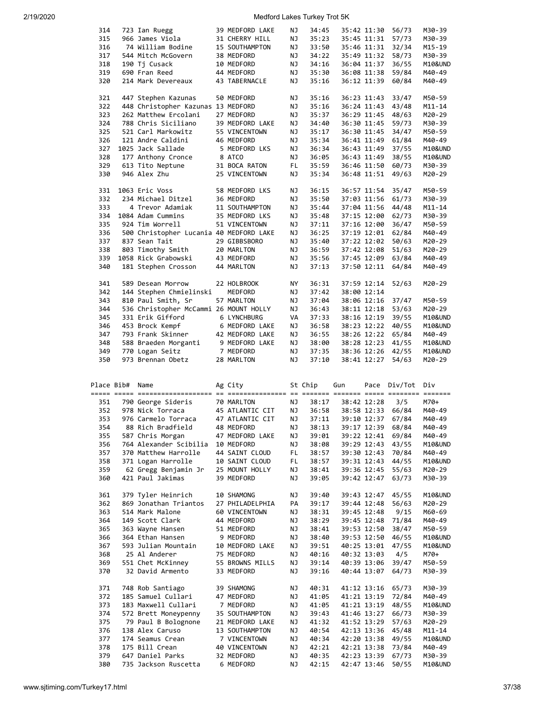| 314        |            | 723 Ian Ruegg                            | 39 MEDFORD LAKE         | ΝJ       | 34:45          |             | 35:42 11:30                | 56/73             | M30-39            |
|------------|------------|------------------------------------------|-------------------------|----------|----------------|-------------|----------------------------|-------------------|-------------------|
| 315        |            | 966 James Viola                          | 31 CHERRY HILL          | ΝJ       | 35:23          |             | 35:45 11:31                | 57/73             | M30-39            |
|            |            |                                          |                         |          |                |             |                            |                   |                   |
| 316        |            | 74 William Bodine                        | 15 SOUTHAMPTON          | ΝJ       | 33:50          |             | 35:46 11:31                | 32/34             | M15-19            |
| 317        |            | 544 Mitch McGovern                       | 38 MEDFORD              | ΝJ       | 34:22          |             | 35:49 11:32                | 58/73             | M30-39            |
| 318        |            | 190 Tj Cusack                            | 10 MEDFORD              | ΝJ       | 34:16          |             | 36:04 11:37                | 36/55             | M10&UND           |
|            |            |                                          |                         |          |                |             |                            |                   |                   |
| 319        |            | 690 Fran Reed                            | 44 MEDFORD              | ΝJ       | 35:30          |             | 36:08 11:38                | 59/84             | M40-49            |
| 320        |            | 214 Mark Devereaux                       | 43 TABERNACLE           | ΝJ       | 35:16          |             | 36:12 11:39                | 60/84             | M40-49            |
|            |            |                                          |                         |          |                |             |                            |                   |                   |
|            |            |                                          |                         |          |                |             |                            |                   |                   |
| 321        |            | 447 Stephen Kazunas                      | 50 MEDFORD              | ΝJ       | 35:16          |             | 36:23 11:43                | 33/47             | M50-59            |
| 322        |            | 448 Christopher Kazunas 13 MEDFORD       |                         | ΝJ       | 35:16          |             | 36:24 11:43                | 43/48             | M11-14            |
| 323        |            | 262 Matthew Ercolani                     | 27 MEDFORD              | ΝJ       | 35:37          |             | 36:29 11:45                | 48/63             | M20-29            |
|            |            |                                          |                         |          |                |             |                            |                   |                   |
| 324        |            | 788 Chris Siciliano                      | 39 MEDFORD LAKE         | ΝJ       | 34:40          |             | 36:30 11:45                | 59/73             | M30-39            |
| 325        |            | 521 Carl Markowitz                       | 55 VINCENTOWN           | ΝJ       | 35:17          |             | 36:30 11:45                | 34/47             | M50-59            |
| 326        |            | 121 Andre Caldini                        | 46 MEDFORD              | ΝJ       | 35:34          |             | 36:41 11:49                | 61/84             | M40-49            |
|            |            |                                          |                         |          |                |             |                            |                   |                   |
| 327        |            | 1025 Jack Sallade                        | 5 MEDFORD LKS           | ΝJ       | 36:34          |             | 36:43 11:49                | 37/55             | M10&UND           |
| 328        |            | 177 Anthony Cronce                       | 8 ATCO                  | ΝJ       | 36:05          |             | 36:43 11:49                | 38/55             | M10&UND           |
| 329        |            |                                          | 31 BOCA RATON           | FL.      | 35:59          |             | 36:46 11:50                | 60/73             | M30-39            |
|            |            | 613 Tito Neptune                         |                         |          |                |             |                            |                   |                   |
| 330        |            | 946 Alex Zhu                             | 25 VINCENTOWN           | ΝJ       | 35:34          |             | 36:48 11:51                | 49/63             | M20-29            |
|            |            |                                          |                         |          |                |             |                            |                   |                   |
| 331        |            | 1063 Eric Voss                           | 58 MEDFORD LKS          | ΝJ       | 36:15          |             | 36:57 11:54                | 35/47             | M50-59            |
|            |            |                                          |                         |          |                |             |                            |                   |                   |
| 332        |            | 234 Michael Ditzel                       | 36 MEDFORD              | ΝJ       | 35:50          |             | 37:03 11:56                | 61/73             | M30-39            |
| 333        |            | 4 Trevor Adamiak                         | 11 SOUTHAMPTON          | ΝJ       | 35:44          |             | 37:04 11:56                | 44/48             | M11-14            |
| 334        |            | 1084 Adam Cummins                        | 35 MEDFORD LKS          | ΝJ       | 35:48          |             | 37:15 12:00                | 62/73             | M30-39            |
|            |            |                                          |                         |          |                |             |                            |                   |                   |
| 335        |            | 924 Tim Worrell                          | 51 VINCENTOWN           | ΝJ       | 37:11          |             | 37:16 12:00                | 36/47             | M50-59            |
| 336        |            | 500 Christopher Lucania 40 MEDFORD LAKE  |                         | ΝJ       | 36:25          |             | 37:19 12:01                | 62/84             | M40-49            |
|            |            | 837 Sean Tait                            |                         |          |                |             |                            | 50/63             |                   |
| 337        |            |                                          | 29 GIBBSBORO            | ΝJ       | 35:40          |             | 37:22 12:02                |                   | M20-29            |
| 338        |            | 803 Timothy Smith                        | 20 MARLTON              | ΝJ       | 36:59          |             | 37:42 12:08                | 51/63             | M20-29            |
| 339        |            | 1058 Rick Grabowski                      | 43 MEDFORD              | ΝJ       | 35:56          |             | 37:45 12:09                | 63/84             | M40-49            |
|            |            |                                          |                         |          |                |             |                            |                   |                   |
| 340        |            | 181 Stephen Crosson                      | 44 MARLTON              | ΝJ       | 37:13          |             | 37:50 12:11                | 64/84             | M40-49            |
|            |            |                                          |                         |          |                |             |                            |                   |                   |
| 341        |            | 589 Desean Morrow                        | 22 HOLBROOK             | ΝY       | 36:31          |             | 37:59 12:14                | 52/63             | M20-29            |
|            |            |                                          |                         |          |                |             |                            |                   |                   |
| 342        |            | 144 Stephen Chmielinski                  | MEDFORD                 | ΝJ       | 37:42          |             | 38:00 12:14                |                   |                   |
| 343        |            | 810 Paul Smith, Sr                       | 57 MARLTON              | ΝJ       | 37:04          |             | 38:06 12:16                | 37/47             | M50-59            |
| 344        |            | 536 Christopher McCammi 26 MOUNT HOLLY   |                         | ΝJ       | 36:43          |             | 38:11 12:18                | 53/63             | M20-29            |
|            |            |                                          |                         |          |                |             |                            |                   |                   |
| 345        |            | 331 Erik Gifford                         | 6 LYNCHBURG             | VA       | 37:33          |             | 38:16 12:19                | 39/55             | M10&UND           |
| 346        |            | 453 Brock Kempf                          | 6 MEDFORD LAKE          | ΝJ       | 36:58          |             | 38:23 12:22                | 40/55             | M10&UND           |
| 347        |            | 793 Frank Skinner                        | 42 MEDFORD LAKE         | ΝJ       | 36:55          |             | 38:26 12:22                | 65/84             | M40-49            |
|            |            |                                          |                         |          |                |             |                            |                   |                   |
| 348        |            |                                          |                         |          |                |             |                            | 41/55             | M10&UND           |
|            |            | 588 Braeden Morganti                     | 9 MEDFORD LAKE          | ΝJ       | 38:00          | 38:28 12:23 |                            |                   |                   |
| 349        |            | 770 Logan Seitz                          | 7 MEDFORD               | ΝJ       | 37:35          |             | 38:36 12:26                | 42/55             | M10&UND           |
|            |            |                                          |                         |          |                |             |                            |                   |                   |
| 350        |            | 973 Brennan Obetz                        | 28 MARLTON              | ΝJ       | 37:10          |             | 38:41 12:27                | 54/63             | M20-29            |
|            |            |                                          |                         |          |                |             |                            |                   |                   |
|            |            |                                          |                         |          |                |             |                            |                   |                   |
|            | Place Bib# | Name                                     | Ag City                 |          | St Chip        | Gun         |                            | Pace Div/Tot      | Div               |
|            |            |                                          |                         |          |                |             |                            |                   |                   |
|            |            |                                          |                         |          |                |             |                            |                   |                   |
| 351        |            | 790 George Sideris                       | 70 MARLTON              | ΝJ       | 38:17          |             | 38:42 12:28                | 3/5               | M70+              |
| 352        |            | 978 Nick Torraca                         | 45 ATLANTIC CIT         | ΝJ       | 36:58          |             |                            | 38:58 12:33 66/84 | M40-49            |
|            |            |                                          |                         |          |                |             |                            |                   |                   |
| 353        |            | 976 Carmelo Torraca                      | 47 ATLANTIC CIT         | ΝJ       | 37:11          |             | 39:10 12:37                | 67/84             | M40-49            |
| 354        |            | 88 Rich Bradfield                        | 48 MEDFORD              | ΝJ       | 38:13          |             | 39:17 12:39                | 68/84             | M40-49            |
| 355        |            | 587 Chris Morgan                         | 47 MEDFORD LAKE         | ΝJ       | 39:01          |             | 39:22 12:41                | 69/84             | M40-49            |
|            |            |                                          |                         |          |                |             |                            |                   |                   |
| 356        |            | 764 Alexander Scibilia                   | 10 MEDFORD              | ΝJ       | 38:08          |             | 39:29 12:43                | 43/55             | M10&UND           |
| 357        |            | 370 Matthew Harrolle                     | 44 SAINT CLOUD          | FL.      | 38:57          |             | 39:30 12:43                | 70/84             | M40-49            |
| 358        |            | 371 Logan Harrolle                       | 10 SAINT CLOUD          | FL       | 38:57          |             | 39:31 12:43                | 44/55             | M10&UND           |
|            |            |                                          |                         |          |                |             |                            |                   |                   |
| 359        |            | 62 Gregg Benjamin Jr                     | 25 MOUNT HOLLY          | ΝJ       | 38:41          |             | 39:36 12:45                | 55/63             | M20-29            |
| 360        |            | 421 Paul Jakimas                         | 39 MEDFORD              | ΝJ       | 39:05          |             | 39:42 12:47                | 63/73             | M30-39            |
|            |            |                                          |                         |          |                |             |                            |                   |                   |
| 361        |            | 379 Tyler Heinrich                       | 10 SHAMONG              | ΝJ       | 39:40          |             | 39:43 12:47                | 45/55             | M10&UND           |
|            |            |                                          |                         |          |                |             |                            |                   |                   |
| 362        |            | 869 Jonathan Triantos                    | 27 PHILADELPHIA         | PA       | 39:17          |             | 39:44 12:48                | 56/63             | M20-29            |
| 363        |            | 514 Mark Malone                          | 60 VINCENTOWN           | ΝJ       | 38:31          |             | 39:45 12:48                | 9/15              | M60-69            |
| 364        |            | 149 Scott Clark                          | 44 MEDFORD              | ΝJ       | 38:29          |             | 39:45 12:48                | 71/84             | M40-49            |
|            |            |                                          |                         |          |                |             |                            |                   |                   |
| 365        |            | 363 Wayne Hansen                         | 51 MEDFORD              | ΝJ       | 38:41          |             | 39:53 12:50                | 38/47             | M50-59            |
| 366        |            | 364 Ethan Hansen                         | 9 MEDFORD               | ΝJ       | 38:40          |             | 39:53 12:50                | 46/55             | M10&UND           |
| 367        |            | 593 Julian Mountain                      | 10 MEDFORD LAKE         | ΝJ       | 39:51          |             | 40:25 13:01                | 47/55             | M10&UND           |
|            |            |                                          |                         |          |                |             |                            |                   |                   |
| 368        |            | 25 Al Anderer                            | 75 MEDFORD              | ΝJ       | 40:16          |             | 40:32 13:03                | 4/5               | M70+              |
| 369        |            | 551 Chet McKinney                        | 55 BROWNS MILLS         | ΝJ       | 39:14          |             | 40:39 13:06                | 39/47             | M50-59            |
| 370        |            | 32 David Armento                         | 33 MEDFORD              | ΝJ       | 39:16          |             | 40:44 13:07                | 64/73             | M30-39            |
|            |            |                                          |                         |          |                |             |                            |                   |                   |
|            |            |                                          |                         |          |                |             |                            |                   |                   |
| 371        |            | 748 Rob Santiago                         | 39 SHAMONG              | ΝJ       | 40:31          |             | 41:12 13:16                | 65/73             | M30-39            |
| 372        |            | 185 Samuel Cullari                       | 47 MEDFORD              | ΝJ       | 41:05          |             | 41:21 13:19                | 72/84             | M40-49            |
|            |            |                                          |                         |          |                |             |                            |                   |                   |
| 373        |            | 183 Maxwell Cullari                      | 7 MEDFORD               | ΝJ       | 41:05          |             | 41:21 13:19                | 48/55             | M10&UND           |
| 374        |            | 572 Brett Moneypenny                     | 35 SOUTHAMPTON          | ΝJ       | 39:43          |             | 41:46 13:27                | 66/73             | M30-39            |
| 375        |            | 79 Paul B Bolognone                      | 21 MEDFORD LAKE         | ΝJ       | 41:32          |             | 41:52 13:29                | 57/63             | M20-29            |
|            |            |                                          |                         |          |                |             |                            |                   |                   |
| 376        |            | 138 Alex Caruso                          | 13 SOUTHAMPTON          | ΝJ       | 40:54          |             | 42:13 13:36                | 45/48             | M11-14            |
| 377        |            | 174 Seamus Crean                         | 7 VINCENTOWN            | ΝJ       | 40:34          |             | 42:20 13:38                | 49/55             | M10&UND           |
| 378        |            | 175 Bill Crean                           | 40 VINCENTOWN           | ΝJ       | 42:21          |             | 42:21 13:38                | 73/84             | M40-49            |
|            |            |                                          |                         |          |                |             |                            |                   |                   |
| 379<br>380 |            | 647 Daniel Parks<br>735 Jackson Ruscetta | 32 MEDFORD<br>6 MEDFORD | ΝJ<br>ΝJ | 40:35<br>42:15 |             | 42:23 13:39<br>42:47 13:46 | 67/73<br>50/55    | M30-39<br>M10&UND |